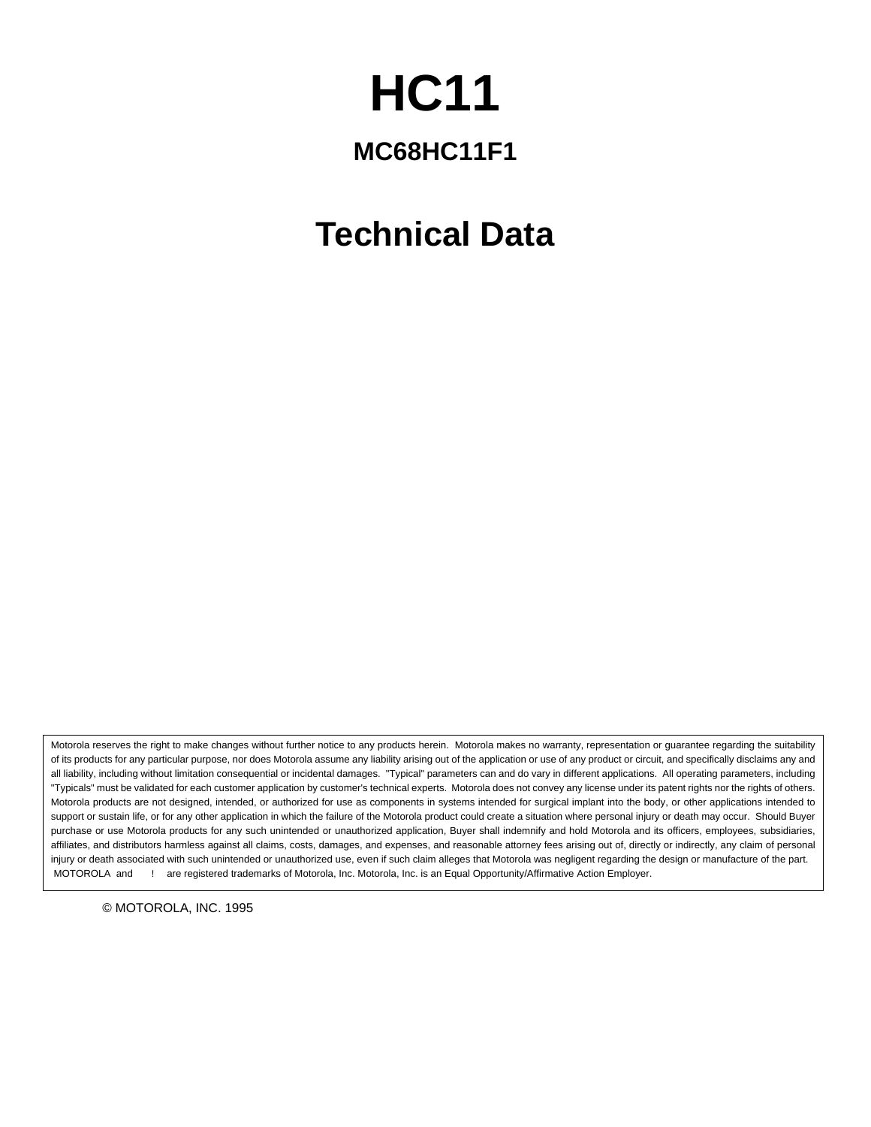# **HC11**

# **MC68HC11F1**

# **Technical Data**

Motorola reserves the right to make changes without further notice to any products herein. Motorola makes no warranty, representation or guarantee regarding the suitability of its products for any particular purpose, nor does Motorola assume any liability arising out of the application or use of any product or circuit, and specifically disclaims any and all liability, including without limitation consequential or incidental damages. "Typical" parameters can and do vary in different applications. All operating parameters, including "Typicals" must be validated for each customer application by customer's technical experts. Motorola does not convey any license under its patent rights nor the rights of others. Motorola products are not designed, intended, or authorized for use as components in systems intended for surgical implant into the body, or other applications intended to support or sustain life, or for any other application in which the failure of the Motorola product could create a situation where personal injury or death may occur. Should Buyer purchase or use Motorola products for any such unintended or unauthorized application, Buyer shall indemnify and hold Motorola and its officers, employees, subsidiaries, affiliates, and distributors harmless against all claims, costs, damages, and expenses, and reasonable attorney fees arising out of, directly or indirectly, any claim of personal injury or death associated with such unintended or unauthorized use, even if such claim alleges that Motorola was negligent regarding the design or manufacture of the part. MOTOROLA and ! are registered trademarks of Motorola, Inc. Motorola, Inc. is an Equal Opportunity/Affirmative Action Employer.

© MOTOROLA, INC. 1995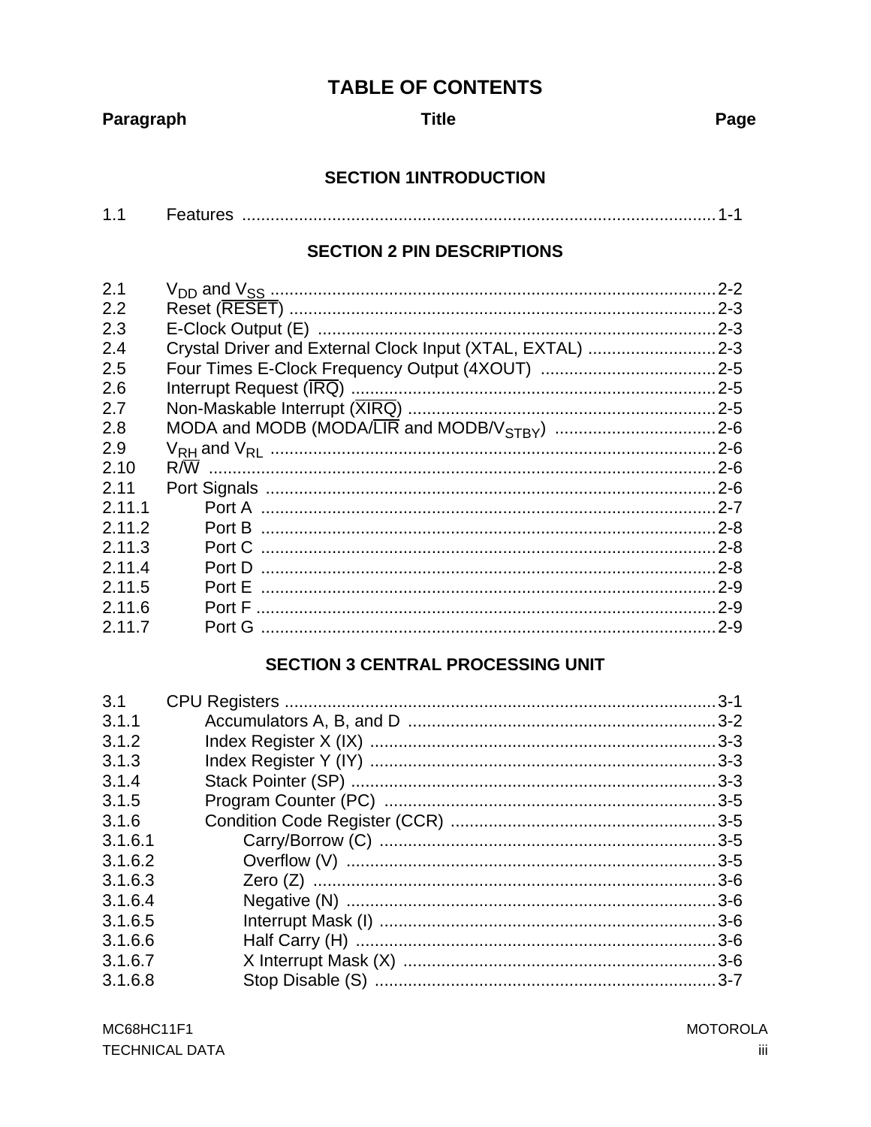# **TABLE OF CONTENTS**

Paragraph

**Title** 

Page

# **SECTION 1INTRODUCTION**

| ▰ |  |  |  |  |
|---|--|--|--|--|
|---|--|--|--|--|

### **SECTION 2 PIN DESCRIPTIONS**

|                                                           | $2 - 2$ |
|-----------------------------------------------------------|---------|
|                                                           | $2 - 3$ |
|                                                           | $2 - 3$ |
| Crystal Driver and External Clock Input (XTAL, EXTAL) 2-3 |         |
|                                                           |         |
|                                                           |         |
|                                                           |         |
|                                                           |         |
|                                                           |         |
|                                                           |         |
|                                                           |         |
|                                                           |         |
|                                                           |         |
| Port C                                                    |         |
| Port D                                                    |         |
|                                                           |         |
|                                                           |         |
|                                                           |         |
|                                                           |         |

# **SECTION 3 CENTRAL PROCESSING UNIT**

| 3.1     | $.3 - 1$ |
|---------|----------|
| 3.1.1   |          |
| 3.1.2   |          |
| 3.1.3   |          |
| 3.1.4   |          |
| 3.1.5   |          |
| 3.1.6   |          |
| 3.1.6.1 |          |
| 3.1.6.2 |          |
| 3.1.6.3 |          |
| 3.1.6.4 |          |
| 3.1.6.5 |          |
| 3.1.6.6 |          |
| 3.1.6.7 |          |
| 3.1.6.8 |          |
|         |          |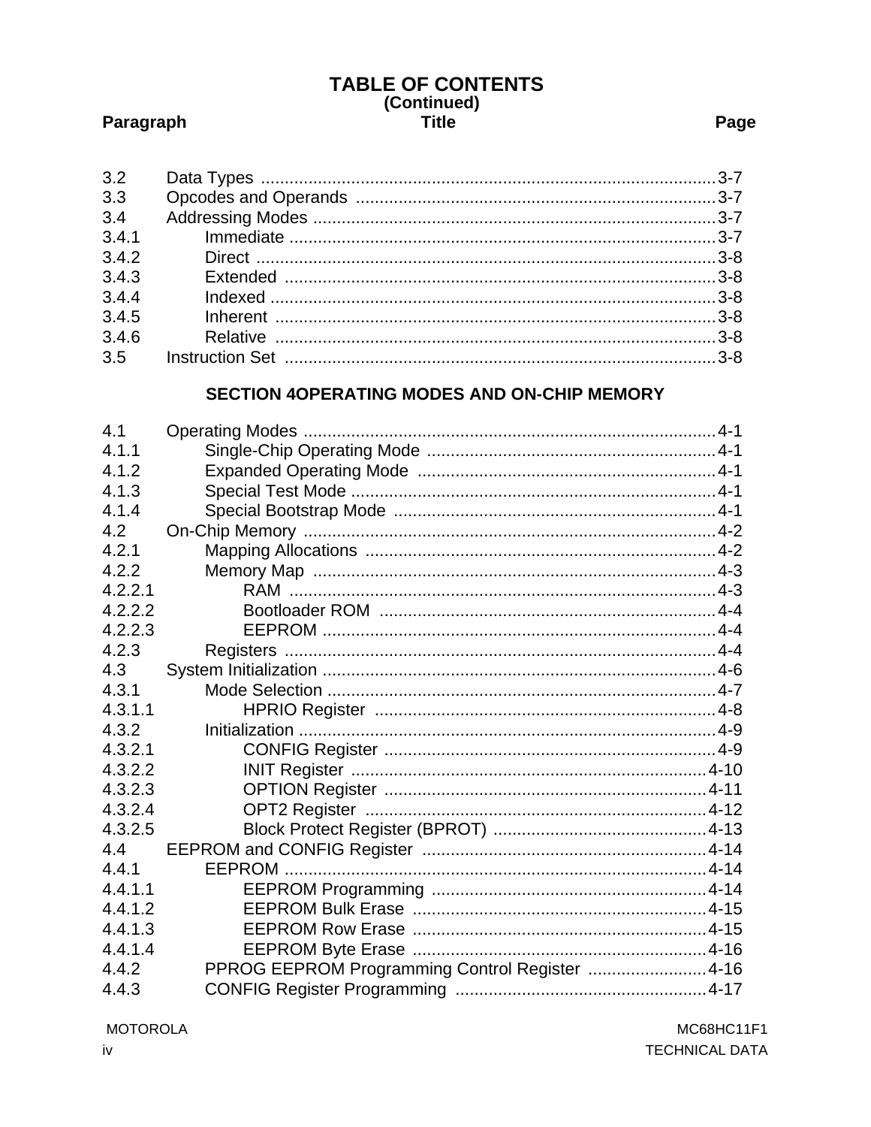# TABLE OF CONTENTS<br>(Continued) **Title**

# Paragraph

| 3.2   |  |
|-------|--|
| 3.3   |  |
| 3.4   |  |
| 3.4.1 |  |
| 3.4.2 |  |
| 3.4.3 |  |
| 3.4.4 |  |
| 3.4.5 |  |
| 3.4.6 |  |
| 3.5   |  |
|       |  |

# SECTION 4OPERATING MODES AND ON-CHIP MEMORY

| 4.1     |                                                |  |
|---------|------------------------------------------------|--|
| 4.1.1   |                                                |  |
| 4.1.2   |                                                |  |
| 4.1.3   |                                                |  |
| 4.1.4   |                                                |  |
| 4.2     |                                                |  |
| 4.2.1   |                                                |  |
| 4.2.2   |                                                |  |
| 4.2.2.1 |                                                |  |
| 4.2.2.2 |                                                |  |
| 4.2.2.3 |                                                |  |
| 4.2.3   |                                                |  |
| 4.3     |                                                |  |
| 4.3.1   |                                                |  |
| 4.3.1.1 |                                                |  |
| 4.3.2   |                                                |  |
| 4.3.2.1 |                                                |  |
| 4.3.2.2 |                                                |  |
| 4.3.2.3 |                                                |  |
| 4.3.2.4 |                                                |  |
| 4.3.2.5 |                                                |  |
| 4.4     |                                                |  |
| 4.4.1   |                                                |  |
| 4.4.1.1 |                                                |  |
| 4.4.1.2 |                                                |  |
| 4.4.1.3 |                                                |  |
| 4.4.1.4 |                                                |  |
| 4.4.2   | PPROG EEPROM Programming Control Register 4-16 |  |
| 4.4.3   |                                                |  |

**MOTOROLA**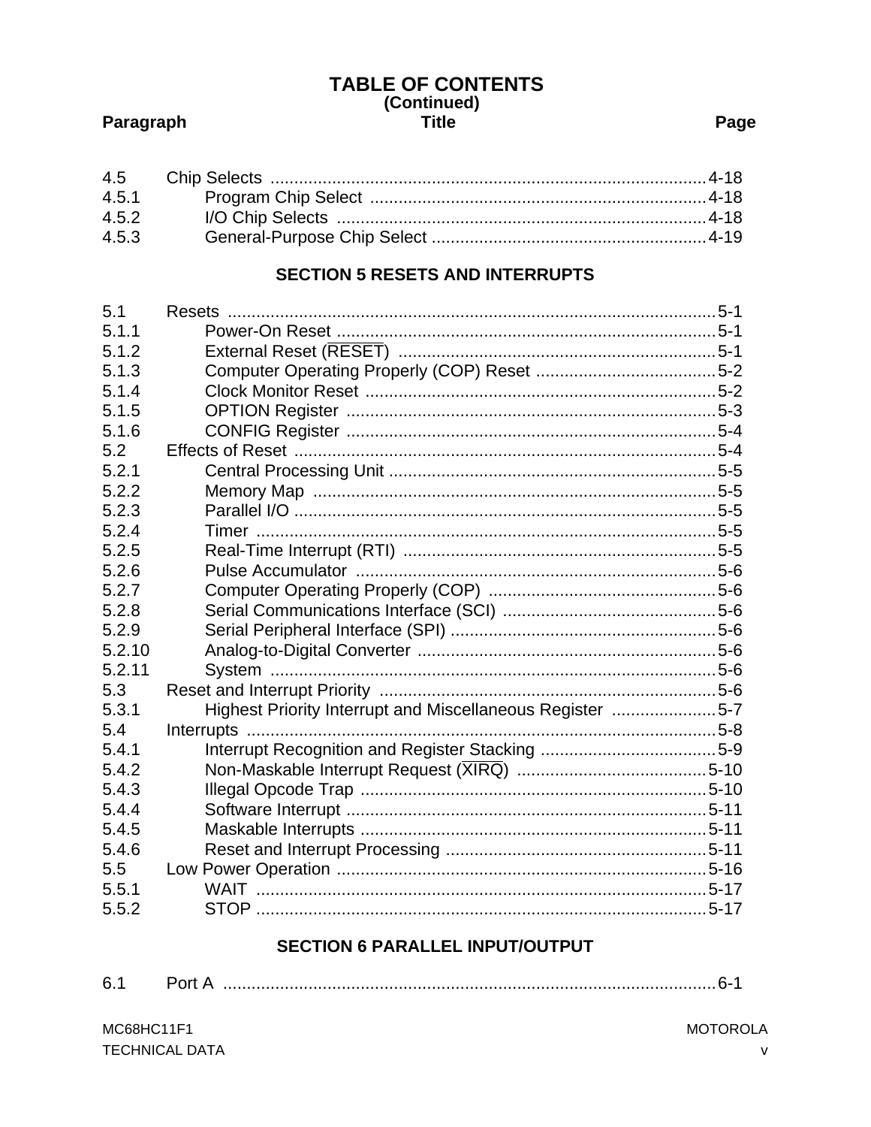# TABLE OF CONTENTS<br>(Continued) **Title**

# Paragraph

# Page

| 4.5.2 |  |
|-------|--|
| 4.5.3 |  |

# **SECTION 5 RESETS AND INTERRUPTS**

| 5.1    |                                                           |  |
|--------|-----------------------------------------------------------|--|
| 5.1.1  |                                                           |  |
| 5.1.2  |                                                           |  |
| 5.1.3  |                                                           |  |
| 5.1.4  |                                                           |  |
| 5.1.5  |                                                           |  |
| 5.1.6  |                                                           |  |
| 5.2    |                                                           |  |
| 5.2.1  |                                                           |  |
| 5.2.2  |                                                           |  |
| 5.2.3  |                                                           |  |
| 5.2.4  |                                                           |  |
| 5.2.5  |                                                           |  |
| 5.2.6  |                                                           |  |
| 5.2.7  |                                                           |  |
| 5.2.8  |                                                           |  |
| 5.2.9  |                                                           |  |
| 5.2.10 |                                                           |  |
| 5.2.11 |                                                           |  |
| 5.3    |                                                           |  |
| 5.3.1  | Highest Priority Interrupt and Miscellaneous Register 5-7 |  |
| 5.4    |                                                           |  |
| 5.4.1  |                                                           |  |
| 5.4.2  |                                                           |  |
| 5.4.3  |                                                           |  |
| 5.4.4  |                                                           |  |
| 5.4.5  |                                                           |  |
| 5.4.6  |                                                           |  |
| 5.5    |                                                           |  |
| 5.5.1  |                                                           |  |
| 5.5.2  |                                                           |  |

# **SECTION 6 PARALLEL INPUT/OUTPUT**

|--|--|--|--|--|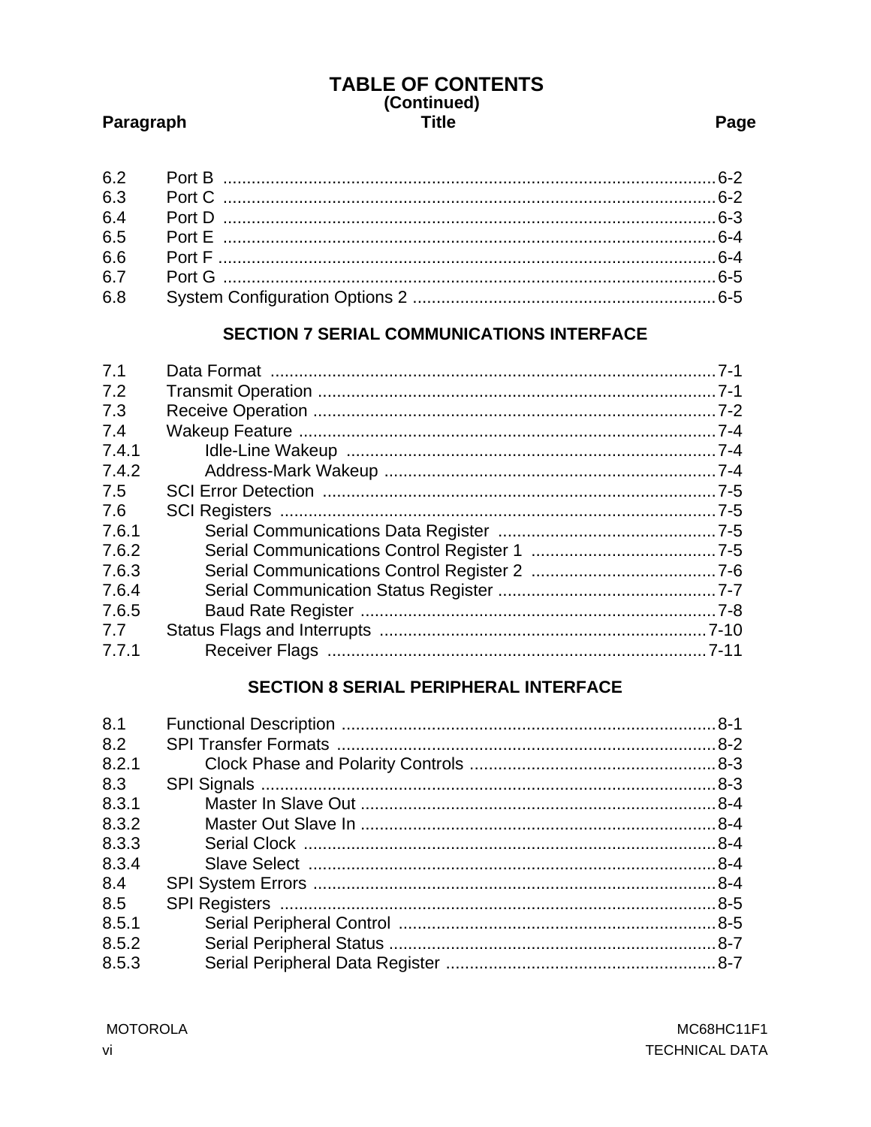# TABLE OF CONTENTS<br>(Continued) **Title**

# Paragraph

# **SECTION 7 SERIAL COMMUNICATIONS INTERFACE**

| 7.1   |  |
|-------|--|
|       |  |
| 7.2   |  |
| 7.3   |  |
| 7.4   |  |
| 7.4.1 |  |
| 7.4.2 |  |
| 7.5   |  |
| 7.6   |  |
| 7.6.1 |  |
| 7.6.2 |  |
| 7.6.3 |  |
| 7.6.4 |  |
| 7.6.5 |  |
| 7.7   |  |
| 7.7.1 |  |
|       |  |

# **SECTION 8 SERIAL PERIPHERAL INTERFACE**

| 8.1   |  |
|-------|--|
| 8.2   |  |
| 8.2.1 |  |
| 8.3   |  |
| 8.3.1 |  |
| 8.3.2 |  |
| 8.3.3 |  |
| 8.3.4 |  |
| 8.4   |  |
| 8.5   |  |
| 8.5.1 |  |
| 8.5.2 |  |
| 8.5.3 |  |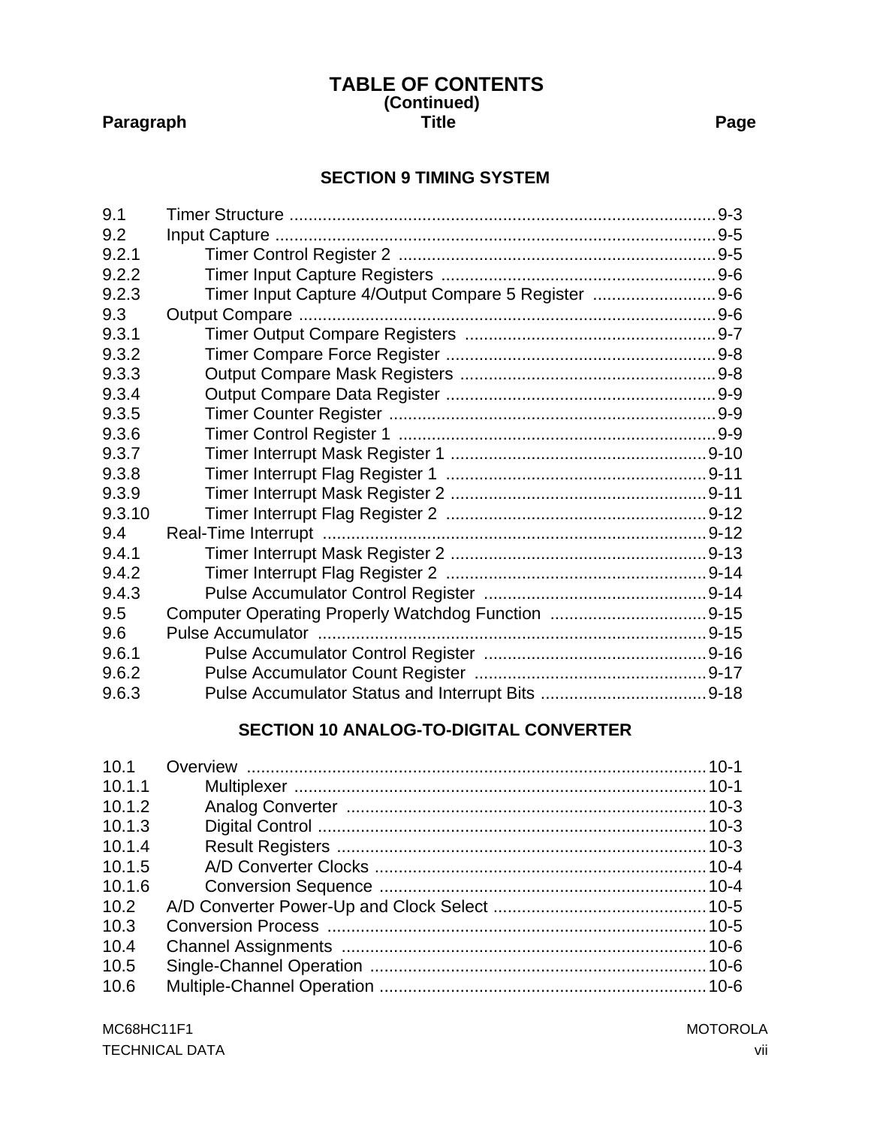#### **(Continued)** Paragraph **Paragraph Community** Title **Page TABLE OF CONTENTS**

# **[SECTION 9 TIMING SYSTEM](#page-106-0)**

| 9.1    |                                                     |  |
|--------|-----------------------------------------------------|--|
| 9.2    |                                                     |  |
| 9.2.1  |                                                     |  |
| 9.2.2  |                                                     |  |
| 9.2.3  | Timer Input Capture 4/Output Compare 5 Register 9-6 |  |
| 9.3    |                                                     |  |
| 9.3.1  |                                                     |  |
| 9.3.2  |                                                     |  |
| 9.3.3  |                                                     |  |
| 9.3.4  |                                                     |  |
| 9.3.5  |                                                     |  |
| 9.3.6  |                                                     |  |
| 9.3.7  |                                                     |  |
| 9.3.8  |                                                     |  |
| 9.3.9  |                                                     |  |
| 9.3.10 |                                                     |  |
| 9.4    |                                                     |  |
| 9.4.1  |                                                     |  |
| 9.4.2  |                                                     |  |
| 9.4.3  |                                                     |  |
| 9.5    |                                                     |  |
| 9.6    |                                                     |  |
| 9.6.1  |                                                     |  |
| 9.6.2  |                                                     |  |
| 9.6.3  |                                                     |  |

# **[SECTION 10 ANALOG-TO-DIGITAL CONVERTER](#page-124-0)**

| 10.1.1 |  |
|--------|--|
| 10.1.2 |  |
| 10.1.3 |  |
| 10.1.4 |  |
| 10.1.5 |  |
| 10.1.6 |  |
| 10.2   |  |
| 10.3   |  |
| 10.4   |  |
| 10.5   |  |
| 10.6   |  |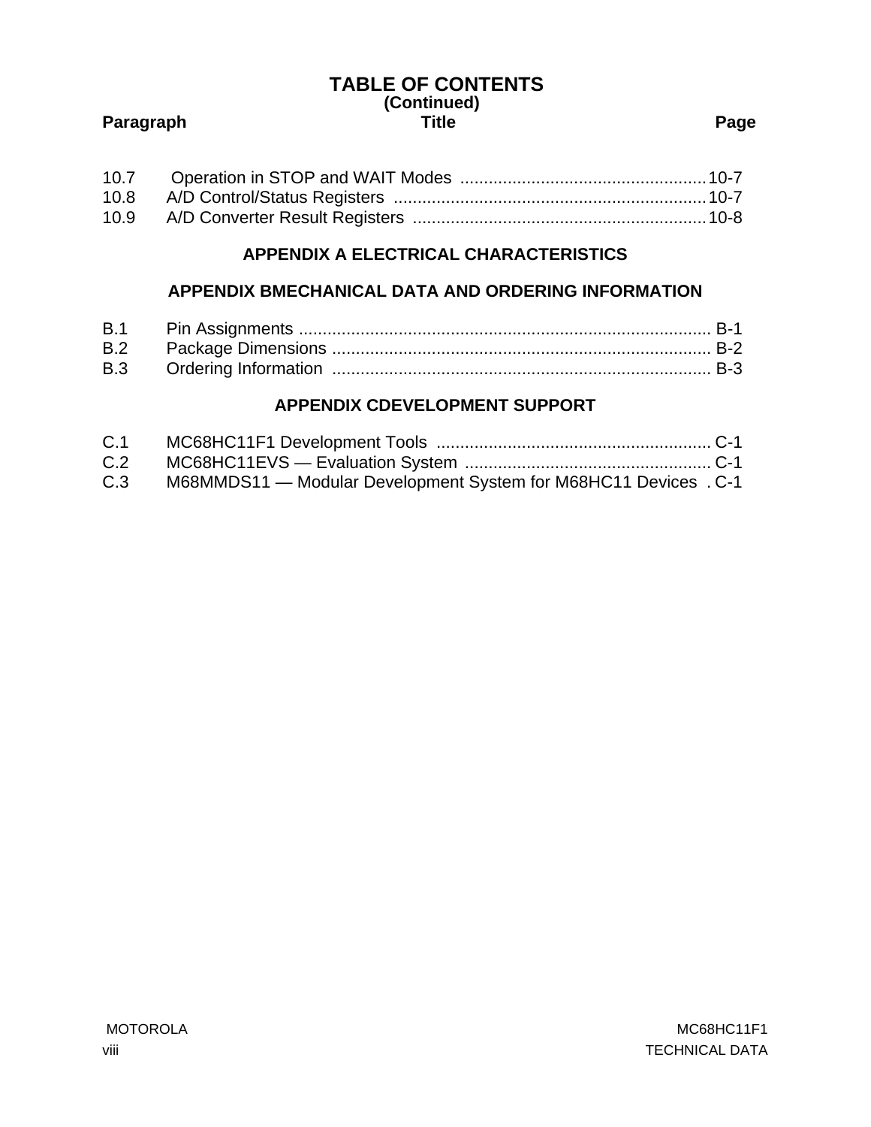# **(Continued)** Paragraph **Paragraph Community Page TABLE OF CONTENTS**

# **[APPENDIX A ELECTRICAL CHARACTERISTICS](#page-134-0)**

# **[APPENDIX BMECHANICAL DATA AND ORDERING INFORMATION](#page-152-0)**

# **[APPENDIX CDEVELOPMENT SUPPORT](#page-156-0)**

| C.1 |                                                                  |  |
|-----|------------------------------------------------------------------|--|
| C.2 |                                                                  |  |
| C.3 | M68MMDS11 - Modular Development System for M68HC11 Devices . C-1 |  |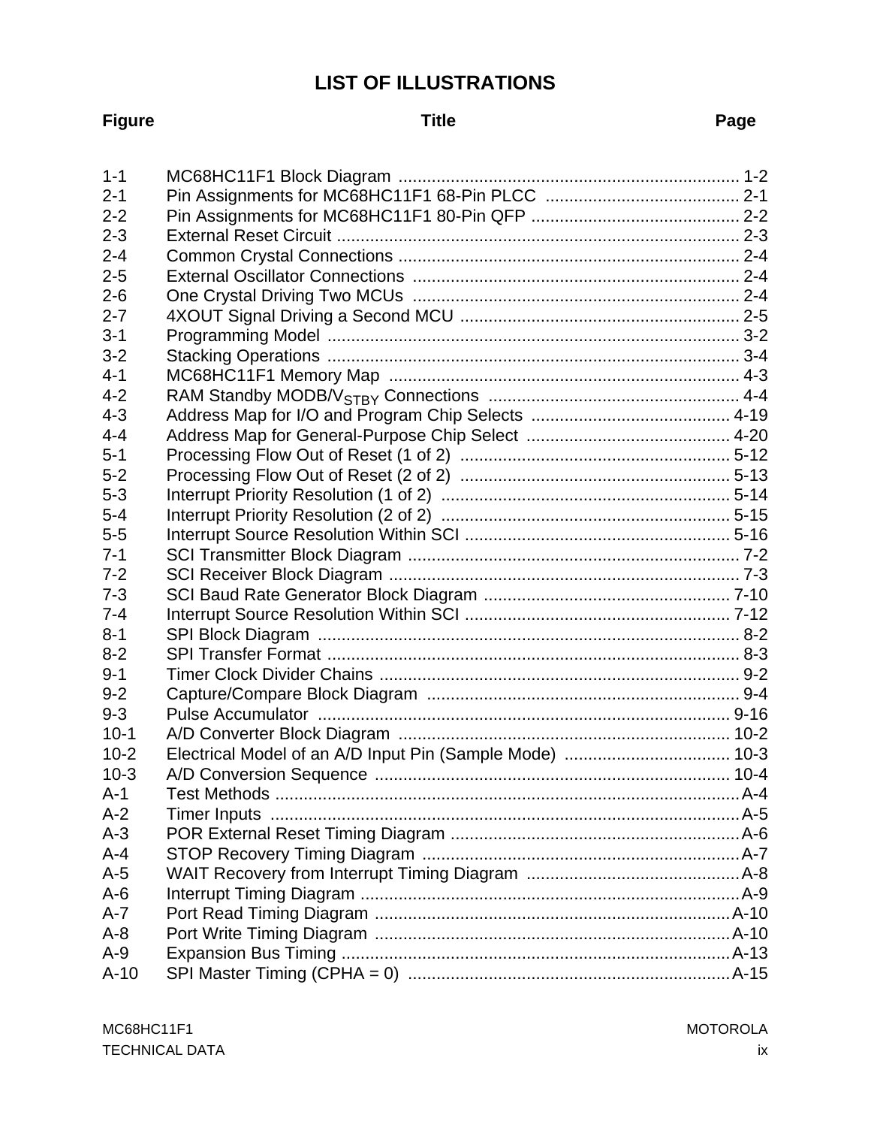# **LIST OF ILLUSTRATIONS**

#### **Figure Title Page**

| $1 - 1$  |                                                          |
|----------|----------------------------------------------------------|
| $2 - 1$  |                                                          |
| $2 - 2$  |                                                          |
| $2 - 3$  |                                                          |
| $2 - 4$  |                                                          |
| $2 - 5$  |                                                          |
| $2 - 6$  |                                                          |
| $2 - 7$  |                                                          |
| $3 - 1$  |                                                          |
| $3 - 2$  |                                                          |
| $4 - 1$  |                                                          |
| $4 - 2$  |                                                          |
| $4 - 3$  |                                                          |
| $4 - 4$  |                                                          |
| $5 - 1$  |                                                          |
| $5-2$    |                                                          |
| $5 - 3$  |                                                          |
| $5-4$    |                                                          |
| $5-5$    |                                                          |
| $7 - 1$  |                                                          |
| $7 - 2$  |                                                          |
| $7 - 3$  |                                                          |
| $7 - 4$  |                                                          |
| $8 - 1$  |                                                          |
| $8 - 2$  |                                                          |
| $9 - 1$  |                                                          |
| $9 - 2$  |                                                          |
| $9 - 3$  |                                                          |
| $10-1$   |                                                          |
| $10 - 2$ | Electrical Model of an A/D Input Pin (Sample Mode)  10-3 |
| $10-3$   |                                                          |
| $A-1$    |                                                          |
| $A-2$    |                                                          |
| $A-3$    |                                                          |
| $A-4$    |                                                          |
| $A-5$    |                                                          |
| $A-6$    |                                                          |
| $A - 7$  |                                                          |
| $A - 8$  |                                                          |
| $A-9$    |                                                          |
| $A-10$   |                                                          |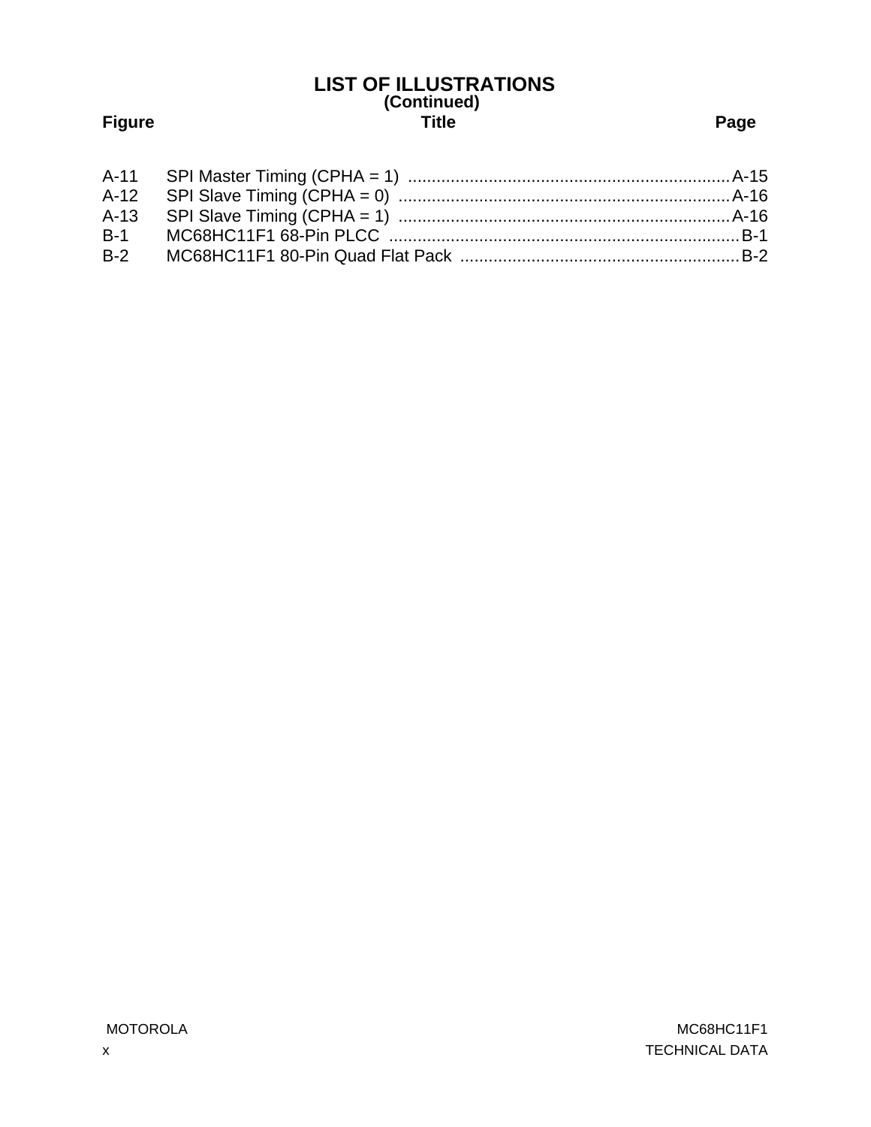# **(Continued) Figure Title Page LIST OF ILLUSTRATIONS**

| $B-2$ |  |
|-------|--|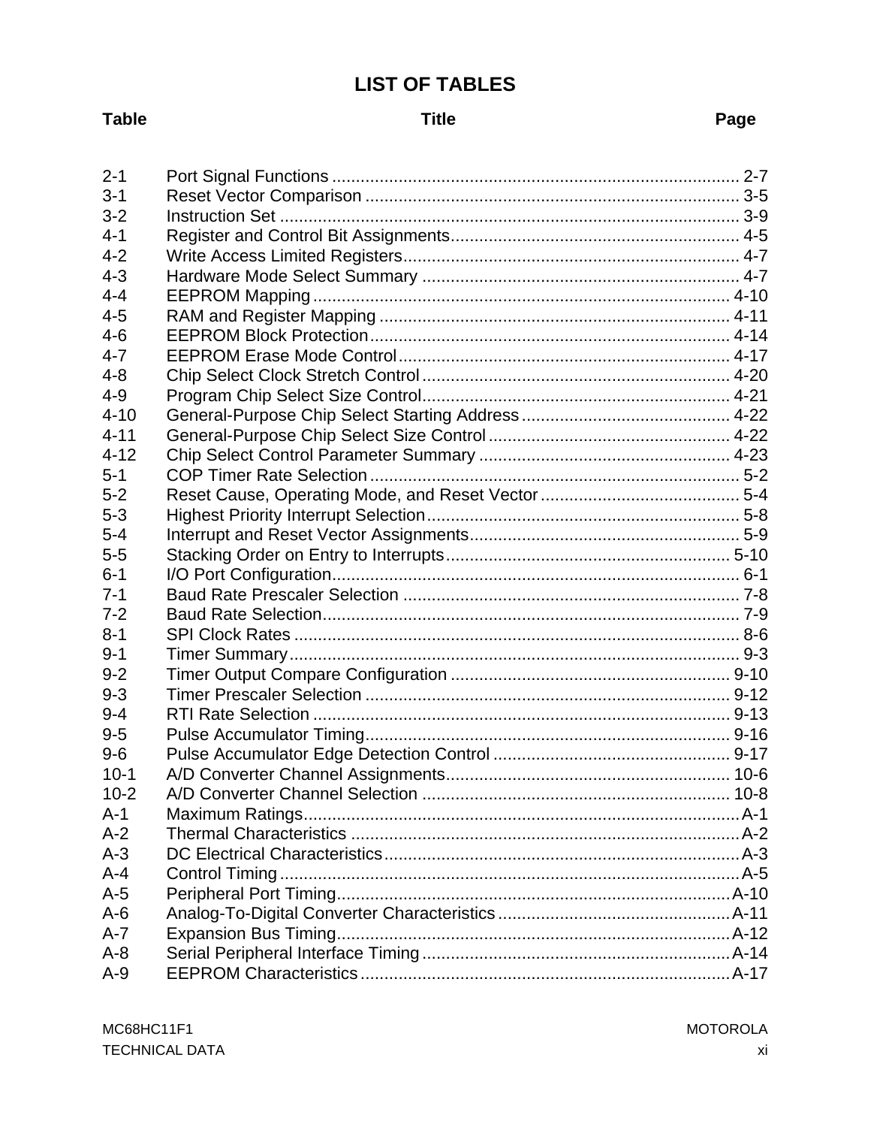# **LIST OF TABLES**

# **Table**

# **Title**

# Page

| $2 - 1$  |  |
|----------|--|
| $3 - 1$  |  |
| $3 - 2$  |  |
| $4 - 1$  |  |
| $4 - 2$  |  |
| $4 - 3$  |  |
| $4 - 4$  |  |
| $4 - 5$  |  |
| $4-6$    |  |
| $4 - 7$  |  |
| $4 - 8$  |  |
| $4 - 9$  |  |
| $4 - 10$ |  |
| $4 - 11$ |  |
| $4 - 12$ |  |
| $5 - 1$  |  |
| $5-2$    |  |
| $5 - 3$  |  |
| $5 - 4$  |  |
| $5-5$    |  |
| $6 - 1$  |  |
| $7 - 1$  |  |
| $7 - 2$  |  |
| $8 - 1$  |  |
| $9 - 1$  |  |
| $9 - 2$  |  |
| $9 - 3$  |  |
| $9 - 4$  |  |
| $9-5$    |  |
| $9-6$    |  |
| $10-1$   |  |
| $10 - 2$ |  |
| $A-1$    |  |
| $A-2$    |  |
| $A-3$    |  |
| $A - 4$  |  |
| $A-5$    |  |
| $A-6$    |  |
| $A - 7$  |  |
| $A - 8$  |  |
| $A-9$    |  |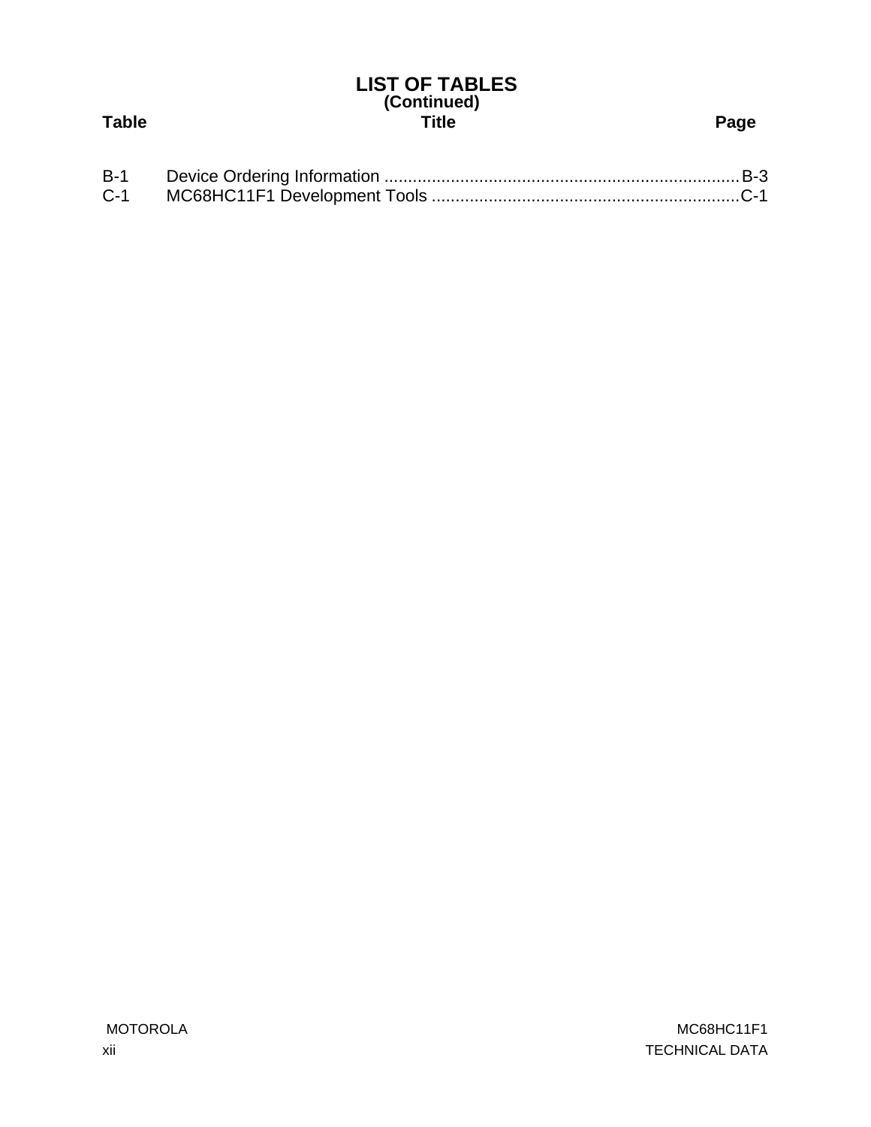# **(Continued) Table Title Page LIST OF TABLES**

| $B-1$ |  |
|-------|--|
| $C-1$ |  |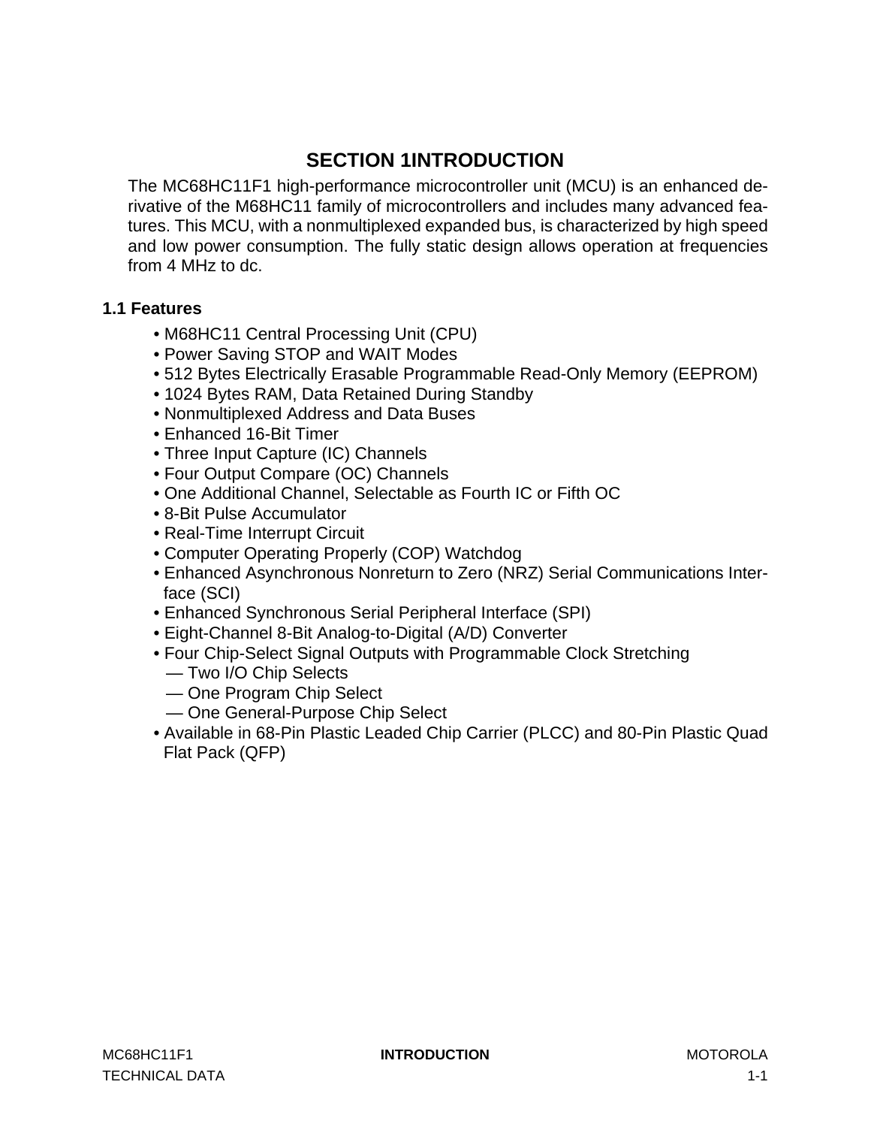# **SECTION 1INTRODUCTION**

<span id="page-12-0"></span>The MC68HC11F1 high-performance microcontroller unit (MCU) is an enhanced derivative of the M68HC11 family of microcontrollers and includes many advanced features. This MCU, with a nonmultiplexed expanded bus, is characterized by high speed and low power consumption. The fully static design allows operation at frequencies from 4 MHz to dc.

# **1.1 Features**

- M68HC11 Central Processing Unit (CPU)
- Power Saving STOP and WAIT Modes
- 512 Bytes Electrically Erasable Programmable Read-Only Memory (EEPROM)
- 1024 Bytes RAM, Data Retained During Standby
- Nonmultiplexed Address and Data Buses
- Enhanced 16-Bit Timer
- Three Input Capture (IC) Channels
- Four Output Compare (OC) Channels
- One Additional Channel, Selectable as Fourth IC or Fifth OC
- 8-Bit Pulse Accumulator
- Real-Time Interrupt Circuit
- Computer Operating Properly (COP) Watchdog
- Enhanced Asynchronous Nonreturn to Zero (NRZ) Serial Communications Interface (SCI)
- Enhanced Synchronous Serial Peripheral Interface (SPI)
- Eight-Channel 8-Bit Analog-to-Digital (A/D) Converter
- Four Chip-Select Signal Outputs with Programmable Clock Stretching
	- Two I/O Chip Selects
	- One Program Chip Select
	- One General-Purpose Chip Select
- Available in 68-Pin Plastic Leaded Chip Carrier (PLCC) and 80-Pin Plastic Quad Flat Pack (QFP)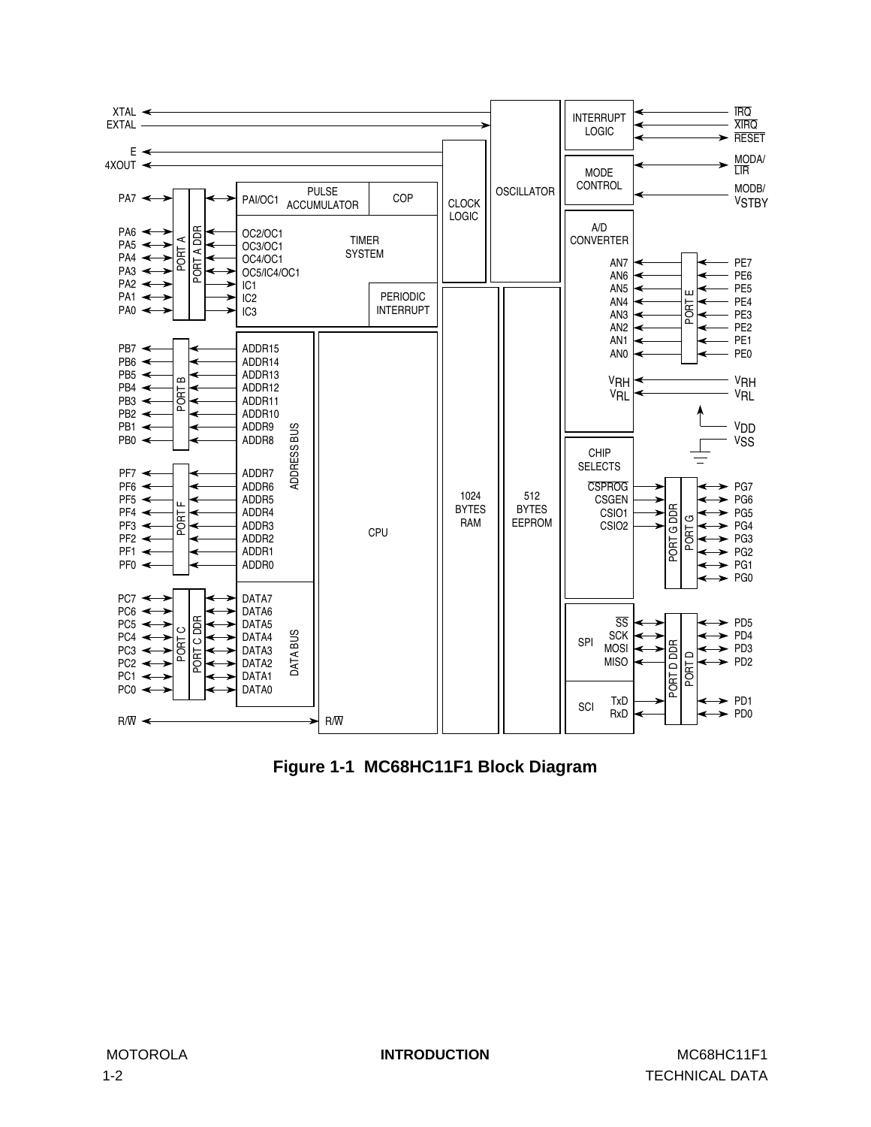<span id="page-13-0"></span>

**Figure 1-1 MC68HC11F1 Block Diagram**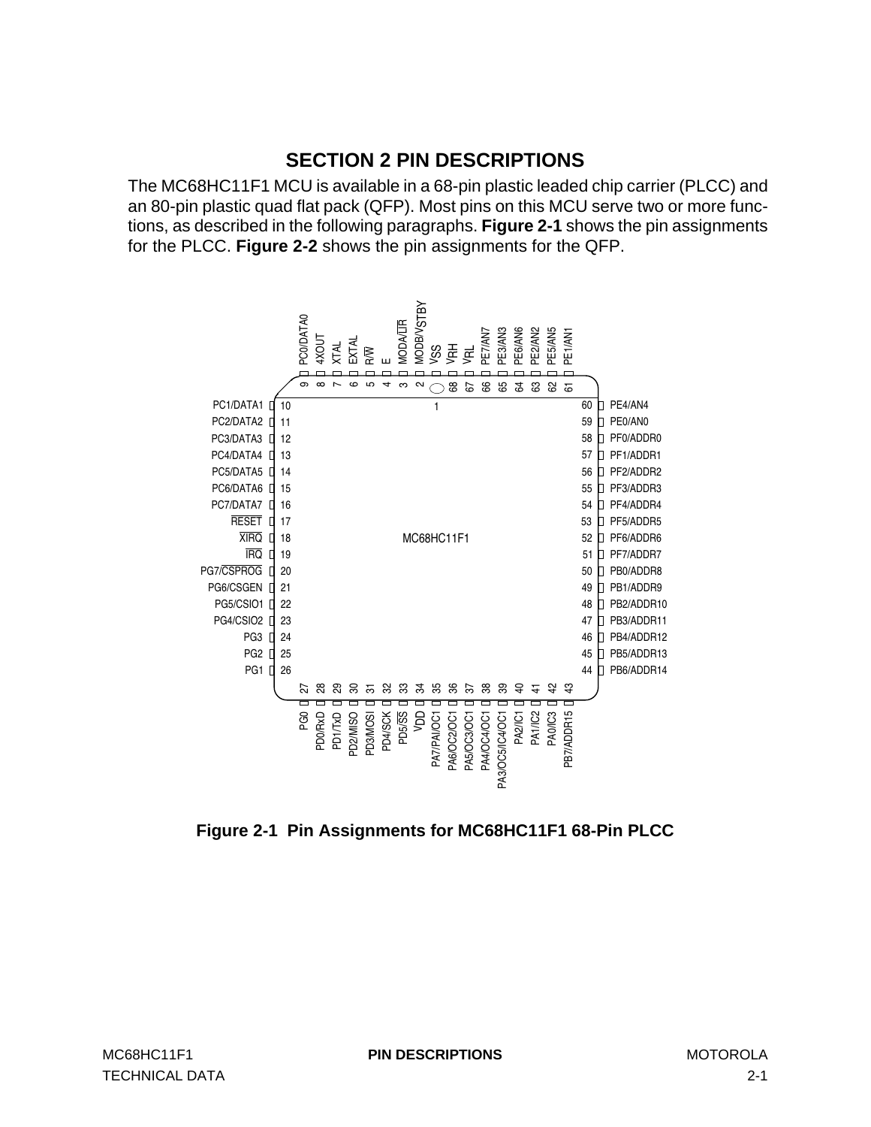# **SECTION 2 PIN DESCRIPTIONS**

<span id="page-14-0"></span>The MC68HC11F1 MCU is available in a 68-pin plastic leaded chip carrier (PLCC) and an 80-pin plastic quad flat pack (QFP). Most pins on this MCU serve two or more functions, as described in the following paragraphs. **Figure 2-1** shows the pin assignments for the PLCC. **[Figure 2-2](#page-15-0)** shows the pin assignments for the QFP.



**Figure 2-1 Pin Assignments for MC68HC11F1 68-Pin PLCC**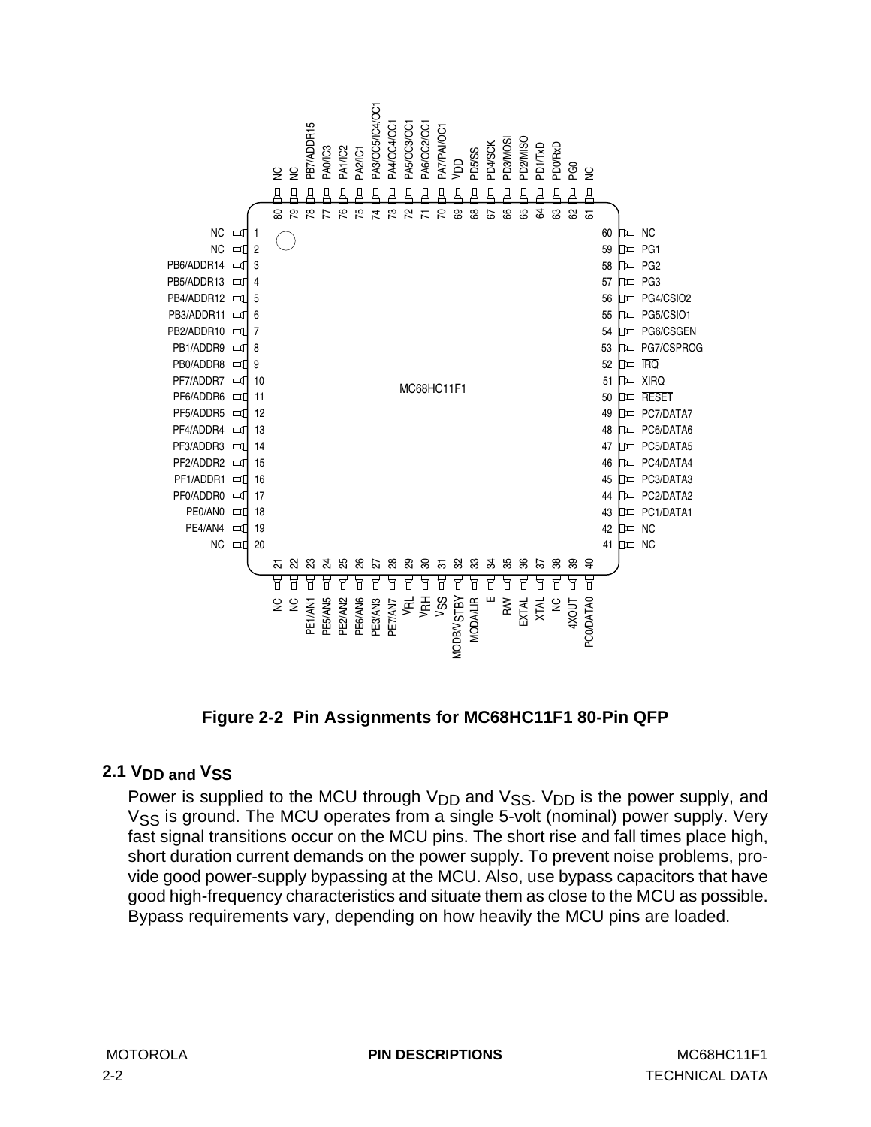<span id="page-15-0"></span>

**Figure 2-2 Pin Assignments for MC68HC11F1 80-Pin QFP**

# **2.1 VDD and VSS**

Power is supplied to the MCU through  $V_{DD}$  and  $V_{SS}$ .  $V_{DD}$  is the power supply, and  $V_{SS}$  is ground. The MCU operates from a single 5-volt (nominal) power supply. Very fast signal transitions occur on the MCU pins. The short rise and fall times place high, short duration current demands on the power supply. To prevent noise problems, provide good power-supply bypassing at the MCU. Also, use bypass capacitors that have good high-frequency characteristics and situate them as close to the MCU as possible.

MOTOROLA **PIN DESCRIPTIONS** MC68HC11F1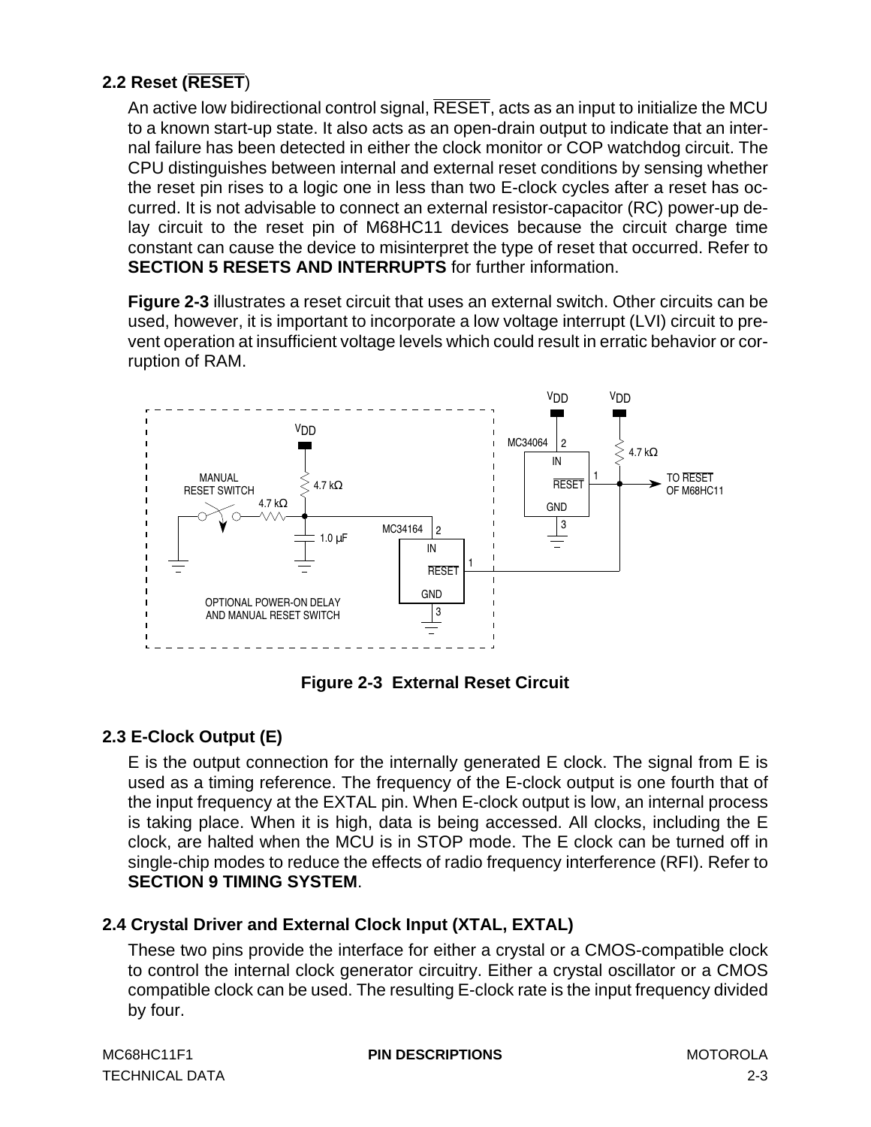# <span id="page-16-0"></span>**2.2 Reset (RESET**)

An active low bidirectional control signal, RESET, acts as an input to initialize the MCU to a known start-up state. It also acts as an open-drain output to indicate that an internal failure has been detected in either the clock monitor or COP watchdog circuit. The CPU distinguishes between internal and external reset conditions by sensing whether the reset pin rises to a logic one in less than two E-clock cycles after a reset has occurred. It is not advisable to connect an external resistor-capacitor (RC) power-up delay circuit to the reset pin of M68HC11 devices because the circuit charge time constant can cause the device to misinterpret the type of reset that occurred. Refer to **[SECTION 5 RESETS AND INTERRUPTS](#page-62-0)** for further information.

**Figure 2-3** illustrates a reset circuit that uses an external switch. Other circuits can be used, however, it is important to incorporate a low voltage interrupt (LVI) circuit to prevent operation at insufficient voltage levels which could result in erratic behavior or corruption of RAM.



**Figure 2-3 External Reset Circuit**

# **2.3 E-Clock Output (E)**

E is the output connection for the internally generated E clock. The signal from E is used as a timing reference. The frequency of the E-clock output is one fourth that of the input frequency at the EXTAL pin. When E-clock output is low, an internal process is taking place. When it is high, data is being accessed. All clocks, including the E clock, are halted when the MCU is in STOP mode. The E clock can be turned off in single-chip modes to reduce the effects of radio frequency interference (RFI). Refer to **[SECTION 9 TIMING SYSTEM](#page-106-0)**.

# **2.4 Crystal Driver and External Clock Input (XTAL, EXTAL)**

These two pins provide the interface for either a crystal or a CMOS-compatible clock to control the internal clock generator circuitry. Either a crystal oscillator or a CMOS compatible clock can be used. The resulting E-clock rate is the input frequency divided by four.

| MC68HC11F1            | <b>PIN DESCRIPTIONS</b> | MOTOROLA |
|-----------------------|-------------------------|----------|
| <b>TECHNICAL DATA</b> |                         |          |

**PIN DESCRIPTIONS** MOTOROLA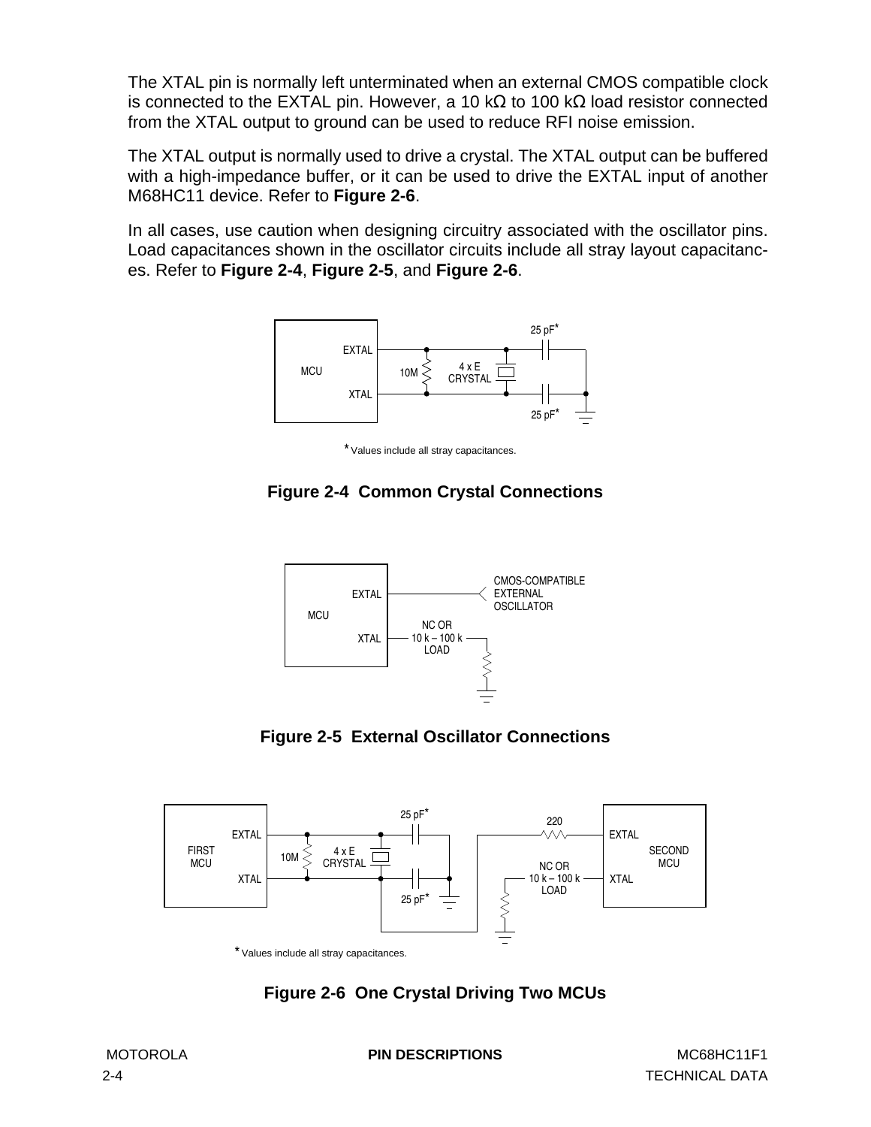<span id="page-17-0"></span>The XTAL pin is normally left unterminated when an external CMOS compatible clock is connected to the EXTAL pin. However, a 10 kΩ to 100 kΩ load resistor connected from the XTAL output to ground can be used to reduce RFI noise emission.

The XTAL output is normally used to drive a crystal. The XTAL output can be buffered with a high-impedance buffer, or it can be used to drive the EXTAL input of another M68HC11 device. Refer to **Figure 2-6**.

In all cases, use caution when designing circuitry associated with the oscillator pins. Load capacitances shown in the oscillator circuits include all stray layout capacitances. Refer to **Figure 2-4**, **Figure 2-5**, and **Figure 2-6**.



\* Values include all stray capacitances.

# **Figure 2-4 Common Crystal Connections**







\* Values include all stray capacitances.

# **Figure 2-6 One Crystal Driving Two MCUs**

MOTOROLA **PIN DESCRIPTIONS** MC68HC11F1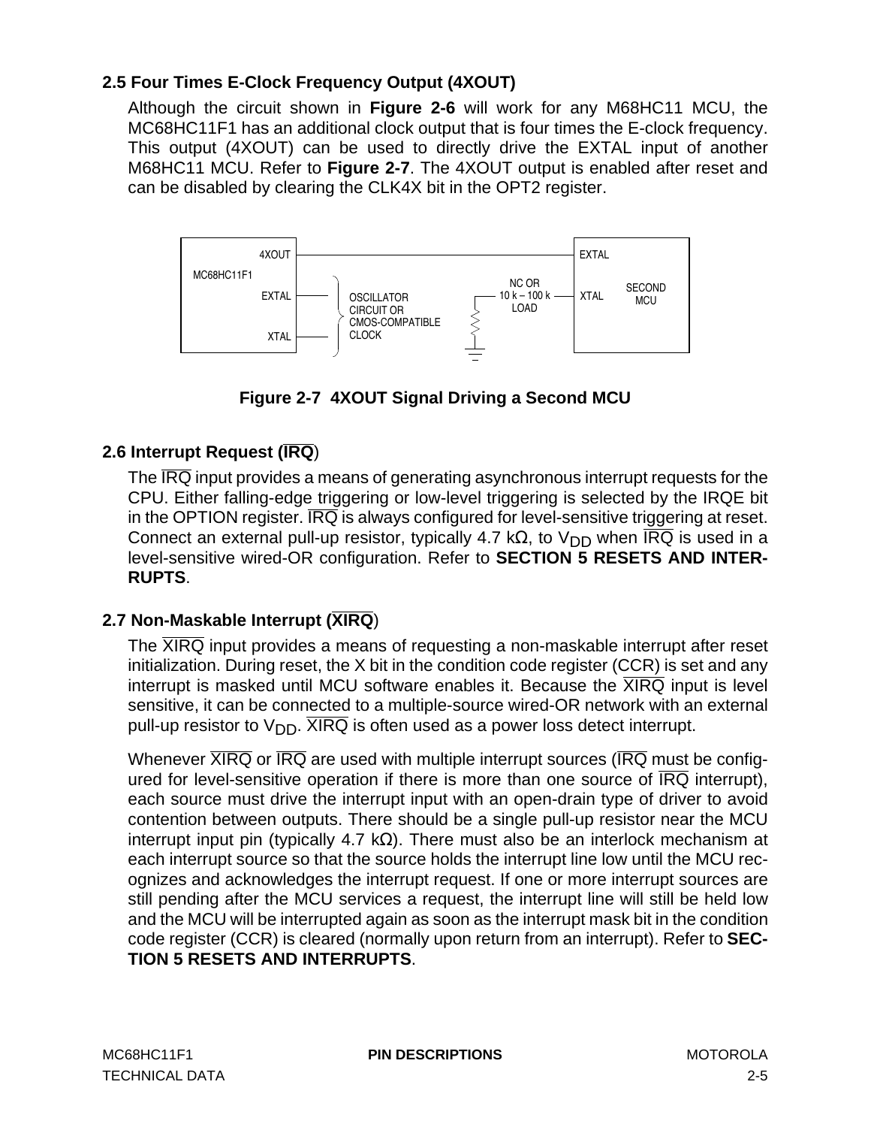# <span id="page-18-0"></span>**2.5 Four Times E-Clock Frequency Output (4XOUT)**

Although the circuit shown in **[Figure 2-6](#page-17-0)** will work for any M68HC11 MCU, the MC68HC11F1 has an additional clock output that is four times the E-clock frequency. This output (4XOUT) can be used to directly drive the EXTAL input of another M68HC11 MCU. Refer to **Figure 2-7**. The 4XOUT output is enabled after reset and can be disabled by clearing the CLK4X bit in the OPT2 register.



**Figure 2-7 4XOUT Signal Driving a Second MCU**

# **2.6 Interrupt Request (IRQ**)

The  $\overline{IRQ}$  input provides a means of generating asynchronous interrupt requests for the CPU. Either falling-edge triggering or low-level triggering is selected by the IRQE bit in the OPTION register.  $\overline{\text{IRQ}}$  is always configured for level-sensitive triggering at reset. Connect an external pull-up resistor, typically 4.7 kΩ, to V<sub>DD</sub> when  $\overline{\text{IRQ}}$  is used in a level-sensitive wired-OR configuration. Refer to **[SECTION 5 RESETS AND INTER-](#page-62-0)[RUPTS](#page-62-0)**.

# **2.7 Non-Maskable Interrupt (XIRQ**)

The XIRQ input provides a means of requesting a non-maskable interrupt after reset initialization. During reset, the X bit in the condition code register (CCR) is set and any interrupt is masked until MCU software enables it. Because the  $\overline{XIRQ}$  input is level sensitive, it can be connected to a multiple-source wired-OR network with an external pull-up resistor to  $V_{\text{DD}}$ .  $\overline{XIRQ}$  is often used as a power loss detect interrupt.

Whenever  $\overline{XIRQ}$  or  $\overline{IRQ}$  are used with multiple interrupt sources ( $\overline{IRQ}$  must be configured for level-sensitive operation if there is more than one source of IRQ interrupt), each source must drive the interrupt input with an open-drain type of driver to avoid contention between outputs. There should be a single pull-up resistor near the MCU interrupt input pin (typically 4.7 kΩ). There must also be an interlock mechanism at each interrupt source so that the source holds the interrupt line low until the MCU recognizes and acknowledges the interrupt request. If one or more interrupt sources are still pending after the MCU services a request, the interrupt line will still be held low and the MCU will be interrupted again as soon as the interrupt mask bit in the condition code register (CCR) is cleared (normally upon return from an interrupt). Refer to **[SEC-](#page-62-0)[TION 5 RESETS AND INTERRUPTS](#page-62-0)**.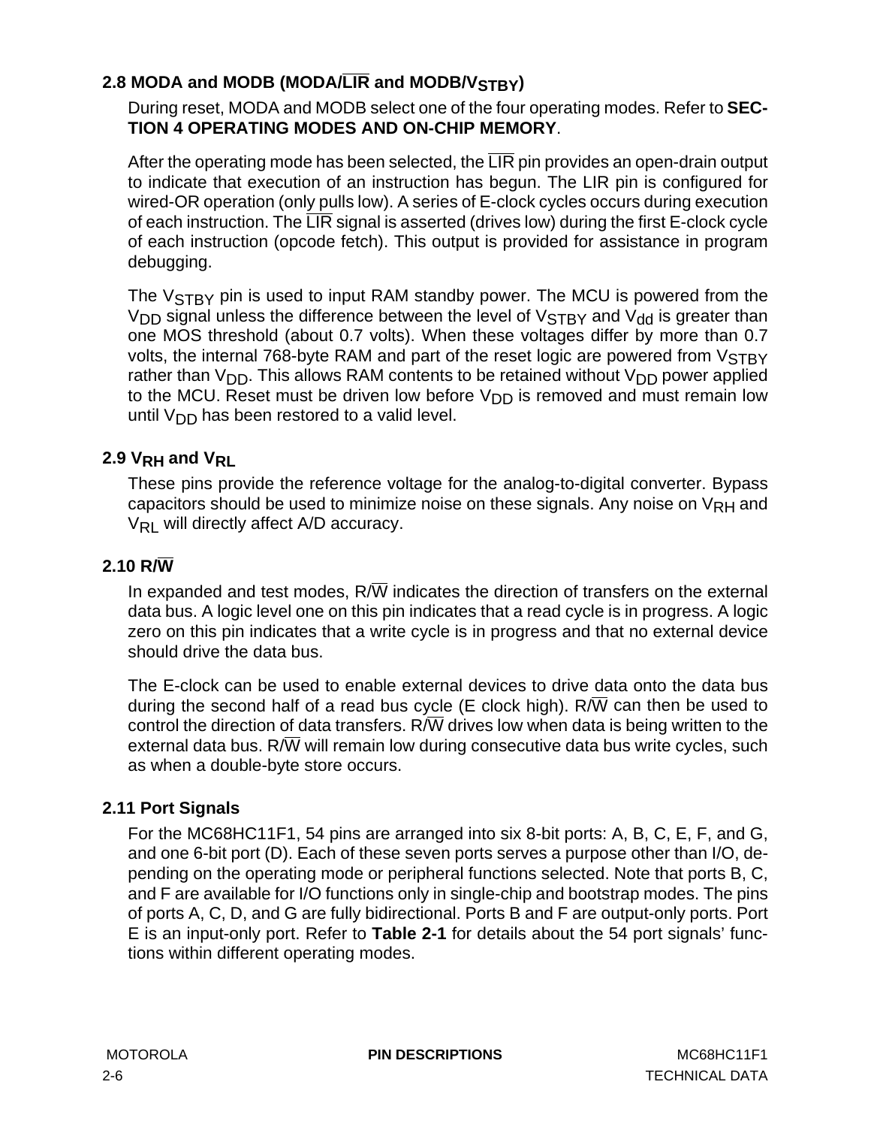# <span id="page-19-0"></span>2.8 MODA and MODB (MODA/LIR and MODB/VSTBY)

During reset, MODA and MODB select one of the four operating modes. Refer to **[SEC-](#page-38-0)[TION 4 OPERATING MODES AND ON-CHIP MEMORY](#page-38-0)**.

After the operating mode has been selected, the  $\overline{\text{LIR}}$  pin provides an open-drain output to indicate that execution of an instruction has begun. The LIR pin is configured for wired-OR operation (only pulls low). A series of E-clock cycles occurs during execution of each instruction. The  $\overline{\text{LIR}}$  signal is asserted (drives low) during the first E-clock cycle of each instruction (opcode fetch). This output is provided for assistance in program debugging.

The V<sub>STBY</sub> pin is used to input RAM standby power. The MCU is powered from the  $V<sub>DD</sub>$  signal unless the difference between the level of  $V<sub>STBY</sub>$  and  $V<sub>dd</sub>$  is greater than one MOS threshold (about 0.7 volts). When these voltages differ by more than 0.7 volts, the internal 768-byte RAM and part of the reset logic are powered from  $V_{STBY}$ rather than V<sub>DD</sub>. This allows RAM contents to be retained without V<sub>DD</sub> power applied to the MCU. Reset must be driven low before  $V_{DD}$  is removed and must remain low until  $V_{DD}$  has been restored to a valid level.

# 2.9 V<sub>RH</sub> and V<sub>RL</sub>

These pins provide the reference voltage for the analog-to-digital converter. Bypass capacitors should be used to minimize noise on these signals. Any noise on  $V_{\rm RH}$  and V<sub>RL</sub> will directly affect A/D accuracy.

# **2.10 R/W**

In expanded and test modes,  $R/\overline{W}$  indicates the direction of transfers on the external data bus. A logic level one on this pin indicates that a read cycle is in progress. A logic zero on this pin indicates that a write cycle is in progress and that no external device should drive the data bus.

The E-clock can be used to enable external devices to drive data onto the data bus during the second half of a read bus cycle (E clock high). R/ $\overline{W}$  can then be used to control the direction of data transfers. R/ $\overline{W}$  drives low when data is being written to the external data bus. R/ $\overline{W}$  will remain low during consecutive data bus write cycles, such as when a double-byte store occurs.

# **2.11 Port Signals**

For the MC68HC11F1, 54 pins are arranged into six 8-bit ports: A, B, C, E, F, and G, and one 6-bit port (D). Each of these seven ports serves a purpose other than I/O, depending on the operating mode or peripheral functions selected. Note that ports B, C, and F are available for I/O functions only in single-chip and bootstrap modes. The pins of ports A, C, D, and G are fully bidirectional. Ports B and F are output-only ports. Port E is an input-only port. Refer to **[Table 2-1](#page-20-0)** for details about the 54 port signals' functions within different operating modes.

MOTOROLA **PIN DESCRIPTIONS** MC68HC11F1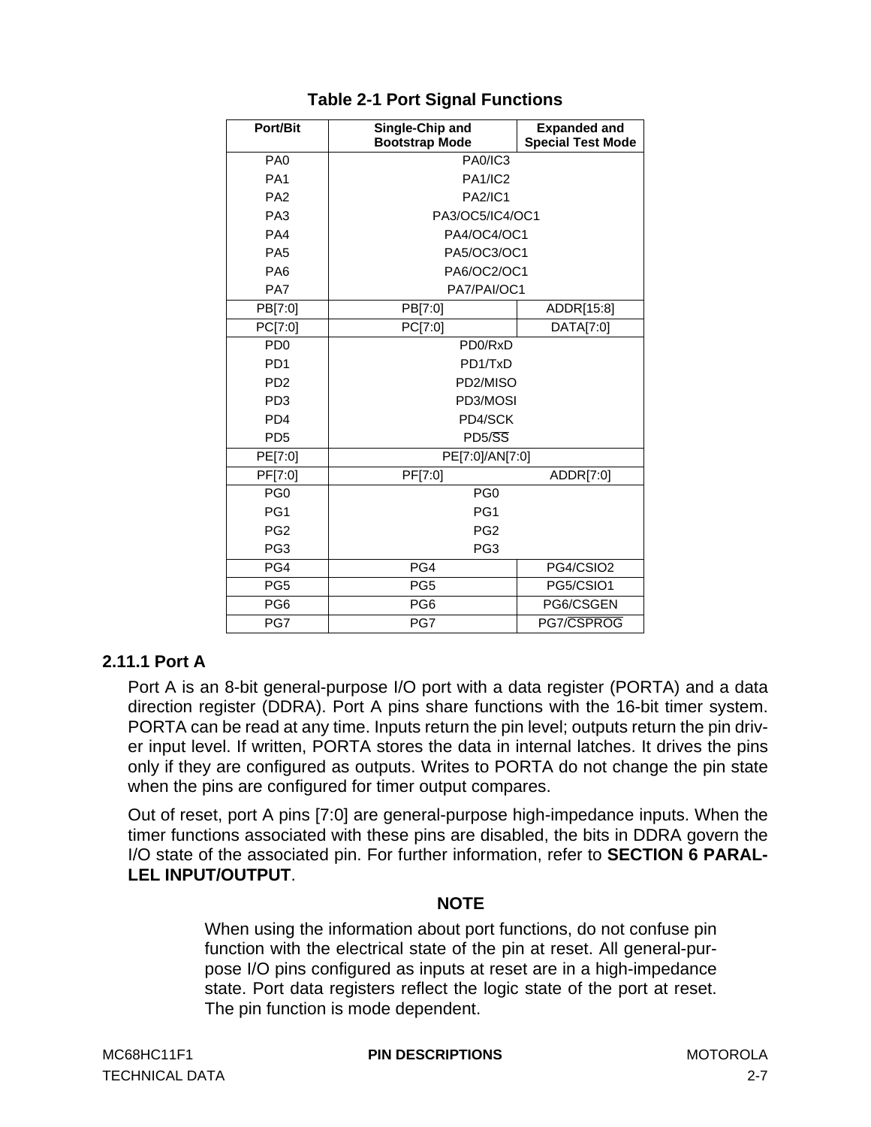<span id="page-20-0"></span>

| <b>Port/Bit</b>             | Single-Chip and<br><b>Bootstrap Mode</b> | <b>Expanded and</b><br><b>Special Test Mode</b> |  |  |  |  |  |  |
|-----------------------------|------------------------------------------|-------------------------------------------------|--|--|--|--|--|--|
| PA <sub>0</sub>             | <b>PA0/IC3</b>                           |                                                 |  |  |  |  |  |  |
| PA <sub>1</sub>             | <b>PA1/IC2</b>                           |                                                 |  |  |  |  |  |  |
| PA <sub>2</sub>             | <b>PA2/IC1</b>                           |                                                 |  |  |  |  |  |  |
| PA <sub>3</sub>             | PA3/OC5/IC4/OC1                          |                                                 |  |  |  |  |  |  |
| PA4                         | PA4/OC4/OC1                              |                                                 |  |  |  |  |  |  |
| PA <sub>5</sub>             | PA5/OC3/OC1                              |                                                 |  |  |  |  |  |  |
| PA <sub>6</sub>             | PA6/OC2/OC1                              |                                                 |  |  |  |  |  |  |
| PA7                         | PA7/PAI/OC1                              |                                                 |  |  |  |  |  |  |
| PB[7:0]                     | PB[7:0]                                  | ADDR[15:8]                                      |  |  |  |  |  |  |
| PC[7:0]                     | PC[7:0]                                  | DATA[7:0]                                       |  |  |  |  |  |  |
| P <sub>D</sub>              | PD <sub>0</sub> /R <sub>x</sub> D        |                                                 |  |  |  |  |  |  |
| PD <sub>1</sub>             | PD1/TxD                                  |                                                 |  |  |  |  |  |  |
| P <sub>D</sub> <sub>2</sub> | PD2/MISO                                 |                                                 |  |  |  |  |  |  |
| PD <sub>3</sub>             | PD3/MOSI                                 |                                                 |  |  |  |  |  |  |
| PD <sub>4</sub>             | PD4/SCK                                  |                                                 |  |  |  |  |  |  |
| PD <sub>5</sub>             | $PD5/\overline{SS}$                      |                                                 |  |  |  |  |  |  |
| PE[7:0]                     | PE[7:0]/AN[7:0]                          |                                                 |  |  |  |  |  |  |
| PF[7:0]                     | PF[7:0]                                  | ADDR[7:0]                                       |  |  |  |  |  |  |
| PG <sub>0</sub>             | PG <sub>0</sub>                          |                                                 |  |  |  |  |  |  |
| PG1                         | PG <sub>1</sub>                          |                                                 |  |  |  |  |  |  |
| PG <sub>2</sub>             | PG <sub>2</sub>                          |                                                 |  |  |  |  |  |  |
| PG <sub>3</sub>             | PG <sub>3</sub>                          |                                                 |  |  |  |  |  |  |
| PG4                         | PG4                                      | PG4/CSIO2                                       |  |  |  |  |  |  |
| PG <sub>5</sub>             | PG <sub>5</sub>                          | PG5/CSIO1                                       |  |  |  |  |  |  |
| PG <sub>6</sub>             | PG <sub>6</sub>                          | PG6/CSGEN                                       |  |  |  |  |  |  |
| PG7                         | PG7                                      | PG7/CSPROG                                      |  |  |  |  |  |  |

# **Table 2-1 Port Signal Functions**

# **2.11.1 Port A**

Port A is an 8-bit general-purpose I/O port with a data register (PORTA) and a data direction register (DDRA). Port A pins share functions with the 16-bit timer system. PORTA can be read at any time. Inputs return the pin level; outputs return the pin driver input level. If written, PORTA stores the data in internal latches. It drives the pins only if they are configured as outputs. Writes to PORTA do not change the pin state when the pins are configured for timer output compares.

Out of reset, port A pins [7:0] are general-purpose high-impedance inputs. When the timer functions associated with these pins are disabled, the bits in DDRA govern the I/O state of the associated pin. For further information, refer to **[SECTION 6 PARAL-](#page-80-0)[LEL INPUT/OUTPUT](#page-80-0)**.

# **NOTE**

When using the information about port functions, do not confuse pin function with the electrical state of the pin at reset. All general-purpose I/O pins configured as inputs at reset are in a high-impedance state. Port data registers reflect the logic state of the port at reset. The pin function is mode dependent.

MC68HC11F1 **PIN DESCRIPTIONS** MOTOROLA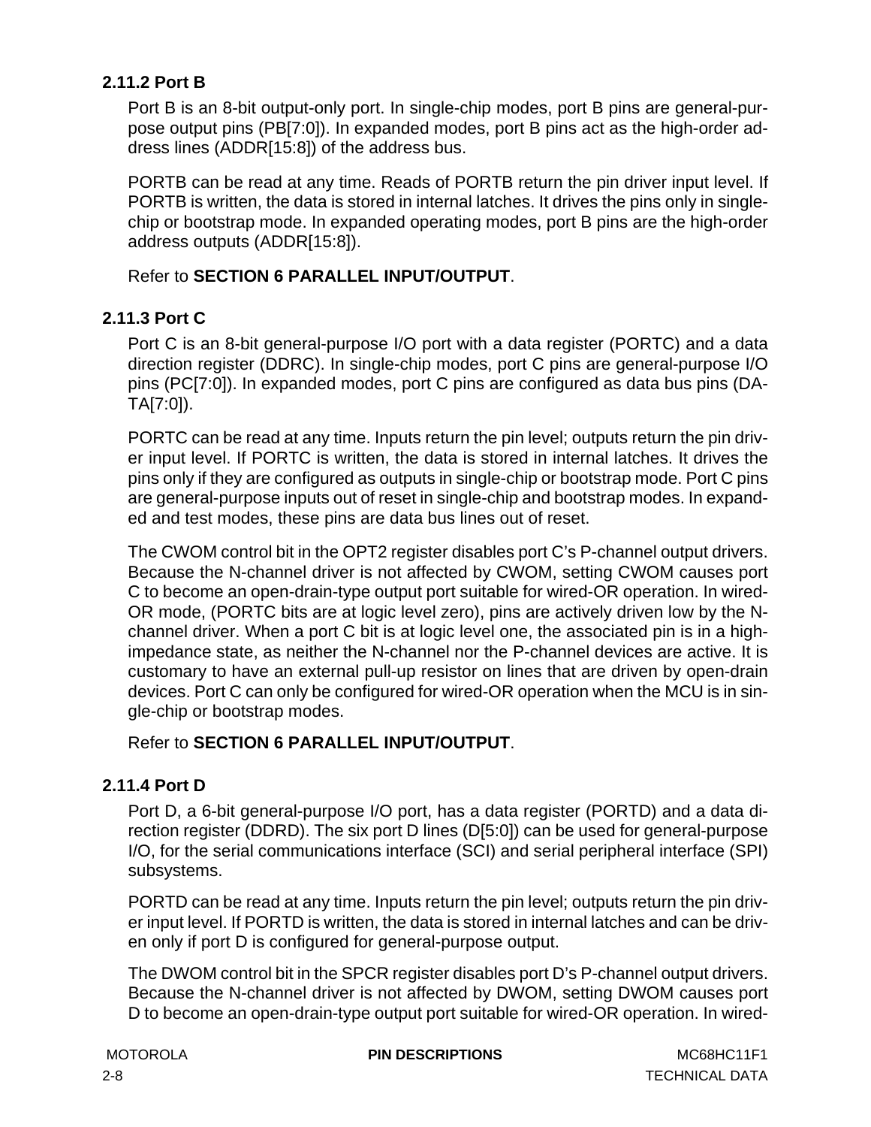# <span id="page-21-0"></span>**2.11.2 Port B**

Port B is an 8-bit output-only port. In single-chip modes, port B pins are general-purpose output pins (PB[7:0]). In expanded modes, port B pins act as the high-order address lines (ADDR[15:8]) of the address bus.

PORTB can be read at any time. Reads of PORTB return the pin driver input level. If PORTB is written, the data is stored in internal latches. It drives the pins only in singlechip or bootstrap mode. In expanded operating modes, port B pins are the high-order address outputs (ADDR[15:8]).

# Refer to **[SECTION 6 PARALLEL INPUT/OUTPUT](#page-80-0)**.

# **2.11.3 Port C**

Port C is an 8-bit general-purpose I/O port with a data register (PORTC) and a data direction register (DDRC). In single-chip modes, port C pins are general-purpose I/O pins (PC[7:0]). In expanded modes, port C pins are configured as data bus pins (DA-TA[7:0]).

PORTC can be read at any time. Inputs return the pin level; outputs return the pin driver input level. If PORTC is written, the data is stored in internal latches. It drives the pins only if they are configured as outputs in single-chip or bootstrap mode. Port C pins are general-purpose inputs out of reset in single-chip and bootstrap modes. In expanded and test modes, these pins are data bus lines out of reset.

The CWOM control bit in the OPT2 register disables port C's P-channel output drivers. Because the N-channel driver is not affected by CWOM, setting CWOM causes port C to become an open-drain-type output port suitable for wired-OR operation. In wired-OR mode, (PORTC bits are at logic level zero), pins are actively driven low by the Nchannel driver. When a port C bit is at logic level one, the associated pin is in a highimpedance state, as neither the N-channel nor the P-channel devices are active. It is customary to have an external pull-up resistor on lines that are driven by open-drain devices. Port C can only be configured for wired-OR operation when the MCU is in single-chip or bootstrap modes.

# Refer to **[SECTION 6 PARALLEL INPUT/OUTPUT](#page-80-0)**.

# **2.11.4 Port D**

Port D, a 6-bit general-purpose I/O port, has a data register (PORTD) and a data direction register (DDRD). The six port D lines (D[5:0]) can be used for general-purpose I/O, for the serial communications interface (SCI) and serial peripheral interface (SPI) subsystems.

PORTD can be read at any time. Inputs return the pin level; outputs return the pin driver input level. If PORTD is written, the data is stored in internal latches and can be driven only if port D is configured for general-purpose output.

The DWOM control bit in the SPCR register disables port D's P-channel output drivers. Because the N-channel driver is not affected by DWOM, setting DWOM causes port D to become an open-drain-type output port suitable for wired-OR operation. In wired-

**MOTOROLA PIN DESCRIPTIONS MOTOROLA MC68HC11F1**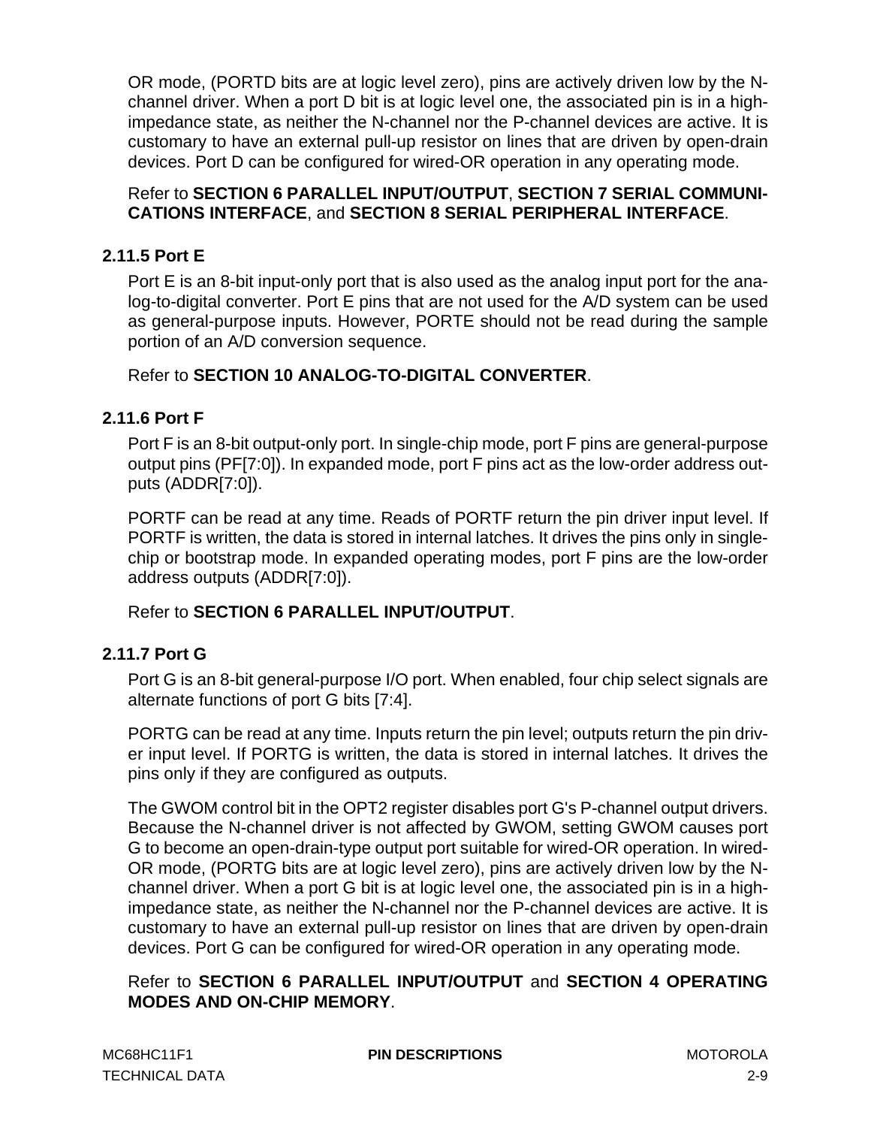<span id="page-22-0"></span>OR mode, (PORTD bits are at logic level zero), pins are actively driven low by the Nchannel driver. When a port D bit is at logic level one, the associated pin is in a highimpedance state, as neither the N-channel nor the P-channel devices are active. It is customary to have an external pull-up resistor on lines that are driven by open-drain devices. Port D can be configured for wired-OR operation in any operating mode.

# Refer to **[SECTION 6 PARALLEL INPUT/OUTPUT](#page-80-0)**, **[SECTION 7 SERIAL COMMUNI-](#page-86-0)[CATIONS INTERFACE](#page-86-0)**, and **[SECTION 8 SERIAL PERIPHERAL INTERFACE](#page-98-0)**.

# **2.11.5 Port E**

Port E is an 8-bit input-only port that is also used as the analog input port for the analog-to-digital converter. Port E pins that are not used for the A/D system can be used as general-purpose inputs. However, PORTE should not be read during the sample portion of an A/D conversion sequence.

# Refer to **[SECTION 10 ANALOG-TO-DIGITAL CONVERTER](#page-124-0)**.

# **2.11.6 Port F**

Port F is an 8-bit output-only port. In single-chip mode, port F pins are general-purpose output pins (PF[7:0]). In expanded mode, port F pins act as the low-order address outputs (ADDR[7:0]).

PORTF can be read at any time. Reads of PORTF return the pin driver input level. If PORTF is written, the data is stored in internal latches. It drives the pins only in singlechip or bootstrap mode. In expanded operating modes, port F pins are the low-order address outputs (ADDR[7:0]).

# Refer to **[SECTION 6 PARALLEL INPUT/OUTPUT](#page-80-0)**.

# **2.11.7 Port G**

Port G is an 8-bit general-purpose I/O port. When enabled, four chip select signals are alternate functions of port G bits [7:4].

PORTG can be read at any time. Inputs return the pin level; outputs return the pin driver input level. If PORTG is written, the data is stored in internal latches. It drives the pins only if they are configured as outputs.

The GWOM control bit in the OPT2 register disables port G's P-channel output drivers. Because the N-channel driver is not affected by GWOM, setting GWOM causes port G to become an open-drain-type output port suitable for wired-OR operation. In wired-OR mode, (PORTG bits are at logic level zero), pins are actively driven low by the Nchannel driver. When a port G bit is at logic level one, the associated pin is in a highimpedance state, as neither the N-channel nor the P-channel devices are active. It is customary to have an external pull-up resistor on lines that are driven by open-drain devices. Port G can be configured for wired-OR operation in any operating mode.

Refer to **[SECTION 6 PARALLEL INPUT/OUTPUT](#page-80-0)** and **[SECTION 4 OPERATING](#page-38-0) [MODES AND ON-CHIP MEMORY](#page-38-0)**.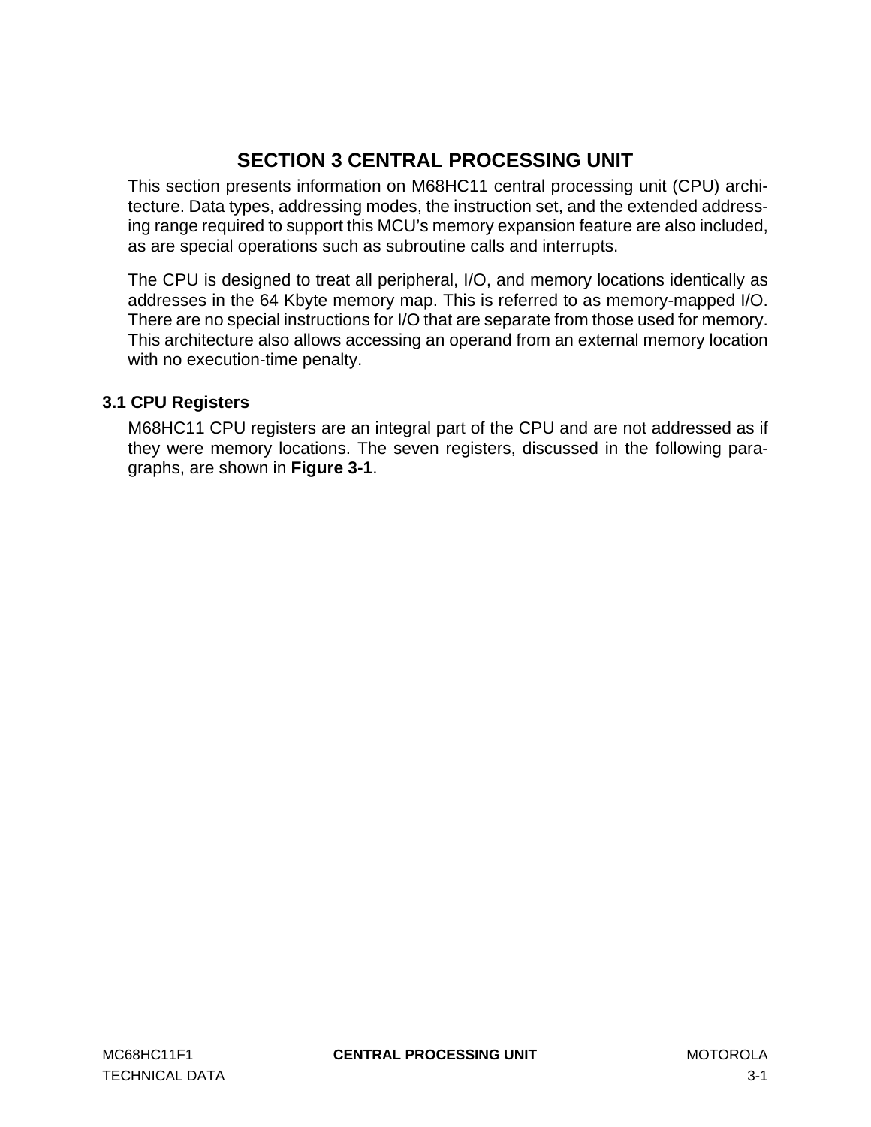# **SECTION 3 CENTRAL PROCESSING UNIT**

<span id="page-24-0"></span>This section presents information on M68HC11 central processing unit (CPU) architecture. Data types, addressing modes, the instruction set, and the extended addressing range required to support this MCU's memory expansion feature are also included, as are special operations such as subroutine calls and interrupts.

The CPU is designed to treat all peripheral, I/O, and memory locations identically as addresses in the 64 Kbyte memory map. This is referred to as memory-mapped I/O. There are no special instructions for I/O that are separate from those used for memory. This architecture also allows accessing an operand from an external memory location with no execution-time penalty.

# **3.1 CPU Registers**

M68HC11 CPU registers are an integral part of the CPU and are not addressed as if they were memory locations. The seven registers, discussed in the following paragraphs, are shown in **[Figure 3-1](#page-25-0)**.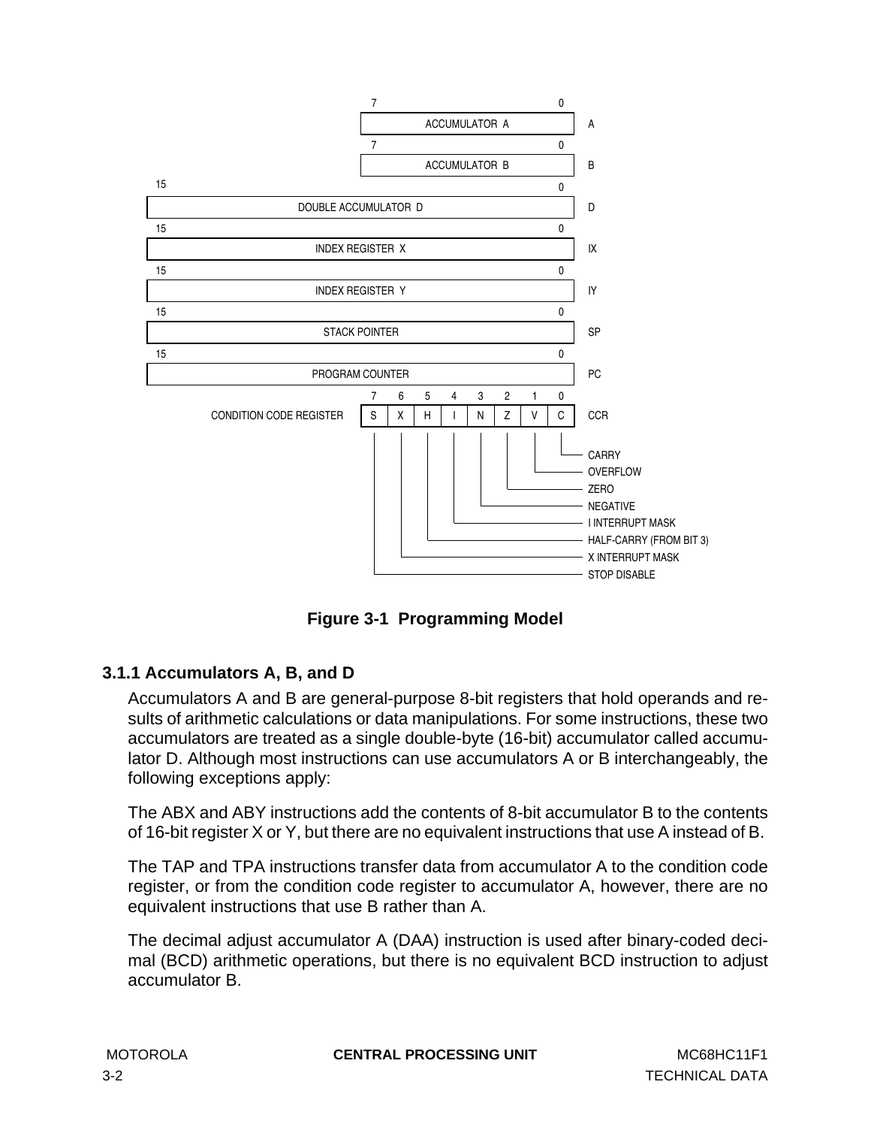<span id="page-25-0"></span>

**Figure 3-1 Programming Model**

# **3.1.1 Accumulators A, B, and D**

Accumulators A and B are general-purpose 8-bit registers that hold operands and results of arithmetic calculations or data manipulations. For some instructions, these two accumulators are treated as a single double-byte (16-bit) accumulator called accumulator D. Although most instructions can use accumulators A or B interchangeably, the following exceptions apply:

The ABX and ABY instructions add the contents of 8-bit accumulator B to the contents of 16-bit register X or Y, but there are no equivalent instructions that use A instead of B.

The TAP and TPA instructions transfer data from accumulator A to the condition code register, or from the condition code register to accumulator A, however, there are no equivalent instructions that use B rather than A.

The decimal adjust accumulator A (DAA) instruction is used after binary-coded decimal (BCD) arithmetic operations, but there is no equivalent BCD instruction to adjust accumulator B.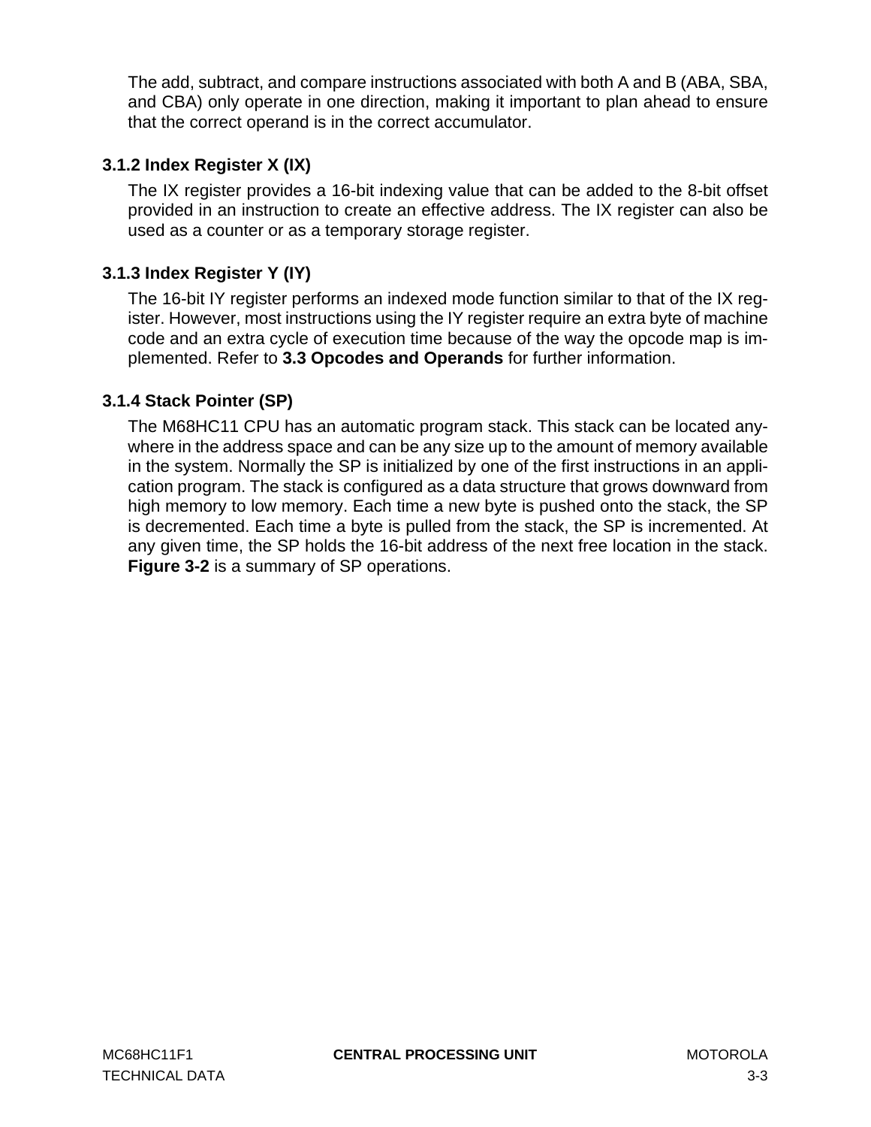<span id="page-26-0"></span>The add, subtract, and compare instructions associated with both A and B (ABA, SBA, and CBA) only operate in one direction, making it important to plan ahead to ensure that the correct operand is in the correct accumulator.

# **3.1.2 Index Register X (IX)**

The IX register provides a 16-bit indexing value that can be added to the 8-bit offset provided in an instruction to create an effective address. The IX register can also be used as a counter or as a temporary storage register.

# **3.1.3 Index Register Y (IY)**

The 16-bit IY register performs an indexed mode function similar to that of the IX register. However, most instructions using the IY register require an extra byte of machine code and an extra cycle of execution time because of the way the opcode map is implemented. Refer to **[3.3 Opcodes and Operands](#page-30-0)** for further information.

# **3.1.4 Stack Pointer (SP)**

The M68HC11 CPU has an automatic program stack. This stack can be located anywhere in the address space and can be any size up to the amount of memory available in the system. Normally the SP is initialized by one of the first instructions in an application program. The stack is configured as a data structure that grows downward from high memory to low memory. Each time a new byte is pushed onto the stack, the SP is decremented. Each time a byte is pulled from the stack, the SP is incremented. At any given time, the SP holds the 16-bit address of the next free location in the stack. **[Figure 3-2](#page-27-0)** is a summary of SP operations.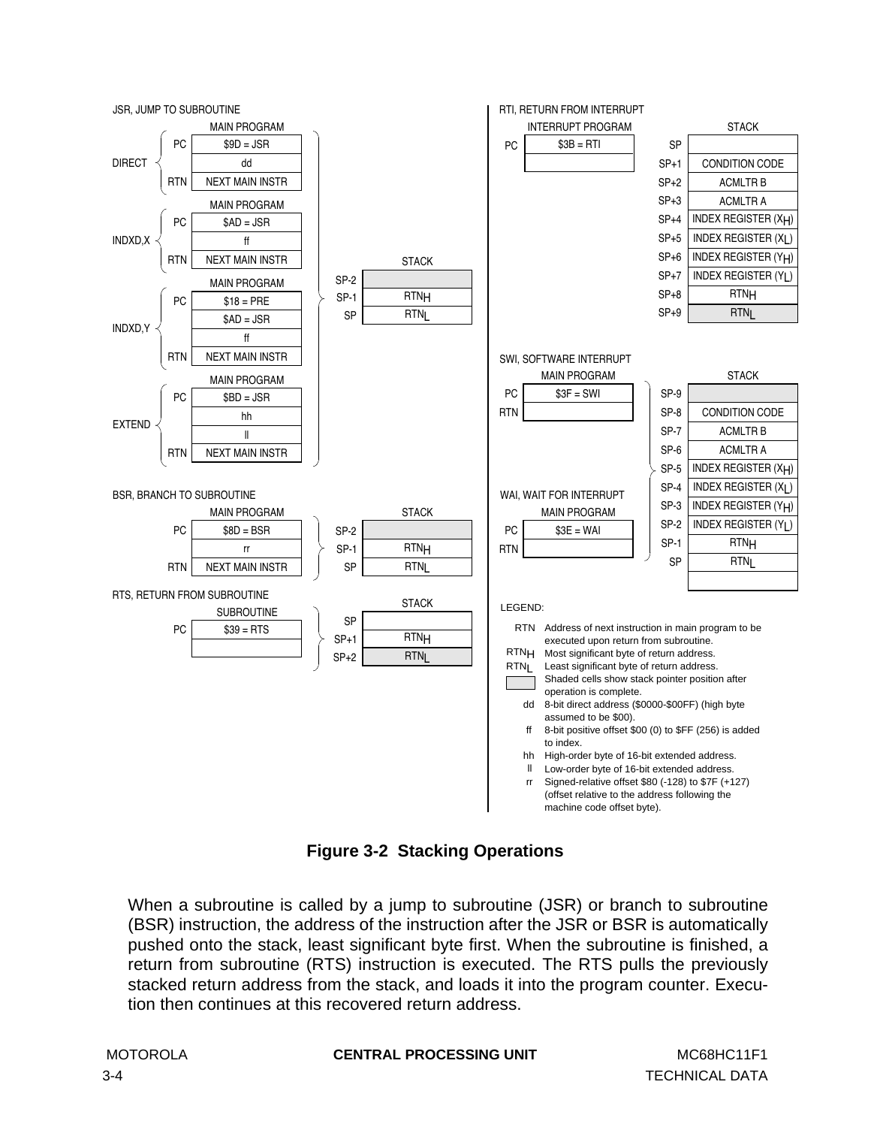<span id="page-27-0"></span>

**Figure 3-2 Stacking Operations**

When a subroutine is called by a jump to subroutine (JSR) or branch to subroutine (BSR) instruction, the address of the instruction after the JSR or BSR is automatically pushed onto the stack, least significant byte first. When the subroutine is finished, a return from subroutine (RTS) instruction is executed. The RTS pulls the previously stacked return address from the stack, and loads it into the program counter. Execution then continues at this recovered return address.

**MOTOROLA CENTRAL PROCESSING UNIT MC68HC11F1**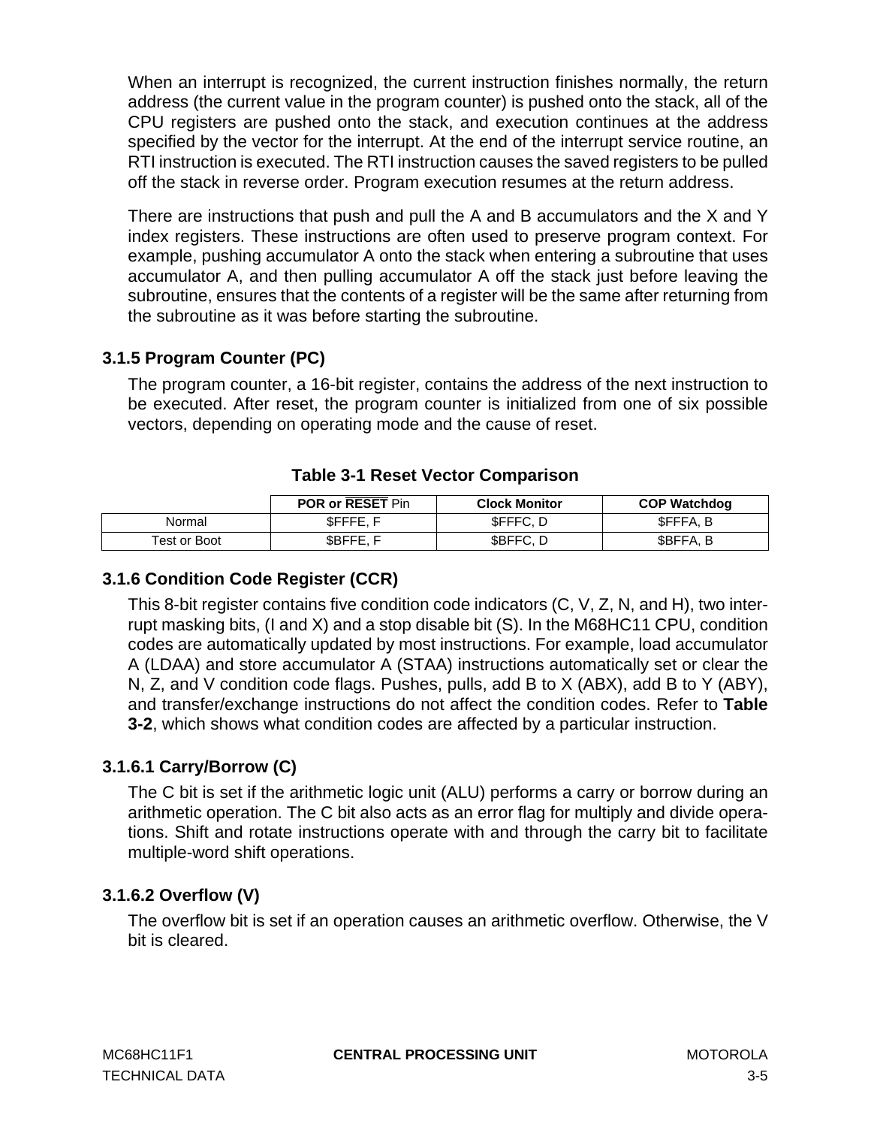<span id="page-28-0"></span>When an interrupt is recognized, the current instruction finishes normally, the return address (the current value in the program counter) is pushed onto the stack, all of the CPU registers are pushed onto the stack, and execution continues at the address specified by the vector for the interrupt. At the end of the interrupt service routine, an RTI instruction is executed. The RTI instruction causes the saved registers to be pulled off the stack in reverse order. Program execution resumes at the return address.

There are instructions that push and pull the A and B accumulators and the X and Y index registers. These instructions are often used to preserve program context. For example, pushing accumulator A onto the stack when entering a subroutine that uses accumulator A, and then pulling accumulator A off the stack just before leaving the subroutine, ensures that the contents of a register will be the same after returning from the subroutine as it was before starting the subroutine.

# **3.1.5 Program Counter (PC)**

The program counter, a 16-bit register, contains the address of the next instruction to be executed. After reset, the program counter is initialized from one of six possible vectors, depending on operating mode and the cause of reset.

|              | <b>POR or RESET Pin</b> | <b>Clock Monitor</b> | <b>COP Watchdog</b> |
|--------------|-------------------------|----------------------|---------------------|
| Normal       | SFFFE.F                 | <b>SFFFC.D</b>       | <b>SFFFA.B</b>      |
| Test or Boot | \$BFFE. F               | \$BFFC, D            | \$BFFA, B           |

# **Table 3-1 Reset Vector Comparison**

# **3.1.6 Condition Code Register (CCR)**

This 8-bit register contains five condition code indicators (C, V, Z, N, and H), two interrupt masking bits, (I and X) and a stop disable bit (S). In the M68HC11 CPU, condition codes are automatically updated by most instructions. For example, load accumulator A (LDAA) and store accumulator A (STAA) instructions automatically set or clear the N, Z, and V condition code flags. Pushes, pulls, add B to X (ABX), add B to Y (ABY), and transfer/exchange instructions do not affect the condition codes. Refer to **[Table](#page-32-0) [3-2](#page-32-0)**, which shows what condition codes are affected by a particular instruction.

# **3.1.6.1 Carry/Borrow (C)**

The C bit is set if the arithmetic logic unit (ALU) performs a carry or borrow during an arithmetic operation. The C bit also acts as an error flag for multiply and divide operations. Shift and rotate instructions operate with and through the carry bit to facilitate multiple-word shift operations.

# **3.1.6.2 Overflow (V)**

The overflow bit is set if an operation causes an arithmetic overflow. Otherwise, the V bit is cleared.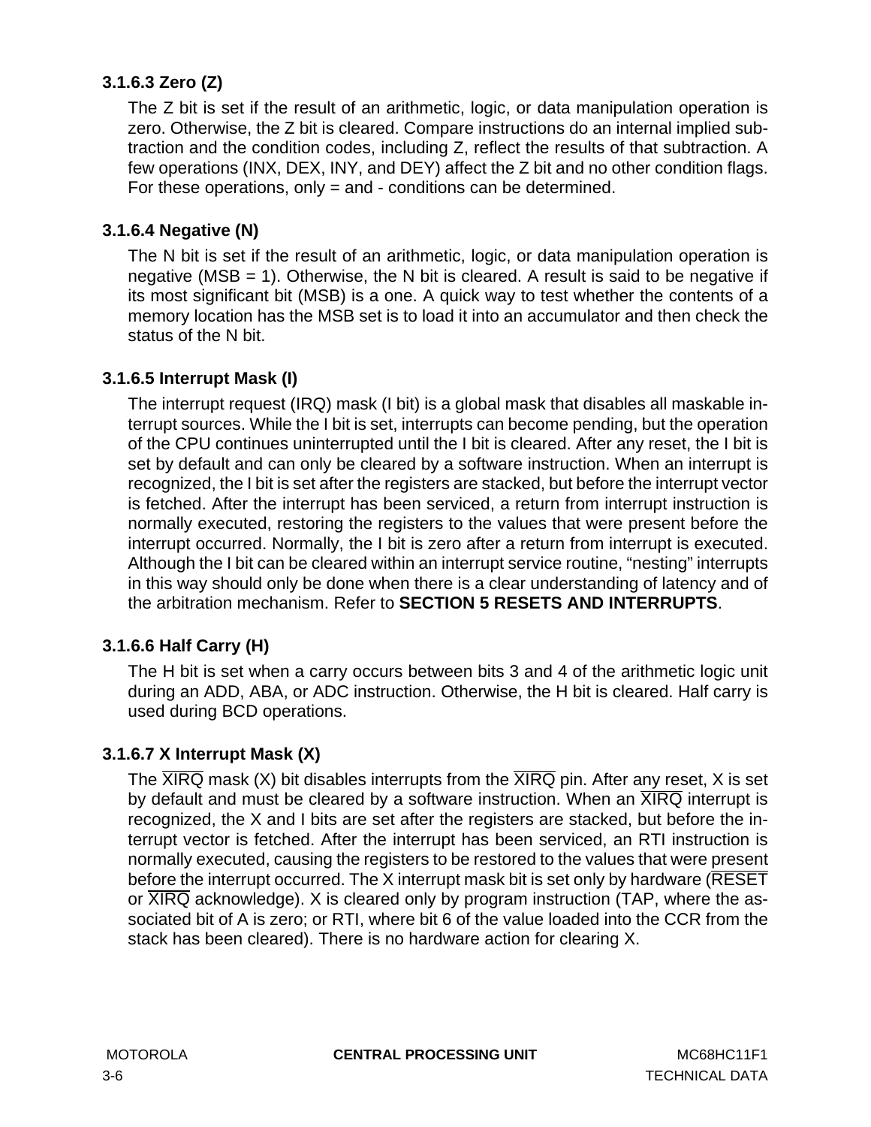# <span id="page-29-0"></span>**3.1.6.3 Zero (Z)**

The Z bit is set if the result of an arithmetic, logic, or data manipulation operation is zero. Otherwise, the Z bit is cleared. Compare instructions do an internal implied subtraction and the condition codes, including Z, reflect the results of that subtraction. A few operations (INX, DEX, INY, and DEY) affect the Z bit and no other condition flags. For these operations, only = and - conditions can be determined.

# **3.1.6.4 Negative (N)**

The N bit is set if the result of an arithmetic, logic, or data manipulation operation is negative (MSB = 1). Otherwise, the N bit is cleared. A result is said to be negative if its most significant bit (MSB) is a one. A quick way to test whether the contents of a memory location has the MSB set is to load it into an accumulator and then check the status of the N bit.

# **3.1.6.5 Interrupt Mask (I)**

The interrupt request (IRQ) mask (I bit) is a global mask that disables all maskable interrupt sources. While the I bit is set, interrupts can become pending, but the operation of the CPU continues uninterrupted until the I bit is cleared. After any reset, the I bit is set by default and can only be cleared by a software instruction. When an interrupt is recognized, the I bit is set after the registers are stacked, but before the interrupt vector is fetched. After the interrupt has been serviced, a return from interrupt instruction is normally executed, restoring the registers to the values that were present before the interrupt occurred. Normally, the I bit is zero after a return from interrupt is executed. Although the I bit can be cleared within an interrupt service routine, "nesting" interrupts in this way should only be done when there is a clear understanding of latency and of the arbitration mechanism. Refer to **[SECTION 5 RESETS AND INTERRUPTS](#page-62-0)**.

# **3.1.6.6 Half Carry (H)**

The H bit is set when a carry occurs between bits 3 and 4 of the arithmetic logic unit during an ADD, ABA, or ADC instruction. Otherwise, the H bit is cleared. Half carry is used during BCD operations.

# **3.1.6.7 X Interrupt Mask (X)**

The  $\overline{XIRQ}$  mask (X) bit disables interrupts from the  $\overline{XIRQ}$  pin. After any reset, X is set by default and must be cleared by a software instruction. When an  $\overline{\text{XIRQ}}$  interrupt is recognized, the X and I bits are set after the registers are stacked, but before the interrupt vector is fetched. After the interrupt has been serviced, an RTI instruction is normally executed, causing the registers to be restored to the values that were present before the interrupt occurred. The X interrupt mask bit is set only by hardware (RESET or  $\overline{XIRQ}$  acknowledge). X is cleared only by program instruction (TAP, where the associated bit of A is zero; or RTI, where bit 6 of the value loaded into the CCR from the stack has been cleared). There is no hardware action for clearing X.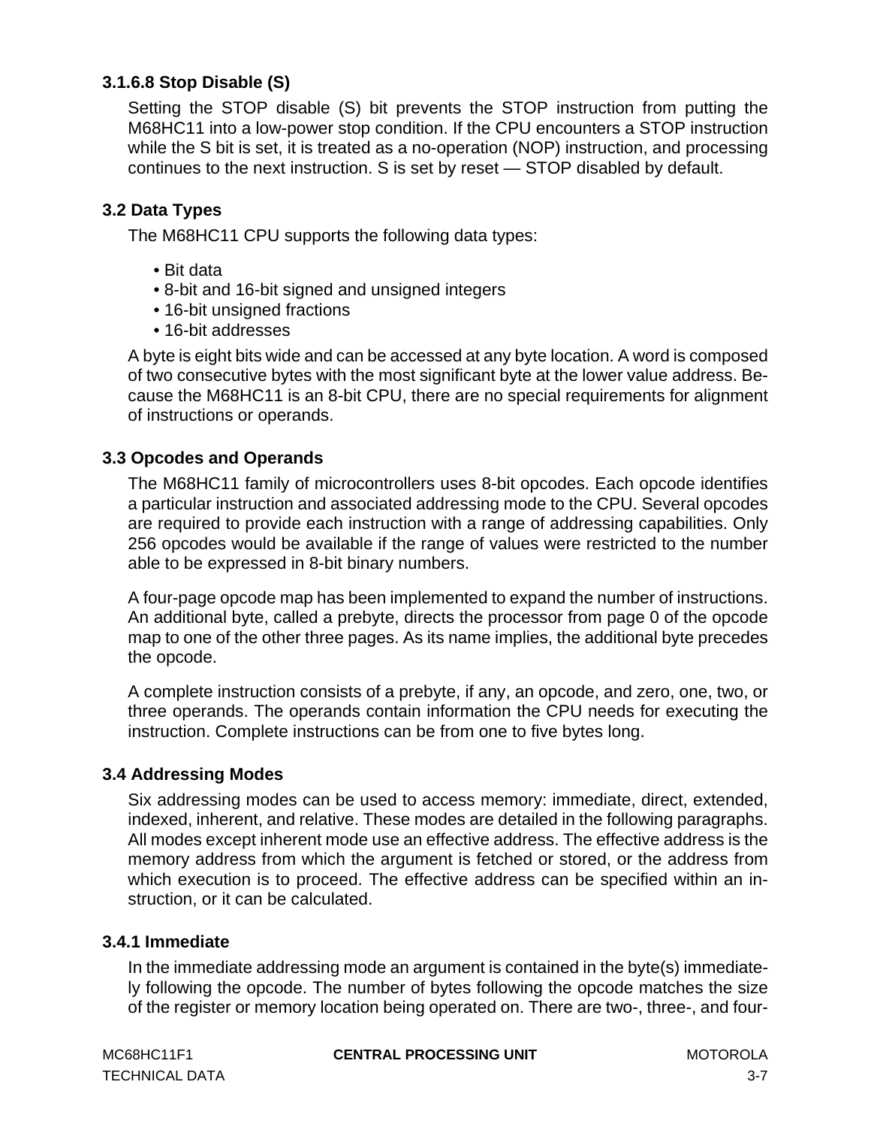# <span id="page-30-0"></span>**3.1.6.8 Stop Disable (S)**

Setting the STOP disable (S) bit prevents the STOP instruction from putting the M68HC11 into a low-power stop condition. If the CPU encounters a STOP instruction while the S bit is set, it is treated as a no-operation (NOP) instruction, and processing continues to the next instruction. S is set by reset — STOP disabled by default.

# **3.2 Data Types**

The M68HC11 CPU supports the following data types:

- Bit data
- 8-bit and 16-bit signed and unsigned integers
- 16-bit unsigned fractions
- 16-bit addresses

A byte is eight bits wide and can be accessed at any byte location. A word is composed of two consecutive bytes with the most significant byte at the lower value address. Because the M68HC11 is an 8-bit CPU, there are no special requirements for alignment of instructions or operands.

# **3.3 Opcodes and Operands**

The M68HC11 family of microcontrollers uses 8-bit opcodes. Each opcode identifies a particular instruction and associated addressing mode to the CPU. Several opcodes are required to provide each instruction with a range of addressing capabilities. Only 256 opcodes would be available if the range of values were restricted to the number able to be expressed in 8-bit binary numbers.

A four-page opcode map has been implemented to expand the number of instructions. An additional byte, called a prebyte, directs the processor from page 0 of the opcode map to one of the other three pages. As its name implies, the additional byte precedes the opcode.

A complete instruction consists of a prebyte, if any, an opcode, and zero, one, two, or three operands. The operands contain information the CPU needs for executing the instruction. Complete instructions can be from one to five bytes long.

# **3.4 Addressing Modes**

Six addressing modes can be used to access memory: immediate, direct, extended, indexed, inherent, and relative. These modes are detailed in the following paragraphs. All modes except inherent mode use an effective address. The effective address is the memory address from which the argument is fetched or stored, or the address from which execution is to proceed. The effective address can be specified within an instruction, or it can be calculated.

#### **3.4.1 Immediate**

In the immediate addressing mode an argument is contained in the byte(s) immediately following the opcode. The number of bytes following the opcode matches the size of the register or memory location being operated on. There are two-, three-, and four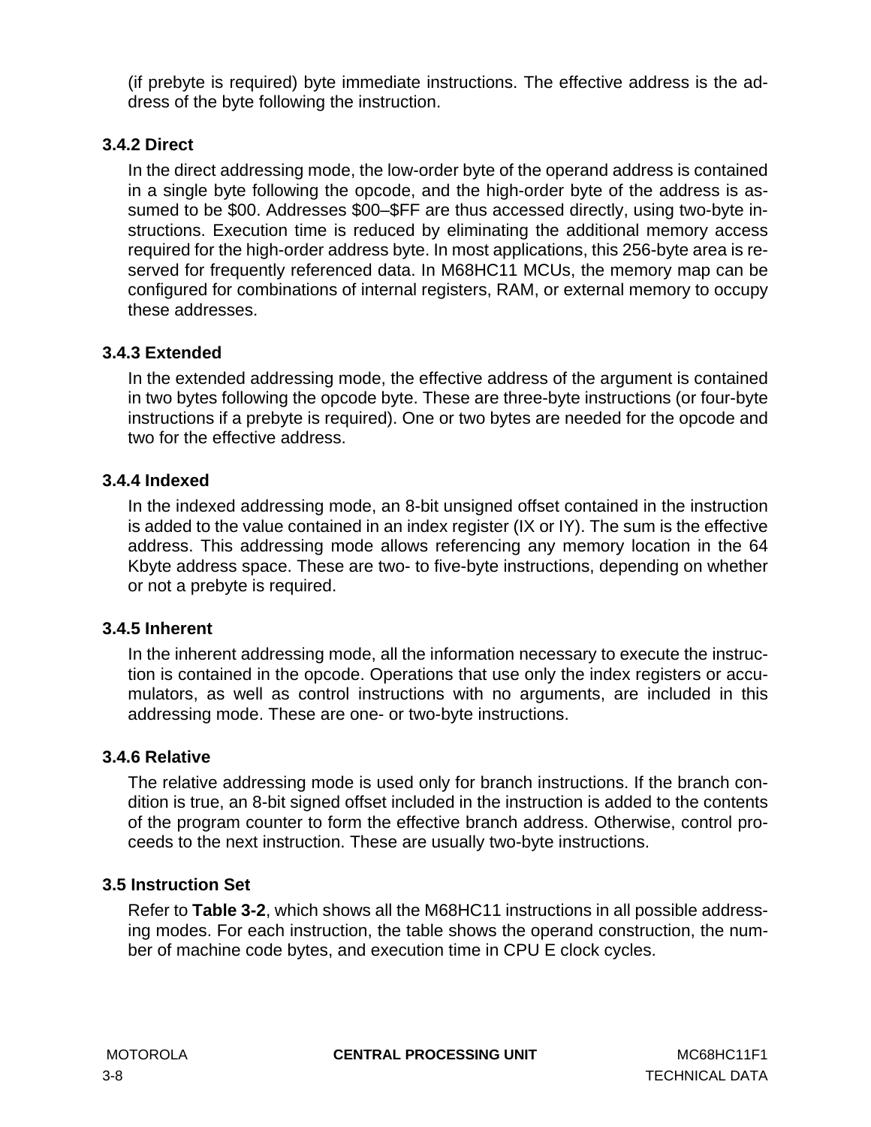<span id="page-31-0"></span>(if prebyte is required) byte immediate instructions. The effective address is the address of the byte following the instruction.

# **3.4.2 Direct**

In the direct addressing mode, the low-order byte of the operand address is contained in a single byte following the opcode, and the high-order byte of the address is assumed to be \$00. Addresses \$00–\$FF are thus accessed directly, using two-byte instructions. Execution time is reduced by eliminating the additional memory access required for the high-order address byte. In most applications, this 256-byte area is reserved for frequently referenced data. In M68HC11 MCUs, the memory map can be configured for combinations of internal registers, RAM, or external memory to occupy these addresses.

# **3.4.3 Extended**

In the extended addressing mode, the effective address of the argument is contained in two bytes following the opcode byte. These are three-byte instructions (or four-byte instructions if a prebyte is required). One or two bytes are needed for the opcode and two for the effective address.

# **3.4.4 Indexed**

In the indexed addressing mode, an 8-bit unsigned offset contained in the instruction is added to the value contained in an index register (IX or IY). The sum is the effective address. This addressing mode allows referencing any memory location in the 64 Kbyte address space. These are two- to five-byte instructions, depending on whether or not a prebyte is required.

# **3.4.5 Inherent**

In the inherent addressing mode, all the information necessary to execute the instruction is contained in the opcode. Operations that use only the index registers or accumulators, as well as control instructions with no arguments, are included in this addressing mode. These are one- or two-byte instructions.

# **3.4.6 Relative**

The relative addressing mode is used only for branch instructions. If the branch condition is true, an 8-bit signed offset included in the instruction is added to the contents of the program counter to form the effective branch address. Otherwise, control proceeds to the next instruction. These are usually two-byte instructions.

# **3.5 Instruction Set**

Refer to **[Table 3-2](#page-32-0)**, which shows all the M68HC11 instructions in all possible addressing modes. For each instruction, the table shows the operand construction, the number of machine code bytes, and execution time in CPU E clock cycles.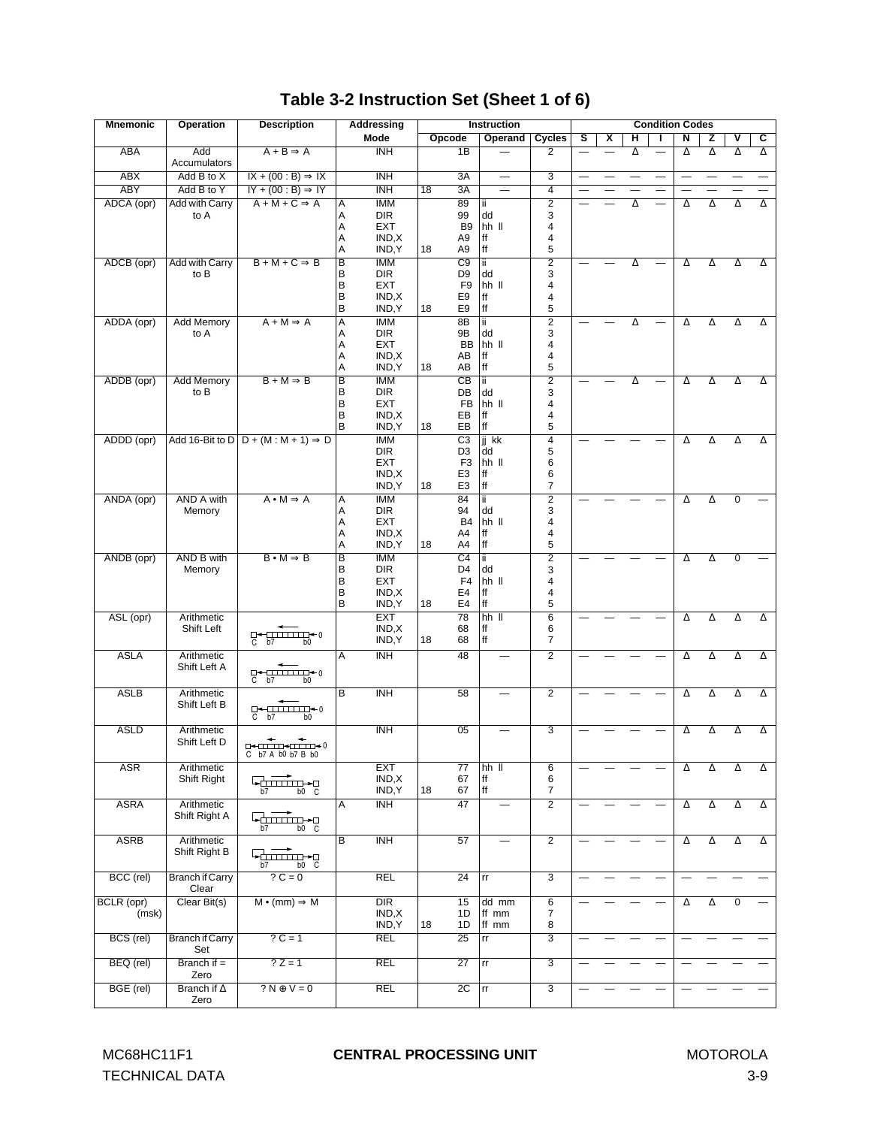# **Table 3-2 Instruction Set (Sheet 1 of 6)**

<span id="page-32-0"></span>

| <b>Mnemonic</b> | <b>Operation</b>                | <b>Description</b>                                                                                                                                                                                                                                                                                                                                                                                                                                                                                                      |                         | Addressing               | <b>Instruction</b>               |             |                          | <b>Condition Codes</b>  |   |   |   |    |                          |                          |                          |          |
|-----------------|---------------------------------|-------------------------------------------------------------------------------------------------------------------------------------------------------------------------------------------------------------------------------------------------------------------------------------------------------------------------------------------------------------------------------------------------------------------------------------------------------------------------------------------------------------------------|-------------------------|--------------------------|----------------------------------|-------------|--------------------------|-------------------------|---|---|---|----|--------------------------|--------------------------|--------------------------|----------|
|                 |                                 |                                                                                                                                                                                                                                                                                                                                                                                                                                                                                                                         |                         | Mode                     | Opcode                           |             | Operand                  | <b>Cycles</b>           | s | x | н | L  | N                        | z                        | ۷                        | С        |
| ABA             | Add<br>Accumulators             | $A + B \Rightarrow A$                                                                                                                                                                                                                                                                                                                                                                                                                                                                                                   |                         | <b>INH</b>               | 1B                               |             |                          | $\overline{2}$          |   |   | Δ |    | Δ                        | Δ                        | Δ                        | Δ        |
| <b>ABX</b>      | Add B to X                      | $IX + (00 : B) \Rightarrow IX$                                                                                                                                                                                                                                                                                                                                                                                                                                                                                          |                         | <b>INH</b>               | 3A                               |             |                          | $\overline{3}$          |   |   |   | —  | $\overline{\phantom{0}}$ | $\overline{\phantom{0}}$ | $\overline{\phantom{0}}$ | —        |
| <b>ABY</b>      | Add B to Y                      | $IY + (00:B) \Rightarrow IY$                                                                                                                                                                                                                                                                                                                                                                                                                                                                                            |                         | <b>INH</b>               | 3A<br>18                         |             | $\overline{\phantom{0}}$ | $\overline{4}$          |   |   |   |    |                          |                          |                          |          |
| ADCA (opr)      | <b>Add with Carry</b>           | $A + M + C \Rightarrow A$                                                                                                                                                                                                                                                                                                                                                                                                                                                                                               | Α                       | <b>IMM</b>               | 89                               | ii.         |                          | $\overline{2}$          |   |   | Δ | ÷. | Δ                        | Δ                        | Δ                        | Δ        |
|                 | to A                            |                                                                                                                                                                                                                                                                                                                                                                                                                                                                                                                         | Α                       | <b>DIR</b>               | 99                               | dd          |                          | 3                       |   |   |   |    |                          |                          |                          |          |
|                 |                                 |                                                                                                                                                                                                                                                                                                                                                                                                                                                                                                                         | Α                       | <b>EXT</b>               | B <sub>9</sub>                   |             | hh II                    | 4                       |   |   |   |    |                          |                          |                          |          |
|                 |                                 |                                                                                                                                                                                                                                                                                                                                                                                                                                                                                                                         | Α                       | IND, X                   | A <sub>9</sub>                   | ff          |                          | 4                       |   |   |   |    |                          |                          |                          |          |
|                 |                                 | $B + M + C \Rightarrow B$                                                                                                                                                                                                                                                                                                                                                                                                                                                                                               | A                       | IND, Y<br><b>IMM</b>     | 18<br>A9                         | ff          |                          | 5                       |   |   |   |    |                          |                          |                          |          |
| ADCB (opr)      | <b>Add with Carry</b><br>to B   |                                                                                                                                                                                                                                                                                                                                                                                                                                                                                                                         | B<br>B                  | <b>DIR</b>               | C9<br>D <sub>9</sub>             | ii.<br>dd   |                          | $\overline{2}$<br>3     |   |   | Δ |    | Δ                        | Δ                        | Δ                        | Δ        |
|                 |                                 |                                                                                                                                                                                                                                                                                                                                                                                                                                                                                                                         | B                       | <b>EXT</b>               | F <sub>9</sub>                   |             | hh II                    | 4                       |   |   |   |    |                          |                          |                          |          |
|                 |                                 |                                                                                                                                                                                                                                                                                                                                                                                                                                                                                                                         | B                       | IND, X                   | E9                               | ff          |                          | 4                       |   |   |   |    |                          |                          |                          |          |
|                 |                                 |                                                                                                                                                                                                                                                                                                                                                                                                                                                                                                                         | B                       | IND, Y                   | E9<br>18                         | ff          |                          | 5                       |   |   |   |    |                          |                          |                          |          |
| ADDA (opr)      | Add Memory                      | $A + M \Rightarrow A$                                                                                                                                                                                                                                                                                                                                                                                                                                                                                                   | Α                       | <b>IMM</b>               | 8B                               | ii.         |                          | $\overline{2}$          |   |   | Δ |    | Δ                        | Δ                        | Δ                        | Δ        |
|                 | to A                            |                                                                                                                                                                                                                                                                                                                                                                                                                                                                                                                         | Α                       | <b>DIR</b>               | 9B                               | dd          |                          | 3                       |   |   |   |    |                          |                          |                          |          |
|                 |                                 |                                                                                                                                                                                                                                                                                                                                                                                                                                                                                                                         | Α                       | <b>EXT</b>               | BB                               |             | hh II                    | 4                       |   |   |   |    |                          |                          |                          |          |
|                 |                                 |                                                                                                                                                                                                                                                                                                                                                                                                                                                                                                                         | Α<br>Α                  | IND, X<br>IND, Y         | AB<br>AB<br>18                   | ff<br>ff    |                          | 4<br>5                  |   |   |   |    |                          |                          |                          |          |
| ADDB (opr)      | Add Memory                      | $B + M \Rightarrow B$                                                                                                                                                                                                                                                                                                                                                                                                                                                                                                   | B                       | <b>IMM</b>               | $\overline{CB}$                  | ii.         |                          | $\overline{2}$          |   |   | Δ |    | Δ                        | Δ                        | Δ                        | Δ        |
|                 | to B                            |                                                                                                                                                                                                                                                                                                                                                                                                                                                                                                                         | B                       | <b>DIR</b>               | DB                               | dd          |                          | 3                       |   |   |   |    |                          |                          |                          |          |
|                 |                                 |                                                                                                                                                                                                                                                                                                                                                                                                                                                                                                                         | B                       | EXT                      | <b>FB</b>                        |             | hh II                    | 4                       |   |   |   |    |                          |                          |                          |          |
|                 |                                 |                                                                                                                                                                                                                                                                                                                                                                                                                                                                                                                         | B                       | IND, X                   | EB                               | ff          |                          | 4                       |   |   |   |    |                          |                          |                          |          |
|                 |                                 |                                                                                                                                                                                                                                                                                                                                                                                                                                                                                                                         | B                       | IND, Y                   | EB<br>18                         | ff          |                          | 5                       |   |   |   |    |                          |                          |                          |          |
| ADDD (opr)      |                                 | Add 16-Bit to D $D + (M : M + 1) \Rightarrow D$                                                                                                                                                                                                                                                                                                                                                                                                                                                                         |                         | <b>IMM</b>               | $\overline{C3}$                  | jj kk       |                          | $\overline{4}$          |   |   |   |    | Δ                        | Δ                        | Δ                        | Δ        |
|                 |                                 |                                                                                                                                                                                                                                                                                                                                                                                                                                                                                                                         |                         | <b>DIR</b>               | D <sub>3</sub>                   | dd          |                          | 5                       |   |   |   |    |                          |                          |                          |          |
|                 |                                 |                                                                                                                                                                                                                                                                                                                                                                                                                                                                                                                         |                         | <b>EXT</b><br>IND, X     | F <sub>3</sub><br>E <sub>3</sub> | ff          | hh II                    | 6<br>6                  |   |   |   |    |                          |                          |                          |          |
|                 |                                 |                                                                                                                                                                                                                                                                                                                                                                                                                                                                                                                         |                         | IND, Y                   | E <sub>3</sub><br>18             | ff          |                          | 7                       |   |   |   |    |                          |                          |                          |          |
| ANDA (opr)      | <b>AND A with</b>               | $A \cdot M \Rightarrow A$                                                                                                                                                                                                                                                                                                                                                                                                                                                                                               | Α                       | <b>IMM</b>               | 84                               | ii.         |                          | $\overline{2}$          |   |   |   |    | Δ                        | $\Delta$                 | $\mathbf 0$              |          |
|                 | Memory                          |                                                                                                                                                                                                                                                                                                                                                                                                                                                                                                                         | Α                       | DIR                      | 94                               | dd          |                          | 3                       |   |   |   |    |                          |                          |                          |          |
|                 |                                 |                                                                                                                                                                                                                                                                                                                                                                                                                                                                                                                         | Α                       | <b>EXT</b>               | <b>B4</b>                        |             | hh II                    | 4                       |   |   |   |    |                          |                          |                          |          |
|                 |                                 |                                                                                                                                                                                                                                                                                                                                                                                                                                                                                                                         | Α                       | IND, X                   | A4                               | ff          |                          | 4                       |   |   |   |    |                          |                          |                          |          |
|                 |                                 |                                                                                                                                                                                                                                                                                                                                                                                                                                                                                                                         | Α                       | IND, Y                   | 18<br>A4                         | $^{\rm ff}$ |                          | 5                       |   |   |   |    |                          |                          |                          |          |
| ANDB (opr)      | AND B with                      | $B \cdot M \Rightarrow B$                                                                                                                                                                                                                                                                                                                                                                                                                                                                                               | $\overline{B}$          | <b>IMM</b>               | $\overline{C4}$                  | ΪÏ          |                          | $\overline{2}$          |   |   |   |    | Δ                        | Δ                        | $\mathbf 0$              |          |
|                 | Memory                          |                                                                                                                                                                                                                                                                                                                                                                                                                                                                                                                         | B<br>B                  | <b>DIR</b><br><b>EXT</b> | D4<br>F4                         | dd          | hh II                    | 3<br>4                  |   |   |   |    |                          |                          |                          |          |
|                 |                                 |                                                                                                                                                                                                                                                                                                                                                                                                                                                                                                                         | B                       | IND, X                   | E4                               | ff          |                          | 4                       |   |   |   |    |                          |                          |                          |          |
|                 |                                 |                                                                                                                                                                                                                                                                                                                                                                                                                                                                                                                         | B                       | IND, Y                   | E4<br>18                         | ff          |                          | 5                       |   |   |   |    |                          |                          |                          |          |
| ASL (opr)       | Arithmetic                      |                                                                                                                                                                                                                                                                                                                                                                                                                                                                                                                         |                         | <b>EXT</b>               | 78                               |             | $hh$ $II$                | $\overline{6}$          |   |   |   |    | Δ                        | Δ                        | Δ                        | Δ        |
|                 | Shift Left                      | $\square$                                                                                                                                                                                                                                                                                                                                                                                                                                                                                                               |                         | IND, X                   | 68                               | ff          |                          | 6                       |   |   |   |    |                          |                          |                          |          |
|                 |                                 | $C$ b7<br>b <sub>0</sub>                                                                                                                                                                                                                                                                                                                                                                                                                                                                                                |                         | IND, Y                   | 18<br>68                         | ff          |                          | 7                       |   |   |   |    |                          |                          |                          |          |
| <b>ASLA</b>     | Arithmetic                      |                                                                                                                                                                                                                                                                                                                                                                                                                                                                                                                         | A                       | <b>INH</b>               | 48                               |             |                          | $\overline{2}$          |   |   |   |    | Δ                        | Δ                        | Δ                        | Δ        |
|                 | Shift Left A                    |                                                                                                                                                                                                                                                                                                                                                                                                                                                                                                                         |                         |                          |                                  |             |                          |                         |   |   |   |    |                          |                          |                          |          |
|                 |                                 |                                                                                                                                                                                                                                                                                                                                                                                                                                                                                                                         |                         |                          |                                  |             |                          |                         |   |   |   |    |                          |                          |                          |          |
| <b>ASLB</b>     | Arithmetic                      |                                                                                                                                                                                                                                                                                                                                                                                                                                                                                                                         | $\overline{\mathsf{B}}$ | $\overline{\text{INH}}$  | 58                               |             | $\overline{\phantom{0}}$ | $\overline{2}$          |   |   |   |    | Δ                        | Δ                        | Δ                        | Δ        |
|                 | Shift Left B                    |                                                                                                                                                                                                                                                                                                                                                                                                                                                                                                                         |                         |                          |                                  |             |                          |                         |   |   |   |    |                          |                          |                          |          |
|                 |                                 |                                                                                                                                                                                                                                                                                                                                                                                                                                                                                                                         |                         |                          |                                  |             |                          |                         |   |   |   |    |                          |                          |                          |          |
| <b>ASLD</b>     | Arithmetic<br>Shift Left D      |                                                                                                                                                                                                                                                                                                                                                                                                                                                                                                                         |                         | <b>INH</b>               | 05                               |             |                          | 3                       |   |   |   |    | Δ                        | $\Delta$                 | Δ                        | $\Delta$ |
|                 |                                 | $\begin{array}{c} \text{min}\ \text{min}\ \text{min} \ \text{min} \ \text{min} \ \text{min} \ \text{min} \ \text{min} \ \text{min} \ \text{min} \ \text{min} \ \text{min} \ \text{min} \ \text{min} \ \text{min} \ \text{min} \ \text{min} \ \text{min} \ \text{min} \ \text{min} \ \text{min} \ \text{min} \ \text{min} \ \text{min} \ \text{min} \ \text{min} \ \text{min} \ \text{min} \ \text{min} \ \text{min} \ \text{min} \ \text{min} \ \text{min} \ \text{min} \ \text{min} \ \text{min}$<br>C b7 A b0 b7 B b0 |                         |                          |                                  |             |                          |                         |   |   |   |    |                          |                          |                          |          |
| <b>ASR</b>      | Arithmetic                      |                                                                                                                                                                                                                                                                                                                                                                                                                                                                                                                         |                         | EXT                      | $\overline{77}$                  |             | $hh$ $II$                | 6                       |   |   |   |    | Δ                        | Δ                        | Δ                        | Δ        |
|                 | Shift Right                     | Filmin e s                                                                                                                                                                                                                                                                                                                                                                                                                                                                                                              |                         | IND, X                   | 67                               | ff          |                          | 6                       |   |   |   |    |                          |                          |                          |          |
|                 |                                 | b0 C<br>b7                                                                                                                                                                                                                                                                                                                                                                                                                                                                                                              |                         | IND, Y                   | 18<br>67                         | $\sf ff$    |                          | 7                       |   |   |   |    |                          |                          |                          |          |
| <b>ASRA</b>     | Arithmetic                      |                                                                                                                                                                                                                                                                                                                                                                                                                                                                                                                         | A                       | <b>INH</b>               | 47                               |             |                          | $\overline{2}$          |   |   |   |    | Δ                        | Δ                        | Δ                        | $\Delta$ |
|                 | Shift Right A                   | <u> Lanning La</u>                                                                                                                                                                                                                                                                                                                                                                                                                                                                                                      |                         |                          |                                  |             |                          |                         |   |   |   |    |                          |                          |                          |          |
|                 |                                 | b0 C<br>b7                                                                                                                                                                                                                                                                                                                                                                                                                                                                                                              |                         |                          |                                  |             |                          |                         |   |   |   |    |                          |                          |                          |          |
| <b>ASRB</b>     | Arithmetic                      |                                                                                                                                                                                                                                                                                                                                                                                                                                                                                                                         | В                       | <b>INH</b>               | 57                               |             |                          | $\overline{2}$          |   |   |   |    | Δ                        | Δ                        | Δ                        | $\Delta$ |
|                 | Shift Right B                   | <b>WITHIN-RO</b>                                                                                                                                                                                                                                                                                                                                                                                                                                                                                                        |                         |                          |                                  |             |                          |                         |   |   |   |    |                          |                          |                          |          |
|                 |                                 | b7<br>b0 C                                                                                                                                                                                                                                                                                                                                                                                                                                                                                                              |                         |                          |                                  |             |                          |                         |   |   |   |    |                          |                          |                          |          |
| BCC (rel)       | <b>Branch if Carry</b><br>Clear | $? C = 0$                                                                                                                                                                                                                                                                                                                                                                                                                                                                                                               |                         | <b>REL</b>               | 24                               | rr          |                          | $\overline{\mathbf{3}}$ |   |   |   |    |                          |                          |                          |          |
| BCLR (opr)      | Clear Bit(s)                    | $M \bullet (mm) \Rightarrow M$                                                                                                                                                                                                                                                                                                                                                                                                                                                                                          |                         | <b>DIR</b>               | 15                               |             | dd mm                    | 6                       |   |   |   |    | Δ                        | $\Delta$                 | $\mathbf 0$              |          |
| (msk)           |                                 |                                                                                                                                                                                                                                                                                                                                                                                                                                                                                                                         |                         | IND, X                   | 1D                               |             | ff mm                    | 7                       |   |   |   |    |                          |                          |                          |          |
|                 |                                 |                                                                                                                                                                                                                                                                                                                                                                                                                                                                                                                         |                         | IND, Y                   | 18<br>1D                         |             | ff mm                    | 8                       |   |   |   |    |                          |                          |                          |          |
| BCS (rel)       | <b>Branch if Carry</b>          | $?C = 1$                                                                                                                                                                                                                                                                                                                                                                                                                                                                                                                |                         | REL                      | 25                               | rr          |                          | 3                       |   |   |   |    |                          |                          |                          |          |
|                 | Set                             |                                                                                                                                                                                                                                                                                                                                                                                                                                                                                                                         |                         |                          |                                  |             |                          |                         |   |   |   |    |                          |                          |                          |          |
| BEQ (rel)       | Branch if $=$<br>Zero           | $?Z=1$                                                                                                                                                                                                                                                                                                                                                                                                                                                                                                                  |                         | <b>REL</b>               | 27                               | rr          |                          | $\overline{3}$          |   |   |   |    |                          |                          |                          |          |
| BGE (rel)       | Branch if $\Delta$              | $? N \oplus V = 0$                                                                                                                                                                                                                                                                                                                                                                                                                                                                                                      |                         | <b>REL</b>               | $\overline{2C}$                  | rr          |                          | 3                       |   |   |   |    |                          |                          |                          |          |
|                 | Zero                            |                                                                                                                                                                                                                                                                                                                                                                                                                                                                                                                         |                         |                          |                                  |             |                          |                         |   |   |   |    |                          |                          |                          |          |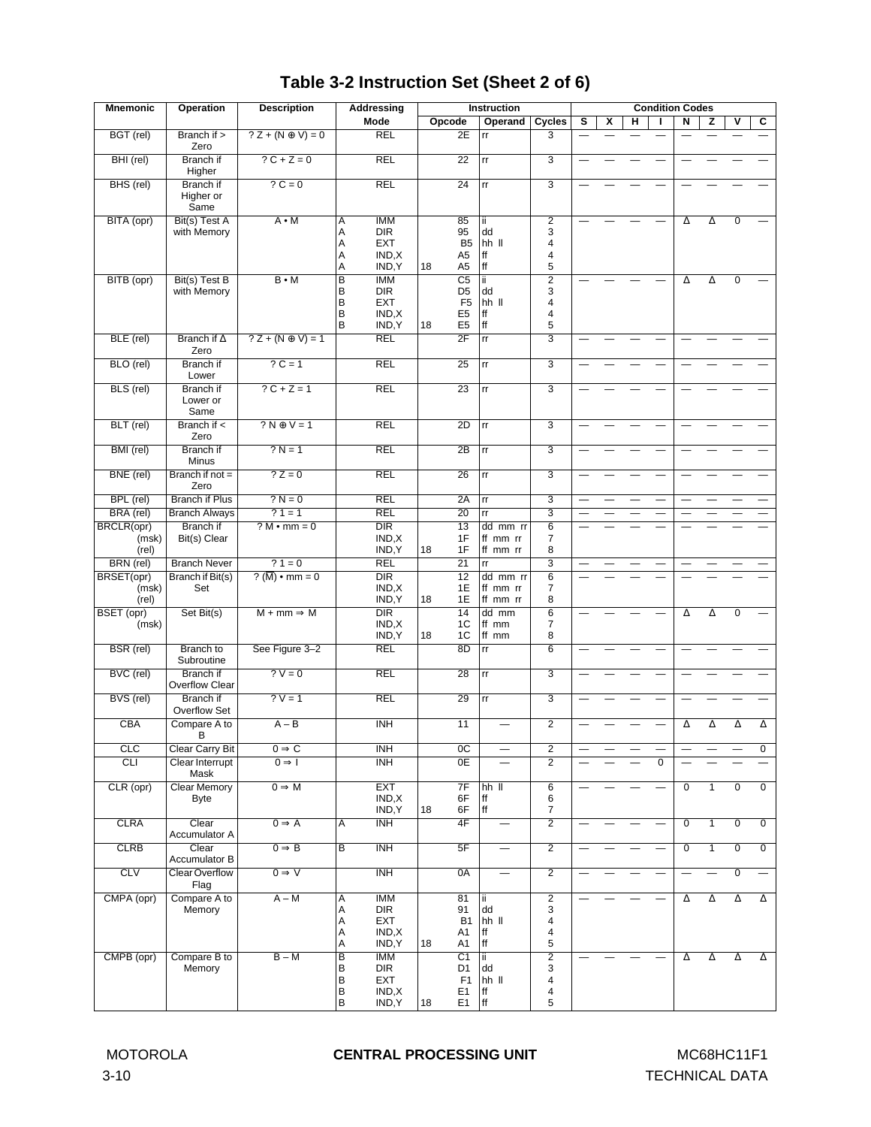# **Table 3-2 Instruction Set (Sheet 2 of 6)**

| <b>Mnemonic</b>              | <b>Operation</b>                      | <b>Description</b>             |                                    | Addressing                                                 | <b>Instruction</b>                                                                            | <b>Condition Codes</b>           |                                    |   |   |   |                |                |                |                           |                |
|------------------------------|---------------------------------------|--------------------------------|------------------------------------|------------------------------------------------------------|-----------------------------------------------------------------------------------------------|----------------------------------|------------------------------------|---|---|---|----------------|----------------|----------------|---------------------------|----------------|
|                              |                                       |                                |                                    | Mode                                                       | Opcode<br>Operand                                                                             |                                  | Cycles                             | s | x | н |                | Ν              | z              | ۷                         | С              |
| BGT (rel)                    | Branch if ><br>Zero                   | $? Z + (N \oplus V) = 0$       |                                    | <b>REL</b>                                                 | 2E                                                                                            | rr                               | 3                                  |   |   |   |                |                |                |                           |                |
| BHI (rel)                    | Branch if<br>Higher                   | $? C + Z = 0$                  |                                    | <b>REL</b>                                                 | 22                                                                                            | rr                               | $\overline{3}$                     |   |   |   |                |                |                |                           |                |
| BHS (rel)                    | <b>Branch</b> if<br>Higher or<br>Same | $?C = 0$                       |                                    | <b>REL</b>                                                 | 24                                                                                            | rr                               | $\overline{3}$                     |   |   |   |                |                |                |                           |                |
| BITA (opr)                   | Bit(s) Test A<br>with Memory          | $A \cdot M$                    | Α<br>A<br>Α<br>Α<br>A              | <b>IMM</b><br><b>DIR</b><br><b>EXT</b><br>IND, X<br>IND, Y | 85<br>95<br>B <sub>5</sub><br>A5<br>18<br>A <sub>5</sub>                                      | ii.<br>dd<br>hh II<br>ff<br>ff   | $\overline{2}$<br>3<br>4<br>4<br>5 |   |   |   |                | Δ              | Δ              | $\mathbf 0$               |                |
| BITB (opr)                   | Bit(s) Test B<br>with Memory          | $B \cdot M$                    | B<br>B<br>B<br>B<br>В              | <b>IMM</b><br><b>DIR</b><br><b>EXT</b><br>IND, X<br>IND, Y | $\overline{C5}$<br>D <sub>5</sub><br>F <sub>5</sub><br>E <sub>5</sub><br>18<br>E <sub>5</sub> | Ϊİ<br>dd<br>hh II<br>ff<br>ff    | $\overline{2}$<br>3<br>4<br>4<br>5 |   |   |   |                | Δ              | Δ              | $\overline{0}$            |                |
| BLE (rel)                    | Branch if $\Delta$<br>Zero            | $?Z + (N \oplus V) = 1$        |                                    | <b>REL</b>                                                 | 2F                                                                                            | rr                               | $\overline{\overline{3}}$          |   |   |   |                |                |                |                           |                |
| BLO (rel)                    | <b>Branch</b> if<br>Lower             | $?C = 1$                       |                                    | <b>REL</b>                                                 | 25                                                                                            | rr                               | $\overline{3}$                     |   |   |   |                |                |                |                           |                |
| BLS (rel)                    | <b>Branch</b> if<br>Lower or<br>Same  | $?C + Z = 1$                   |                                    | <b>REL</b>                                                 | $\overline{23}$                                                                               | rr                               | $\overline{3}$                     |   |   |   |                |                |                |                           |                |
| BLT (rel)                    | Branch if $\lt$<br>Zero               | $? N \oplus V = 1$             |                                    | <b>REL</b>                                                 | 2D                                                                                            | rr                               | $\overline{3}$                     |   |   |   |                |                |                |                           |                |
| BMI (rel)                    | <b>Branch</b> if<br>Minus             | $? N = 1$                      |                                    | <b>REL</b>                                                 | $\overline{2B}$                                                                               | rr                               | $\overline{3}$                     |   |   |   |                |                |                |                           |                |
| BNE (rel)                    | Branch if $not =$<br>Zero             | $? Z = 0$                      |                                    | <b>REL</b>                                                 | 26                                                                                            | rr                               | $\overline{3}$                     |   |   |   |                |                |                |                           |                |
| BPL (rel)                    | <b>Branch if Plus</b>                 | $? N = 0$                      |                                    | <b>REL</b>                                                 | 2A                                                                                            | $\mathsf{r}\mathsf{r}$           | $\overline{3}$                     |   |   |   |                |                |                |                           |                |
| BRA (rel)                    | <b>Branch Always</b>                  | $?1 = 1$                       |                                    | <b>REL</b>                                                 | 20                                                                                            | rr                               | $\overline{\overline{3}}$          |   |   |   |                |                |                |                           |                |
| BRCLR(opr)<br>(msk)<br>(rel) | Branch if<br>Bit(s) Clear             | $? M \cdot mm = 0$             |                                    | $\overline{DIR}$<br>IND, X<br>IND, Y                       | 13<br>1F<br>18<br>1F                                                                          | dd mm rr<br>ff mm rr<br>ff mm rr | 6<br>7<br>8                        |   |   |   |                |                |                |                           |                |
| BRN (rel)                    | <b>Branch Never</b>                   | $?1 = 0$                       |                                    | <b>REL</b>                                                 | $\overline{21}$                                                                               | rr                               | $\overline{\overline{3}}$          |   |   |   |                |                |                |                           |                |
| BRSET(opr)<br>(msk)<br>(rel) | <b>Branch if Bit(s)</b><br>Set        | $?(\overline{M}) \cdot mm = 0$ |                                    | $\overline{DIR}$<br>IND, X<br>IND, Y                       | 12<br>1E<br>18<br>1E                                                                          | dd mm rr<br>ff mm rr<br>ff mm rr | $\overline{6}$<br>7<br>8           |   |   |   |                |                |                |                           |                |
| BSET (opr)<br>(msk)          | Set Bit(s)                            | $M + mm \Rightarrow M$         |                                    | $\overline{DIR}$<br>IND, X<br>IND, Y                       | 14<br>1C<br>18<br>1C                                                                          | dd mm<br>ff mm<br>ff mm          | $\overline{6}$<br>7<br>8           |   |   |   |                | Δ              | Δ              | $\mathbf 0$               |                |
| BSR (rel)                    | <b>Branch</b> to<br>Subroutine        | See Figure 3-2                 |                                    | <b>REL</b>                                                 | 8D                                                                                            | rr                               | $\overline{6}$                     |   |   |   |                |                |                |                           |                |
| BVC (rel)                    | <b>Branch</b> if<br>Overflow Clear    | $? V = 0$                      |                                    | <b>REL</b>                                                 | $\overline{28}$                                                                               | rr                               | $\overline{3}$                     |   |   |   |                |                |                |                           |                |
| BVS (rel)                    | Branch if<br>Overflow Set             | $?V = 1$                       |                                    | <b>REL</b>                                                 | $\overline{29}$                                                                               | rr                               | $\overline{3}$                     |   |   |   |                |                |                |                           |                |
| <b>CBA</b>                   | Compare A to<br>В                     | $A - B$                        |                                    | <b>INH</b>                                                 | 11                                                                                            |                                  | $\overline{2}$                     |   |   |   |                | Δ              | Δ              | Δ                         | Δ              |
| CLC                          | <b>Clear Carry Bit</b>                | $0 \Rightarrow C$              |                                    | <b>INH</b>                                                 | 0C                                                                                            | $\overline{\phantom{0}}$         | $\overline{2}$                     |   |   |   |                |                |                |                           | 0              |
| CLI                          | <b>Clear Interrupt</b><br>Mask        | $0 \Rightarrow I$              |                                    | <b>INH</b>                                                 | 0E                                                                                            |                                  | $\overline{2}$                     |   |   |   | $\overline{0}$ |                |                |                           |                |
| CLR (opr)                    | <b>Clear Memory</b><br><b>Byte</b>    | $0 \Rightarrow M$              |                                    | <b>EXT</b><br>IND, X<br>IND, Y                             | 7F<br>6F<br>6F<br>18                                                                          | $hh$ $II$<br>ff<br>ff            | $\overline{6}$<br>6<br>7           |   |   |   | —              | $\overline{0}$ | $\mathbf{1}$   | $\overline{0}$            | $\overline{0}$ |
| <b>CLRA</b>                  | Clear<br>Accumulator A                | $0 \Rightarrow A$              | Α                                  | <b>INH</b>                                                 | 4F                                                                                            | $\overline{\phantom{0}}$         | $\overline{2}$                     |   |   |   |                | $\mathbf 0$    | $\mathbf{1}$   | $\mathbf 0$               | $\mathbf 0$    |
| <b>CLRB</b>                  | Clear<br>Accumulator B                | $0 \Rightarrow B$              | $\overline{B}$                     | <b>INH</b>                                                 | 5F                                                                                            |                                  | $\overline{2}$                     |   |   |   |                | $\overline{0}$ | $\overline{1}$ | $\overline{\mathfrak{o}}$ | $\overline{0}$ |
| <b>CLV</b>                   | <b>Clear Overflow</b><br>Flag         | $0 \Rightarrow V$              |                                    | <b>INH</b>                                                 | 0A                                                                                            |                                  | $\overline{2}$                     |   |   |   |                |                |                | $\overline{0}$            |                |
| CMPA (opr)                   | Compare A to<br>Memory                | $A - M$                        | Α<br>Α<br>Α<br>Α<br>Α              | <b>IMM</b><br><b>DIR</b><br>EXT<br>IND, X<br>IND, Y        | 81<br>91<br><b>B1</b><br>A1<br>18<br>A1                                                       | ii.<br>dd<br>hh II<br>ff<br>ff   | $\overline{2}$<br>3<br>4<br>4<br>5 |   |   |   |                | Δ              | Δ              | $\Delta$                  | Δ              |
| CMPB (opr)                   | Compare B to<br>Memory                | $B - M$                        | $\overline{B}$<br>В<br>B<br>B<br>B | <b>IMM</b><br><b>DIR</b><br>EXT<br>IND, X<br>IND, Y        | $\overline{C1}$<br>D <sub>1</sub><br>F <sub>1</sub><br>E <sub>1</sub><br>18<br>E <sub>1</sub> | ii.<br>dd<br>hh II<br>ff<br> ff  | $\overline{2}$<br>3<br>4<br>4<br>5 |   |   |   |                | Δ              | Δ              | Δ                         | Δ              |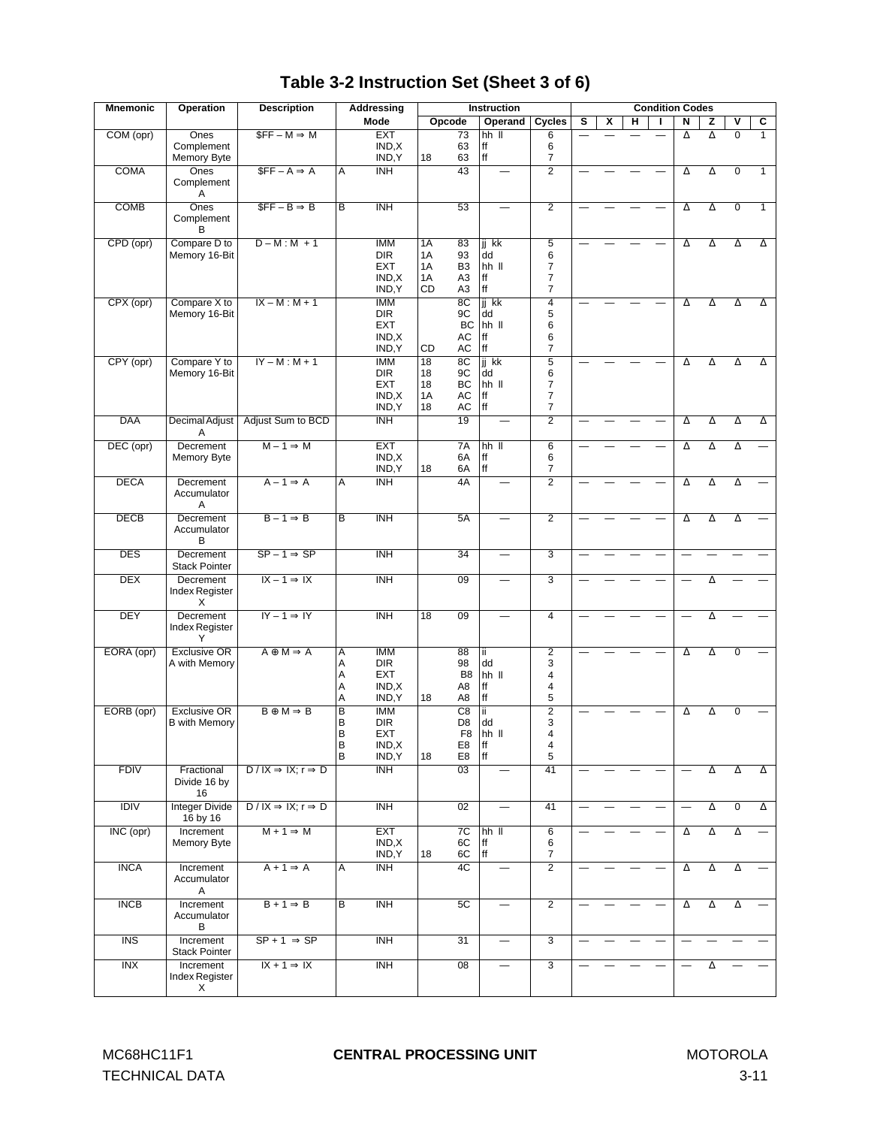| <b>Mnemonic</b>         | <b>Operation</b>                            | <b>Description</b>                     |                                             | Addressing                                                | <b>Instruction</b>                                                                           |                                  |                                                              |   | <b>Condition Codes</b> |   |  |                          |          |                         |              |  |
|-------------------------|---------------------------------------------|----------------------------------------|---------------------------------------------|-----------------------------------------------------------|----------------------------------------------------------------------------------------------|----------------------------------|--------------------------------------------------------------|---|------------------------|---|--|--------------------------|----------|-------------------------|--------------|--|
|                         |                                             |                                        |                                             | Mode                                                      | Opcode                                                                                       | Operand                          | Cycles                                                       | s | X                      | н |  | N                        | z        | $\overline{\mathsf{v}}$ | c            |  |
| COM (opr)               | Ones<br>Complement<br>Memory Byte           | $SFF - M \Rightarrow M$                |                                             | <b>EXT</b><br>IND, X<br>IND, Y                            | 73<br>63<br>18<br>63                                                                         | $hh$ $II$<br>ff<br>ff            | 6<br>6<br>7                                                  |   |                        |   |  | Δ                        | Δ        | $\overline{0}$          | $\mathbf{1}$ |  |
| <b>COMA</b>             | Ones<br>Complement<br>Α                     | $SFF - A \Rightarrow A$                | Α                                           | INH                                                       | 43                                                                                           | $\overline{\phantom{0}}$         | $\overline{2}$                                               |   |                        |   |  | Δ                        | $\Delta$ | $\overline{0}$          | 1            |  |
| <b>COMB</b>             | Ones<br>Complement<br>B                     | $SFF - B \Rightarrow B$                | $\overline{B}$                              | INH                                                       | 53                                                                                           |                                  | $\overline{2}$                                               |   |                        |   |  | Δ                        | Δ        | $\overline{0}$          | 1            |  |
| CPD (opr)               | Compare D to<br>Memory 16-Bit               | $D-M:M+1$                              |                                             | <b>IMM</b><br><b>DIR</b><br><b>EXT</b><br>IND,X<br>IND, Y | 1A<br>83<br>1A<br>93<br>B <sub>3</sub><br>1A<br>A <sub>3</sub><br>1A<br>CD<br>A <sub>3</sub> | ji kk<br>dd<br>hh II<br>ff<br>ff | $\overline{5}$<br>6<br>7<br>$\overline{7}$<br>7              |   |                        |   |  | Δ                        | $\Delta$ | Δ                       | Δ            |  |
| CPX (opr)               | Compare X to<br>Memory 16-Bit               | $IX - M : M + 1$                       |                                             | <b>IMM</b><br><b>DIR</b><br><b>EXT</b><br>IND,X<br>IND, Y | 8 <sup>C</sup><br>9C<br>BC<br>AC<br>AC<br>CD                                                 | jj kk<br>dd<br>hh II<br>ff<br>ff | $\overline{4}$<br>5<br>6<br>6<br>$\overline{7}$              |   |                        |   |  | Δ                        | Δ        | Δ                       | Δ            |  |
| CPY (opr)               | Compare Y to<br>Memory 16-Bit               | $IY - M : M + 1$                       |                                             | <b>IMM</b><br><b>DIR</b><br><b>EXT</b><br>IND,X<br>IND, Y | $\overline{18}$<br>8C<br>18<br>9C<br>BC<br>18<br>1A<br>AC<br>18<br>AC                        | jj kk<br>dd<br>hh II<br>ff<br>ff | $\overline{5}$<br>6<br>$\overline{7}$<br>7<br>$\overline{7}$ |   |                        |   |  | Δ                        | Δ        | $\Delta$                | Δ            |  |
| <b>DAA</b>              | Decimal Adjust<br>A                         | Adjust Sum to BCD                      |                                             | <b>INH</b>                                                | $\overline{19}$                                                                              |                                  | $\overline{2}$                                               |   |                        |   |  | Δ                        | Δ        | Δ                       | Δ            |  |
| DEC (opr)               | Decrement<br>Memory Byte                    | $M - 1 \Rightarrow M$                  |                                             | <b>EXT</b><br>IND, X<br>IND.Y                             | 7A<br>6A<br>18<br>6A                                                                         | $hh$ $II$<br>ff<br>ff            | $\overline{6}$<br>6<br>7                                     |   |                        |   |  | Δ                        | Δ        | Δ                       |              |  |
| <b>DECA</b>             | Decrement<br>Accumulator<br>A               | $A - 1 \Rightarrow A$                  | A                                           | $\overline{\mathsf{INH}}$                                 | 4A                                                                                           |                                  | $\overline{2}$                                               |   |                        |   |  | Δ                        | $\Delta$ | Δ                       |              |  |
| <b>DECB</b>             | Decrement<br>Accumulator<br>В               | $B - 1 \Rightarrow B$                  | $\overline{B}$                              | <b>INH</b>                                                | 5A                                                                                           |                                  | $\overline{2}$                                               |   |                        |   |  | Δ                        | Δ        | Δ                       |              |  |
| <b>DES</b>              | Decrement<br><b>Stack Pointer</b>           | $SP - 1 \Rightarrow SP$                |                                             | <b>INH</b>                                                | $\overline{34}$                                                                              |                                  | $\overline{3}$                                               |   |                        |   |  |                          |          |                         |              |  |
| <b>DEX</b>              | Decrement<br>Index Register<br>X            | $IX - 1 \Rightarrow IX$                |                                             | <b>INH</b>                                                | 09                                                                                           |                                  | $\overline{3}$                                               |   |                        |   |  |                          | Δ        |                         |              |  |
| <b>DEY</b>              | Decrement<br>Index Register<br>Υ            | $IY - 1 \Rightarrow IY$                |                                             | <b>INH</b>                                                | $\overline{18}$<br>09                                                                        | $\overline{\phantom{0}}$         | $\overline{4}$                                               |   |                        |   |  |                          | Δ        |                         |              |  |
| EORA (opr)              | <b>Exclusive OR</b><br>A with Memory        | $A \oplus M \Rightarrow A$             | Α<br>Α<br>Α<br>A<br>Α                       | <b>IMM</b><br><b>DIR</b><br><b>EXT</b><br>IND,X<br>IND, Y | 88<br>98<br>B <sub>8</sub><br>A8<br>A8<br>18                                                 | ii.<br>dd<br>hh II<br>ff<br>ff   | $\overline{2}$<br>3<br>4<br>4<br>5                           |   |                        |   |  | Δ                        | Δ        | $\mathbf 0$             |              |  |
| EORB (opr)              | <b>Exclusive OR</b><br><b>B</b> with Memory | $B \oplus M \Rightarrow B$             | $\overline{\mathsf{B}}$<br>B<br>B<br>B<br>В | <b>IMM</b><br><b>DIR</b><br>EXT<br>IND, X<br>IND, Y       | $\overline{C8}$<br>D <sub>8</sub><br>F8<br>E8<br>E8<br>18                                    | ii.<br>dd<br>hh II<br> ff<br>ff  | $\overline{2}$<br>3<br>4<br>4<br>5                           |   |                        |   |  | Δ                        | Δ        | $\mathbf 0$             |              |  |
| <b>FDIV</b>             | Fractional<br>Divide 16 by<br>16            | $D/IX \Rightarrow IX; r \Rightarrow D$ |                                             | <b>INH</b>                                                | $\overline{03}$                                                                              |                                  | 41                                                           |   |                        |   |  |                          | Δ        | Δ                       | Δ            |  |
| <b>IDIV</b>             | <b>Integer Divide</b><br>16 by 16           | $D/IX \Rightarrow IX; r \Rightarrow D$ |                                             | <b>INH</b>                                                | 02                                                                                           |                                  | 41                                                           |   |                        |   |  |                          | Δ        | $\overline{0}$          | Δ            |  |
| INC (opr)               | Increment<br>Memory Byte                    | $M + 1 \Rightarrow M$                  |                                             | <b>EXT</b><br>IND, X<br>IND, Y                            | 7C<br>6C<br>6C<br>18                                                                         | $hh$ $II$<br>ff<br>ff            | $\overline{6}$<br>6<br>7                                     |   |                        |   |  | Δ                        | $\Delta$ | Δ                       |              |  |
| <b>INCA</b>             | Increment<br>Accumulator<br>Α               | $A + 1 \Rightarrow A$                  | Α                                           | INH                                                       | 4C                                                                                           | $\qquad \qquad -$                | $\overline{2}$                                               |   |                        |   |  | Δ                        | Δ        | Δ                       |              |  |
| <b>INCB</b>             | Increment<br>Accumulator<br>в               | $B + 1 \Rightarrow B$                  | $\overline{B}$                              | <b>INH</b>                                                | 5C                                                                                           | $\overline{\phantom{0}}$         | $\overline{2}$                                               |   |                        |   |  | Δ                        | $\Delta$ | $\Delta$                |              |  |
| $\overline{\text{INS}}$ | Increment<br><b>Stack Pointer</b>           | $SP + 1 \Rightarrow SP$                |                                             | <b>INH</b>                                                | $\overline{31}$                                                                              | $\overline{\phantom{0}}$         | $\overline{3}$                                               |   |                        |   |  |                          |          |                         |              |  |
| INX                     | Increment<br>Index Register<br>X            | $IX + 1 \Rightarrow IX$                |                                             | <b>INH</b>                                                | 08                                                                                           | $\overline{\phantom{0}}$         | $\overline{3}$                                               |   |                        |   |  | $\overline{\phantom{0}}$ | Δ        |                         |              |  |

# **Table 3-2 Instruction Set (Sheet 3 of 6)**

TECHNICAL DATA 3-11

#### MC68HC11F1 **CENTRAL PROCESSING UNIT** MOTOROLA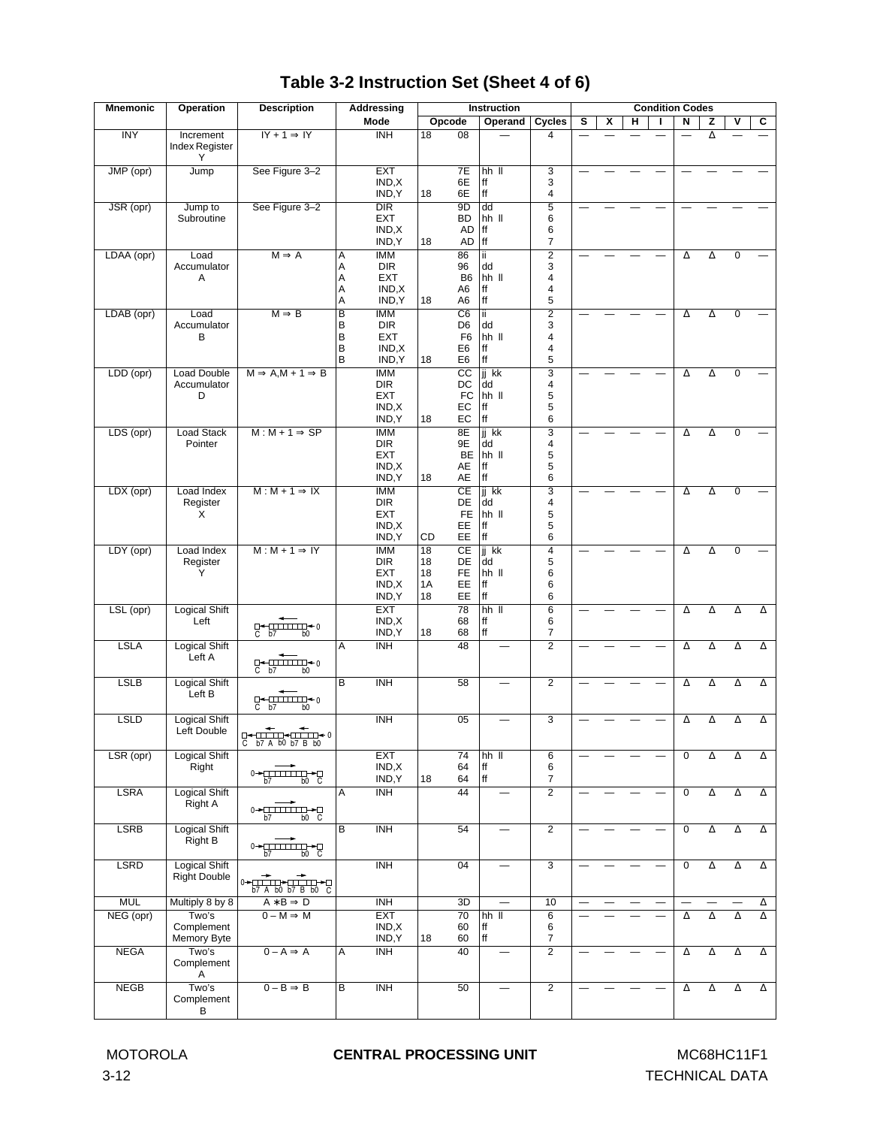#### MOTOROLA **CENTRAL PROCESSING UNIT** MC68HC11F1

| <b>Mnemonic</b> | <b>Operation</b>                            | <b>Description</b>                                                                                                                                                                                                                                                                                                                                                                                                                                                                                                                                                                                                                                                                                                                                                                                |                                             | Addressing                                                 |                                         |                                                                                         | <b>Instruction</b>               |                                             | <b>Condition Codes</b> |   |   |  |             |          |                |          |
|-----------------|---------------------------------------------|---------------------------------------------------------------------------------------------------------------------------------------------------------------------------------------------------------------------------------------------------------------------------------------------------------------------------------------------------------------------------------------------------------------------------------------------------------------------------------------------------------------------------------------------------------------------------------------------------------------------------------------------------------------------------------------------------------------------------------------------------------------------------------------------------|---------------------------------------------|------------------------------------------------------------|-----------------------------------------|-----------------------------------------------------------------------------------------|----------------------------------|---------------------------------------------|------------------------|---|---|--|-------------|----------|----------------|----------|
|                 |                                             |                                                                                                                                                                                                                                                                                                                                                                                                                                                                                                                                                                                                                                                                                                                                                                                                   |                                             | Mode                                                       |                                         | Opcode                                                                                  | Operand                          | Cycles                                      | s                      | x | н |  | N           | z        | ۷              | С        |
| <b>INY</b>      | Increment<br>Index Register<br>Υ            | $IY + 1 \Rightarrow IY$                                                                                                                                                                                                                                                                                                                                                                                                                                                                                                                                                                                                                                                                                                                                                                           |                                             | $\overline{\text{INH}}$                                    | $\overline{18}$                         | 08                                                                                      |                                  | 4                                           |                        |   |   |  |             | Δ        |                |          |
| JMP (opr)       | Jump                                        | See Figure 3-2                                                                                                                                                                                                                                                                                                                                                                                                                                                                                                                                                                                                                                                                                                                                                                                    |                                             | <b>EXT</b><br>IND,X<br>IND, Y                              | 18                                      | 7E<br>6E<br>6E                                                                          | $hh$ $II$<br>ff<br>$\sf ff$      | $\overline{3}$<br>3<br>4                    |                        |   |   |  |             |          |                |          |
| JSR (opr)       | Jump to<br>Subroutine                       | See Figure 3-2                                                                                                                                                                                                                                                                                                                                                                                                                                                                                                                                                                                                                                                                                                                                                                                    |                                             | $\overline{DIR}$<br><b>EXT</b><br>IND, X<br>IND, Y         | 18                                      | 9 <sub>D</sub><br><b>BD</b><br><b>AD</b><br>$AD$  ff                                    | dd<br>hh II<br>ff                | $\overline{5}$<br>6<br>6<br>7               |                        |   |   |  |             |          |                |          |
| LDAA (opr)      | Load<br>Accumulator<br>Α                    | $M \Rightarrow A$                                                                                                                                                                                                                                                                                                                                                                                                                                                                                                                                                                                                                                                                                                                                                                                 | Α<br>Α<br>A<br>Α<br>A                       | <b>IMM</b><br><b>DIR</b><br><b>EXT</b><br>IND, X<br>IND, Y | 18                                      | 86<br>96<br>B <sub>6</sub><br>A <sub>6</sub><br>A6                                      | ï<br>dd<br>hh II<br>ff<br>ff     | $\overline{2}$<br>3<br>4<br>4<br>5          |                        |   |   |  | Δ           | Δ        | $\overline{0}$ |          |
| LDAB (opr)      | Load<br>Accumulator<br>в                    | $M \Rightarrow B$                                                                                                                                                                                                                                                                                                                                                                                                                                                                                                                                                                                                                                                                                                                                                                                 | $\overline{\mathsf{B}}$<br>B<br>B<br>B<br>B | <b>IMM</b><br><b>DIR</b><br><b>EXT</b><br>IND, X<br>IND, Y | 18                                      | $\overline{C6}$<br>D <sub>6</sub><br>F <sub>6</sub><br>E <sub>6</sub><br>E <sub>6</sub> | ΪÏ<br>dd<br>hh II<br>ff<br>ff    | $\overline{2}$<br>3<br>4<br>4<br>5          |                        |   |   |  | Δ           | Δ        | $\overline{0}$ |          |
| LDD (opr)       | Load Double<br>Accumulator<br>D             | $M \Rightarrow A, M + 1 \Rightarrow B$                                                                                                                                                                                                                                                                                                                                                                                                                                                                                                                                                                                                                                                                                                                                                            |                                             | <b>IMM</b><br><b>DIR</b><br><b>EXT</b><br>IND, X<br>IND, Y | 18                                      | $\overline{cc}$<br>DC<br>${\sf FC}$<br>EC<br>EC                                         | jj kk<br>dd<br>hh II<br>ff<br>ff | 3<br>4<br>5<br>5<br>6                       |                        |   |   |  | Δ           | Δ        | $\mathbf 0$    |          |
| LDS (opr)       | <b>Load Stack</b><br>Pointer                | $M: M + 1 \Rightarrow SP$                                                                                                                                                                                                                                                                                                                                                                                                                                                                                                                                                                                                                                                                                                                                                                         |                                             | <b>IMM</b><br><b>DIR</b><br><b>EXT</b><br>IND, X<br>IND, Y | 18                                      | 8E<br>9E<br>BE<br>AE<br>AE                                                              | jj kk<br>dd<br>hh II<br>ff<br>ff | $\overline{3}$<br>4<br>5<br>5<br>6          |                        |   |   |  | Δ           | Δ        | $\mathbf 0$    |          |
| LDX (opr)       | Load Index<br>Register<br>X                 | $M: M + 1 \Rightarrow IX$                                                                                                                                                                                                                                                                                                                                                                                                                                                                                                                                                                                                                                                                                                                                                                         |                                             | <b>IMM</b><br><b>DIR</b><br><b>EXT</b><br>IND,X<br>IND, Y  | CD                                      | CE<br>DE<br>FE.<br>EE<br>EE                                                             | jj kk<br>dd<br>hh II<br>ff<br>ff | $\overline{\mathbf{3}}$<br>4<br>5<br>5<br>6 |                        |   |   |  | Δ           | Δ        | $\mathbf 0$    |          |
| LDY (opr)       | Load Index<br>Register<br>Υ                 | $M: M + 1 \Rightarrow IY$                                                                                                                                                                                                                                                                                                                                                                                                                                                                                                                                                                                                                                                                                                                                                                         |                                             | <b>IMM</b><br><b>DIR</b><br><b>EXT</b><br>IND, X<br>IND, Y | $\overline{18}$<br>18<br>18<br>1A<br>18 | CE<br>DE<br>FE<br>EE<br>EE                                                              | jj kk<br>dd<br>hh II<br>ff<br>ff | $\overline{4}$<br>5<br>6<br>6<br>6          |                        |   |   |  | Δ           | Δ        | 0              |          |
| LSL (opr)       | <b>Logical Shift</b><br>Left                | $D$ $\leftarrow$ $\frac{1}{1}$ $\frac{1}{1}$ $\frac{1}{1}$ $\frac{1}{1}$ $\leftarrow$ 0<br>$C$ $b7$<br>b <sub>0</sub>                                                                                                                                                                                                                                                                                                                                                                                                                                                                                                                                                                                                                                                                             |                                             | <b>EXT</b><br>IND,X<br>IND, Y                              | 18                                      | 78<br>68<br>68                                                                          | $hh$ $II$<br>ff<br>ff            | $\overline{6}$<br>6<br>7                    |                        |   |   |  | Δ           | Δ        | Δ              | $\Delta$ |
| <b>LSLA</b>     | <b>Logical Shift</b><br>Left A              | $\begin{array}{c} \mathbb{C}\leftarrow\mathbb{C}\longrightarrow\mathbb{C}\longrightarrow\mathbb{C}\longrightarrow\mathbb{C}\longrightarrow\mathbb{C}\longrightarrow\mathbb{C}\longrightarrow\mathbb{C}\longrightarrow\mathbb{C}\longrightarrow\mathbb{C}\longrightarrow\mathbb{C}\longrightarrow\mathbb{C}\longrightarrow\mathbb{C}\longrightarrow\mathbb{C}\longrightarrow\mathbb{C}\longrightarrow\mathbb{C}\longrightarrow\mathbb{C}\longrightarrow\mathbb{C}\longrightarrow\mathbb{C}\longrightarrow\mathbb{C}\longrightarrow\mathbb{C}\longrightarrow\mathbb{C}\longrightarrow\mathbb{C}\longrightarrow\mathbb{C}\longrightarrow\mathbb{C}\longrightarrow\mathbb{C}\longrightarrow\mathbb{C}\longrightarrow\mathbb{C}\longrightarrow\mathbb{C}\longrightarrow\mathbb{C}\longrightarrow\math$ | Α                                           | <b>INH</b>                                                 |                                         | 48                                                                                      |                                  | $\overline{2}$                              |                        |   |   |  | $\Delta$    | $\Delta$ | Δ              | Δ        |
| <b>LSLB</b>     | <b>Logical Shift</b><br>Left B              |                                                                                                                                                                                                                                                                                                                                                                                                                                                                                                                                                                                                                                                                                                                                                                                                   | $\overline{\mathsf{B}}$                     | <b>INH</b>                                                 |                                         | 58                                                                                      |                                  | $\overline{2}$                              |                        |   |   |  | Δ           | Δ        | Δ              | Δ        |
| <b>LSLD</b>     | <b>Logical Shift</b><br>Left Double         | C<br>b7 A b0 b7 B b0                                                                                                                                                                                                                                                                                                                                                                                                                                                                                                                                                                                                                                                                                                                                                                              |                                             | <b>INH</b>                                                 |                                         | 05                                                                                      |                                  | 3                                           |                        |   |   |  | Δ           | Δ        | Δ              | Δ        |
| LSR (opr)       | <b>Logical Shift</b><br>Right               | $0 \rightarrow 11111111 \rightarrow 0$<br>b7<br>b0 C                                                                                                                                                                                                                                                                                                                                                                                                                                                                                                                                                                                                                                                                                                                                              |                                             | <b>EXT</b><br>IND, X<br>IND, Y                             | 18                                      | 74<br>64<br>64                                                                          | hh II<br>ff<br>ff                | 6<br>6<br>7                                 |                        |   |   |  | 0           | Δ        | Δ              | Δ        |
| <b>LSRA</b>     | Logical Shift<br>Right A                    | $0 \rightarrow 11111111 \rightarrow 11$<br>b0 C<br>b7                                                                                                                                                                                                                                                                                                                                                                                                                                                                                                                                                                                                                                                                                                                                             | Α                                           | <b>INH</b>                                                 |                                         | 44                                                                                      |                                  | $\overline{2}$                              |                        |   |   |  | 0           | Δ        | $\Delta$       | Δ        |
| <b>LSRB</b>     | Logical Shift<br>Right B                    | $0 \rightarrow 0$<br>by $0 \rightarrow 0$                                                                                                                                                                                                                                                                                                                                                                                                                                                                                                                                                                                                                                                                                                                                                         | в                                           | <b>INH</b>                                                 |                                         | 54                                                                                      |                                  | $\overline{2}$                              |                        |   |   |  | 0           | Δ        | Δ              | Δ        |
| <b>LSRD</b>     | <b>Logical Shift</b><br><b>Right Double</b> | $0 \leftarrow \overbrace{\text{min}} \leftarrow \overbrace{\text{min}} \leftarrow \overbrace{\text{min}} \leftarrow \overbrace{\text{min}} \leftarrow \overbrace{\text{min}} \leftarrow \overbrace{\text{min}} \leftarrow \overbrace{\text{min}} \leftarrow \overbrace{\text{min}} \leftarrow \overbrace{\text{min}} \leftarrow \overbrace{\text{min}} \leftarrow \overbrace{\text{min}} \leftarrow \overbrace{\text{min}} \leftarrow \overbrace{\text{min}} \leftarrow \overbrace{\text{min}} \leftarrow \overbrace{\text{min}} \leftarrow \overbrace{\text{min}} \leftarrow \overbrace{\text{min}} \leftarrow \overbrace{\text{min}} \leftarrow \overbrace{\text{min}} \leftarrow \overbrace{\text{min$<br>b7 A b0 b7 B b0 C                                                                    |                                             | <b>INH</b>                                                 |                                         | 04                                                                                      | $\overline{\phantom{0}}$         | 3                                           |                        |   |   |  | $\mathbf 0$ | Δ        | Δ              | Δ        |
| <b>MUL</b>      | Multiply 8 by 8                             | $A * B \Rightarrow D$                                                                                                                                                                                                                                                                                                                                                                                                                                                                                                                                                                                                                                                                                                                                                                             |                                             | <b>INH</b>                                                 |                                         | 3D                                                                                      |                                  | 10                                          |                        |   |   |  |             |          |                | Δ        |
| NEG (opr)       | Two's<br>Complement<br>Memory Byte          | $0 - M \Rightarrow M$                                                                                                                                                                                                                                                                                                                                                                                                                                                                                                                                                                                                                                                                                                                                                                             |                                             | <b>EXT</b><br>IND,X<br>IND, Y                              | 18                                      | 70<br>60<br>60                                                                          | hh II<br>ff<br>ff                | $\overline{6}$<br>6<br>7                    |                        |   |   |  | Δ           | Δ        | Δ              | Δ        |
| <b>NEGA</b>     | Two's<br>Complement<br>Α                    | $0 - A \Rightarrow A$                                                                                                                                                                                                                                                                                                                                                                                                                                                                                                                                                                                                                                                                                                                                                                             | Α                                           | <b>INH</b>                                                 |                                         | 40                                                                                      |                                  | $\overline{2}$                              |                        |   |   |  | Δ           | Δ        | Δ              | Δ        |
| <b>NEGB</b>     | Two's<br>Complement<br>в                    | $0 - B \Rightarrow B$                                                                                                                                                                                                                                                                                                                                                                                                                                                                                                                                                                                                                                                                                                                                                                             | В                                           | <b>INH</b>                                                 |                                         | $\overline{50}$                                                                         |                                  | $\overline{2}$                              |                        |   |   |  | Δ           | Δ        | Δ              | Δ        |

# **Table 3-2 Instruction Set (Sheet 4 of 6)**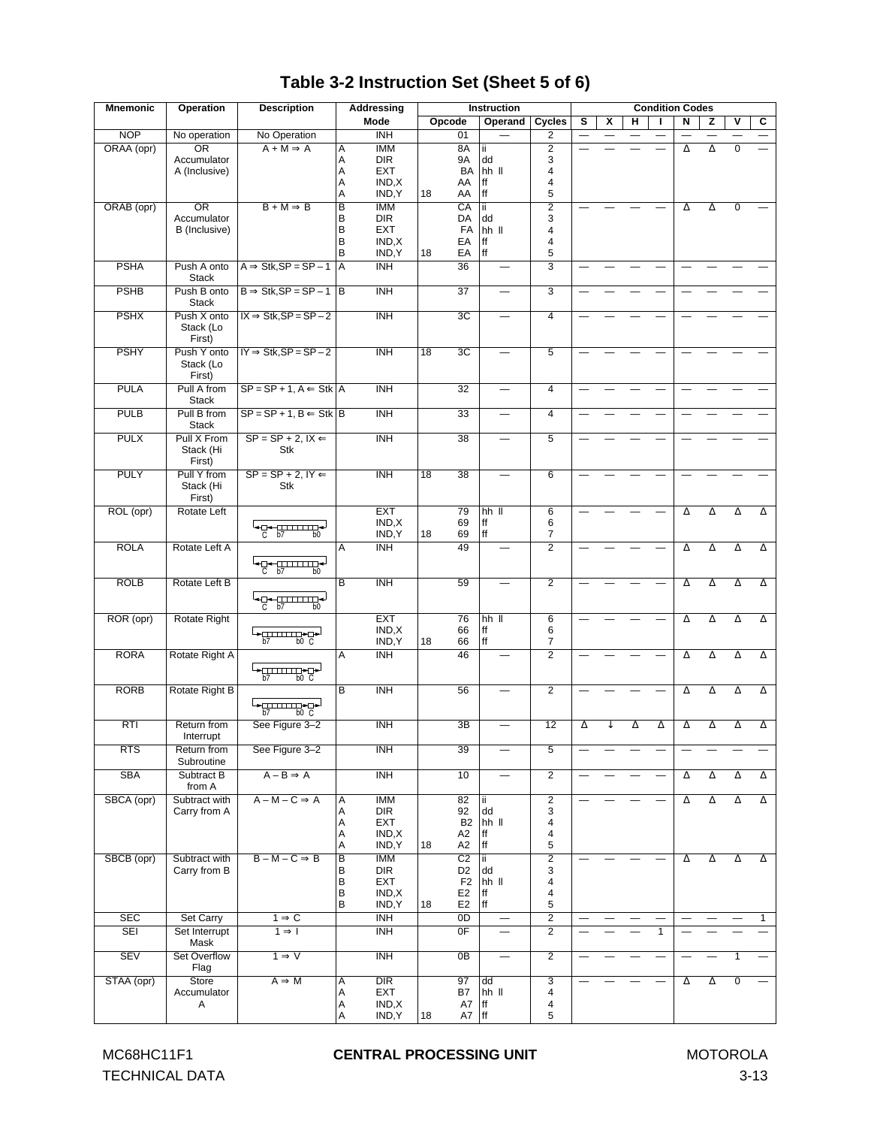| <b>Mnemonic</b> | <b>Operation</b>                   | <b>Description</b>                                               |                | <b>Addressing</b>             |                 |                                  |                       | <b>Instruction</b>       |                |                                 |   |   | <b>Condition Codes</b> |                          |   |                          |              |
|-----------------|------------------------------------|------------------------------------------------------------------|----------------|-------------------------------|-----------------|----------------------------------|-----------------------|--------------------------|----------------|---------------------------------|---|---|------------------------|--------------------------|---|--------------------------|--------------|
|                 |                                    |                                                                  |                | Mode                          |                 | Opcode                           |                       | Operand                  | Cycles         | s                               | x | н | т                      | Ν                        | z | v                        | С            |
| <b>NOP</b>      | No operation                       | No Operation                                                     |                | $\overline{\text{INH}}$       |                 | 01                               |                       |                          | $\overline{2}$ |                                 |   |   |                        |                          |   |                          |              |
| ORAA (opr)      | $\overline{\text{OR}}$             | $A + M \Rightarrow A$                                            | Ā              | <b>IMM</b>                    |                 | 8A                               | ii.                   |                          | $\overline{2}$ |                                 |   |   |                        | Δ                        | Δ | $\overline{0}$           |              |
|                 | Accumulator                        |                                                                  | Α              | <b>DIR</b>                    |                 | 9A                               | dd                    |                          | 3              |                                 |   |   |                        |                          |   |                          |              |
|                 | A (Inclusive)                      |                                                                  | Α              | <b>EXT</b>                    |                 | BA                               | hh II                 |                          | 4              |                                 |   |   |                        |                          |   |                          |              |
|                 |                                    |                                                                  | Α              | IND, X                        |                 | AA                               | ff                    |                          | 4              |                                 |   |   |                        |                          |   |                          |              |
|                 |                                    |                                                                  | Α              | IND, Y                        | 18              | AA                               | ff                    |                          | 5              |                                 |   |   |                        |                          |   |                          |              |
| ORAB (opr)      | $\overline{OR}$                    | $B + M \Rightarrow B$                                            | $\overline{B}$ | <b>IMM</b>                    |                 | CA                               | ii.                   |                          | $\overline{2}$ |                                 |   |   |                        | Δ                        | Δ | 0                        |              |
|                 | Accumulator                        |                                                                  | B              | <b>DIR</b>                    |                 | DA                               | dd                    |                          | 3              |                                 |   |   |                        |                          |   |                          |              |
|                 | B (Inclusive)                      |                                                                  | B              | <b>EXT</b>                    |                 | FA                               | hh II                 |                          | 4              |                                 |   |   |                        |                          |   |                          |              |
|                 |                                    |                                                                  | B<br>B         | IND,X                         |                 | EA                               | ff<br>ff              |                          | 4<br>5         |                                 |   |   |                        |                          |   |                          |              |
|                 |                                    |                                                                  |                | IND, Y                        | 18              | EA                               |                       |                          |                |                                 |   |   |                        |                          |   |                          |              |
| <b>PSHA</b>     | Push A onto<br><b>Stack</b>        | $A \Rightarrow Stk, SP = SP - 1$                                 | ΙA             | <b>INH</b>                    |                 | 36                               |                       |                          | 3              |                                 |   |   |                        |                          |   |                          |              |
| <b>PSHB</b>     | Push B onto<br><b>Stack</b>        | $B \Rightarrow$ Stk, SP = SP - 1 B                               |                | <b>INH</b>                    |                 | 37                               |                       |                          | $\overline{3}$ |                                 |   |   |                        |                          |   |                          |              |
| <b>PSHX</b>     | Push X onto<br>Stack (Lo<br>First) | $IX \Rightarrow Stk, SP = SP - 2$                                |                | <b>INH</b>                    |                 | 3C                               |                       |                          | $\overline{4}$ |                                 |   |   |                        |                          |   |                          |              |
| <b>PSHY</b>     | Push Y onto<br>Stack (Lo<br>First) | $IY \Rightarrow Stk, SP = SP - 2$                                |                | <b>INH</b>                    | $\overline{18}$ | 3C                               |                       |                          | $\overline{5}$ |                                 |   |   |                        |                          |   |                          |              |
| <b>PULA</b>     | Pull A from<br>Stack               | $SP = SP + 1$ , $A \leftarrow Stk   A$                           |                | <b>INH</b>                    |                 | 32                               |                       | $\overline{\phantom{0}}$ | 4              |                                 |   |   |                        |                          |   |                          |              |
| <b>PULB</b>     | Pull B from<br>Stack               | $SP = SP + 1, B \leftarrow Stk$ B                                |                | $\overline{\text{INH}}$       |                 | 33                               |                       | $\overline{\phantom{0}}$ | 4              |                                 |   |   |                        |                          |   |                          |              |
| <b>PULX</b>     | Pull X From<br>Stack (Hi           | $SP = SP + 2, IX \leftarrow$<br>Stk                              |                | <b>INH</b>                    |                 | 38                               |                       |                          | $\overline{5}$ |                                 |   |   |                        |                          |   |                          |              |
|                 | First)                             |                                                                  |                |                               |                 |                                  |                       |                          |                |                                 |   |   |                        |                          |   |                          |              |
| <b>PULY</b>     | Pull Y from<br>Stack (Hi<br>First) | $SP = SP + 2, IV \leftarrow$<br>Stk                              |                | <b>INH</b>                    | $\overline{18}$ | 38                               |                       |                          | $\overline{6}$ |                                 |   |   |                        |                          |   |                          |              |
| ROL (opr)       | Rotate Left                        |                                                                  |                | <b>EXT</b>                    |                 | 79                               | $hh$ $II$             |                          | 6              |                                 |   |   |                        | Δ                        | Δ | Δ                        | Δ            |
|                 |                                    | ┕□←□□□□□ <del>·</del><br>b7<br>b <sub>0</sub>                    |                | IND,X<br>IND, Y               | 18              | 69<br>69                         | ff<br>ff              |                          | 6<br>7         |                                 |   |   |                        |                          |   |                          |              |
| <b>ROLA</b>     | Rotate Left A                      |                                                                  | Α              | <b>INH</b>                    |                 | 49                               |                       |                          | $\overline{2}$ |                                 |   |   |                        | Δ                        | Δ | Δ                        | Δ            |
|                 |                                    | ┕ <del>Ω←⊞⊞⊞</del>                                               |                |                               |                 |                                  |                       |                          |                |                                 |   |   |                        |                          |   |                          |              |
| <b>ROLB</b>     | Rotate Left B                      | b7<br>C                                                          | $\overline{B}$ | <b>INH</b>                    |                 | 59                               |                       |                          | $\overline{2}$ |                                 |   |   |                        | Δ                        | Δ | Δ                        | Δ            |
|                 |                                    | <b>└</b> ────────────<br>C<br>b7<br>b <sub>0</sub>               |                |                               |                 |                                  |                       |                          |                |                                 |   |   |                        |                          |   |                          |              |
| ROR (opr)       | Rotate Right                       | └ <del>▶</del> ───────── <del>▶</del><br>b <sub>0</sub> C<br>b7  |                | <b>EXT</b><br>IND,X<br>IND, Y | 18              | 76<br>66<br>66                   | $hh$ $II$<br>ff<br>ff |                          | 6<br>6<br>7    |                                 |   |   |                        | Δ                        | Δ | Δ                        | Δ            |
| <b>RORA</b>     | Rotate Right A                     |                                                                  | Α              | <b>INH</b>                    |                 | 46                               |                       |                          | $\overline{2}$ |                                 |   |   |                        | Δ                        | Δ | Δ                        | Δ            |
|                 |                                    | └ <del>▶</del> ────────── <del>▶</del><br>b <sub>0</sub> C<br>b7 |                |                               |                 |                                  |                       |                          |                |                                 |   |   |                        |                          |   |                          |              |
| <b>RORB</b>     | Rotate Right B                     |                                                                  | B              | <b>INH</b>                    |                 | 56                               |                       |                          | $\overline{2}$ |                                 |   |   |                        | Δ                        | Δ | Δ                        | Δ            |
|                 |                                    | <b>L</b> →□□□□□□→□→<br>b <sub>0</sub> C<br>h7                    |                |                               |                 |                                  |                       |                          |                |                                 |   |   |                        |                          |   |                          |              |
| RTI             | Return from<br>Interrupt           | See Figure 3-2                                                   |                | <b>INH</b>                    |                 | 3B                               |                       |                          | 12             | Δ                               |   | Δ | Δ                      | Δ                        | Δ | Δ                        | Δ            |
| <b>RTS</b>      | Return from<br>Subroutine          | See Figure 3-2                                                   |                | INH                           |                 | 39                               |                       |                          | $\overline{5}$ |                                 |   |   |                        |                          |   |                          |              |
| <b>SBA</b>      | Subtract B<br>from A               | $A - B \Rightarrow A$                                            |                | <b>INH</b>                    |                 | 10                               |                       |                          | $\overline{2}$ |                                 |   |   |                        | Δ                        | Δ | Δ                        | Δ            |
| SBCA (opr)      | Subtract with                      | $A - M - C \Rightarrow A$                                        | Α              | <b>IMM</b>                    |                 | 82                               | ii.                   |                          | $\overline{2}$ |                                 |   |   |                        | Δ                        | Δ | Δ                        | Δ            |
|                 | Carry from A                       |                                                                  | Α              | DIR                           |                 | 92                               | dd                    |                          | 3              |                                 |   |   |                        |                          |   |                          |              |
|                 |                                    |                                                                  | Α              | EXT                           |                 | B <sub>2</sub>                   | hh II                 |                          | 4              |                                 |   |   |                        |                          |   |                          |              |
|                 |                                    |                                                                  | Α              | IND.X                         |                 | A <sub>2</sub>                   | ff                    |                          | 4              |                                 |   |   |                        |                          |   |                          |              |
|                 |                                    |                                                                  | Α              | IND, Y                        | 18              | A <sub>2</sub>                   | ff                    |                          | 5              |                                 |   |   |                        |                          |   |                          |              |
| SBCB (opr)      | Subtract with                      | $B - M - C \Rightarrow B$                                        | B              | <b>IMM</b>                    |                 | C <sub>2</sub>                   | ii.                   |                          | $\overline{2}$ |                                 |   |   |                        | Δ                        | Δ | Δ                        | Δ            |
|                 | Carry from B                       |                                                                  | в              | DIR                           |                 | D <sub>2</sub>                   | dd                    |                          | 3              |                                 |   |   |                        |                          |   |                          |              |
|                 |                                    |                                                                  | B<br>B         | EXT<br>IND, X                 |                 | F <sub>2</sub><br>E <sub>2</sub> | hh II<br>ff           |                          | 4<br>4         |                                 |   |   |                        |                          |   |                          |              |
|                 |                                    |                                                                  | В              | IND, Y                        | 18              | E <sub>2</sub>                   | ff                    |                          | 5              |                                 |   |   |                        |                          |   |                          |              |
| <b>SEC</b>      | <b>Set Carry</b>                   | $1 \Rightarrow C$                                                |                | $\overline{\text{INH}}$       |                 | $\overline{OD}$                  |                       | $\overline{\phantom{0}}$ | $\overline{2}$ | $\overbrace{\phantom{1232211}}$ |   |   | $\qquad \qquad -$      | $\overline{\phantom{0}}$ | — | $\overline{\phantom{0}}$ | $\mathbf{1}$ |
| <b>SEI</b>      | Set Interrupt                      | $1 \Rightarrow I$                                                |                | INH                           |                 | 0 <sub>F</sub>                   |                       |                          | $\overline{2}$ |                                 |   |   | $\overline{1}$         |                          |   |                          |              |
|                 | Mask                               |                                                                  |                |                               |                 |                                  |                       |                          |                |                                 |   |   |                        |                          |   |                          |              |
| <b>SEV</b>      | Set Overflow                       | $1 \Rightarrow V$                                                |                | INH                           |                 | 0B                               |                       |                          | $\overline{2}$ |                                 |   |   |                        |                          |   | 1                        |              |
|                 | Flag                               |                                                                  |                |                               |                 |                                  |                       |                          |                |                                 |   |   |                        |                          |   |                          |              |
| STAA (opr)      | <b>Store</b>                       | $A \Rightarrow M$                                                | А              | $\overline{DIR}$              |                 | 97                               | dd                    |                          | $\overline{3}$ |                                 |   |   |                        | Δ                        | Δ | 0                        |              |
|                 | Accumulator<br>Α                   |                                                                  | А<br>А         | EXT<br>IND, X                 |                 | <b>B7</b><br>A7                  | hh II<br>ff           |                          | 4<br>4         |                                 |   |   |                        |                          |   |                          |              |
|                 |                                    |                                                                  | Α              | IND, Y                        | 18              | $A7$ ff                          |                       |                          | 5              |                                 |   |   |                        |                          |   |                          |              |
|                 |                                    |                                                                  |                |                               |                 |                                  |                       |                          |                |                                 |   |   |                        |                          |   |                          |              |

# **Table 3-2 Instruction Set (Sheet 5 of 6)**

TECHNICAL DATA 3-13

#### MC68HC11F1 **CENTRAL PROCESSING UNIT** MOTOROLA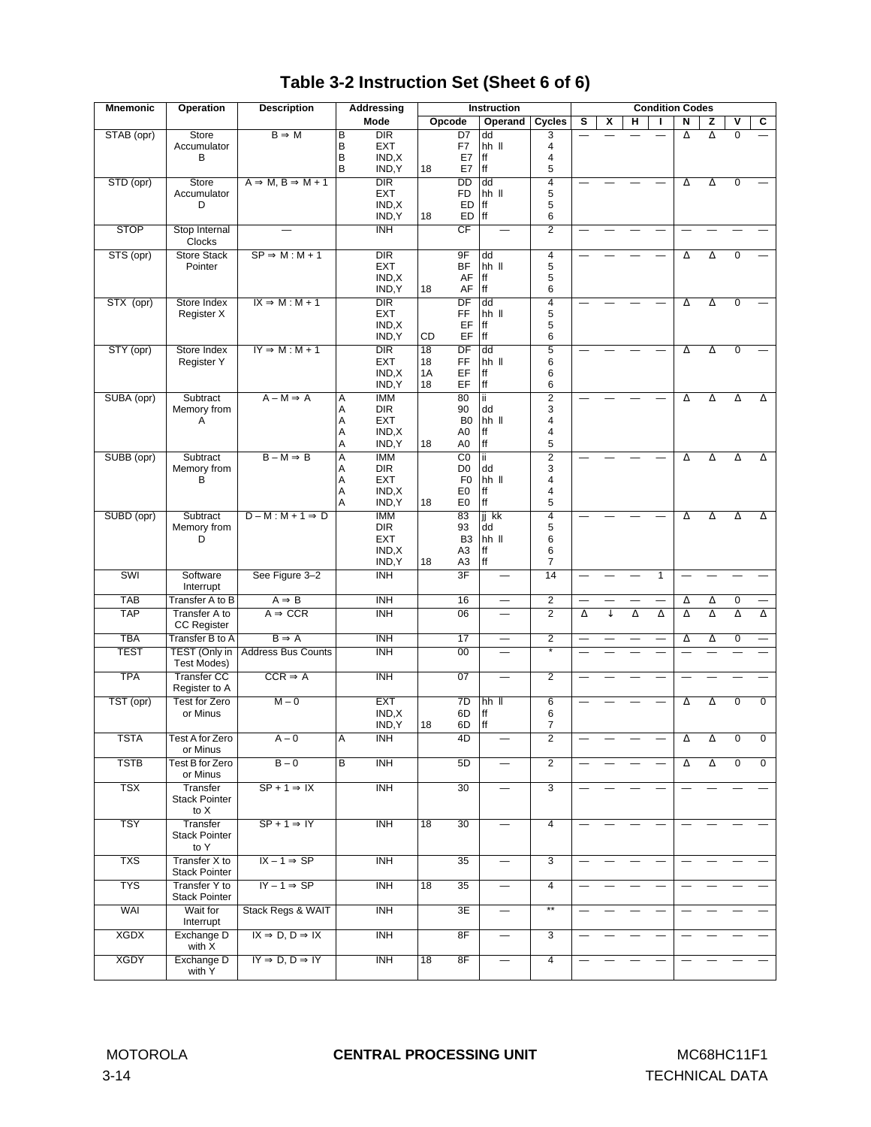| <b>Mnemonic</b> | <b>Operation</b>             | <b>Description</b>                     |                | Addressing                     |          | <b>Instruction</b>               |             |                          |                          |          |   | <b>Condition Codes</b> |   |          |          |                         |                |
|-----------------|------------------------------|----------------------------------------|----------------|--------------------------------|----------|----------------------------------|-------------|--------------------------|--------------------------|----------|---|------------------------|---|----------|----------|-------------------------|----------------|
|                 |                              |                                        |                | Mode                           | Opcode   |                                  |             | Operand                  | Cycles                   | s        | x | н                      |   | N        | z        | $\overline{\mathsf{v}}$ | C              |
| STAB (opr)      | <b>Store</b>                 | $B \Rightarrow M$                      | B              | <b>DIR</b>                     |          | D7                               | dd          |                          | 3                        |          |   |                        |   | $\Delta$ | $\Delta$ | $\overline{0}$          |                |
|                 | Accumulator                  |                                        | B              | <b>EXT</b>                     |          | F7                               | hh II       |                          | $\overline{4}$           |          |   |                        |   |          |          |                         |                |
|                 | в                            |                                        | B              | IND, X                         |          | E7                               | ff          |                          | 4                        |          |   |                        |   |          |          |                         |                |
|                 |                              |                                        | B              | IND, Y                         | 18       | E7                               | ff          |                          | 5                        |          |   |                        |   |          |          |                         |                |
| STD (opr)       | <b>Store</b><br>Accumulator  | $A \Rightarrow M, B \Rightarrow M + 1$ |                | $\overline{DIR}$<br><b>EXT</b> |          | $\overline{DD}$<br><b>FD</b>     | dd<br>hh II |                          | $\overline{4}$<br>5      |          |   |                        |   | Δ        | Δ        | 0                       |                |
|                 | D                            |                                        |                | IND, X                         |          | ED                               | ff          |                          | 5                        |          |   |                        |   |          |          |                         |                |
|                 |                              |                                        |                | IND, Y                         | 18       | ED                               | ff          |                          | 6                        |          |   |                        |   |          |          |                         |                |
| <b>STOP</b>     | Stop Internal                |                                        |                | $\overline{\mathsf{INH}}$      |          | CF                               |             |                          | $\overline{2}$           |          |   |                        |   |          |          |                         |                |
|                 | <b>Clocks</b>                |                                        |                |                                |          |                                  |             |                          |                          |          |   |                        |   |          |          |                         |                |
| STS (opr)       | <b>Store Stack</b>           | $SP \Rightarrow M : M + 1$             |                | $\overline{DIR}$               |          | 9F                               | dd          |                          | $\overline{4}$           |          |   |                        |   | Δ        | Δ        | 0                       |                |
|                 | Pointer                      |                                        |                | <b>EXT</b>                     |          | BF                               | hh II       |                          | 5                        |          |   |                        |   |          |          |                         |                |
|                 |                              |                                        |                | IND, X                         |          | AF                               | ff<br>ff    |                          | 5<br>6                   |          |   |                        |   |          |          |                         |                |
|                 | Store Index                  | $IX \Rightarrow M : M + 1$             |                | IND, Y<br>$\overline{DIR}$     | 18       | AF<br>DF                         | dd          |                          | $\overline{4}$           |          |   |                        |   |          |          | 0                       |                |
| STX (opr)       | Register X                   |                                        |                | <b>EXT</b>                     |          | FF                               | hh II       |                          | 5                        |          |   |                        |   | Δ        | Δ        |                         |                |
|                 |                              |                                        |                | IND, X                         |          | EF                               | ff          |                          | 5                        |          |   |                        |   |          |          |                         |                |
|                 |                              |                                        |                | IND, Y                         | CD       | EF                               | $\sf ff$    |                          | 6                        |          |   |                        |   |          |          |                         |                |
| STY (opr)       | Store Index                  | $IY \Rightarrow M : M + 1$             |                | $\overline{DIR}$               | 18       | $\overline{DF}$                  | dd          |                          | $\overline{5}$           |          |   |                        |   | Δ        | Δ        | 0                       |                |
|                 | Register Y                   |                                        |                | <b>EXT</b>                     | 18       | FF                               | $hh$ $II$   |                          | 6                        |          |   |                        |   |          |          |                         |                |
|                 |                              |                                        |                | IND, X<br>IND, Y               | 1A<br>18 | EF<br>EF                         | ff<br>ff    |                          | 6<br>6                   |          |   |                        |   |          |          |                         |                |
| SUBA (opr)      | Subtract                     | $A - M \Rightarrow A$                  | Α              | <b>IMM</b>                     |          | 80                               | ΪĹ          |                          | $\overline{2}$           |          |   |                        |   |          |          |                         |                |
|                 | Memory from                  |                                        | Α              | DIR                            |          | 90                               | dd          |                          | 3                        |          |   |                        |   | Δ        | Δ        | Δ                       | Δ              |
|                 | Α                            |                                        | Α              | <b>EXT</b>                     |          | B <sub>0</sub>                   | hh II       |                          | 4                        |          |   |                        |   |          |          |                         |                |
|                 |                              |                                        | A              | IND, X                         |          | A <sub>0</sub>                   | ff          |                          | 4                        |          |   |                        |   |          |          |                         |                |
|                 |                              |                                        | Α              | IND, Y                         | 18       | A <sub>0</sub>                   | ff          |                          | 5                        |          |   |                        |   |          |          |                         |                |
| SUBB (opr)      | Subtract                     | $B - M \Rightarrow B$                  | A              | <b>IMM</b>                     |          | $\overline{C}0$                  | ïï          |                          | $\overline{2}$           |          |   |                        |   | Δ        | Δ        | Δ                       | Δ              |
|                 | Memory from                  |                                        | Α              | <b>DIR</b>                     |          | D <sub>0</sub>                   | dd          |                          | 3                        |          |   |                        |   |          |          |                         |                |
|                 | В                            |                                        | A<br>Α         | <b>EXT</b><br>IND, X           |          | F <sub>0</sub><br>E <sub>0</sub> | hh II<br>ff |                          | 4<br>4                   |          |   |                        |   |          |          |                         |                |
|                 |                              |                                        | Α              | IND, Y                         | 18       | E <sub>0</sub>                   | ff          |                          | 5                        |          |   |                        |   |          |          |                         |                |
| SUBD (opr)      | Subtract                     | $D-M: M+1 \Rightarrow D$               |                | <b>IMM</b>                     |          | 83                               | ji kk       |                          | $\overline{4}$           |          |   |                        |   | Δ        | Δ        | Δ                       | Δ              |
|                 | Memory from                  |                                        |                | <b>DIR</b>                     |          | 93                               | dd          |                          | 5                        |          |   |                        |   |          |          |                         |                |
|                 | D                            |                                        |                | <b>EXT</b>                     |          | B <sub>3</sub>                   | $hh$ $II$   |                          | 6                        |          |   |                        |   |          |          |                         |                |
|                 |                              |                                        |                | IND, X                         |          | A <sub>3</sub>                   | ff          |                          | 6                        |          |   |                        |   |          |          |                         |                |
|                 |                              |                                        |                | IND, Y                         | 18       | A <sub>3</sub>                   | ff          |                          | $\overline{7}$           |          |   |                        |   |          |          |                         |                |
| <b>SWI</b>      | Software<br>Interrupt        | See Figure 3-2                         |                | INH                            |          | $\overline{\mathsf{3F}}$         |             |                          | 14                       |          |   |                        | 1 |          |          |                         |                |
| <b>TAB</b>      | Transfer A to B              | $A \Rightarrow B$                      |                | <b>INH</b>                     |          | $\overline{16}$                  |             | $\overline{\phantom{0}}$ | $\overline{2}$           |          |   |                        |   | Δ        | $\Delta$ | $\overline{0}$          |                |
| <b>TAP</b>      | Transfer A to                | $A \Rightarrow CCR$                    |                | <b>INH</b>                     |          | 06                               |             |                          | $\overline{2}$           | $\Delta$ | ↓ | $\Delta$               | Δ | Δ        | Δ        | $\Delta$                | Δ              |
|                 | <b>CC Register</b>           |                                        |                |                                |          |                                  |             |                          |                          |          |   |                        |   |          |          |                         |                |
| <b>TBA</b>      | Transfer B to A              | $B \Rightarrow A$                      |                | <b>INH</b>                     |          | 17                               |             | $\overline{\phantom{0}}$ | $\overline{2}$           |          |   |                        |   | Δ        | Δ        | $\overline{0}$          |                |
| <b>TEST</b>     | TEST (Only in                | <b>Address Bus Counts</b>              |                | <b>INH</b>                     |          | 00                               |             |                          | $\overline{\ast}$        |          |   |                        |   |          |          |                         |                |
|                 | Test Modes)                  |                                        |                |                                |          |                                  |             |                          |                          |          |   |                        |   |          |          |                         |                |
| <b>TPA</b>      | <b>Transfer CC</b>           | $CCR \Rightarrow A$                    |                | $\overline{\text{INH}}$        |          | 07                               |             |                          | $\overline{2}$           |          |   |                        |   |          |          |                         |                |
|                 | Register to A                |                                        |                |                                |          |                                  |             |                          |                          |          |   |                        |   |          |          |                         |                |
| TST (opr)       | Test for Zero                | $M - 0$                                |                | <b>EXT</b>                     |          | $\overline{7D}$                  | hh II       |                          | $\overline{6}$           |          |   |                        |   | Δ        | Δ        | $\overline{0}$          | $\Omega$       |
|                 | or Minus                     |                                        |                | IND, X                         |          | 6D                               | ff<br>ff    |                          | 6<br>$\overline{7}$      |          |   |                        |   |          |          |                         |                |
| <b>TSTA</b>     | Test A for Zero              | $A - 0$                                |                | IND, Y<br><b>INH</b>           | 18       | 6D<br>4D                         |             |                          | $\overline{2}$           |          |   |                        |   |          |          |                         |                |
|                 | or Minus                     |                                        | A              |                                |          |                                  |             |                          |                          |          |   |                        |   |          |          |                         |                |
| <b>TSTB</b>     | Test B for Zero              | $B - 0$                                | $\overline{B}$ | INH                            |          | 5D                               |             |                          | $\overline{2}$           |          |   |                        |   | Δ        | Δ        | $\overline{0}$          | $\overline{0}$ |
|                 | or Minus                     |                                        |                |                                |          |                                  |             |                          |                          |          |   |                        |   |          |          |                         |                |
| <b>TSX</b>      | Transfer                     | $SP + 1 \Rightarrow IX$                |                | <b>INH</b>                     |          | 30                               |             |                          | $\overline{3}$           |          |   |                        |   |          |          |                         |                |
|                 | <b>Stack Pointer</b>         |                                        |                |                                |          |                                  |             |                          |                          |          |   |                        |   |          |          |                         |                |
|                 | to X                         |                                        |                |                                |          |                                  |             |                          |                          |          |   |                        |   |          |          |                         |                |
| <b>TSY</b>      | Transfer                     | $SP + 1 \Rightarrow IY$                |                | <b>INH</b>                     | 18       | 30                               |             |                          | $\overline{4}$           |          |   |                        |   |          |          |                         |                |
|                 | <b>Stack Pointer</b><br>to Y |                                        |                |                                |          |                                  |             |                          |                          |          |   |                        |   |          |          |                         |                |
| <b>TXS</b>      | <b>Transfer X to</b>         | $IX - 1 \Rightarrow SP$                |                | <b>INH</b>                     |          | 35                               |             |                          | $\overline{3}$           |          |   |                        |   |          |          |                         |                |
|                 | <b>Stack Pointer</b>         |                                        |                |                                |          |                                  |             |                          |                          |          |   |                        |   |          |          |                         |                |
| <b>TYS</b>      | <b>Transfer Y to</b>         | $IY - 1 \Rightarrow SP$                |                | <b>INH</b>                     | 18       | 35                               |             |                          | 4                        |          |   |                        |   |          |          |                         |                |
|                 | <b>Stack Pointer</b>         |                                        |                |                                |          |                                  |             |                          |                          |          |   |                        |   |          |          |                         |                |
| <b>WAI</b>      | Wait for                     | Stack Regs & WAIT                      |                | <b>INH</b>                     |          | 3E                               |             |                          | $\overline{\phantom{a}}$ |          |   |                        |   |          |          |                         |                |
|                 | Interrupt                    |                                        |                |                                |          |                                  |             |                          |                          |          |   |                        |   |          |          |                         |                |
| <b>XGDX</b>     | Exchange D                   | $IX \Rightarrow D, D \Rightarrow IX$   |                | <b>INH</b>                     |          | 8F                               |             |                          | 3                        |          |   |                        |   |          |          |                         |                |
|                 | with X                       |                                        |                |                                |          |                                  |             |                          |                          |          |   |                        |   |          |          |                         |                |
| <b>XGDY</b>     | Exchange D<br>with Y         | $IY \Rightarrow D, D \Rightarrow IY$   |                | <b>INH</b>                     | 18       | 8F                               |             |                          | $\overline{4}$           |          |   |                        |   |          |          |                         |                |
|                 |                              |                                        |                |                                |          |                                  |             |                          |                          |          |   |                        |   |          |          |                         |                |

# **Table 3-2 Instruction Set (Sheet 6 of 6)**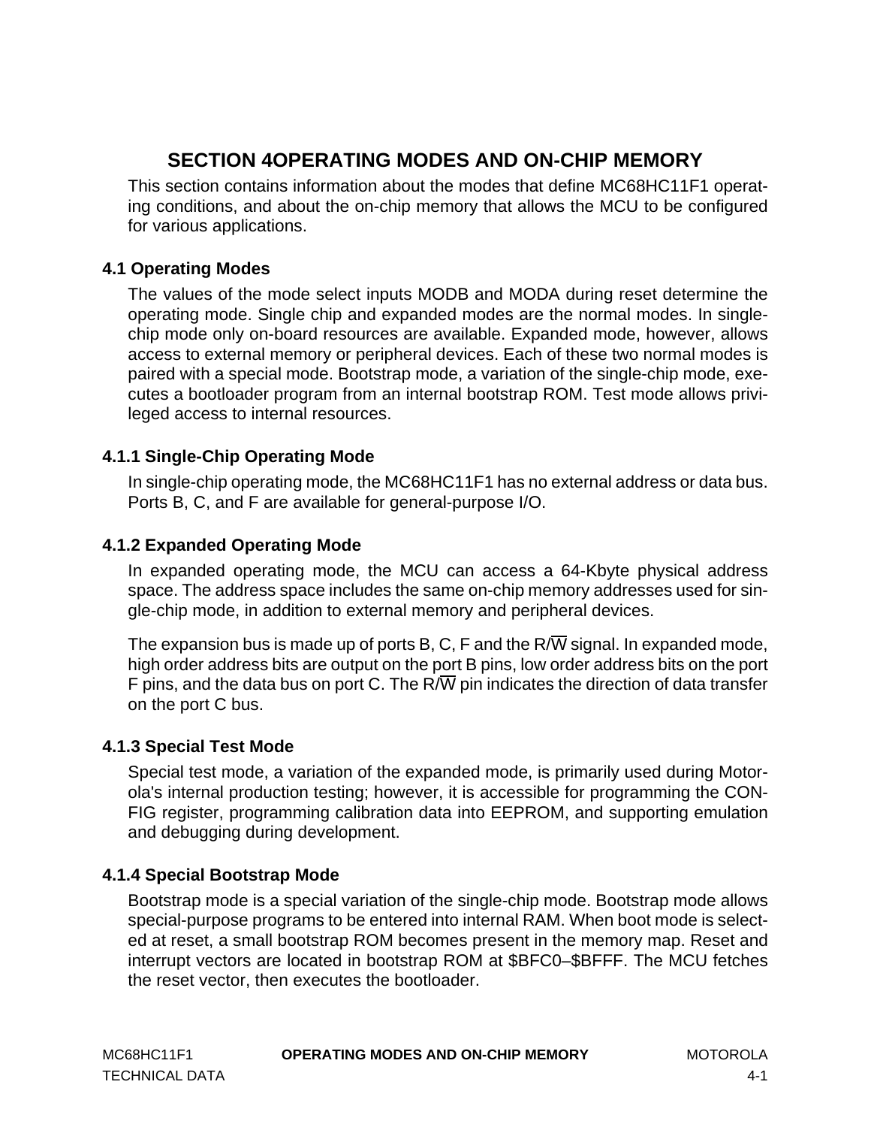# **SECTION 4OPERATING MODES AND ON-CHIP MEMORY**

<span id="page-38-0"></span>This section contains information about the modes that define MC68HC11F1 operating conditions, and about the on-chip memory that allows the MCU to be configured for various applications.

## **4.1 Operating Modes**

The values of the mode select inputs MODB and MODA during reset determine the operating mode. Single chip and expanded modes are the normal modes. In singlechip mode only on-board resources are available. Expanded mode, however, allows access to external memory or peripheral devices. Each of these two normal modes is paired with a special mode. Bootstrap mode, a variation of the single-chip mode, executes a bootloader program from an internal bootstrap ROM. Test mode allows privileged access to internal resources.

## **4.1.1 Single-Chip Operating Mode**

In single-chip operating mode, the MC68HC11F1 has no external address or data bus. Ports B, C, and F are available for general-purpose I/O.

## **4.1.2 Expanded Operating Mode**

In expanded operating mode, the MCU can access a 64-Kbyte physical address space. The address space includes the same on-chip memory addresses used for single-chip mode, in addition to external memory and peripheral devices.

The expansion bus is made up of ports B, C, F and the  $R/\overline{W}$  signal. In expanded mode, high order address bits are output on the port B pins, low order address bits on the port F pins, and the data bus on port C. The R/ $\overline{W}$  pin indicates the direction of data transfer on the port C bus.

## **4.1.3 Special Test Mode**

Special test mode, a variation of the expanded mode, is primarily used during Motorola's internal production testing; however, it is accessible for programming the CON-FIG register, programming calibration data into EEPROM, and supporting emulation and debugging during development.

## **4.1.4 Special Bootstrap Mode**

Bootstrap mode is a special variation of the single-chip mode. Bootstrap mode allows special-purpose programs to be entered into internal RAM. When boot mode is selected at reset, a small bootstrap ROM becomes present in the memory map. Reset and interrupt vectors are located in bootstrap ROM at \$BFC0–\$BFFF. The MCU fetches the reset vector, then executes the bootloader.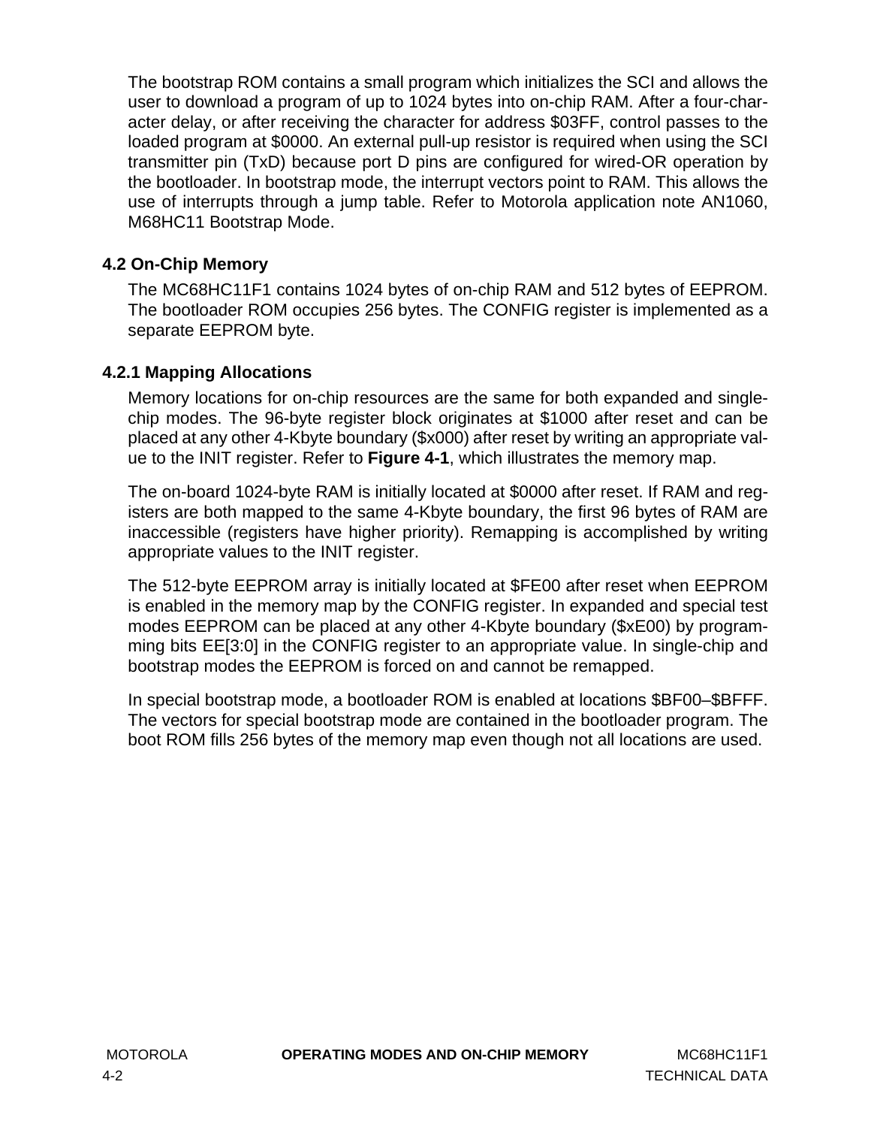The bootstrap ROM contains a small program which initializes the SCI and allows the user to download a program of up to 1024 bytes into on-chip RAM. After a four-character delay, or after receiving the character for address \$03FF, control passes to the loaded program at \$0000. An external pull-up resistor is required when using the SCI transmitter pin (TxD) because port D pins are configured for wired-OR operation by the bootloader. In bootstrap mode, the interrupt vectors point to RAM. This allows the use of interrupts through a jump table. Refer to Motorola application note AN1060, M68HC11 Bootstrap Mode.

## **4.2 On-Chip Memory**

The MC68HC11F1 contains 1024 bytes of on-chip RAM and 512 bytes of EEPROM. The bootloader ROM occupies 256 bytes. The CONFIG register is implemented as a separate EEPROM byte.

## **4.2.1 Mapping Allocations**

Memory locations for on-chip resources are the same for both expanded and singlechip modes. The 96-byte register block originates at \$1000 after reset and can be placed at any other 4-Kbyte boundary (\$x000) after reset by writing an appropriate value to the INIT register. Refer to **[Figure 4-1](#page-40-0)**, which illustrates the memory map.

The on-board 1024-byte RAM is initially located at \$0000 after reset. If RAM and registers are both mapped to the same 4-Kbyte boundary, the first 96 bytes of RAM are inaccessible (registers have higher priority). Remapping is accomplished by writing appropriate values to the INIT register.

The 512-byte EEPROM array is initially located at \$FE00 after reset when EEPROM is enabled in the memory map by the CONFIG register. In expanded and special test modes EEPROM can be placed at any other 4-Kbyte boundary (\$xE00) by programming bits EE[3:0] in the CONFIG register to an appropriate value. In single-chip and bootstrap modes the EEPROM is forced on and cannot be remapped.

In special bootstrap mode, a bootloader ROM is enabled at locations \$BF00–\$BFFF. The vectors for special bootstrap mode are contained in the bootloader program. The boot ROM fills 256 bytes of the memory map even though not all locations are used.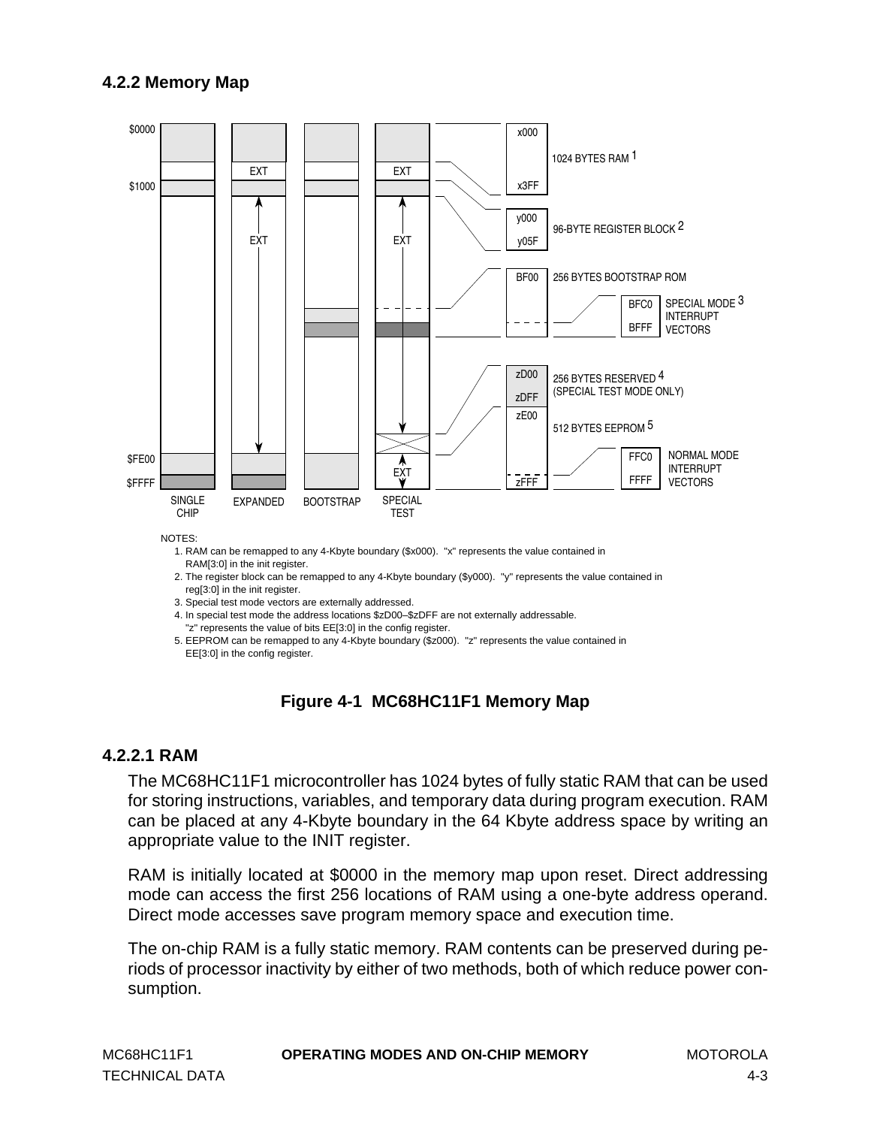### <span id="page-40-0"></span>**4.2.2 Memory Map**



NOTES:

1. RAM can be remapped to any 4-Kbyte boundary (\$x000). "x" represents the value contained in

RAM[3:0] in the init register.

- 2. The register block can be remapped to any 4-Kbyte boundary (\$y000). "y" represents the value contained in reg[3:0] in the init register.
- 3. Special test mode vectors are externally addressed.

4. In special test mode the address locations \$zD00–\$zDFF are not externally addressable.

"z" represents the value of bits EE[3:0] in the config register.

 5. EEPROM can be remapped to any 4-Kbyte boundary (\$z000). "z" represents the value contained in EE[3:0] in the config register.

## **Figure 4-1 MC68HC11F1 Memory Map**

#### **4.2.2.1 RAM**

The MC68HC11F1 microcontroller has 1024 bytes of fully static RAM that can be used for storing instructions, variables, and temporary data during program execution. RAM can be placed at any 4-Kbyte boundary in the 64 Kbyte address space by writing an appropriate value to the INIT register.

RAM is initially located at \$0000 in the memory map upon reset. Direct addressing mode can access the first 256 locations of RAM using a one-byte address operand. Direct mode accesses save program memory space and execution time.

The on-chip RAM is a fully static memory. RAM contents can be preserved during periods of processor inactivity by either of two methods, both of which reduce power consumption.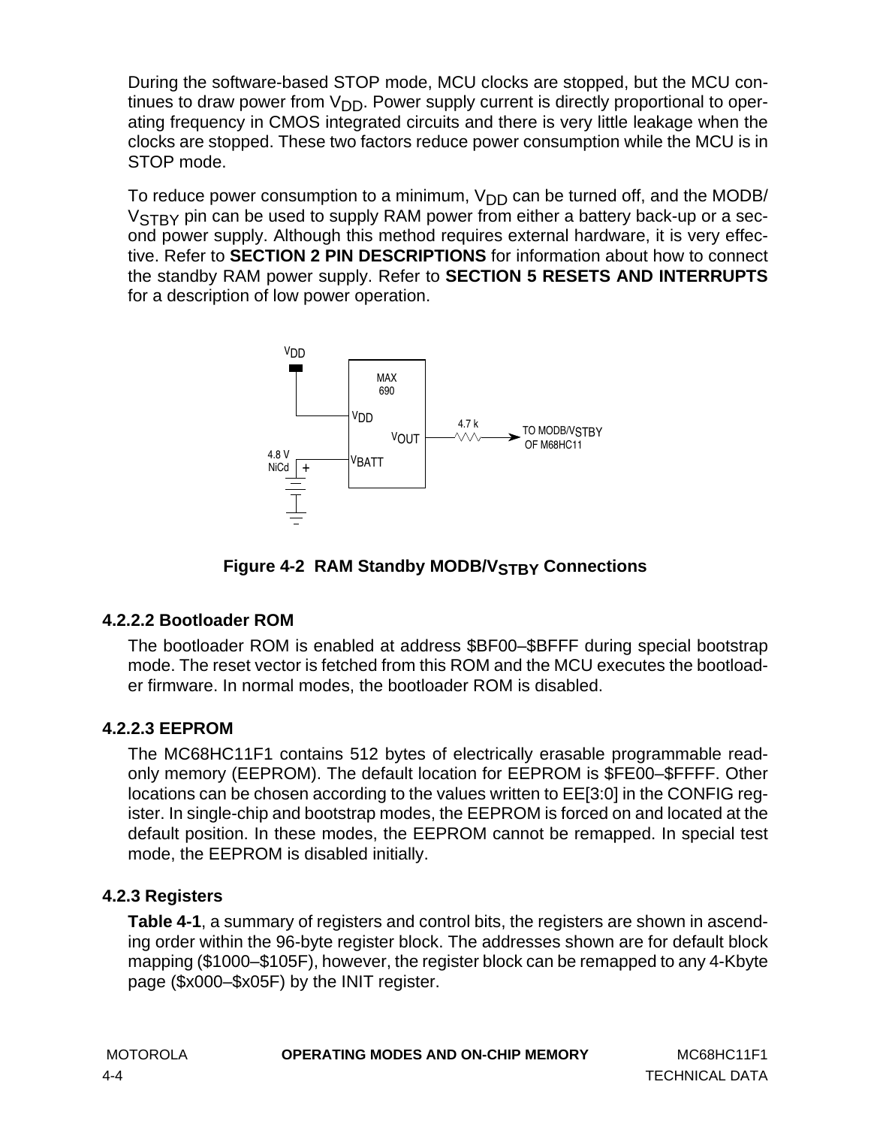During the software-based STOP mode, MCU clocks are stopped, but the MCU continues to draw power from  $V_{DD}$ . Power supply current is directly proportional to operating frequency in CMOS integrated circuits and there is very little leakage when the clocks are stopped. These two factors reduce power consumption while the MCU is in STOP mode.

To reduce power consumption to a minimum,  $V_{DD}$  can be turned off, and the MODB/ V<sub>STBY</sub> pin can be used to supply RAM power from either a battery back-up or a second power supply. Although this method requires external hardware, it is very effective. Refer to **[SECTION 2 PIN DESCRIPTIONS](#page-14-0)** for information about how to connect the standby RAM power supply. Refer to **[SECTION 5 RESETS AND INTERRUPTS](#page-62-0)** for a description of low power operation.



**Figure 4-2 RAM Standby MODB/VSTBY Connections** 

## **4.2.2.2 Bootloader ROM**

The bootloader ROM is enabled at address \$BF00–\$BFFF during special bootstrap mode. The reset vector is fetched from this ROM and the MCU executes the bootloader firmware. In normal modes, the bootloader ROM is disabled.

## **4.2.2.3 EEPROM**

The MC68HC11F1 contains 512 bytes of electrically erasable programmable readonly memory (EEPROM). The default location for EEPROM is \$FE00–\$FFFF. Other locations can be chosen according to the values written to EE[3:0] in the CONFIG register. In single-chip and bootstrap modes, the EEPROM is forced on and located at the default position. In these modes, the EEPROM cannot be remapped. In special test mode, the EEPROM is disabled initially.

## **4.2.3 Registers**

**[Table 4-1](#page-42-0)**, a summary of registers and control bits, the registers are shown in ascending order within the 96-byte register block. The addresses shown are for default block mapping (\$1000–\$105F), however, the register block can be remapped to any 4-Kbyte page (\$x000–\$x05F) by the INIT register.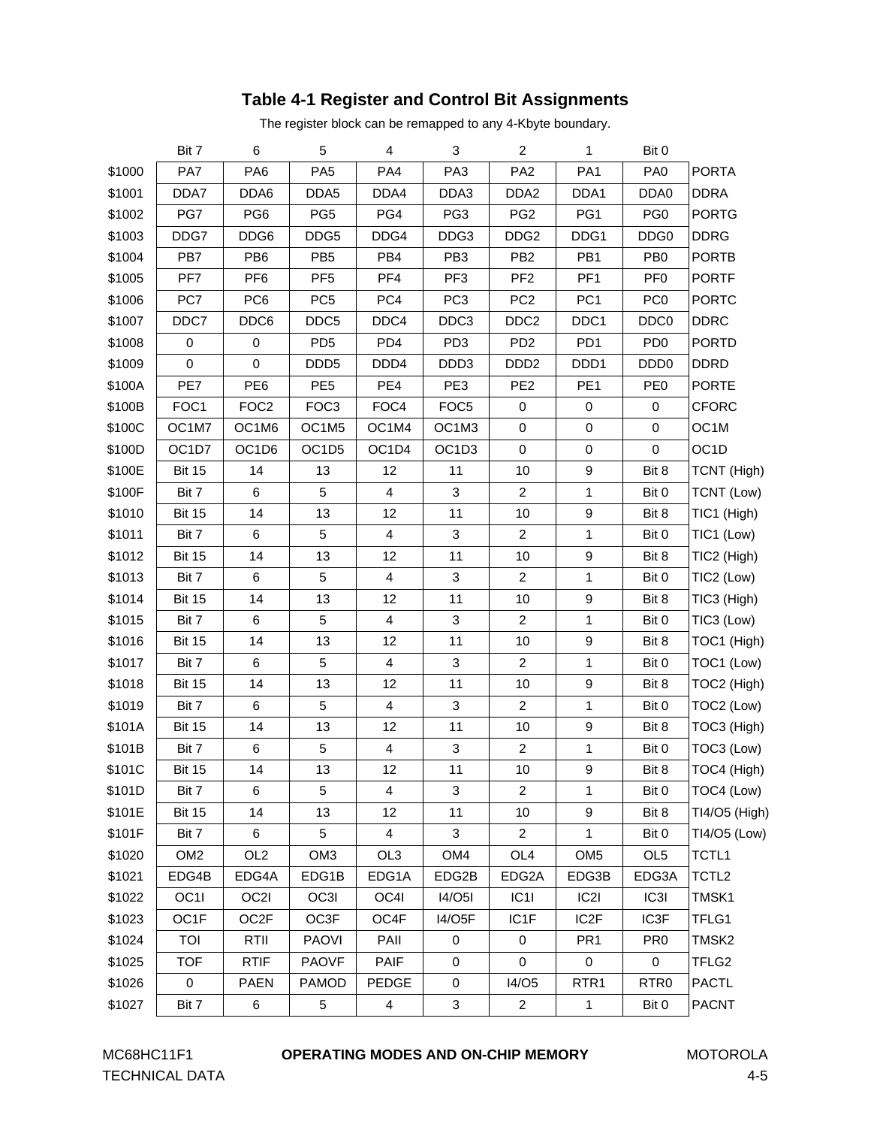### **Table 4-1 Register and Control Bit Assignments**

The register block can be remapped to any 4-Kbyte boundary.

<span id="page-42-0"></span>

|        | Bit 7           | 6                | 5                | 4                       | 3                | $\overline{2}$   | 1                 | Bit 0            |                   |
|--------|-----------------|------------------|------------------|-------------------------|------------------|------------------|-------------------|------------------|-------------------|
| \$1000 | PA7             | PA <sub>6</sub>  | PA <sub>5</sub>  | PA4                     | PA <sub>3</sub>  | PA <sub>2</sub>  | PA <sub>1</sub>   | PA <sub>0</sub>  | <b>PORTA</b>      |
| \$1001 | DDA7            | DDA6             | DDA5             | DDA4                    | DDA3             | DDA <sub>2</sub> | DDA1              | DDA0             | <b>DDRA</b>       |
| \$1002 | PG7             | PG <sub>6</sub>  | PG <sub>5</sub>  | PG4                     | PG3              | PG <sub>2</sub>  | PG1               | PG <sub>0</sub>  | <b>PORTG</b>      |
| \$1003 | DDG7            | DDG6             | DDG5             | DDG4                    | DDG3             | DDG <sub>2</sub> | DDG1              | DDG <sub>0</sub> | <b>DDRG</b>       |
| \$1004 | PB7             | PB <sub>6</sub>  | PB <sub>5</sub>  | PB4                     | PB <sub>3</sub>  | PB <sub>2</sub>  | PB1               | PB <sub>0</sub>  | <b>PORTB</b>      |
| \$1005 | PF7             | PF <sub>6</sub>  | PF <sub>5</sub>  | PF4                     | PF <sub>3</sub>  | PF <sub>2</sub>  | PF <sub>1</sub>   | PF <sub>0</sub>  | <b>PORTF</b>      |
| \$1006 | PC7             | PC <sub>6</sub>  | PC <sub>5</sub>  | PC4                     | PC <sub>3</sub>  | PC <sub>2</sub>  | PC <sub>1</sub>   | PC <sub>0</sub>  | <b>PORTC</b>      |
| \$1007 | DDC7            | DDC6             | DDC5             | DDC4                    | DDC3             | DDC <sub>2</sub> | DDC1              | DDC <sub>0</sub> | <b>DDRC</b>       |
| \$1008 | $\pmb{0}$       | 0                | PD <sub>5</sub>  | PD <sub>4</sub>         | PD <sub>3</sub>  | PD <sub>2</sub>  | PD <sub>1</sub>   | PD <sub>0</sub>  | <b>PORTD</b>      |
| \$1009 | 0               | 0                | DDD <sub>5</sub> | DDD4                    | DDD3             | DDD <sub>2</sub> | DDD1              | DDD <sub>0</sub> | <b>DDRD</b>       |
| \$100A | PE7             | PE <sub>6</sub>  | PE <sub>5</sub>  | PE4                     | PE3              | PE <sub>2</sub>  | PE <sub>1</sub>   | PE <sub>0</sub>  | <b>PORTE</b>      |
| \$100B | FOC1            | FOC <sub>2</sub> | FOC <sub>3</sub> | FOC4                    | FOC <sub>5</sub> | 0                | 0                 | 0                | <b>CFORC</b>      |
| \$100C | OC1M7           | OC1M6            | OC1M5            | OC1M4                   | OC1M3            | 0                | $\mathbf 0$       | 0                | OC1M              |
| \$100D | OC1D7           | OC1D6            | OC1D5            | OC1D4                   | OC1D3            | 0                | 0                 | 0                | OC <sub>1</sub> D |
| \$100E | <b>Bit 15</b>   | 14               | 13               | 12                      | 11               | 10               | 9                 | Bit 8            | TCNT (High)       |
| \$100F | Bit 7           | 6                | 5                | 4                       | 3                | 2                | 1                 | Bit 0            | TCNT (Low)        |
| \$1010 | <b>Bit 15</b>   | 14               | 13               | 12                      | 11               | 10               | 9                 | Bit 8            | TIC1 (High)       |
| \$1011 | Bit 7           | 6                | 5                | 4                       | 3                | $\overline{c}$   | 1                 | Bit 0            | TIC1 (Low)        |
| \$1012 | <b>Bit 15</b>   | 14               | 13               | 12                      | 11               | 10               | 9                 | Bit 8            | TIC2 (High)       |
| \$1013 | Bit 7           | 6                | 5                | 4                       | 3                | 2                | 1                 | Bit 0            | TIC2 (Low)        |
| \$1014 | <b>Bit 15</b>   | 14               | 13               | 12                      | 11               | 10               | 9                 | Bit 8            | TIC3 (High)       |
| \$1015 | Bit 7           | 6                | 5                | 4                       | 3                | $\overline{c}$   | 1                 | Bit 0            | TIC3 (Low)        |
| \$1016 | <b>Bit 15</b>   | 14               | 13               | 12                      | 11               | 10               | 9                 | Bit 8            | TOC1 (High)       |
| \$1017 | Bit 7           | 6                | 5                | 4                       | 3                | 2                | 1                 | Bit 0            | TOC1 (Low)        |
| \$1018 | <b>Bit 15</b>   | 14               | 13               | 12                      | 11               | 10               | 9                 | Bit 8            | TOC2 (High)       |
| \$1019 | Bit 7           | 6                | 5                | 4                       | 3                | $\overline{2}$   | 1                 | Bit 0            | TOC2 (Low)        |
| \$101A | <b>Bit 15</b>   | 14               | 13               | 12                      | 11               | 10               | 9                 | Bit 8            | TOC3 (High)       |
| \$101B | Bit 7           | 6                | 5                | 4                       | 3                | 2                | 1                 | Bit 0            | TOC3 (Low)        |
| \$101C | <b>Bit 15</b>   | 14               | 13               | 12                      | 11               | 10               | 9                 | Bit 8            | TOC4 (High)       |
| \$101D | Bit 7           | 6                | 5                | 4                       | 3                | 2                | 1                 | Bit 0            | TOC4 (Low)        |
| \$101E | <b>Bit 15</b>   | 14               | 13               | 12                      | 11               | 10               | 9                 | Bit 8            | TI4/O5 (High)     |
| \$101F | Bit 7           | 6                | 5                | 4                       | 3                | $\overline{2}$   | 1                 | Bit 0            | TI4/O5 (Low)      |
| \$1020 | OM <sub>2</sub> | OL <sub>2</sub>  | OM <sub>3</sub>  | OL3                     | OM4              | OL <sub>4</sub>  | OM <sub>5</sub>   | OL <sub>5</sub>  | TCTL1             |
| \$1021 | EDG4B           | EDG4A            | EDG1B            | EDG1A                   | EDG2B            | EDG2A            | EDG3B             | EDG3A            | TCTL <sub>2</sub> |
| \$1022 | OC1I            | OC2I             | OC3I             | OC4I                    | <b>I4/O5I</b>    | C1               | C2                | IC3I             | TMSK1             |
| \$1023 | OC1F            | OC2F             | OC3F             | OC4F                    | 14/O5F           | IC1F             | IC <sub>2</sub> F | IC3F             | TFLG1             |
| \$1024 | TOI             | RTII             | <b>PAOVI</b>     | PAII                    | $\pmb{0}$        | 0                | PR <sub>1</sub>   | PR <sub>0</sub>  | TMSK2             |
| \$1025 | <b>TOF</b>      | <b>RTIF</b>      | <b>PAOVF</b>     | <b>PAIF</b>             | 0                | 0                | 0                 | 0                | TFLG2             |
| \$1026 | $\pmb{0}$       | <b>PAEN</b>      | <b>PAMOD</b>     | PEDGE                   | 0                | I4/O5            | RTR <sub>1</sub>  | RTR <sub>0</sub> | <b>PACTL</b>      |
| \$1027 | Bit 7           | 6                | $\mathbf 5$      | $\overline{\mathbf{4}}$ | 3                | $\overline{c}$   | $\mathbf{1}$      | Bit 0            | <b>PACNT</b>      |

TECHNICAL DATA 4-5

#### MC68HC11F1 **OPERATING MODES AND ON-CHIP MEMORY** MOTOROLA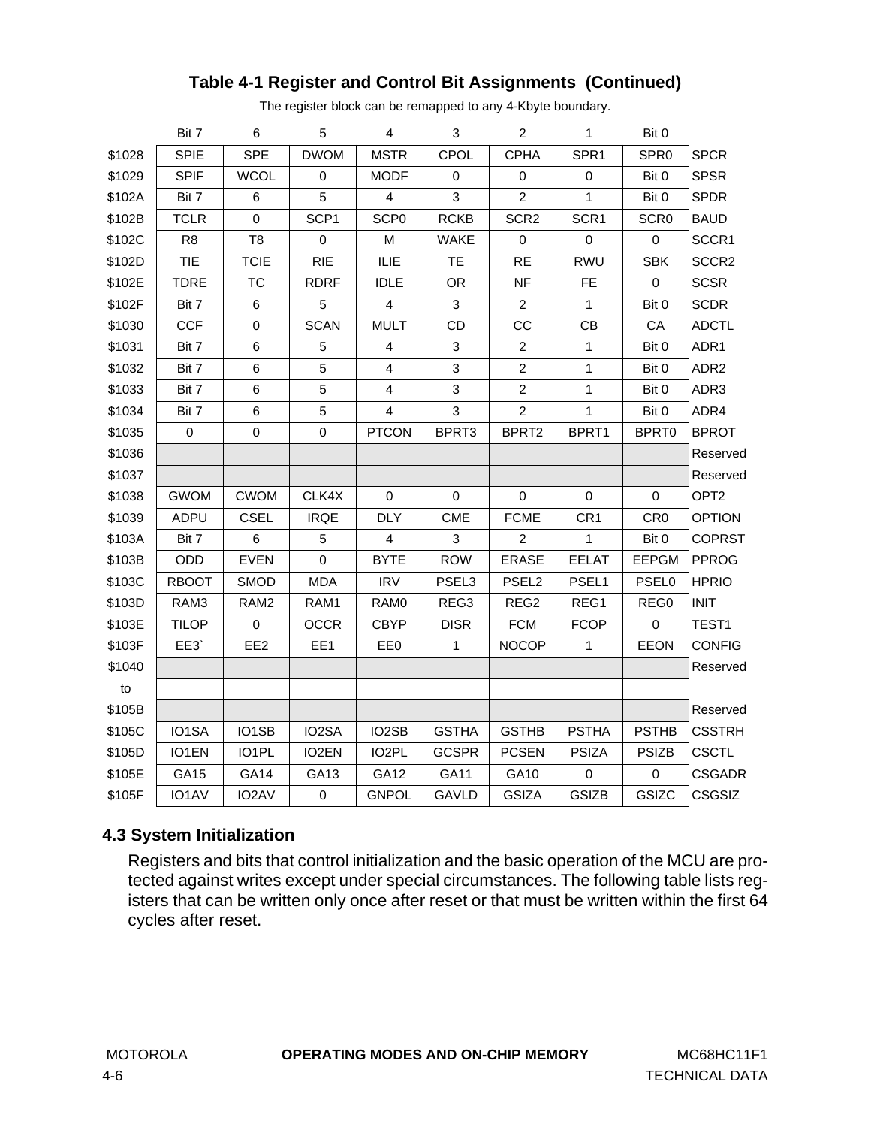|        | Bit 7          | 6                | 5           | 4                       | $\mathbf{3}$      | $\overline{2}$    | $\mathbf{1}$    | Bit 0            |                   |
|--------|----------------|------------------|-------------|-------------------------|-------------------|-------------------|-----------------|------------------|-------------------|
| \$1028 | <b>SPIE</b>    | <b>SPE</b>       | <b>DWOM</b> | <b>MSTR</b>             | CPOL              | <b>CPHA</b>       | SPR1            | SPR <sub>0</sub> | <b>SPCR</b>       |
| \$1029 | <b>SPIF</b>    | <b>WCOL</b>      | 0           | <b>MODF</b>             | 0                 | $\pmb{0}$         | $\,0\,$         | Bit 0            | <b>SPSR</b>       |
| \$102A | Bit 7          | 6                | 5           | $\overline{\mathbf{4}}$ | 3                 | $\overline{2}$    | $\mathbf{1}$    | Bit 0            | <b>SPDR</b>       |
| \$102B | <b>TCLR</b>    | 0                | SCP1        | SCP <sub>0</sub>        | <b>RCKB</b>       | SCR <sub>2</sub>  | SCR1            | SCR <sub>0</sub> | <b>BAUD</b>       |
| \$102C | R <sub>8</sub> | T <sub>8</sub>   | $\mathbf 0$ | М                       | <b>WAKE</b>       | 0                 | $\mathbf 0$     | 0                | SCCR1             |
| \$102D | <b>TIE</b>     | <b>TCIE</b>      | <b>RIE</b>  | ILIE                    | <b>TE</b>         | <b>RE</b>         | RWU             | <b>SBK</b>       | SCCR <sub>2</sub> |
| \$102E | <b>TDRE</b>    | ТC               | <b>RDRF</b> | <b>IDLE</b>             | <b>OR</b>         | <b>NF</b>         | <b>FE</b>       | $\pmb{0}$        | <b>SCSR</b>       |
| \$102F | Bit 7          | 6                | 5           | $\overline{4}$          | 3                 | 2                 | $\mathbf{1}$    | Bit 0            | <b>SCDR</b>       |
| \$1030 | <b>CCF</b>     | 0                | <b>SCAN</b> | <b>MULT</b>             | CD                | CC                | CB              | CA               | <b>ADCTL</b>      |
| \$1031 | Bit 7          | 6                | 5           | $\overline{\mathbf{4}}$ | 3                 | $\boldsymbol{2}$  | 1               | Bit 0            | ADR1              |
| \$1032 | Bit 7          | 6                | 5           | 4                       | 3                 | $\overline{c}$    | 1               | Bit 0            | ADR <sub>2</sub>  |
| \$1033 | Bit 7          | 6                | 5           | 4                       | 3                 | $\overline{c}$    | $\mathbf{1}$    | Bit 0            | ADR3              |
| \$1034 | Bit 7          | 6                | 5           | $\overline{\mathbf{4}}$ | 3                 | $\overline{c}$    | $\mathbf{1}$    | Bit 0            | ADR4              |
| \$1035 | $\mathbf 0$    | $\boldsymbol{0}$ | $\mathsf 0$ | <b>PTCON</b>            | BPRT3             | BPRT2             | BPRT1           | BPRT0            | <b>BPROT</b>      |
| \$1036 |                |                  |             |                         |                   |                   |                 |                  | Reserved          |
| \$1037 |                |                  |             |                         |                   |                   |                 |                  | Reserved          |
| \$1038 | <b>GWOM</b>    | <b>CWOM</b>      | CLK4X       | 0                       | 0                 | 0                 | 0               | 0                | OPT <sub>2</sub>  |
| \$1039 | <b>ADPU</b>    | <b>CSEL</b>      | <b>IRQE</b> | <b>DLY</b>              | <b>CME</b>        | <b>FCME</b>       | CR <sub>1</sub> | CR <sub>0</sub>  | <b>OPTION</b>     |
| \$103A | Bit 7          | 6                | 5           | $\overline{\mathbf{4}}$ | 3                 | $\overline{c}$    | $\mathbf{1}$    | Bit 0            | <b>COPRST</b>     |
| \$103B | ODD            | <b>EVEN</b>      | $\mathsf 0$ | <b>BYTE</b>             | <b>ROW</b>        | <b>ERASE</b>      | <b>EELAT</b>    | <b>EEPGM</b>     | <b>PPROG</b>      |
| \$103C | <b>RBOOT</b>   | <b>SMOD</b>      | <b>MDA</b>  | <b>IRV</b>              | PSEL <sub>3</sub> | PSEL <sub>2</sub> | PSEL1           | <b>PSEL0</b>     | <b>HPRIO</b>      |
| \$103D | RAM3           | RAM2             | RAM1        | RAM0                    | REG3              | REG2              | REG1            | REG0             | <b>INIT</b>       |
| \$103E | <b>TILOP</b>   | 0                | <b>OCCR</b> | <b>CBYP</b>             | <b>DISR</b>       | <b>FCM</b>        | <b>FCOP</b>     | $\pmb{0}$        | TEST1             |
| \$103F | EE3            | EE <sub>2</sub>  | EE1         | EE0                     | $\mathbf{1}$      | <b>NOCOP</b>      | $\mathbf{1}$    | <b>EEON</b>      | <b>CONFIG</b>     |
| \$1040 |                |                  |             |                         |                   |                   |                 |                  | Reserved          |
| to     |                |                  |             |                         |                   |                   |                 |                  |                   |
| \$105B |                |                  |             |                         |                   |                   |                 |                  | Reserved          |
| \$105C | IO1SA          | IO1SB            | IO2SA       | IO2SB                   | <b>GSTHA</b>      | <b>GSTHB</b>      | <b>PSTHA</b>    | <b>PSTHB</b>     | <b>CSSTRH</b>     |
| \$105D | IO1EN          | IO1PL            | IO2EN       | IO <sub>2</sub> PL      | <b>GCSPR</b>      | <b>PCSEN</b>      | <b>PSIZA</b>    | <b>PSIZB</b>     | <b>CSCTL</b>      |
| \$105E | GA15           | GA14             | GA13        | GA12                    | GA11              | GA10              | 0               | 0                | <b>CSGADR</b>     |
| \$105F | IO1AV          | IO2AV            | $\mathsf 0$ | <b>GNPOL</b>            | <b>GAVLD</b>      | <b>GSIZA</b>      | <b>GSIZB</b>    | GSIZC            | CSGSIZ            |

## **Table 4-1 Register and Control Bit Assignments (Continued)**

The register block can be remapped to any 4-Kbyte boundary.

## **4.3 System Initialization**

Registers and bits that control initialization and the basic operation of the MCU are protected against writes except under special circumstances. The following table lists registers that can be written only once after reset or that must be written within the first 64 cycles after reset.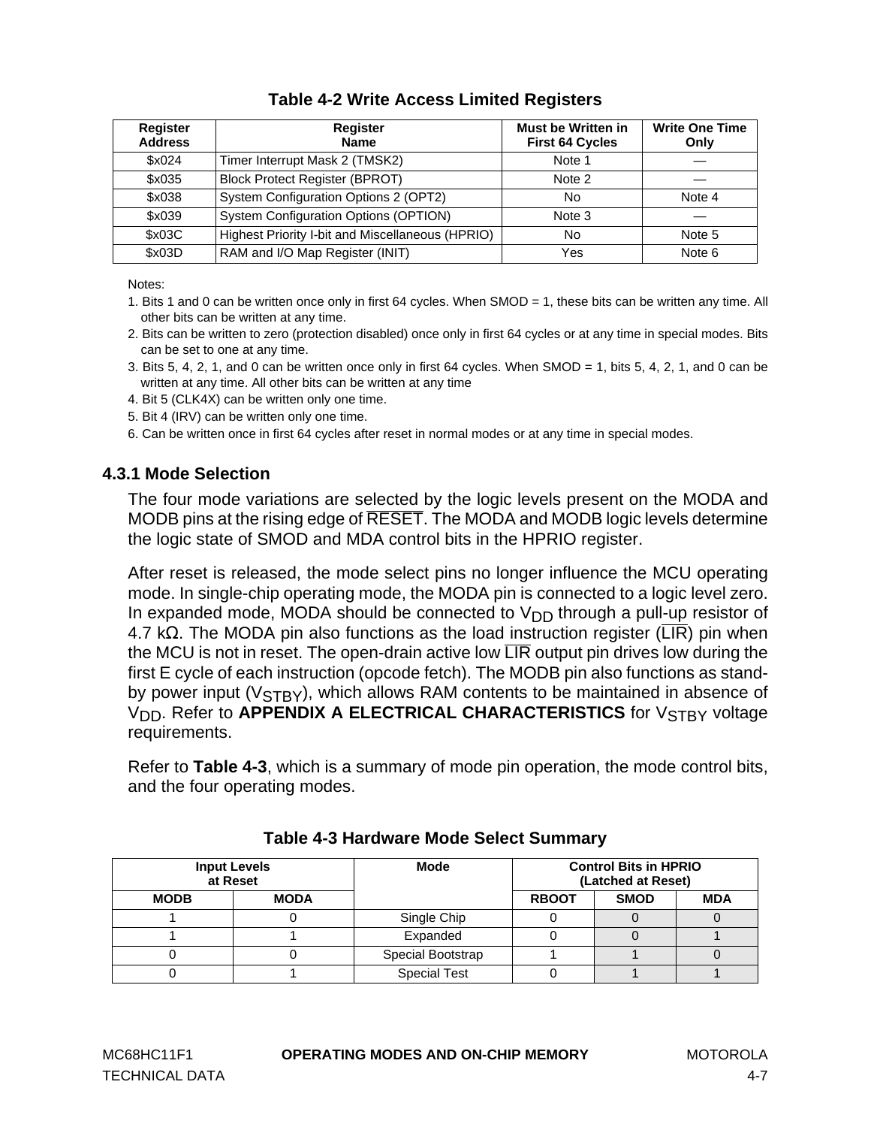<span id="page-44-0"></span>

| Register<br><b>Address</b> | <b>Register</b><br><b>Name</b>                   | <b>Must be Written in</b><br><b>First 64 Cycles</b> | <b>Write One Time</b><br>Only |
|----------------------------|--------------------------------------------------|-----------------------------------------------------|-------------------------------|
| \$x024                     | Timer Interrupt Mask 2 (TMSK2)                   | Note 1                                              |                               |
| \$x035                     | <b>Block Protect Register (BPROT)</b>            | Note 2                                              |                               |
| \$x038                     | System Configuration Options 2 (OPT2)            | No                                                  | Note 4                        |
| \$x039                     | System Configuration Options (OPTION)            | Note 3                                              |                               |
| \$x03C                     | Highest Priority I-bit and Miscellaneous (HPRIO) | No                                                  | Note 5                        |
| \$x03D                     | RAM and I/O Map Register (INIT)                  | Yes                                                 | Note 6                        |

## **Table 4-2 Write Access Limited Registers**

Notes:

- 1. Bits 1 and 0 can be written once only in first 64 cycles. When SMOD = 1, these bits can be written any time. All other bits can be written at any time.
- 2. Bits can be written to zero (protection disabled) once only in first 64 cycles or at any time in special modes. Bits can be set to one at any time.
- 3. Bits 5, 4, 2, 1, and 0 can be written once only in first 64 cycles. When SMOD = 1, bits 5, 4, 2, 1, and 0 can be written at any time. All other bits can be written at any time
- 4. Bit 5 (CLK4X) can be written only one time.
- 5. Bit 4 (IRV) can be written only one time.

6. Can be written once in first 64 cycles after reset in normal modes or at any time in special modes.

#### **4.3.1 Mode Selection**

The four mode variations are selected by the logic levels present on the MODA and MODB pins at the rising edge of RESET. The MODA and MODB logic levels determine the logic state of SMOD and MDA control bits in the HPRIO register.

After reset is released, the mode select pins no longer influence the MCU operating mode. In single-chip operating mode, the MODA pin is connected to a logic level zero. In expanded mode, MODA should be connected to  $V_{DD}$  through a pull-up resistor of 4.7 k $\Omega$ . The MODA pin also functions as the load instruction register ( $\overline{\text{LIR}}$ ) pin when the MCU is not in reset. The open-drain active low  $\overline{\text{LIR}}$  output pin drives low during the first E cycle of each instruction (opcode fetch). The MODB pin also functions as standby power input ( $V_{STBY}$ ), which allows RAM contents to be maintained in absence of V<sub>DD</sub>. Refer to **[APPENDIX A ELECTRICAL CHARACTERISTICS](#page-134-0)** for V<sub>STBY</sub> voltage requirements.

Refer to **Table 4-3**, which is a summary of mode pin operation, the mode control bits, and the four operating modes.

|             | <b>Input Levels</b><br>at Reset | <b>Mode</b>         |              | <b>Control Bits in HPRIO</b><br>(Latched at Reset) |            |  |  |  |
|-------------|---------------------------------|---------------------|--------------|----------------------------------------------------|------------|--|--|--|
| <b>MODB</b> | <b>MODA</b>                     |                     | <b>RBOOT</b> | <b>SMOD</b>                                        | <b>MDA</b> |  |  |  |
|             |                                 | Single Chip         |              |                                                    |            |  |  |  |
|             |                                 | Expanded            |              |                                                    |            |  |  |  |
|             |                                 | Special Bootstrap   |              |                                                    |            |  |  |  |
|             |                                 | <b>Special Test</b> |              |                                                    |            |  |  |  |

#### **Table 4-3 Hardware Mode Select Summary**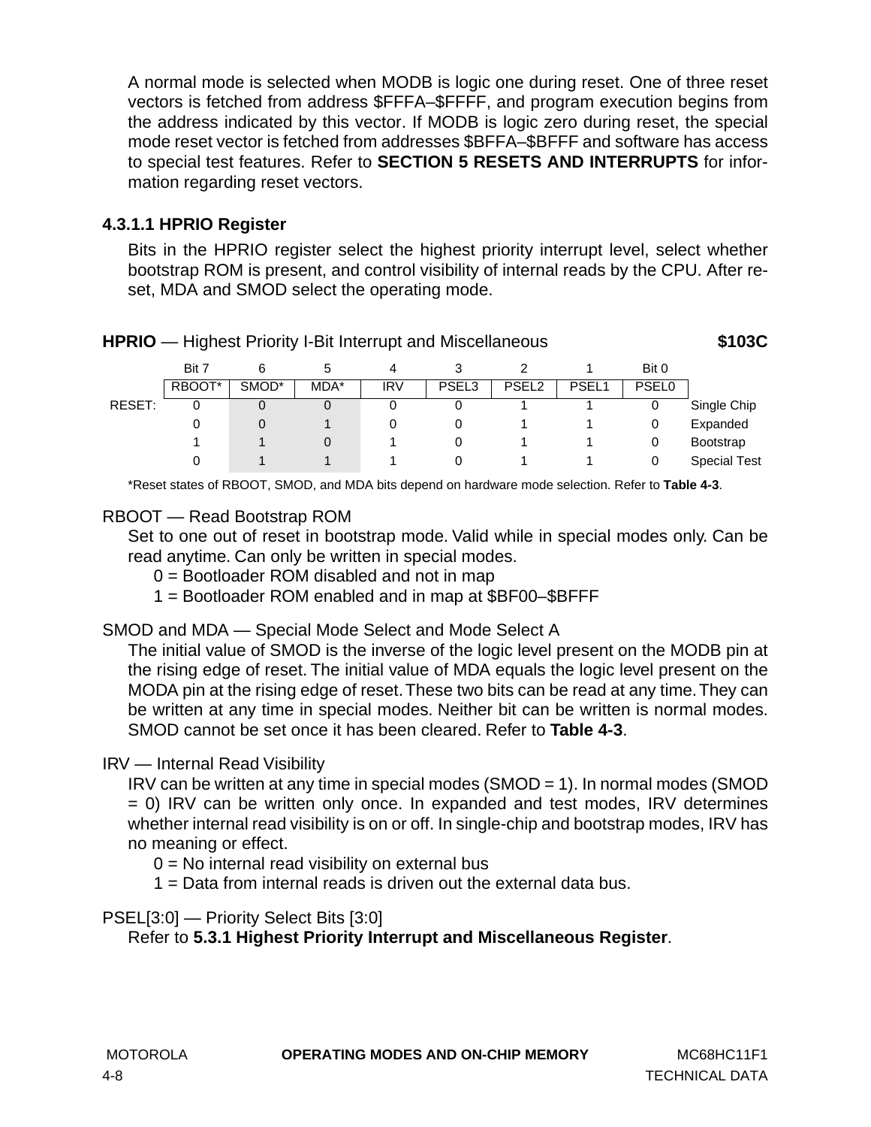A normal mode is selected when MODB is logic one during reset. One of three reset vectors is fetched from address \$FFFA–\$FFFF, and program execution begins from the address indicated by this vector. If MODB is logic zero during reset, the special mode reset vector is fetched from addresses \$BFFA–\$BFFF and software has access to special test features. Refer to **SECTION 5 RESETS AND INTERRUPTS** for information regarding reset vectors.

## **4.3.1.1 HPRIO Register**

Bits in the HPRIO register select the highest priority interrupt level, select whether bootstrap ROM is present, and control visibility of internal reads by the CPU. After reset, MDA and SMOD select the operating mode.

| Bit 7<br>Bit 0<br>4<br>٠h                                                                         |  |
|---------------------------------------------------------------------------------------------------|--|
| RBOOT*<br>SMOD*<br><b>PSEL0</b><br>PSEL3<br>PSEL <sub>1</sub><br>MDA*<br>PSEL <sub>2</sub><br>IRV |  |
| RESET:<br>Single Chip<br>0<br>0                                                                   |  |
| Expanded<br>0<br>0<br>0                                                                           |  |
| <b>Bootstrap</b><br>0<br>0                                                                        |  |
| <b>Special Test</b><br>0<br>0                                                                     |  |

\*Reset states of RBOOT, SMOD, and MDA bits depend on hardware mode selection. Refer to **[Table 4-3](#page-44-0)**.

### RBOOT — Read Bootstrap ROM

Set to one out of reset in bootstrap mode. Valid while in special modes only. Can be read anytime. Can only be written in special modes.

- 0 = Bootloader ROM disabled and not in map
- 1 = Bootloader ROM enabled and in map at \$BF00–\$BFFF

## SMOD and MDA — Special Mode Select and Mode Select A

The initial value of SMOD is the inverse of the logic level present on the MODB pin at the rising edge of reset. The initial value of MDA equals the logic level present on the MODA pin at the rising edge of reset. These two bits can be read at any time. They can be written at any time in special modes. Neither bit can be written is normal modes. SMOD cannot be set once it has been cleared. Refer to **[Table 4-3](#page-44-0)**.

## IRV — Internal Read Visibility

IRV can be written at any time in special modes (SMOD = 1). In normal modes (SMOD = 0) IRV can be written only once. In expanded and test modes, IRV determines whether internal read visibility is on or off. In single-chip and bootstrap modes, IRV has no meaning or effect.

 $0 = No$  internal read visibility on external bus

1 = Data from internal reads is driven out the external data bus.

PSEL[3:0] — Priority Select Bits [3:0]

Refer to **[5.3.1 Highest Priority Interrupt and Miscellaneous Register](#page-68-0)**.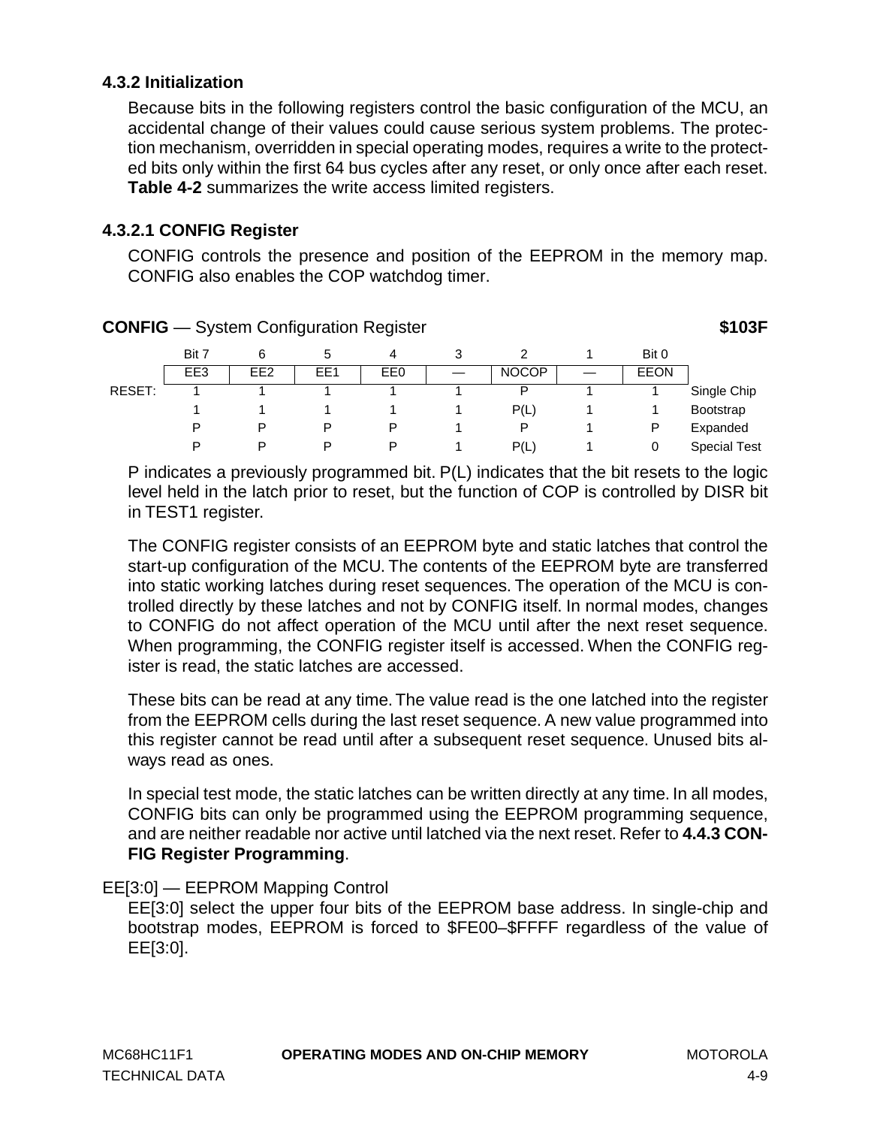## <span id="page-46-0"></span>**4.3.2 Initialization**

Because bits in the following registers control the basic configuration of the MCU, an accidental change of their values could cause serious system problems. The protection mechanism, overridden in special operating modes, requires a write to the protected bits only within the first 64 bus cycles after any reset, or only once after each reset. **[Table 4-2](#page-44-0)** summarizes the write access limited registers.

### **4.3.2.1 CONFIG Register**

CONFIG controls the presence and position of the EEPROM in the memory map. CONFIG also enables the COP watchdog timer.

|        |       | <b>CONFIG</b> — System Configuration Register |     |     |              |       | \$103F              |
|--------|-------|-----------------------------------------------|-----|-----|--------------|-------|---------------------|
|        | Bit 7 | 6                                             | ٠h  | 4   |              | Bit 0 |                     |
|        | EE3   | EE <sub>2</sub>                               | EE1 | EE0 | <b>NOCOP</b> | EEON  |                     |
| RESET: |       |                                               |     |     | P            |       | Single Chip         |
|        |       |                                               |     |     | P(L)         |       | <b>Bootstrap</b>    |
|        | P     | P                                             | P   | P   | P            | P     | Expanded            |
|        | P     | Þ                                             | D   | P   | P(L)         | 0     | <b>Special Test</b> |

P indicates a previously programmed bit. P(L) indicates that the bit resets to the logic level held in the latch prior to reset, but the function of COP is controlled by DISR bit in TEST1 register.

The CONFIG register consists of an EEPROM byte and static latches that control the start-up configuration of the MCU. The contents of the EEPROM byte are transferred into static working latches during reset sequences. The operation of the MCU is controlled directly by these latches and not by CONFIG itself. In normal modes, changes to CONFIG do not affect operation of the MCU until after the next reset sequence. When programming, the CONFIG register itself is accessed. When the CONFIG register is read, the static latches are accessed.

These bits can be read at any time. The value read is the one latched into the register from the EEPROM cells during the last reset sequence. A new value programmed into this register cannot be read until after a subsequent reset sequence. Unused bits always read as ones.

In special test mode, the static latches can be written directly at any time. In all modes, CONFIG bits can only be programmed using the EEPROM programming sequence, and are neither readable nor active until latched via the next reset. Refer to **[4.4.3 CON-](#page-54-0)[FIG Register Programming](#page-54-0)**.

#### EE[3:0] — EEPROM Mapping Control

EE[3:0] select the upper four bits of the EEPROM base address. In single-chip and bootstrap modes, EEPROM is forced to \$FE00–\$FFFF regardless of the value of EE[3:0].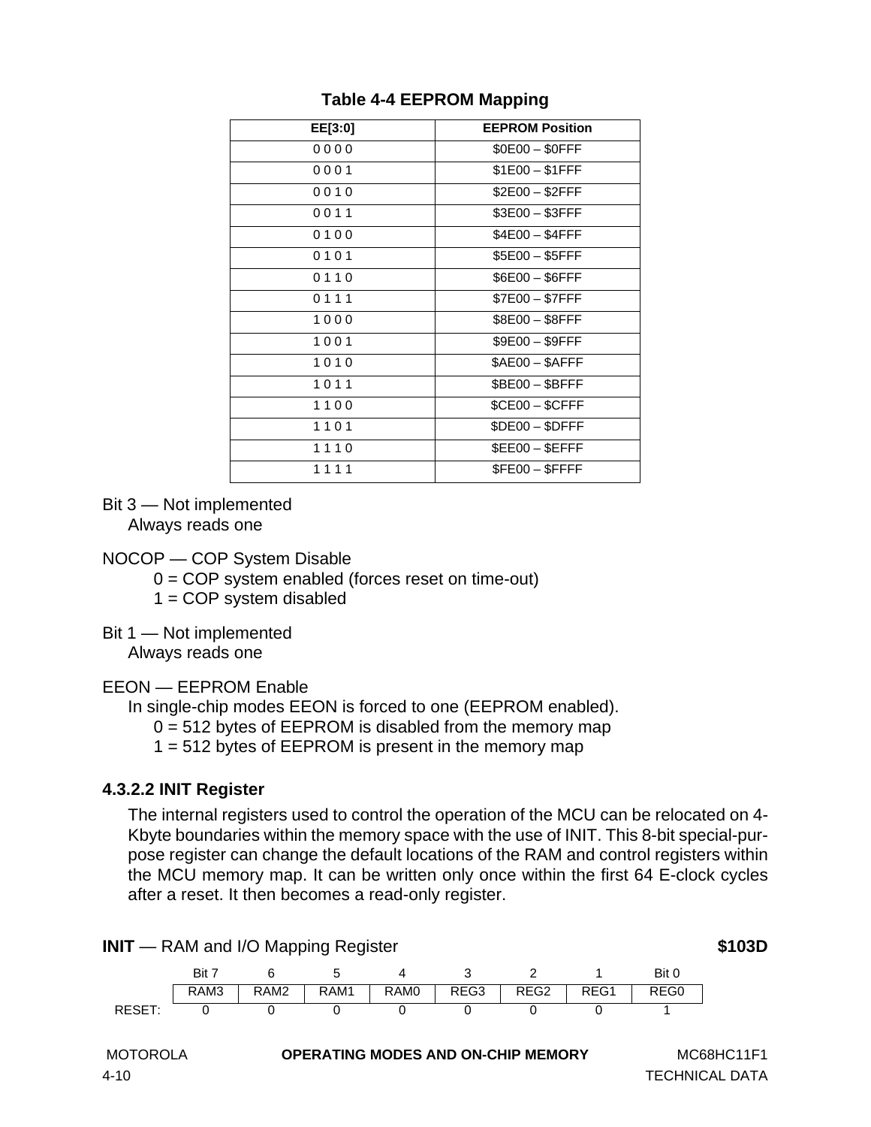| EE[3:0] | <b>EEPROM Position</b> |
|---------|------------------------|
| 0000    | \$0E00 - \$0FFF        |
| 0001    | $$1E00 - $1FFF$        |
| 0010    | $$2E00 - $2FFF$        |
| 0011    | \$3E00 - \$3FFF        |
| 0100    | $$4E00 - $4FFF$        |
| 0101    | $$5E00 - $5FFF$        |
| 0110    | \$6E00 - \$6FFF        |
| 0111    | \$7E00 - \$7FFF        |
| 1000    | \$8E00 - \$8FFF        |
| 1001    | \$9E00 - \$9FFF        |
| 1010    | $$AEOO - $AFFF$        |
| 1011    | $$BE00 - $BFFF$        |
| 1100    | $$CEOO - $CFFF$        |
| 1101    | \$DE00 - \$DFFF        |
| 1110    | \$EE00 - \$EFFF        |
| 1111    | \$FE00 - \$FFFF        |

## **Table 4-4 EEPROM Mapping**

Bit 3 — Not implemented Always reads one

#### NOCOP — COP System Disable

 $0 = COP$  system enabled (forces reset on time-out)

 $1 = COP$  system disabled

Bit 1 — Not implemented Always reads one

EEON — EEPROM Enable

In single-chip modes EEON is forced to one (EEPROM enabled).

 $0 = 512$  bytes of EEPROM is disabled from the memory map

1 = 512 bytes of EEPROM is present in the memory map

## **4.3.2.2 INIT Register**

The internal registers used to control the operation of the MCU can be relocated on 4- Kbyte boundaries within the memory space with the use of INIT. This 8-bit special-purpose register can change the default locations of the RAM and control registers within the MCU memory map. It can be written only once within the first 64 E-clock cycles after a reset. It then becomes a read-only register.

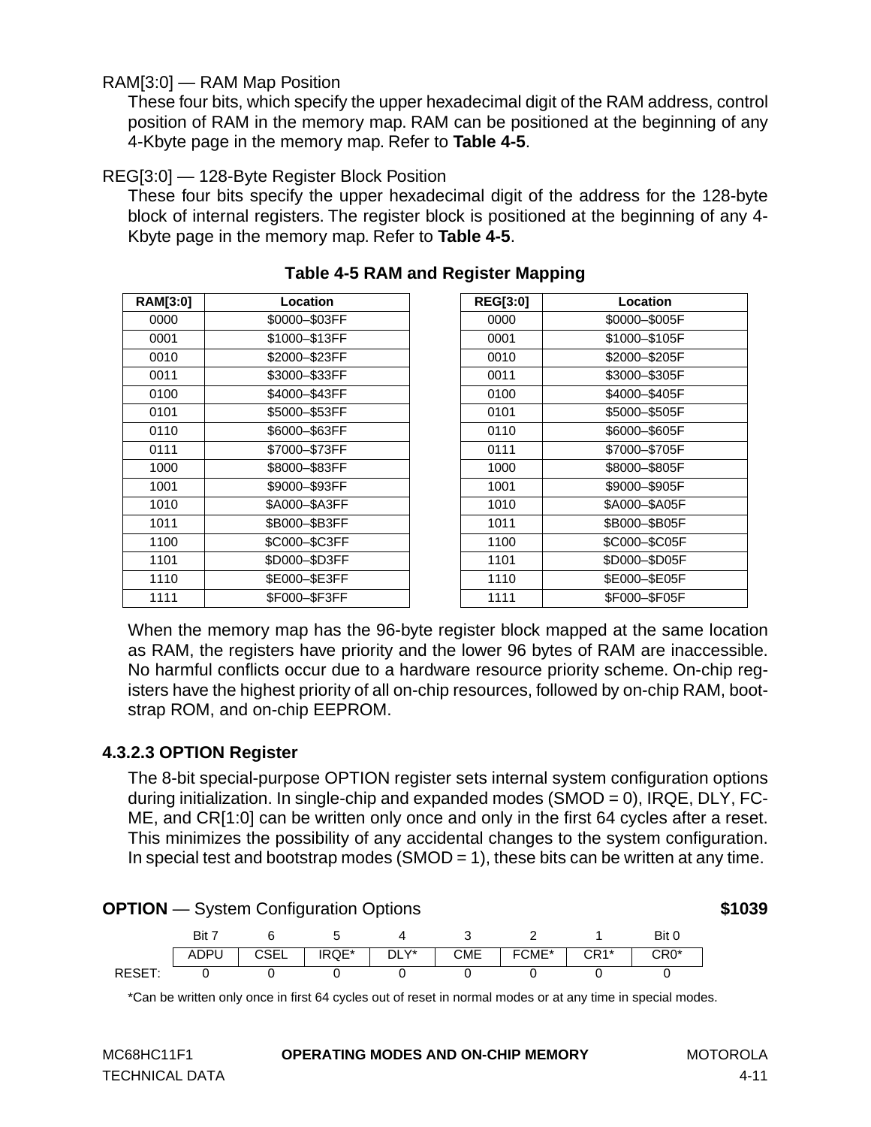### RAM[3:0] — RAM Map Position

These four bits, which specify the upper hexadecimal digit of the RAM address, control position of RAM in the memory map. RAM can be positioned at the beginning of any 4-Kbyte page in the memory map. Refer to **Table 4-5**.

#### REG[3:0] — 128-Byte Register Block Position

These four bits specify the upper hexadecimal digit of the address for the 128-byte block of internal registers. The register block is positioned at the beginning of any 4- Kbyte page in the memory map. Refer to **Table 4-5**.

| <b>RAM[3:0]</b> | Location      | <b>REG[3:0]</b> | Location      |
|-----------------|---------------|-----------------|---------------|
| 0000            | \$0000-\$03FF | 0000            | \$0000-\$005F |
| 0001            | \$1000-\$13FF | 0001            | \$1000-\$105F |
| 0010            | \$2000-\$23FF | 0010            | \$2000-\$205F |
| 0011            | \$3000-\$33FF | 0011            | \$3000-\$305F |
| 0100            | \$4000-\$43FF | 0100            | \$4000-\$405F |
| 0101            | \$5000-\$53FF | 0101            | \$5000-\$505F |
| 0110            | \$6000-\$63FF | 0110            | \$6000-\$605F |
| 0111            | \$7000-\$73FF | 0111            | \$7000-\$705F |
| 1000            | \$8000-\$83FF | 1000            | \$8000-\$805F |
| 1001            | \$9000-\$93FF | 1001            | \$9000-\$905F |
| 1010            | \$A000-\$A3FF | 1010            | \$A000-\$A05F |
| 1011            | \$B000-\$B3FF | 1011            | \$B000-\$B05F |
| 1100            | \$C000-\$C3FF | 1100            | \$C000-\$C05F |
| 1101            | \$D000-\$D3FF | 1101            | \$D000-\$D05F |
| 1110            | \$E000-\$E3FF | 1110            | \$E000-\$E05F |
| 1111            | \$F000-\$F3FF | 1111            | \$F000-\$F05F |
|                 |               |                 |               |

## **Table 4-5 RAM and Register Mapping**

| ansıcı mahhılığ |               |
|-----------------|---------------|
| <b>REG[3:0]</b> | Location      |
| 0000            | \$0000-\$005F |
| 0001            | \$1000-\$105F |
| 0010            | \$2000-\$205F |
| 0011            | \$3000-\$305F |
| 0100            | \$4000-\$405F |
| 0101            | \$5000-\$505F |
| 0110            | \$6000-\$605F |
| 0111            | \$7000-\$705F |
| 1000            | \$8000-\$805F |
| 1001            | \$9000-\$905F |
| 1010            | \$A000-\$A05F |
| 1011            | \$B000-\$B05F |
| 1100            | \$C000-\$C05F |
| 1101            | \$D000-\$D05F |
| 1110            | \$E000-\$E05F |
| 1111            | \$F000-\$F05F |

When the memory map has the 96-byte register block mapped at the same location as RAM, the registers have priority and the lower 96 bytes of RAM are inaccessible. No harmful conflicts occur due to a hardware resource priority scheme. On-chip registers have the highest priority of all on-chip resources, followed by on-chip RAM, bootstrap ROM, and on-chip EEPROM.

## **4.3.2.3 OPTION Register**

The 8-bit special-purpose OPTION register sets internal system configuration options during initialization. In single-chip and expanded modes (SMOD = 0), IRQE, DLY, FC-ME, and CR[1:0] can be written only once and only in the first 64 cycles after a reset. This minimizes the possibility of any accidental changes to the system configuration. In special test and bootstrap modes (SMOD = 1), these bits can be written at any time.



\*Can be written only once in first 64 cycles out of reset in normal modes or at any time in special modes.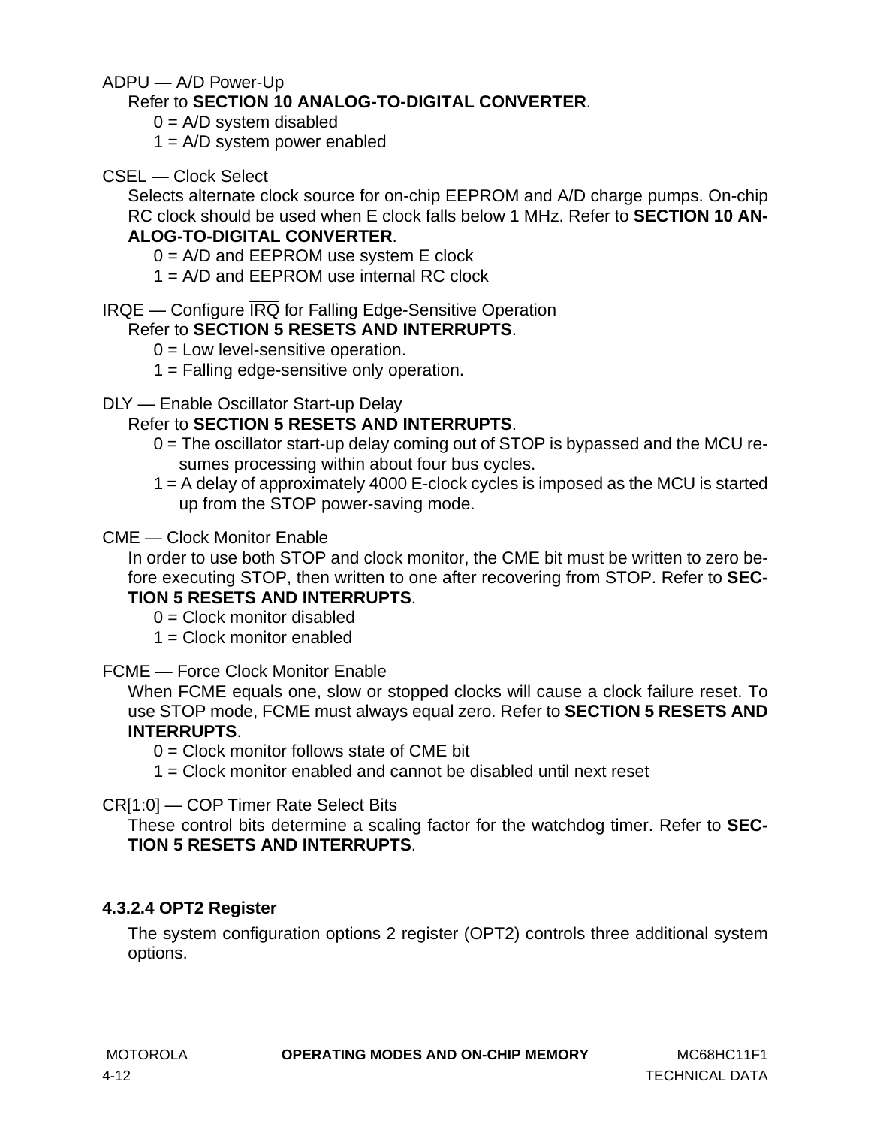ADPU — A/D Power-Up

## Refer to **[SECTION 10 ANALOG-TO-DIGITAL CONVERTER](#page-124-0)**.

- $0 = A/D$  system disabled
- $1 = A/D$  system power enabled
- CSEL Clock Select

Selects alternate clock source for on-chip EEPROM and A/D charge pumps. On-chip RC clock should be used when E clock falls below 1 MHz. Refer to **[SECTION 10 AN-](#page-124-0)**

# **[ALOG-TO-DIGITAL CONVERTER](#page-124-0)**.

 $0 = A/D$  and  $EEPROM$  use system E clock

1 = A/D and EEPROM use internal RC clock

IRQE — Configure IRQ for Falling Edge-Sensitive Operation

## Refer to **[SECTION 5 RESETS AND INTERRUPTS](#page-62-0)**.

- $0 =$  Low level-sensitive operation.
- 1 = Falling edge-sensitive only operation.

## DLY — Enable Oscillator Start-up Delay

## Refer to **[SECTION 5 RESETS AND INTERRUPTS](#page-62-0)**.

- 0 = The oscillator start-up delay coming out of STOP is bypassed and the MCU resumes processing within about four bus cycles.
- 1 = A delay of approximately 4000 E-clock cycles is imposed as the MCU is started up from the STOP power-saving mode.

### CME — Clock Monitor Enable

In order to use both STOP and clock monitor, the CME bit must be written to zero before executing STOP, then written to one after recovering from STOP. Refer to **[SEC-](#page-62-0)[TION 5 RESETS AND INTERRUPTS](#page-62-0)**.

 $0 =$  Clock monitor disabled

 $1 =$  Clock monitor enabled

## FCME — Force Clock Monitor Enable

When FCME equals one, slow or stopped clocks will cause a clock failure reset. To use STOP mode, FCME must always equal zero. Refer to **[SECTION 5 RESETS AND](#page-62-0) [INTERRUPTS](#page-62-0)**.

 $0 =$  Clock monitor follows state of CME bit

 $1 =$  Clock monitor enabled and cannot be disabled until next reset

CR[1:0] — COP Timer Rate Select Bits

These control bits determine a scaling factor for the watchdog timer. Refer to **[SEC-](#page-62-0)[TION 5 RESETS AND INTERRUPTS](#page-62-0)**.

## **4.3.2.4 OPT2 Register**

The system configuration options 2 register (OPT2) controls three additional system options.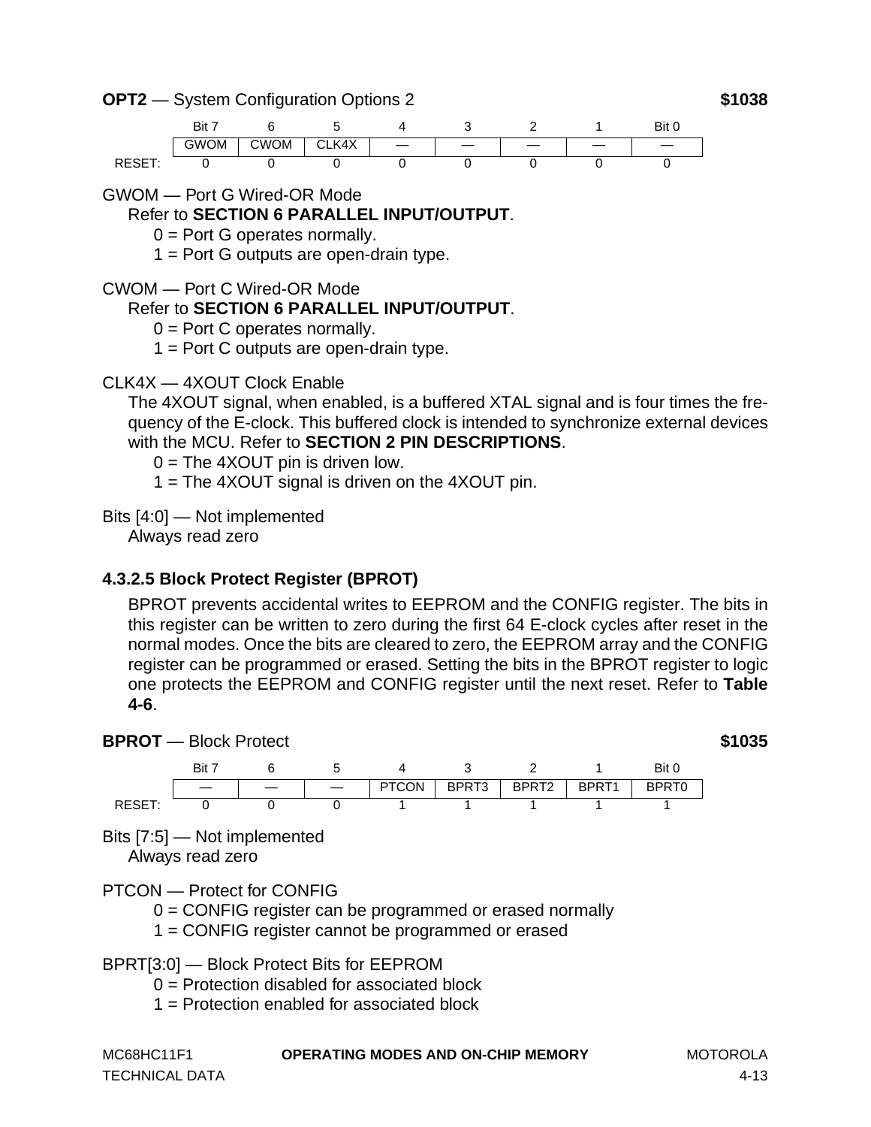**OPT2** — System Configuration Options 2 **\$1038**

Bit 7 6 5 4 3 2 1 Bit 0 GWOM | CWOM | CLK4X | — | — | — | — | — RESET: 0 0 0 0 0 0 0

GWOM — Port G Wired-OR Mode

Refer to **[SECTION 6 PARALLEL INPUT/OUTPUT](#page-80-0)**.

 $0 =$  Port G operates normally.

 $1 =$  Port G outputs are open-drain type.

CWOM — Port C Wired-OR Mode

## Refer to **[SECTION 6 PARALLEL INPUT/OUTPUT](#page-80-0)**.

 $0 =$  Port C operates normally.

 $1 =$  Port C outputs are open-drain type.

## CLK4X — 4XOUT Clock Enable

The 4XOUT signal, when enabled, is a buffered XTAL signal and is four times the frequency of the E-clock. This buffered clock is intended to synchronize external devices with the MCU. Refer to **[SECTION 2 PIN DESCRIPTIONS](#page-14-0)**.

 $0 =$  The 4XOUT pin is driven low.

1 = The 4XOUT signal is driven on the 4XOUT pin.

Bits [4:0] — Not implemented

Always read zero

## **4.3.2.5 Block Protect Register (BPROT)**

BPROT prevents accidental writes to EEPROM and the CONFIG register. The bits in this register can be written to zero during the first 64 E-clock cycles after reset in the normal modes. Once the bits are cleared to zero, the EEPROM array and the CONFIG register can be programmed or erased. Setting the bits in the BPROT register to logic one protects the EEPROM and CONFIG register until the next reset. Refer to **[Table](#page-51-0) [4-6](#page-51-0)**.





Bits [7:5] — Not implemented

Always read zero

PTCON — Protect for CONFIG

0 = CONFIG register can be programmed or erased normally

1 = CONFIG register cannot be programmed or erased

BPRT[3:0] — Block Protect Bits for EEPROM

- $0 =$  Protection disabled for associated block
- 1 = Protection enabled for associated block

| MC68HC11F1            | <b>OPERATING MODES AND ON-CHIP MEMORY</b> | MOTOROLA |
|-----------------------|-------------------------------------------|----------|
| <b>TECHNICAL DATA</b> |                                           | 4-13     |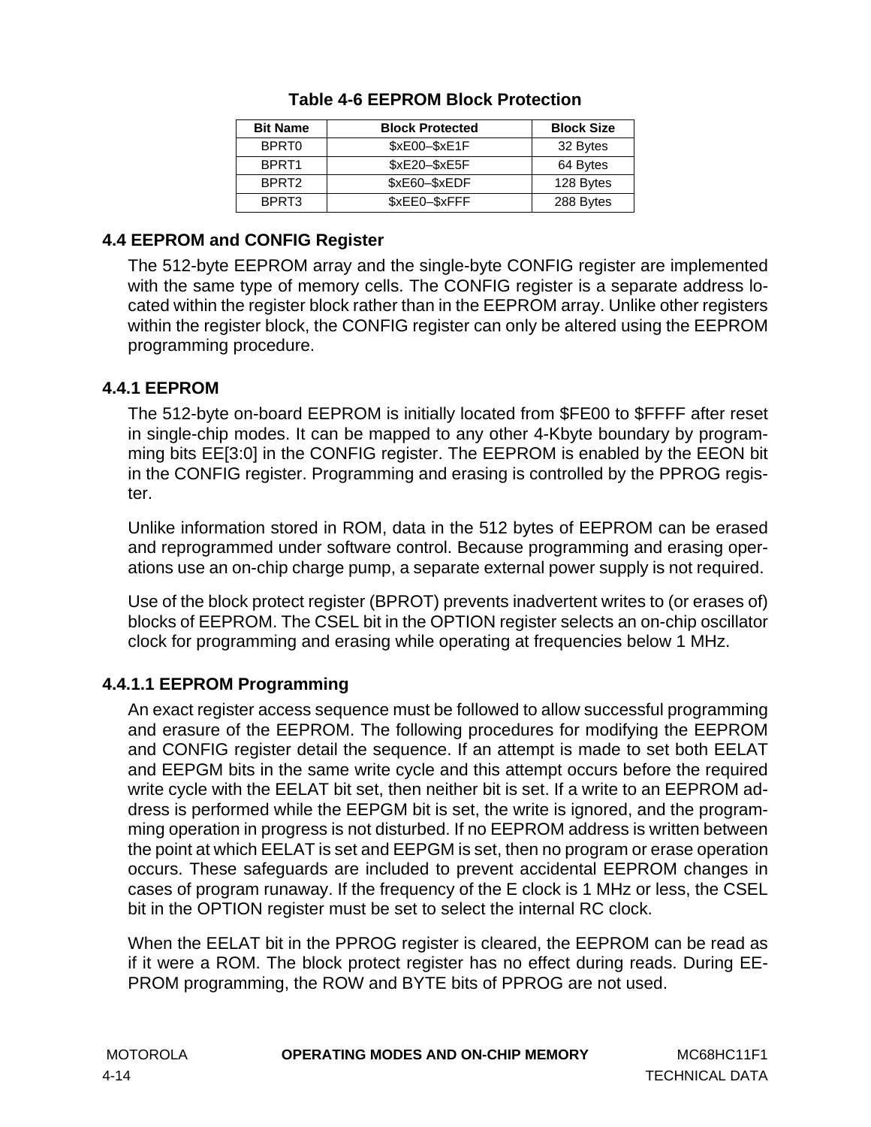| <b>Bit Name</b>   | <b>Block Protected</b> | <b>Block Size</b> |
|-------------------|------------------------|-------------------|
| BPRT <sub>0</sub> | $$xE00 - $xE1F$        | 32 Bytes          |
| BPRT <sub>1</sub> | $$xE20 - $xE5F$        | 64 Bytes          |
| BPRT <sub>2</sub> | \$xE60-\$xEDF          | 128 Bytes         |
| BPRT3             | \$xEE0-\$xFFF          | 288 Bytes         |

## **Table 4-6 EEPROM Block Protection**

## <span id="page-51-0"></span>**4.4 EEPROM and CONFIG Register**

The 512-byte EEPROM array and the single-byte CONFIG register are implemented with the same type of memory cells. The CONFIG register is a separate address located within the register block rather than in the EEPROM array. Unlike other registers within the register block, the CONFIG register can only be altered using the EEPROM programming procedure.

## **4.4.1 EEPROM**

The 512-byte on-board EEPROM is initially located from \$FE00 to \$FFFF after reset in single-chip modes. It can be mapped to any other 4-Kbyte boundary by programming bits EE[3:0] in the CONFIG register. The EEPROM is enabled by the EEON bit in the CONFIG register. Programming and erasing is controlled by the PPROG register.

Unlike information stored in ROM, data in the 512 bytes of EEPROM can be erased and reprogrammed under software control. Because programming and erasing operations use an on-chip charge pump, a separate external power supply is not required.

Use of the block protect register (BPROT) prevents inadvertent writes to (or erases of) blocks of EEPROM. The CSEL bit in the OPTION register selects an on-chip oscillator clock for programming and erasing while operating at frequencies below 1 MHz.

## **4.4.1.1 EEPROM Programming**

An exact register access sequence must be followed to allow successful programming and erasure of the EEPROM. The following procedures for modifying the EEPROM and CONFIG register detail the sequence. If an attempt is made to set both EELAT and EEPGM bits in the same write cycle and this attempt occurs before the required write cycle with the EELAT bit set, then neither bit is set. If a write to an EEPROM address is performed while the EEPGM bit is set, the write is ignored, and the programming operation in progress is not disturbed. If no EEPROM address is written between the point at which EELAT is set and EEPGM is set, then no program or erase operation occurs. These safeguards are included to prevent accidental EEPROM changes in cases of program runaway. If the frequency of the E clock is 1 MHz or less, the CSEL bit in the OPTION register must be set to select the internal RC clock.

When the EELAT bit in the PPROG register is cleared, the EEPROM can be read as if it were a ROM. The block protect register has no effect during reads. During EE-PROM programming, the ROW and BYTE bits of PPROG are not used.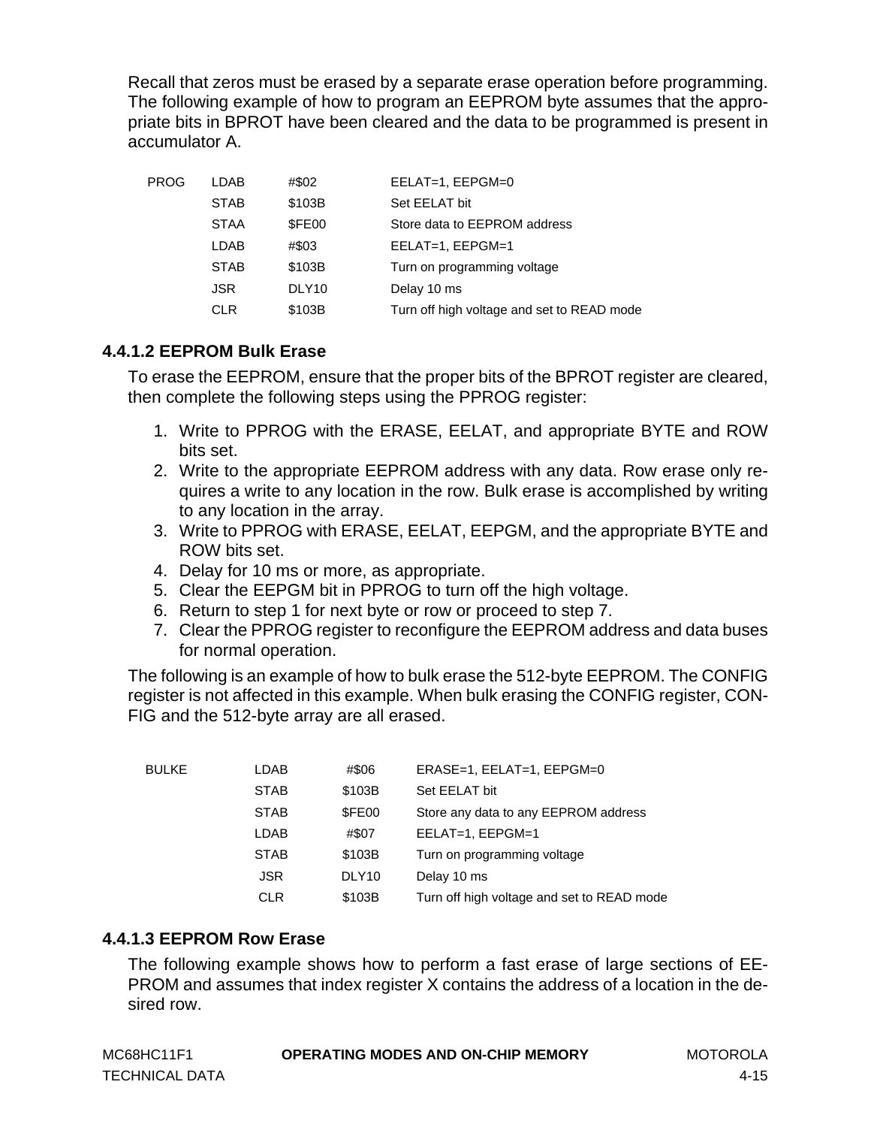Recall that zeros must be erased by a separate erase operation before programming. The following example of how to program an EEPROM byte assumes that the appropriate bits in BPROT have been cleared and the data to be programmed is present in accumulator A.

| PROG | LDAB        | #\$02             | EELAT=1, EEPGM=0                           |
|------|-------------|-------------------|--------------------------------------------|
|      | <b>STAB</b> | \$103B            | Set EELAT bit                              |
|      | <b>STAA</b> | \$FE00            | Store data to EEPROM address               |
|      | LDAB        | #\$03             | EELAT=1, EEPGM=1                           |
|      | <b>STAB</b> | \$103B            | Turn on programming voltage                |
|      | <b>JSR</b>  | DLY <sub>10</sub> | Delay 10 ms                                |
|      | <b>CLR</b>  | \$103B            | Turn off high voltage and set to READ mode |

### **4.4.1.2 EEPROM Bulk Erase**

To erase the EEPROM, ensure that the proper bits of the BPROT register are cleared, then complete the following steps using the PPROG register:

- 1. Write to PPROG with the ERASE, EELAT, and appropriate BYTE and ROW bits set.
- 2. Write to the appropriate EEPROM address with any data. Row erase only requires a write to any location in the row. Bulk erase is accomplished by writing to any location in the array.
- 3. Write to PPROG with ERASE, EELAT, EEPGM, and the appropriate BYTE and ROW bits set.
- 4. Delay for 10 ms or more, as appropriate.
- 5. Clear the EEPGM bit in PPROG to turn off the high voltage.
- 6. Return to step 1 for next byte or row or proceed to step 7.
- 7. Clear the PPROG register to reconfigure the EEPROM address and data buses for normal operation.

The following is an example of how to bulk erase the 512-byte EEPROM. The CONFIG register is not affected in this example. When bulk erasing the CONFIG register, CON-FIG and the 512-byte array are all erased.

| BULKE | LDAB        | #\$06             | $ERASE=1$ , $EELAT=1$ , $EEPGM=0$          |
|-------|-------------|-------------------|--------------------------------------------|
|       | <b>STAB</b> | \$103B            | Set EELAT bit                              |
|       | <b>STAB</b> | \$FE00            | Store any data to any EEPROM address       |
|       | <b>LDAB</b> | #\$07             | EELAT=1, EEPGM=1                           |
|       | <b>STAB</b> | \$103B            | Turn on programming voltage                |
|       | <b>JSR</b>  | DLY <sub>10</sub> | Delay 10 ms                                |
|       | <b>CLR</b>  | \$103B            | Turn off high voltage and set to READ mode |

## **4.4.1.3 EEPROM Row Erase**

The following example shows how to perform a fast erase of large sections of EE-PROM and assumes that index register X contains the address of a location in the desired row.

| MC68HC11F1            | <b>OPERATING MODES AND ON-CHIP MEMORY</b> | MOTOROLA |
|-----------------------|-------------------------------------------|----------|
| <b>TECHNICAL DATA</b> |                                           | $4 - 15$ |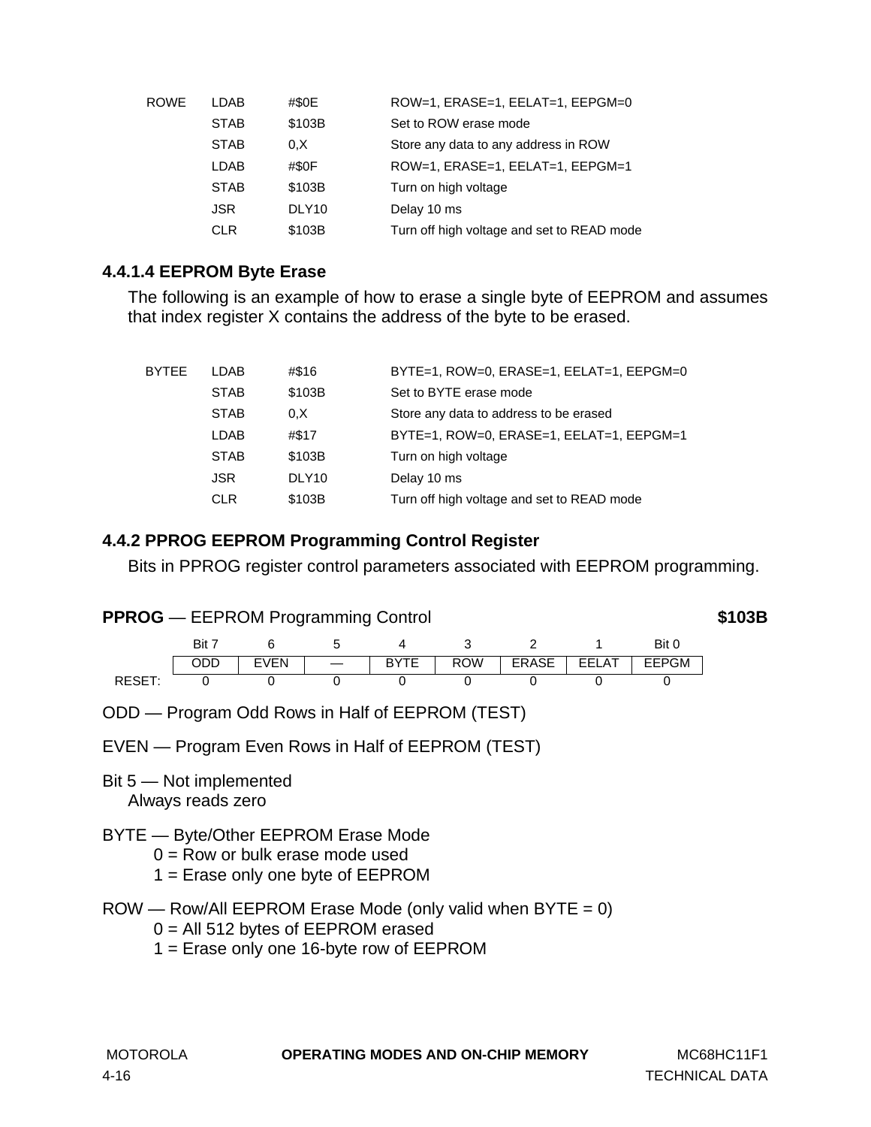| ROWE | LDAB        | #\$0E             | ROW=1, ERASE=1, EELAT=1, EEPGM=0           |
|------|-------------|-------------------|--------------------------------------------|
|      | <b>STAB</b> | \$103B            | Set to ROW erase mode                      |
|      | <b>STAB</b> | 0, X              | Store any data to any address in ROW       |
|      | LDAB        | #\$0F             | ROW=1, ERASE=1, EELAT=1, EEPGM=1           |
|      | <b>STAB</b> | \$103B            | Turn on high voltage                       |
|      | <b>JSR</b>  | DLY <sub>10</sub> | Delay 10 ms                                |
|      | <b>CLR</b>  | \$103B            | Turn off high voltage and set to READ mode |

## **4.4.1.4 EEPROM Byte Erase**

The following is an example of how to erase a single byte of EEPROM and assumes that index register X contains the address of the byte to be erased.

| BYTEE | <b>LDAB</b> | #\$16             | BYTE=1, ROW=0, ERASE=1, EELAT=1, EEPGM=0   |
|-------|-------------|-------------------|--------------------------------------------|
|       | <b>STAB</b> | \$103B            | Set to BYTE erase mode                     |
|       | <b>STAB</b> | 0.X               | Store any data to address to be erased     |
|       | <b>LDAB</b> | #\$17             | BYTE=1, ROW=0, ERASE=1, EELAT=1, EEPGM=1   |
|       | <b>STAB</b> | \$103B            | Turn on high voltage                       |
|       | <b>JSR</b>  | DLY <sub>10</sub> | Delay 10 ms                                |
|       | <b>CLR</b>  | \$103B            | Turn off high voltage and set to READ mode |

### **4.4.2 PPROG EEPROM Programming Control Register**

Bits in PPROG register control parameters associated with EEPROM programming.

## **PPROG** — EEPROM Programming Control **\$103B**



- ODD Program Odd Rows in Half of EEPROM (TEST)
- EVEN Program Even Rows in Half of EEPROM (TEST)
- Bit 5 Not implemented Always reads zero
- BYTE Byte/Other EEPROM Erase Mode
	- $0 =$  Row or bulk erase mode used
	- 1 = Erase only one byte of EEPROM
- $ROW Row/All EEPROM Erase Mode (only valid when BYTE = 0)$ 
	- $0 =$  All 512 bytes of EEPROM erased
	- 1 = Erase only one 16-byte row of EEPROM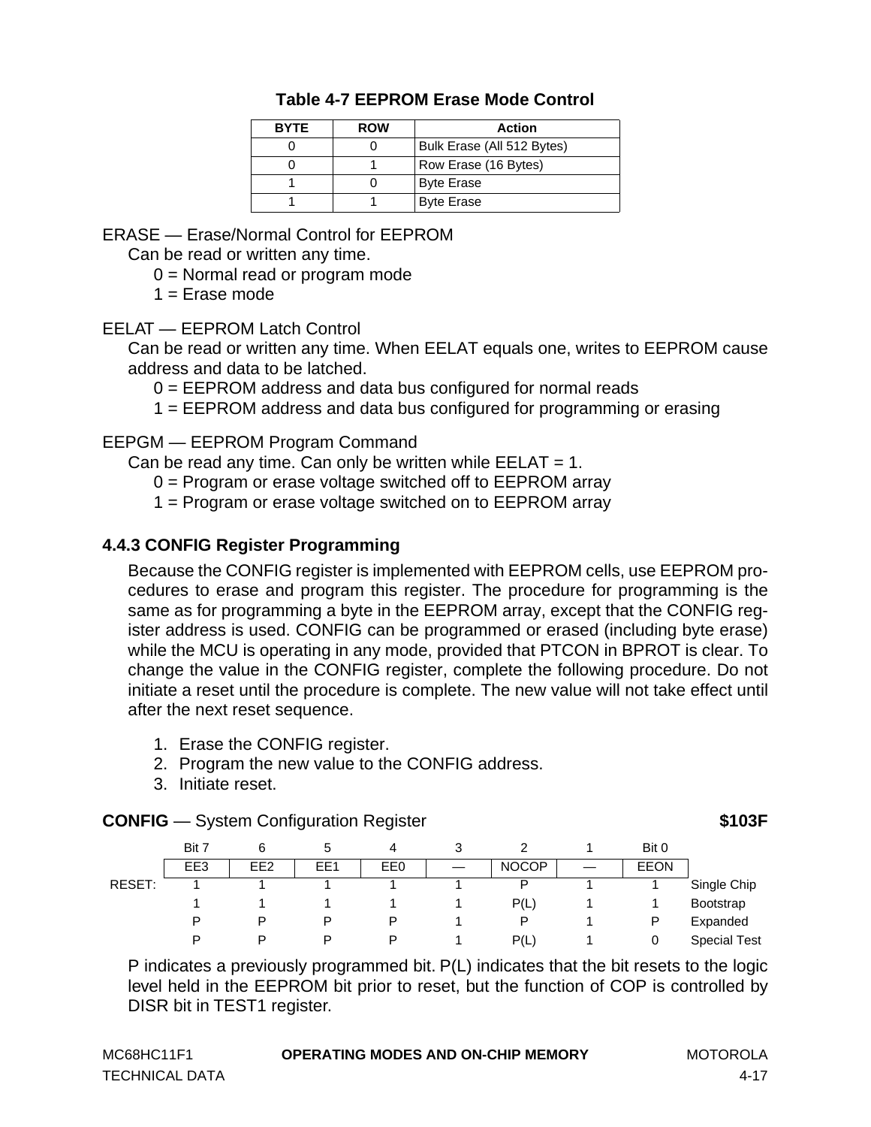| <b>BYTE</b> | <b>ROW</b> | <b>Action</b>              |
|-------------|------------|----------------------------|
|             |            | Bulk Erase (All 512 Bytes) |
|             |            | Row Erase (16 Bytes)       |
|             |            | <b>Byte Erase</b>          |
|             |            | <b>Byte Erase</b>          |

### **Table 4-7 EEPROM Erase Mode Control**

<span id="page-54-0"></span>ERASE — Erase/Normal Control for EEPROM

Can be read or written any time.

0 = Normal read or program mode

 $1 =$  Frase mode

EELAT — EEPROM Latch Control

Can be read or written any time. When EELAT equals one, writes to EEPROM cause address and data to be latched.

0 = EEPROM address and data bus configured for normal reads

1 = EEPROM address and data bus configured for programming or erasing

#### EEPGM — EEPROM Program Command

Can be read any time. Can only be written while  $EELAT = 1$ .

0 = Program or erase voltage switched off to EEPROM array

1 = Program or erase voltage switched on to EEPROM array

### **4.4.3 CONFIG Register Programming**

Because the CONFIG register is implemented with EEPROM cells, use EEPROM procedures to erase and program this register. The procedure for programming is the same as for programming a byte in the EEPROM array, except that the CONFIG register address is used. CONFIG can be programmed or erased (including byte erase) while the MCU is operating in any mode, provided that PTCON in BPROT is clear. To change the value in the CONFIG register, complete the following procedure. Do not initiate a reset until the procedure is complete. The new value will not take effect until after the next reset sequence.

- 1. Erase the CONFIG register.
- 2. Program the new value to the CONFIG address.
- 3. Initiate reset.

#### **CONFIG** — System Configuration Register **1998 103F**

|        | Bit 7 | 6               | b   | 4   | 3 |              | Bit 0       |                     |
|--------|-------|-----------------|-----|-----|---|--------------|-------------|---------------------|
|        | EE3   | EE <sub>2</sub> | EE1 | EE0 |   | <b>NOCOP</b> | <b>EEON</b> |                     |
| RESET: |       |                 |     |     |   | P            |             | Single Chip         |
|        |       |                 |     |     |   | P(L)         |             | Bootstrap           |
|        | P     | P               | P   | P   |   | P            | P           | Expanded            |
|        | D     | P               | D   | P   |   | P(L)         |             | <b>Special Test</b> |

P indicates a previously programmed bit. P(L) indicates that the bit resets to the logic level held in the EEPROM bit prior to reset, but the function of COP is controlled by DISR bit in TEST1 register.

| MC68HC11F1            | <b>OPERATING MODES AND ON-CHIP MEMORY</b> | MOTOROLA |
|-----------------------|-------------------------------------------|----------|
| <b>TECHNICAL DATA</b> |                                           | 4-17     |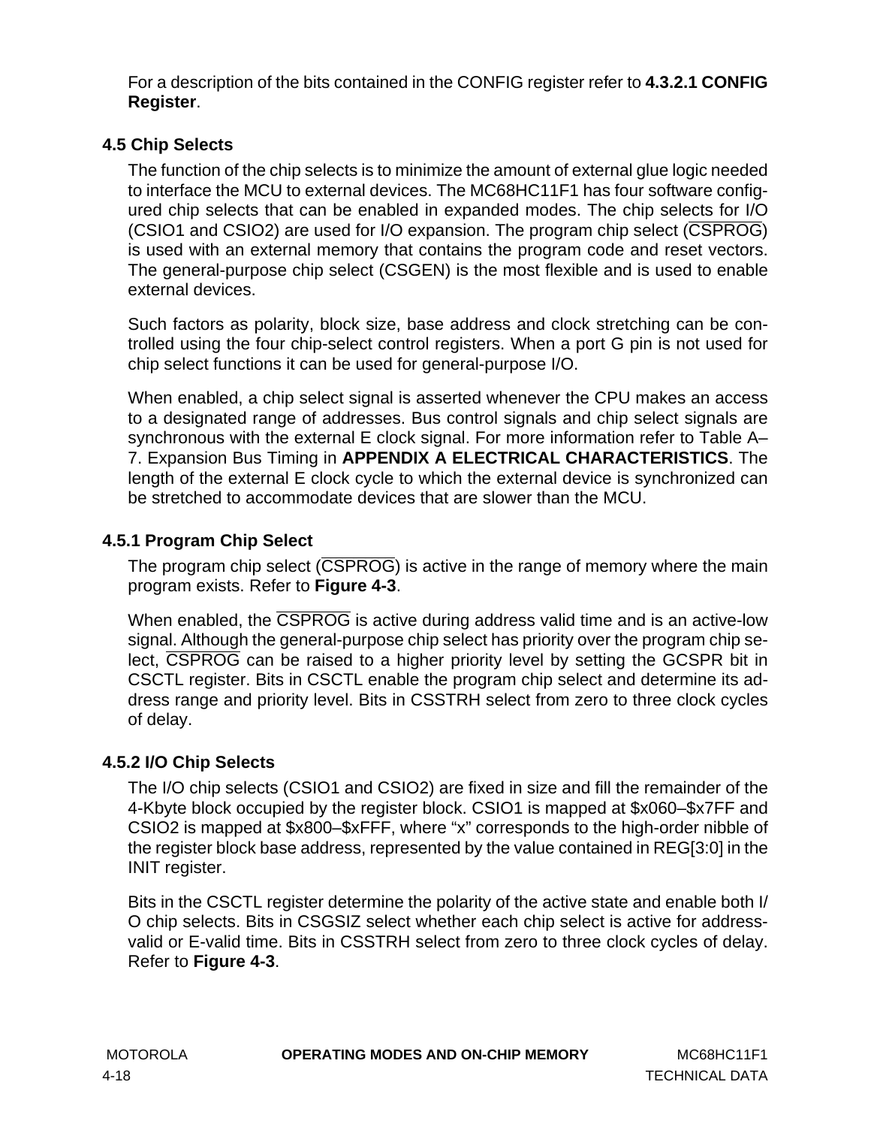For a description of the bits contained in the CONFIG register refer to **[4.3.2.1 CONFIG](#page-46-0) [Register](#page-46-0)**.

## **4.5 Chip Selects**

The function of the chip selects is to minimize the amount of external glue logic needed to interface the MCU to external devices. The MC68HC11F1 has four software configured chip selects that can be enabled in expanded modes. The chip selects for I/O (CSIO1 and CSIO2) are used for I/O expansion. The program chip select (CSPROG) is used with an external memory that contains the program code and reset vectors. The general-purpose chip select (CSGEN) is the most flexible and is used to enable external devices.

Such factors as polarity, block size, base address and clock stretching can be controlled using the four chip-select control registers. When a port G pin is not used for chip select functions it can be used for general-purpose I/O.

When enabled, a chip select signal is asserted whenever the CPU makes an access to a designated range of addresses. Bus control signals and chip select signals are synchronous with the external E clock signal. For more information refer to Table A– 7. Expansion Bus Timing in **[APPENDIX A ELECTRICAL CHARACTERISTICS](#page-134-0)**. The length of the external E clock cycle to which the external device is synchronized can be stretched to accommodate devices that are slower than the MCU.

## **4.5.1 Program Chip Select**

The program chip select (CSPROG) is active in the range of memory where the main program exists. Refer to **[Figure 4-3](#page-56-0)**.

When enabled, the CSPROG is active during address valid time and is an active-low signal. Although the general-purpose chip select has priority over the program chip select, CSPROG can be raised to a higher priority level by setting the GCSPR bit in CSCTL register. Bits in CSCTL enable the program chip select and determine its address range and priority level. Bits in CSSTRH select from zero to three clock cycles of delay.

## **4.5.2 I/O Chip Selects**

The I/O chip selects (CSIO1 and CSIO2) are fixed in size and fill the remainder of the 4-Kbyte block occupied by the register block. CSIO1 is mapped at \$x060–\$x7FF and CSIO2 is mapped at \$x800–\$xFFF, where "x" corresponds to the high-order nibble of the register block base address, represented by the value contained in REG[3:0] in the INIT register.

Bits in the CSCTL register determine the polarity of the active state and enable both I/ O chip selects. Bits in CSGSIZ select whether each chip select is active for addressvalid or E-valid time. Bits in CSSTRH select from zero to three clock cycles of delay. Refer to **[Figure 4-3](#page-56-0)**.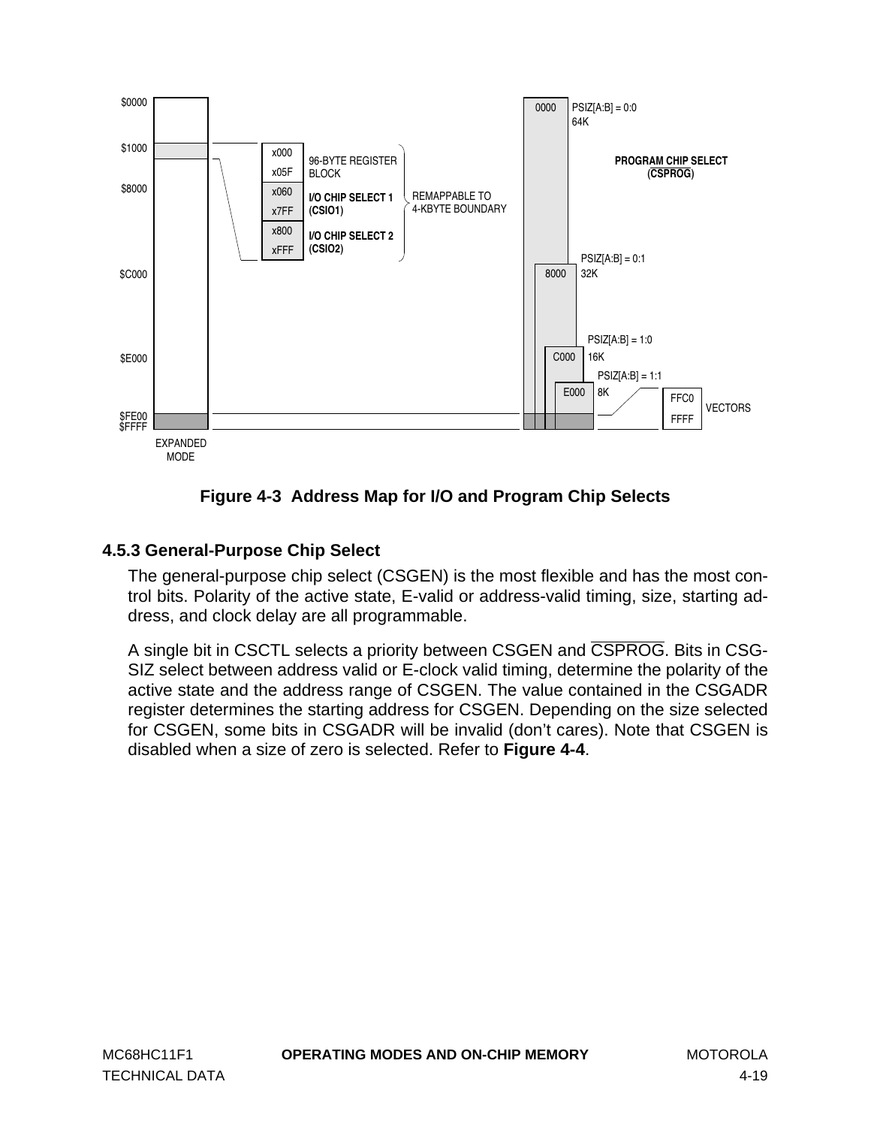<span id="page-56-0"></span>

**Figure 4-3 Address Map for I/O and Program Chip Selects**

## **4.5.3 General-Purpose Chip Select**

The general-purpose chip select (CSGEN) is the most flexible and has the most control bits. Polarity of the active state, E-valid or address-valid timing, size, starting address, and clock delay are all programmable.

A single bit in CSCTL selects a priority between CSGEN and CSPROG. Bits in CSG-SIZ select between address valid or E-clock valid timing, determine the polarity of the active state and the address range of CSGEN. The value contained in the CSGADR register determines the starting address for CSGEN. Depending on the size selected for CSGEN, some bits in CSGADR will be invalid (don't cares). Note that CSGEN is disabled when a size of zero is selected. Refer to **[Figure 4-4](#page-57-0)**.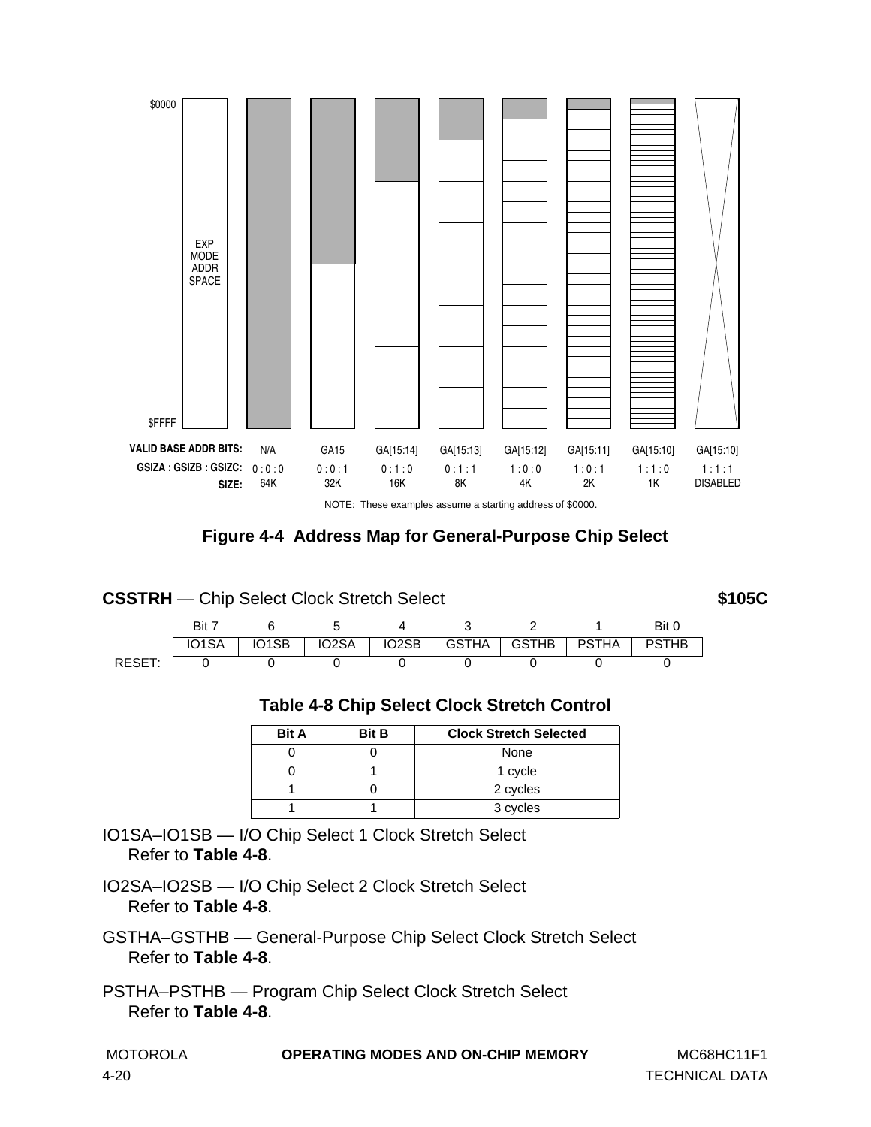<span id="page-57-0"></span>

NOTE: These examples assume a starting address of \$0000.

**Figure 4-4 Address Map for General-Purpose Chip Select**

| <b>CSSTRH</b> — Chip Select Clock Stretch Select |       |       |                      |       |         |              |       |              | \$105C |
|--------------------------------------------------|-------|-------|----------------------|-------|---------|--------------|-------|--------------|--------|
|                                                  | Bit 7 |       | $\ddot{\phantom{1}}$ |       |         |              |       | Bit 0        |        |
|                                                  | IO1SA | IO1SB | IO <sub>2</sub> SA   | IO2SB | GSTHA I | <b>GSTHB</b> | PSTHA | <b>PSTHB</b> |        |
| RESET:                                           |       |       |                      |       |         |              |       |              |        |

| <b>Table 4-8 Chip Select Clock Stretch Control</b> |  |  |  |  |
|----------------------------------------------------|--|--|--|--|
|----------------------------------------------------|--|--|--|--|

| <b>Bit A</b> | <b>Bit B</b> | <b>Clock Stretch Selected</b> |
|--------------|--------------|-------------------------------|
|              |              | None                          |
|              |              | 1 cycle                       |
|              |              | 2 cycles                      |
|              |              | 3 cycles                      |

IO1SA–IO1SB — I/O Chip Select 1 Clock Stretch Select Refer to **Table 4-8**.

IO2SA–IO2SB — I/O Chip Select 2 Clock Stretch Select Refer to **Table 4-8**.

GSTHA–GSTHB — General-Purpose Chip Select Clock Stretch Select Refer to **Table 4-8**.

PSTHA–PSTHB — Program Chip Select Clock Stretch Select Refer to **Table 4-8**.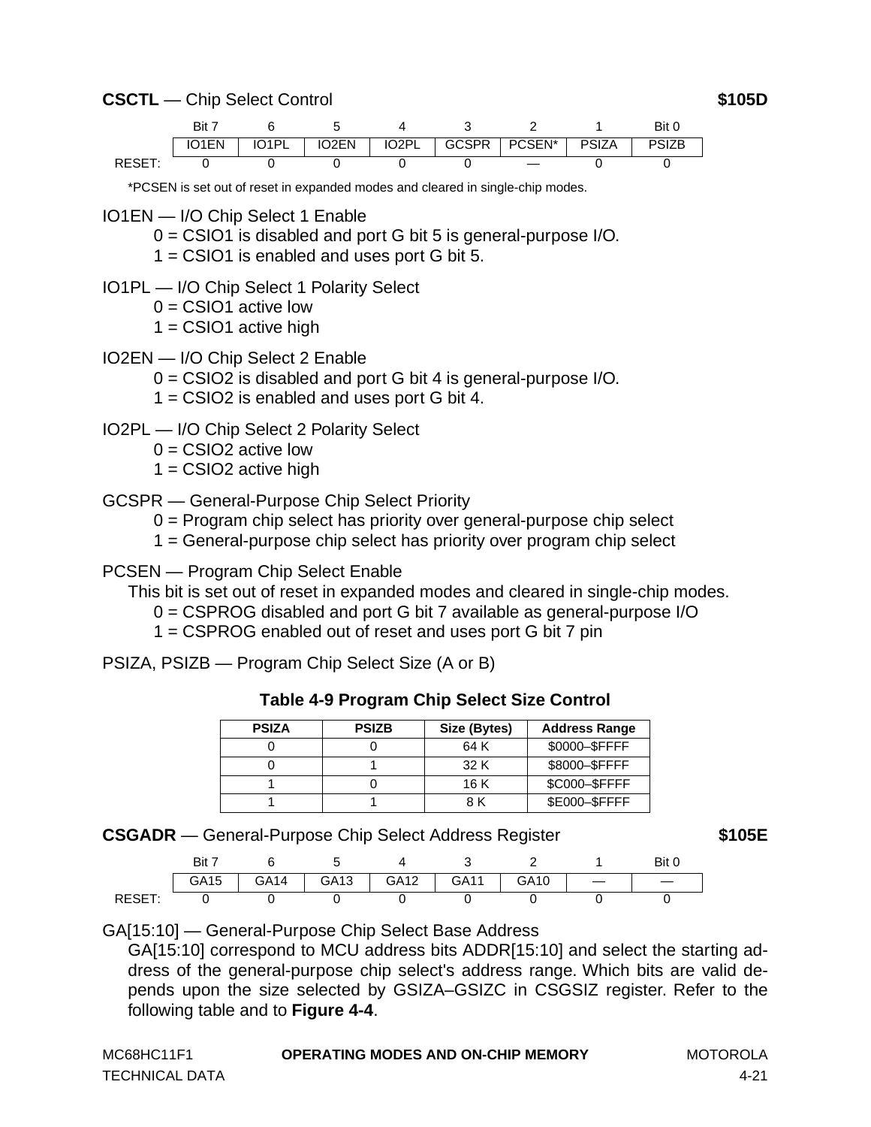### **CSCTL** — Chip Select Control **\$105D**

| Bit 7 |                |                    |                    |              |        |              | Bit          |
|-------|----------------|--------------------|--------------------|--------------|--------|--------------|--------------|
| IO1EN | $I$ $O$ 1 $Pl$ | IO <sub>2</sub> EN | IO <sub>2</sub> PI | <b>GCSPR</b> | PCSEN* | <b>PSIZA</b> | <b>PSIZB</b> |
|       |                |                    |                    |              |        |              |              |

\*PCSEN is set out of reset in expanded modes and cleared in single-chip modes.

- IO1EN I/O Chip Select 1 Enable
	- 0 = CSIO1 is disabled and port G bit 5 is general-purpose I/O.
	- 1 = CSIO1 is enabled and uses port G bit 5.
- IO1PL I/O Chip Select 1 Polarity Select
	- $0 =$  CSIO1 active low
	- $1 =$  CSIO1 active high
- IO2EN I/O Chip Select 2 Enable
	- 0 = CSIO2 is disabled and port G bit 4 is general-purpose I/O.
	- 1 = CSIO2 is enabled and uses port G bit 4.
- IO2PL I/O Chip Select 2 Polarity Select
	- $0 =$  CSIO2 active low
	- $1 =$  CSIO2 active high
- GCSPR General-Purpose Chip Select Priority
	- 0 = Program chip select has priority over general-purpose chip select
	- 1 = General-purpose chip select has priority over program chip select

PCSEN — Program Chip Select Enable

This bit is set out of reset in expanded modes and cleared in single-chip modes.

- 0 = CSPROG disabled and port G bit 7 available as general-purpose I/O
- 1 = CSPROG enabled out of reset and uses port G bit 7 pin

PSIZA, PSIZB — Program Chip Select Size (A or B)

| <b>Table 4-9 Program Chip Select Size Control</b> |  |  |  |  |
|---------------------------------------------------|--|--|--|--|
|---------------------------------------------------|--|--|--|--|

| <b>PSIZA</b> | <b>PSIZB</b> | Size (Bytes) | <b>Address Range</b> |
|--------------|--------------|--------------|----------------------|
|              |              | 64 K         | \$0000-\$FFFF        |
|              |              | 32 K         | \$8000-\$FFFF        |
|              |              | 16 K         | \$C000-\$FFFF        |
|              |              | 8 K          | \$E000-\$FFFF        |

**CSGADR** — General-Purpose Chip Select Address Register **\$105E**

| Bit  |      |      |                  |      |      | Bit |
|------|------|------|------------------|------|------|-----|
| GA15 | GA14 | GA13 | GA <sub>12</sub> | GA11 | GA10 |     |
|      |      |      |                  |      |      |     |

GA[15:10] — General-Purpose Chip Select Base Address

GA[15:10] correspond to MCU address bits ADDR[15:10] and select the starting address of the general-purpose chip select's address range. Which bits are valid depends upon the size selected by GSIZA–GSIZC in CSGSIZ register. Refer to the following table and to **[Figure 4-4](#page-57-0)**.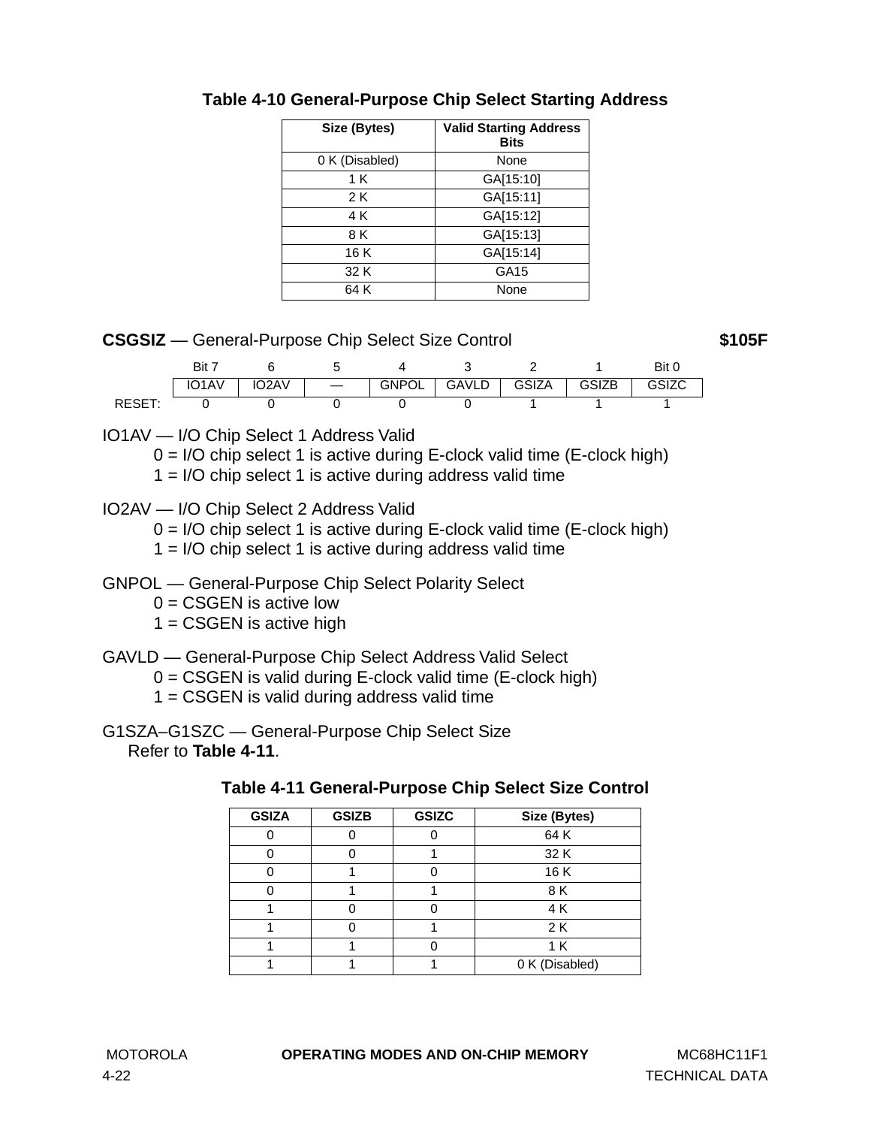| Size (Bytes)   | <b>Valid Starting Address</b><br><b>Bits</b> |
|----------------|----------------------------------------------|
| 0 K (Disabled) | None                                         |
| 1 K            | GA[15:10]                                    |
| 2 K            | GA[15:11]                                    |
| 4 K            | GA[15:12]                                    |
| 8 K            | GA[15:13]                                    |
| 16 K           | GA[15:14]                                    |
| 32 K           | GA15                                         |
| 64 K           | None                                         |

## **Table 4-10 General-Purpose Chip Select Starting Address**

### **CSGSIZ** — General-Purpose Chip Select Size Control **\$105F**

|       | Bit                |      |       |       |              |              | Bit u |
|-------|--------------------|------|-------|-------|--------------|--------------|-------|
|       | IO <sub>1</sub> AV | 02AV | GNPOL | GAVLD | <b>GSIZA</b> | <b>GSIZB</b> | GSIZC |
| DESE. |                    |      |       |       |              |              |       |

IO1AV — I/O Chip Select 1 Address Valid

 $0 = I/O$  chip select 1 is active during E-clock valid time (E-clock high)

1 = I/O chip select 1 is active during address valid time

## IO2AV — I/O Chip Select 2 Address Valid

 $0 = I/O$  chip select 1 is active during E-clock valid time (E-clock high)

 $1 = I/O$  chip select 1 is active during address valid time

## GNPOL — General-Purpose Chip Select Polarity Select

 $0 = CSGEN$  is active low

 $1 = CSGEN$  is active high

## GAVLD — General-Purpose Chip Select Address Valid Select

0 = CSGEN is valid during E-clock valid time (E-clock high)

 $1 = CSGEN$  is valid during address valid time

G1SZA–G1SZC — General-Purpose Chip Select Size Refer to **Table 4-11**.

| <b>GSIZA</b> | <b>GSIZB</b> | <b>GSIZC</b> | Size (Bytes)   |
|--------------|--------------|--------------|----------------|
|              |              |              | 64 K           |
|              |              |              | 32 K           |
|              |              |              | 16K            |
|              |              |              | 8 K            |
|              |              |              | 4 K            |
|              |              |              | 2 K            |
|              |              |              | 1 K            |
|              |              |              | 0 K (Disabled) |

#### **Table 4-11 General-Purpose Chip Select Size Control**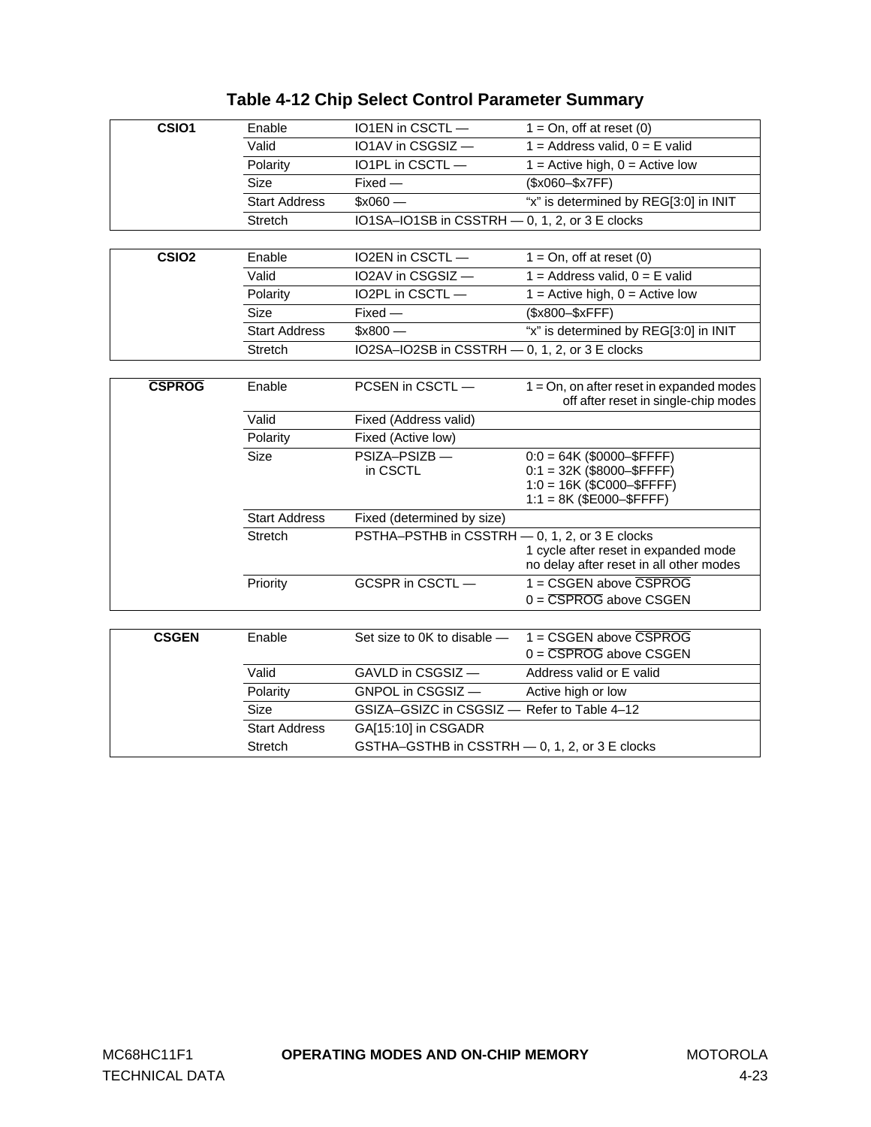| CSIO1             | Enable               | IO1EN in CSCTL-                                | $1 = On$ , off at reset $(0)$                                                       |
|-------------------|----------------------|------------------------------------------------|-------------------------------------------------------------------------------------|
|                   | Valid                | IO1AV in CSGSIZ-                               | $1 =$ Address valid, $0 =$ E valid                                                  |
|                   | Polarity             | IO1PL in CSCTL-                                | $\overline{1}$ = Active high, 0 = Active low                                        |
|                   | <b>Size</b>          | $Fixed -$                                      | (\$x060-\$x7FF)                                                                     |
|                   | <b>Start Address</b> | $$x060 -$                                      | "x" is determined by REG[3:0] in INIT                                               |
|                   | Stretch              | IO1SA-IO1SB in CSSTRH - 0, 1, 2, or 3 E clocks |                                                                                     |
|                   |                      |                                                |                                                                                     |
| CSIO <sub>2</sub> | Enable               | IO2EN in CSCTL-                                | $1 = On$ , off at reset $(0)$                                                       |
|                   | Valid                | IO2AV in CSGSIZ-                               | $1 =$ Address valid, $0 =$ E valid                                                  |
|                   | Polarity             | IO2PL in CSCTL-                                | $1 =$ Active high, $0 =$ Active low                                                 |
|                   | Size                 | $Fixed -$                                      | (\$x800-\$xFFF)                                                                     |
|                   | <b>Start Address</b> | $$x800 -$                                      | "x" is determined by REG[3:0] in INIT                                               |
|                   | <b>Stretch</b>       | IO2SA-IO2SB in CSSTRH - 0, 1, 2, or 3 E clocks |                                                                                     |
|                   |                      |                                                |                                                                                     |
| <b>CSPROG</b>     | Enable               | PCSEN in CSCTL-                                | $1 = On$ , on after reset in expanded modes<br>off after reset in single-chip modes |
|                   | Valid                | Fixed (Address valid)                          |                                                                                     |
|                   | Polarity             | Fixed (Active low)                             |                                                                                     |
|                   | Size                 | PSIZA-PSIZB-                                   | $0:0 = 64K$ (\$0000-\$FFFF)                                                         |
|                   |                      | in CSCTL                                       | $0:1 = 32K$ (\$8000-\$FFFF)<br>$1:0 = 16K$ (\$C000-\$FFFF)                          |
|                   |                      |                                                | $1:1 = 8K$ (\$E000-\$FFFF)                                                          |
|                   | <b>Start Address</b> | Fixed (determined by size)                     |                                                                                     |
|                   | Stretch              | PSTHA-PSTHB in CSSTRH - 0, 1, 2, or 3 E clocks |                                                                                     |
|                   |                      |                                                | 1 cycle after reset in expanded mode                                                |
|                   |                      |                                                | no delay after reset in all other modes                                             |
|                   | Priority             | GCSPR in CSCTL-                                | 1 = CSGEN above CSPROG                                                              |
|                   |                      |                                                | $0 = \overline{CSPROG}$ above $CSGEN$                                               |
|                   |                      |                                                |                                                                                     |
| <b>CSGEN</b>      | Enable               | Set size to 0K to disable -                    | 1 = CSGEN above CSPROG<br>$0 = \overline{\text{CSPROG}}$ above CSGEN                |
|                   |                      |                                                |                                                                                     |
|                   | Valid                | GAVLD in CSGSIZ -                              | Address valid or E valid                                                            |
|                   | Polarity             | GNPOL in CSGSIZ-                               | Active high or low                                                                  |
|                   | Size                 | GSIZA-GSIZC in CSGSIZ - Refer to Table 4-12    |                                                                                     |
|                   | <b>Start Address</b> | GA[15:10] in CSGADR                            |                                                                                     |
|                   | Stretch              | GSTHA-GSTHB in CSSTRH - 0, 1, 2, or 3 E clocks |                                                                                     |

## **Table 4-12 Chip Select Control Parameter Summary**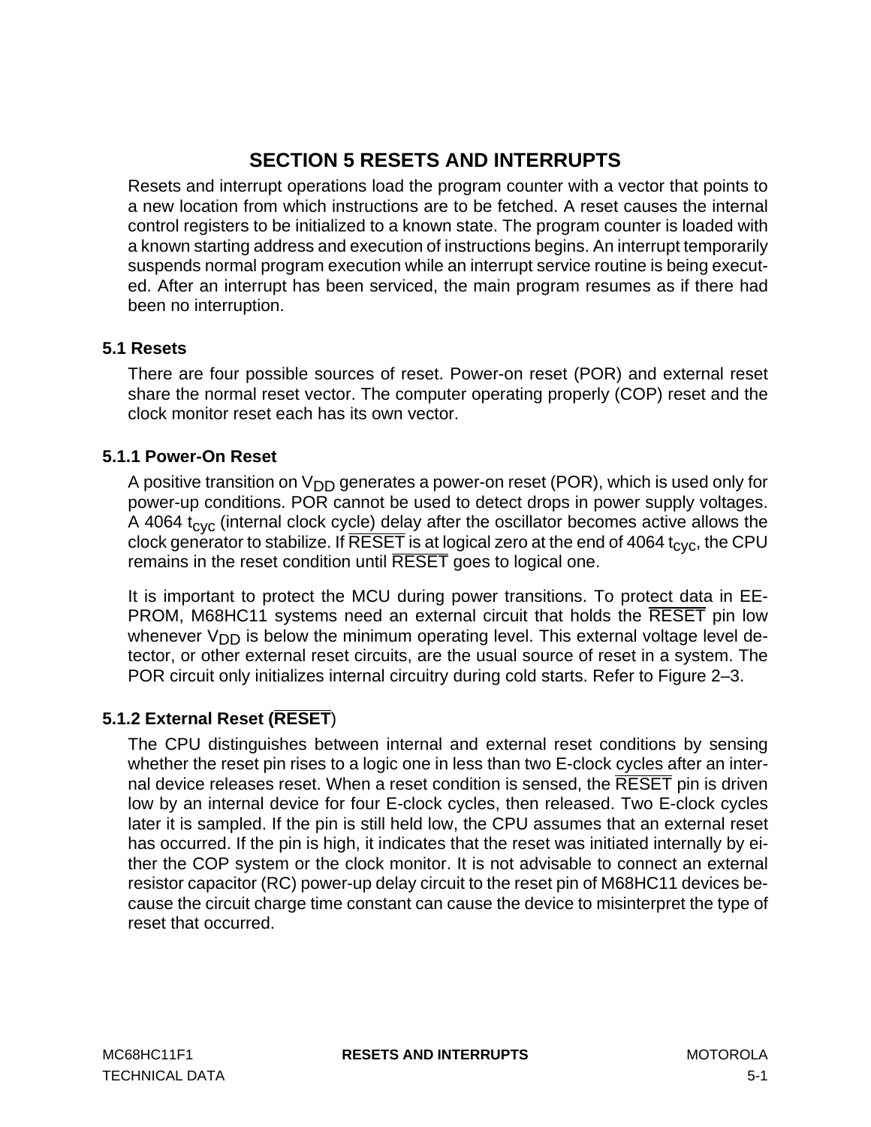# **SECTION 5 RESETS AND INTERRUPTS**

<span id="page-62-0"></span>Resets and interrupt operations load the program counter with a vector that points to a new location from which instructions are to be fetched. A reset causes the internal control registers to be initialized to a known state. The program counter is loaded with a known starting address and execution of instructions begins. An interrupt temporarily suspends normal program execution while an interrupt service routine is being executed. After an interrupt has been serviced, the main program resumes as if there had been no interruption.

## **5.1 Resets**

There are four possible sources of reset. Power-on reset (POR) and external reset share the normal reset vector. The computer operating properly (COP) reset and the clock monitor reset each has its own vector.

### **5.1.1 Power-On Reset**

A positive transition on  $V_{DD}$  generates a power-on reset (POR), which is used only for power-up conditions. POR cannot be used to detect drops in power supply voltages. A 4064  $t_{\rm cyc}$  (internal clock cycle) delay after the oscillator becomes active allows the clock generator to stabilize. If  $\overline{\text{REST}}$  is at logical zero at the end of 4064 t<sub>cyc</sub>, the CPU remains in the reset condition until RESET goes to logical one.

It is important to protect the MCU during power transitions. To protect data in EE-PROM, M68HC11 systems need an external circuit that holds the RESET pin low whenever  $V_{DD}$  is below the minimum operating level. This external voltage level detector, or other external reset circuits, are the usual source of reset in a system. The POR circuit only initializes internal circuitry during cold starts. Refer to Figure 2–3.

## **5.1.2 External Reset (RESET**)

The CPU distinguishes between internal and external reset conditions by sensing whether the reset pin rises to a logic one in less than two E-clock cycles after an internal device releases reset. When a reset condition is sensed, the RESET pin is driven low by an internal device for four E-clock cycles, then released. Two E-clock cycles later it is sampled. If the pin is still held low, the CPU assumes that an external reset has occurred. If the pin is high, it indicates that the reset was initiated internally by either the COP system or the clock monitor. It is not advisable to connect an external resistor capacitor (RC) power-up delay circuit to the reset pin of M68HC11 devices because the circuit charge time constant can cause the device to misinterpret the type of reset that occurred.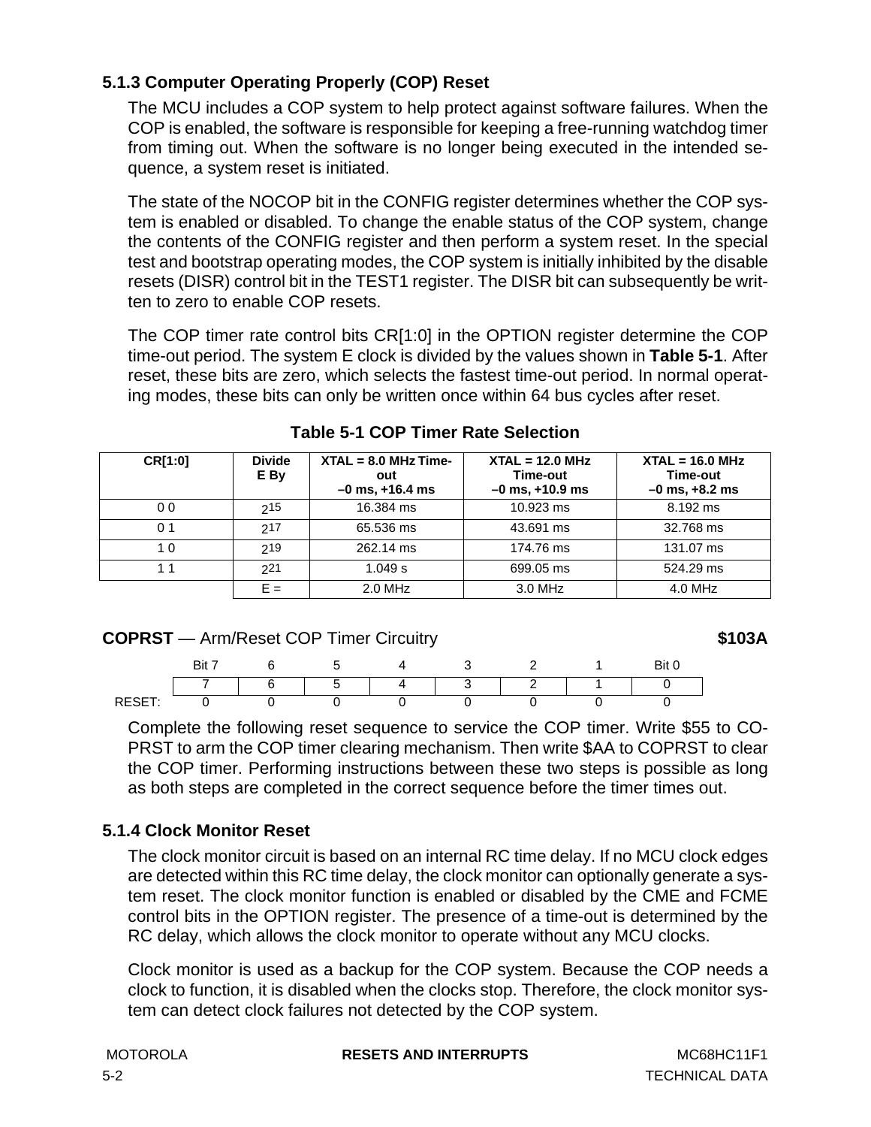## <span id="page-63-0"></span>**5.1.3 Computer Operating Properly (COP) Reset**

The MCU includes a COP system to help protect against software failures. When the COP is enabled, the software is responsible for keeping a free-running watchdog timer from timing out. When the software is no longer being executed in the intended sequence, a system reset is initiated.

The state of the NOCOP bit in the CONFIG register determines whether the COP system is enabled or disabled. To change the enable status of the COP system, change the contents of the CONFIG register and then perform a system reset. In the special test and bootstrap operating modes, the COP system is initially inhibited by the disable resets (DISR) control bit in the TEST1 register. The DISR bit can subsequently be written to zero to enable COP resets.

The COP timer rate control bits CR[1:0] in the OPTION register determine the COP time-out period. The system E clock is divided by the values shown in **Table 5-1**. After reset, these bits are zero, which selects the fastest time-out period. In normal operating modes, these bits can only be written once within 64 bus cycles after reset.

| CR[1:0]        | <b>Divide</b><br>E By | $XTAL = 8.0 MHz Time-$<br>out<br>$-0$ ms, $+16.4$ ms | $XTAL = 12.0 MHz$<br>Time-out<br>$-0$ ms, $+10.9$ ms | $XTAL = 16.0 MHz$<br>Time-out<br>$-0$ ms, $+8.2$ ms |
|----------------|-----------------------|------------------------------------------------------|------------------------------------------------------|-----------------------------------------------------|
| 0 <sub>0</sub> | 215                   | 16.384 ms                                            | 10.923 ms                                            | 8.192 ms                                            |
| 0 <sub>1</sub> | 217                   | 65.536 ms                                            | 43.691 ms                                            | 32.768 ms                                           |
| 10             | 219                   | 262.14 ms                                            | 174.76 ms                                            | 131.07 ms                                           |
| 11             | 221                   | 1.049 s                                              | 699.05 ms                                            | 524.29 ms                                           |
|                | $F =$                 | 2.0 MHz                                              | 3.0 MHz                                              | 4.0 MHz                                             |

## **Table 5-1 COP Timer Rate Selection**

## **COPRST** — Arm/Reset COP Timer Circuitry **\$103A**

Bit 7 6 5 4 3 2 1 Bit 0 7654321 0 RESET: 0 0 0 0 0 0 0

Complete the following reset sequence to service the COP timer. Write \$55 to CO-PRST to arm the COP timer clearing mechanism. Then write \$AA to COPRST to clear the COP timer. Performing instructions between these two steps is possible as long as both steps are completed in the correct sequence before the timer times out.

## **5.1.4 Clock Monitor Reset**

The clock monitor circuit is based on an internal RC time delay. If no MCU clock edges are detected within this RC time delay, the clock monitor can optionally generate a system reset. The clock monitor function is enabled or disabled by the CME and FCME control bits in the OPTION register. The presence of a time-out is determined by the RC delay, which allows the clock monitor to operate without any MCU clocks.

Clock monitor is used as a backup for the COP system. Because the COP needs a clock to function, it is disabled when the clocks stop. Therefore, the clock monitor system can detect clock failures not detected by the COP system.

**MOTOROLA RESETS AND INTERRUPTS** MC68HC11F1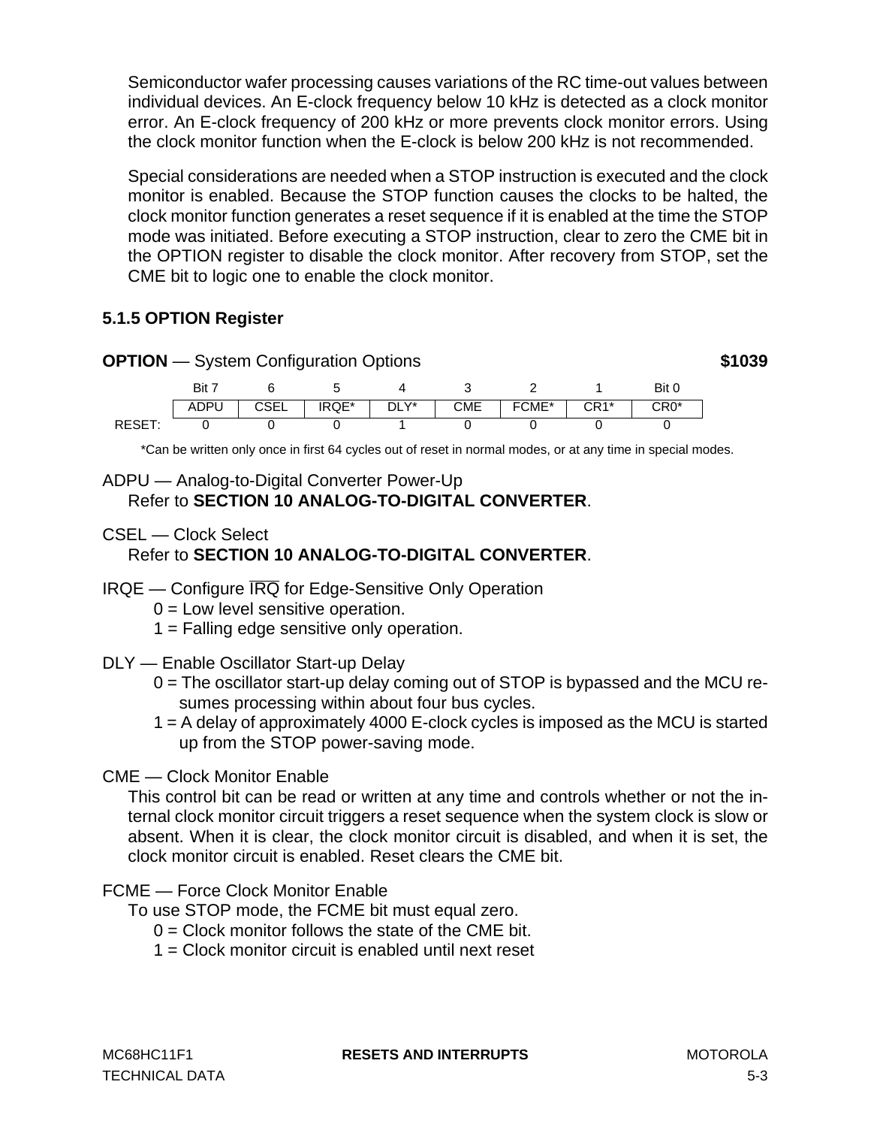Semiconductor wafer processing causes variations of the RC time-out values between individual devices. An E-clock frequency below 10 kHz is detected as a clock monitor error. An E-clock frequency of 200 kHz or more prevents clock monitor errors. Using the clock monitor function when the E-clock is below 200 kHz is not recommended.

Special considerations are needed when a STOP instruction is executed and the clock monitor is enabled. Because the STOP function causes the clocks to be halted, the clock monitor function generates a reset sequence if it is enabled at the time the STOP mode was initiated. Before executing a STOP instruction, clear to zero the CME bit in the OPTION register to disable the clock monitor. After recovery from STOP, set the CME bit to logic one to enable the clock monitor.

## **5.1.5 OPTION Register**



\*Can be written only once in first 64 cycles out of reset in normal modes, or at any time in special modes.

## ADPU — Analog-to-Digital Converter Power-Up Refer to **[SECTION 10 ANALOG-TO-DIGITAL CONVERTER](#page-124-0)**.

- CSEL Clock Select Refer to **[SECTION 10 ANALOG-TO-DIGITAL CONVERTER](#page-124-0)**.
- IRQE Configure IRQ for Edge-Sensitive Only Operation
	- $0 =$  Low level sensitive operation.
	- 1 = Falling edge sensitive only operation.
- DLY Enable Oscillator Start-up Delay
	- 0 = The oscillator start-up delay coming out of STOP is bypassed and the MCU resumes processing within about four bus cycles.
	- 1 = A delay of approximately 4000 E-clock cycles is imposed as the MCU is started up from the STOP power-saving mode.

## CME — Clock Monitor Enable

This control bit can be read or written at any time and controls whether or not the internal clock monitor circuit triggers a reset sequence when the system clock is slow or absent. When it is clear, the clock monitor circuit is disabled, and when it is set, the clock monitor circuit is enabled. Reset clears the CME bit.

## FCME — Force Clock Monitor Enable

- To use STOP mode, the FCME bit must equal zero.
	- $0 =$  Clock monitor follows the state of the CME bit.
	- 1 = Clock monitor circuit is enabled until next reset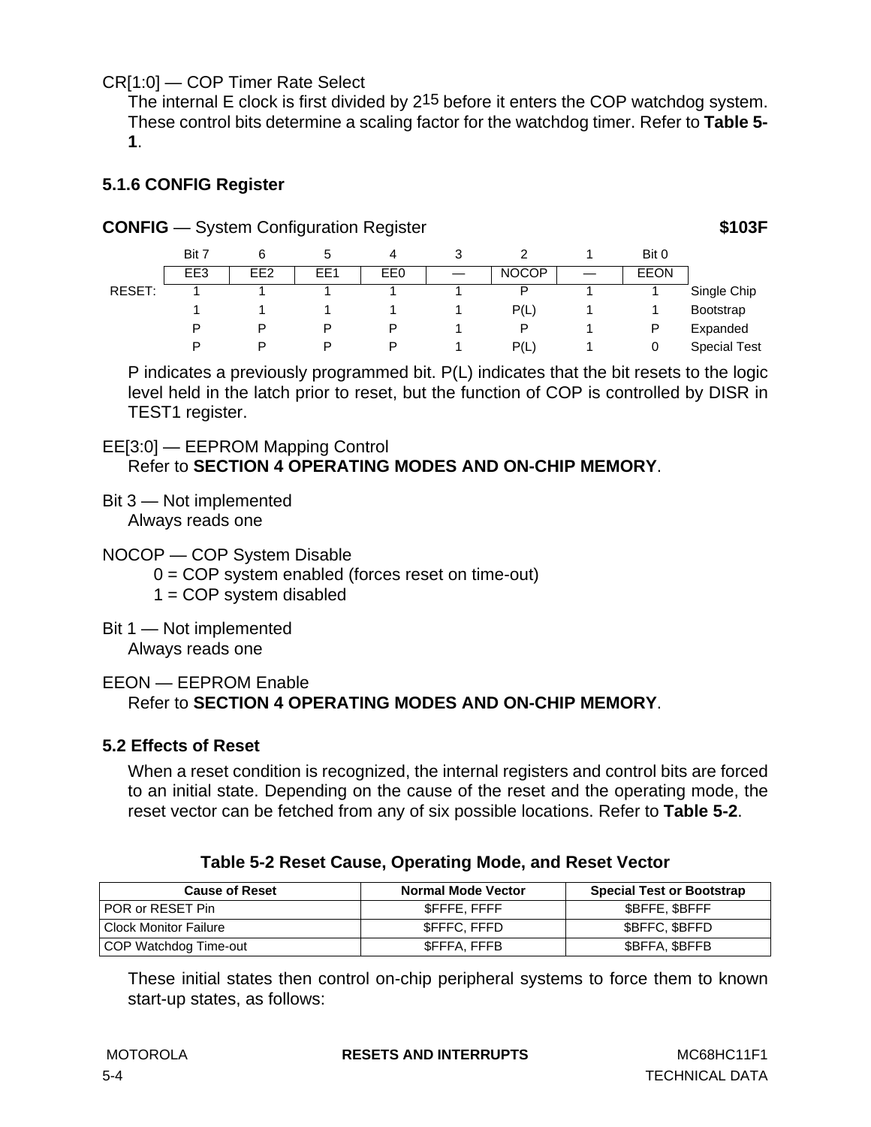CR[1:0] — COP Timer Rate Select

The internal E clock is first divided by 2<sup>15</sup> before it enters the COP watchdog system. These control bits determine a scaling factor for the watchdog timer. Refer to **[Table 5-](#page-63-0) [1](#page-63-0)**.

### **5.1.6 CONFIG Register**

| <b>CONFIG</b> - System Configuration Register | \$103F |
|-----------------------------------------------|--------|
|                                               |        |

|        | Bit 7 | 6               |     | 4   | J |              | Bit 0       |                     |
|--------|-------|-----------------|-----|-----|---|--------------|-------------|---------------------|
|        | EE3   | EE <sub>2</sub> | EE1 | EE0 |   | <b>NOCOP</b> | <b>EEON</b> |                     |
| RESET: |       |                 |     |     |   | P            |             | Single Chip         |
|        |       |                 |     |     |   | P(L)         |             | Bootstrap           |
|        | D     |                 | D   | D   |   | P            | D           | Expanded            |
|        | D     |                 | D   | D   |   | P(L)         |             | <b>Special Test</b> |

P indicates a previously programmed bit. P(L) indicates that the bit resets to the logic level held in the latch prior to reset, but the function of COP is controlled by DISR in TEST1 register.

#### EE[3:0] — EEPROM Mapping Control Refer to **[SECTION 4 OPERATING MODES AND ON-CHIP MEMORY](#page-38-0)**.

- Bit 3 Not implemented Always reads one
- NOCOP COP System Disable
	- $0 = COP$  system enabled (forces reset on time-out)
	- $1 = COP$  system disabled
- Bit 1 Not implemented Always reads one

#### EEON — EEPROM Enable Refer to **[SECTION 4 OPERATING MODES AND ON-CHIP MEMORY](#page-38-0)**.

## **5.2 Effects of Reset**

When a reset condition is recognized, the internal registers and control bits are forced to an initial state. Depending on the cause of the reset and the operating mode, the reset vector can be fetched from any of six possible locations. Refer to **Table 5-2**.

| <b>Cause of Reset</b> | <b>Normal Mode Vector</b> | <b>Special Test or Bootstrap</b> |
|-----------------------|---------------------------|----------------------------------|
| POR or RESET Pin      | SFFFE.FFFF                | \$BFFE, \$BFFF                   |
| Clock Monitor Failure | <b>SFFFC, FFFD</b>        | <b>SBFFC, SBFFD</b>              |

COP Watchdog Time-out **being the state of the SEFFA, FFFB** \$BFFA, \$BFFB

#### **Table 5-2 Reset Cause, Operating Mode, and Reset Vector**

These initial states then control on-chip peripheral systems to force them to known start-up states, as follows: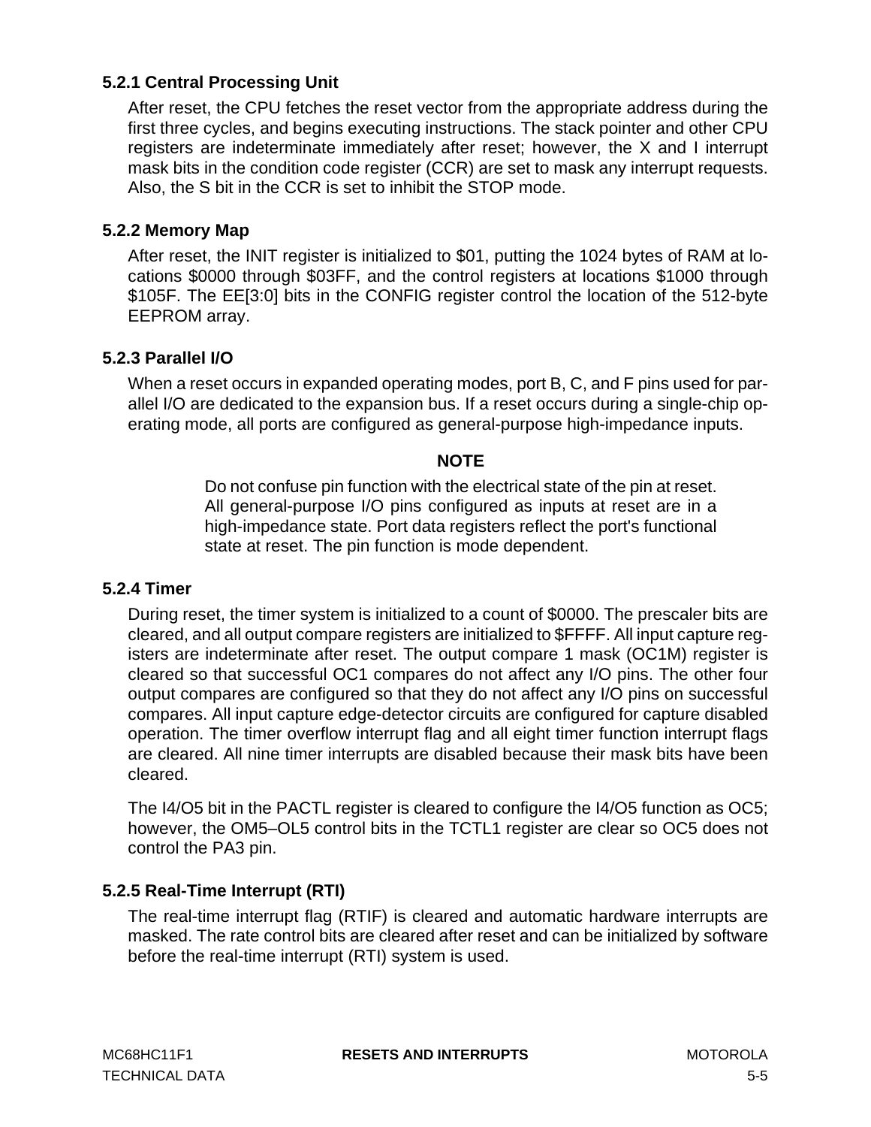## **5.2.1 Central Processing Unit**

After reset, the CPU fetches the reset vector from the appropriate address during the first three cycles, and begins executing instructions. The stack pointer and other CPU registers are indeterminate immediately after reset; however, the X and I interrupt mask bits in the condition code register (CCR) are set to mask any interrupt requests. Also, the S bit in the CCR is set to inhibit the STOP mode.

#### **5.2.2 Memory Map**

After reset, the INIT register is initialized to \$01, putting the 1024 bytes of RAM at locations \$0000 through \$03FF, and the control registers at locations \$1000 through \$105F. The EE[3:0] bits in the CONFIG register control the location of the 512-byte EEPROM array.

#### **5.2.3 Parallel I/O**

When a reset occurs in expanded operating modes, port B, C, and F pins used for parallel I/O are dedicated to the expansion bus. If a reset occurs during a single-chip operating mode, all ports are configured as general-purpose high-impedance inputs.

#### **NOTE**

Do not confuse pin function with the electrical state of the pin at reset. All general-purpose I/O pins configured as inputs at reset are in a high-impedance state. Port data registers reflect the port's functional state at reset. The pin function is mode dependent.

#### **5.2.4 Timer**

During reset, the timer system is initialized to a count of \$0000. The prescaler bits are cleared, and all output compare registers are initialized to \$FFFF. All input capture registers are indeterminate after reset. The output compare 1 mask (OC1M) register is cleared so that successful OC1 compares do not affect any I/O pins. The other four output compares are configured so that they do not affect any I/O pins on successful compares. All input capture edge-detector circuits are configured for capture disabled operation. The timer overflow interrupt flag and all eight timer function interrupt flags are cleared. All nine timer interrupts are disabled because their mask bits have been cleared.

The I4/O5 bit in the PACTL register is cleared to configure the I4/O5 function as OC5; however, the OM5–OL5 control bits in the TCTL1 register are clear so OC5 does not control the PA3 pin.

#### **5.2.5 Real-Time Interrupt (RTI)**

The real-time interrupt flag (RTIF) is cleared and automatic hardware interrupts are masked. The rate control bits are cleared after reset and can be initialized by software before the real-time interrupt (RTI) system is used.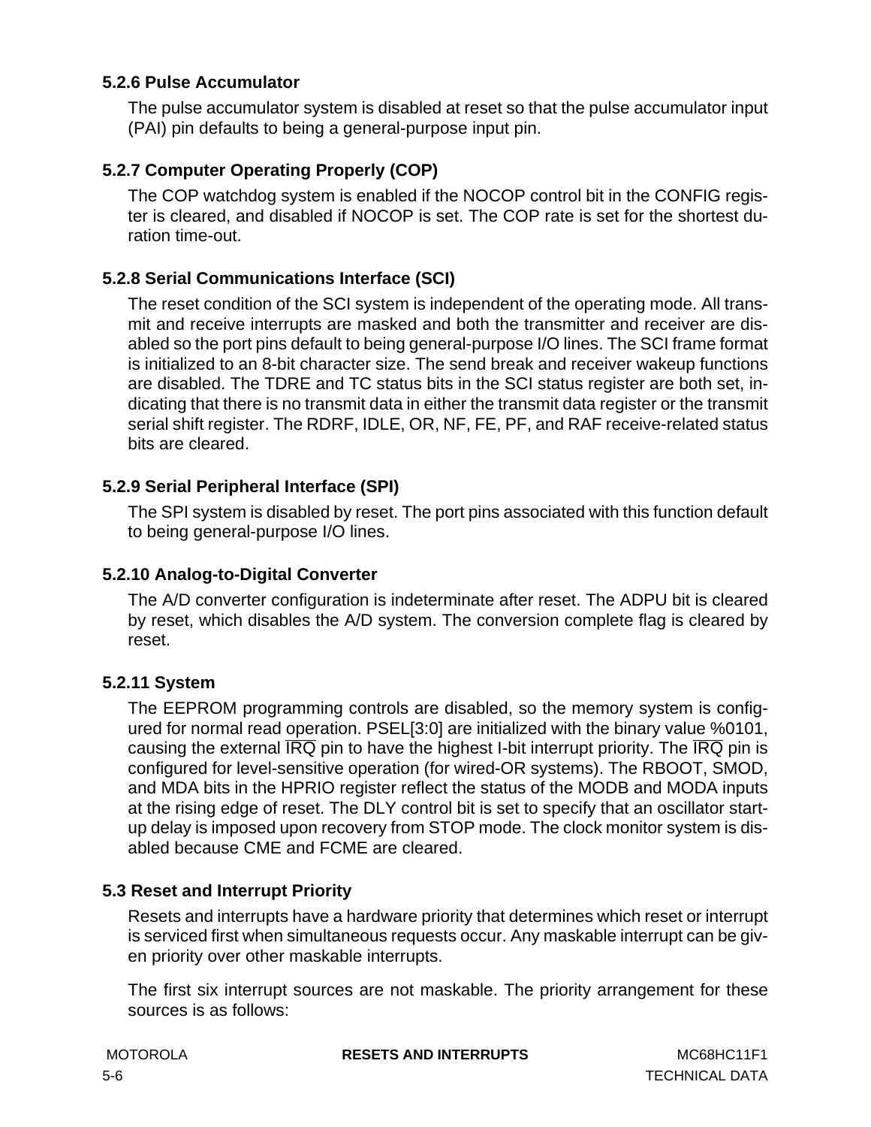### **5.2.6 Pulse Accumulator**

The pulse accumulator system is disabled at reset so that the pulse accumulator input (PAI) pin defaults to being a general-purpose input pin.

## **5.2.7 Computer Operating Properly (COP)**

The COP watchdog system is enabled if the NOCOP control bit in the CONFIG register is cleared, and disabled if NOCOP is set. The COP rate is set for the shortest duration time-out.

#### **5.2.8 Serial Communications Interface (SCI)**

The reset condition of the SCI system is independent of the operating mode. All transmit and receive interrupts are masked and both the transmitter and receiver are disabled so the port pins default to being general-purpose I/O lines. The SCI frame format is initialized to an 8-bit character size. The send break and receiver wakeup functions are disabled. The TDRE and TC status bits in the SCI status register are both set, indicating that there is no transmit data in either the transmit data register or the transmit serial shift register. The RDRF, IDLE, OR, NF, FE, PF, and RAF receive-related status bits are cleared.

### **5.2.9 Serial Peripheral Interface (SPI)**

The SPI system is disabled by reset. The port pins associated with this function default to being general-purpose I/O lines.

#### **5.2.10 Analog-to-Digital Converter**

The A/D converter configuration is indeterminate after reset. The ADPU bit is cleared by reset, which disables the A/D system. The conversion complete flag is cleared by reset.

#### **5.2.11 System**

The EEPROM programming controls are disabled, so the memory system is configured for normal read operation. PSEL[3:0] are initialized with the binary value %0101, causing the external  $\overline{IRQ}$  pin to have the highest I-bit interrupt priority. The  $\overline{IRQ}$  pin is configured for level-sensitive operation (for wired-OR systems). The RBOOT, SMOD, and MDA bits in the HPRIO register reflect the status of the MODB and MODA inputs at the rising edge of reset. The DLY control bit is set to specify that an oscillator startup delay is imposed upon recovery from STOP mode. The clock monitor system is disabled because CME and FCME are cleared.

#### **5.3 Reset and Interrupt Priority**

Resets and interrupts have a hardware priority that determines which reset or interrupt is serviced first when simultaneous requests occur. Any maskable interrupt can be given priority over other maskable interrupts.

The first six interrupt sources are not maskable. The priority arrangement for these sources is as follows:

**MOTOROLA RESETS AND INTERRUPTS** MC68HC11F1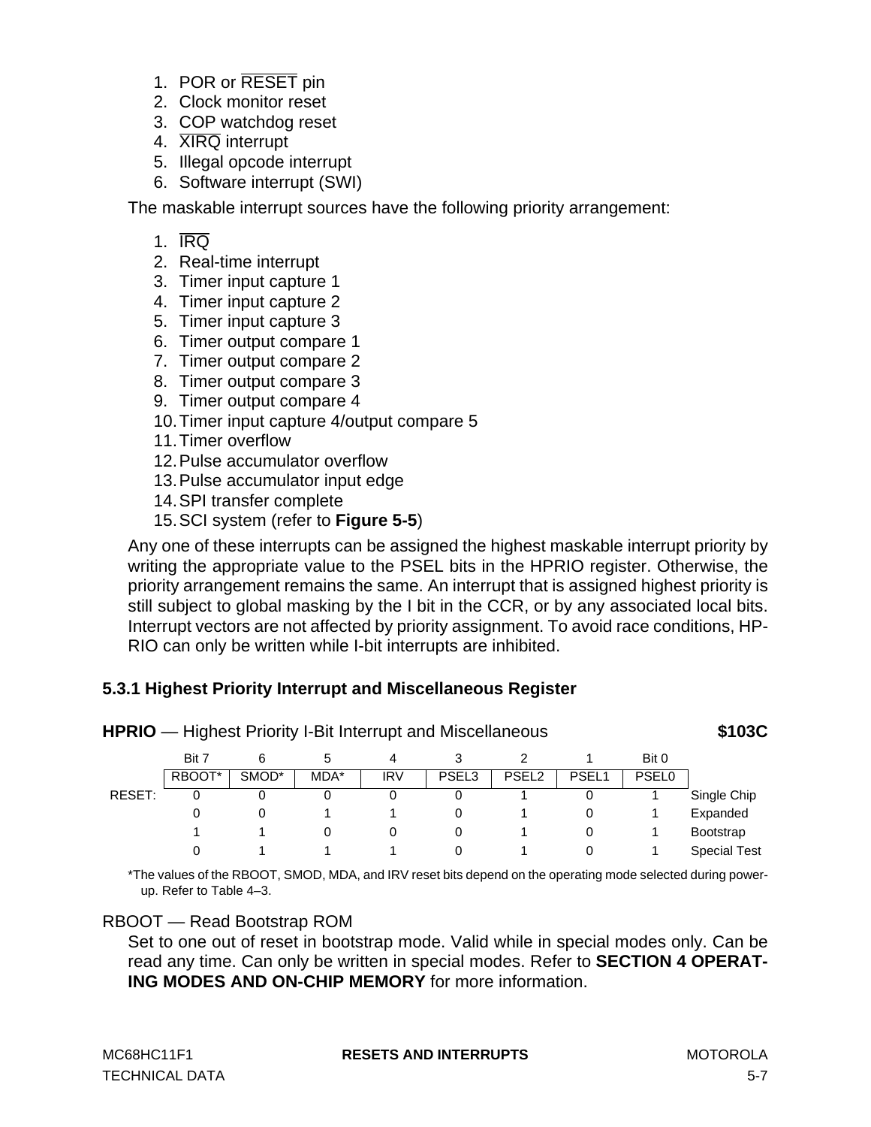- <span id="page-68-0"></span>1. POR or RESET pin
- 2. Clock monitor reset
- 3. COP watchdog reset
- 4. XIRQ interrupt
- 5. Illegal opcode interrupt
- 6. Software interrupt (SWI)

The maskable interrupt sources have the following priority arrangement:

- 1.  $\overline{\text{IRO}}$
- 2. Real-time interrupt
- 3. Timer input capture 1
- 4. Timer input capture 2
- 5. Timer input capture 3
- 6. Timer output compare 1
- 7. Timer output compare 2
- 8. Timer output compare 3
- 9. Timer output compare 4
- 10.Timer input capture 4/output compare 5
- 11.Timer overflow
- 12.Pulse accumulator overflow
- 13.Pulse accumulator input edge
- 14.SPI transfer complete
- 15.SCI system (refer to **[Figure 5-5](#page-77-0)**)

Any one of these interrupts can be assigned the highest maskable interrupt priority by writing the appropriate value to the PSEL bits in the HPRIO register. Otherwise, the priority arrangement remains the same. An interrupt that is assigned highest priority is still subject to global masking by the I bit in the CCR, or by any associated local bits. Interrupt vectors are not affected by priority assignment. To avoid race conditions, HP-RIO can only be written while I-bit interrupts are inhibited.

## **5.3.1 Highest Priority Interrupt and Miscellaneous Register**

|        | Bit 7  | 6     | $\mathbf{D}$ | 4          |                   |                   |       | Bit 0        |                     |
|--------|--------|-------|--------------|------------|-------------------|-------------------|-------|--------------|---------------------|
|        | RBOOT* | SMOD* | MDA*         | <b>IRV</b> | PSEL <sub>3</sub> | PSEL <sub>2</sub> | PSEL1 | <b>PSEL0</b> |                     |
| RESET: | 0      |       |              | 0          | 0                 |                   | 0     |              | Single Chip         |
|        | 0      |       |              |            | 0                 |                   | 0     |              | Expanded            |
|        |        |       |              | 0          | 0                 |                   | 0     |              | <b>Bootstrap</b>    |
|        | 0      |       |              |            | 0                 |                   |       |              | <b>Special Test</b> |

**HPRIO** — Highest Priority I-Bit Interrupt and Miscellaneous **\$103C**

\*The values of the RBOOT, SMOD, MDA, and IRV reset bits depend on the operating mode selected during powerup. Refer to Table 4–3.

## RBOOT — Read Bootstrap ROM

Set to one out of reset in bootstrap mode. Valid while in special modes only. Can be read any time. Can only be written in special modes. Refer to **[SECTION 4 OPERAT-](#page-38-0)[ING MODES AND ON-CHIP MEMORY](#page-38-0)** for more information.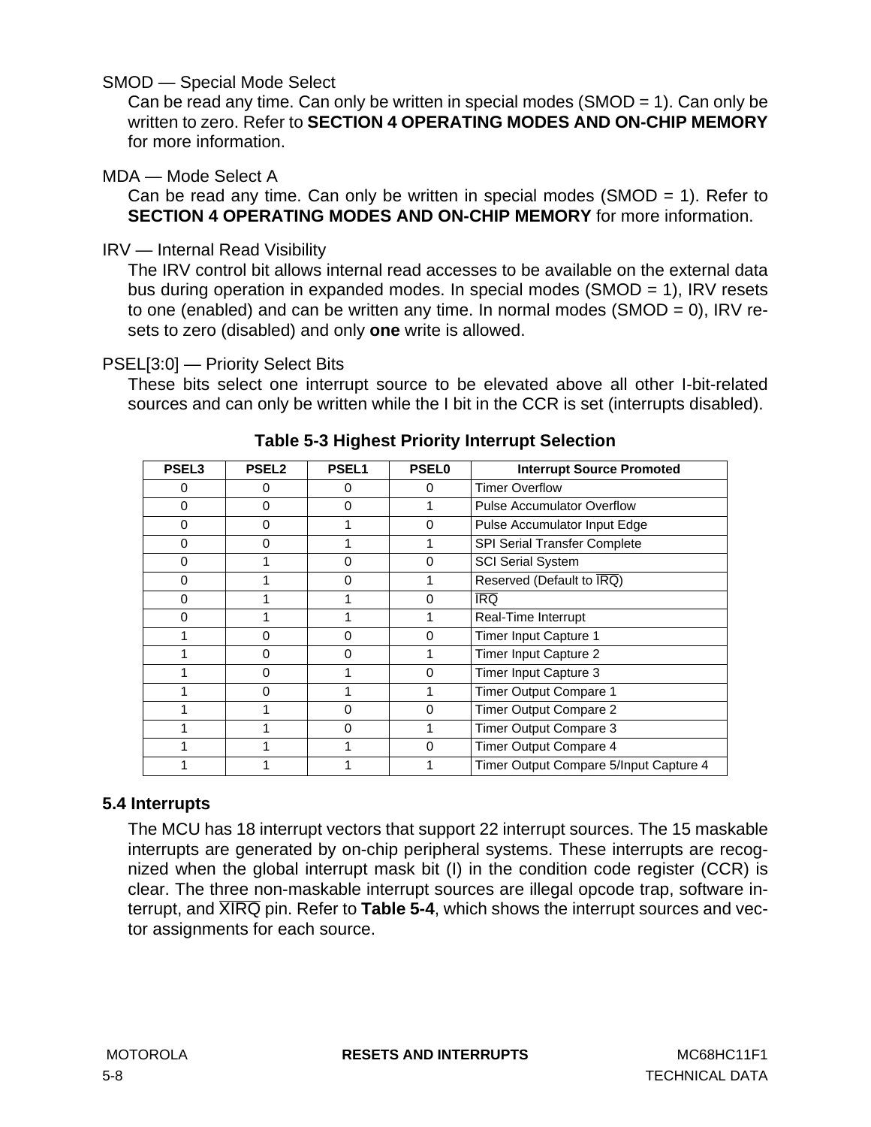### SMOD — Special Mode Select

Can be read any time. Can only be written in special modes (SMOD = 1). Can only be written to zero. Refer to **[SECTION 4 OPERATING MODES AND ON-CHIP MEMORY](#page-38-0)** for more information.

#### MDA — Mode Select A

Can be read any time. Can only be written in special modes (SMOD = 1). Refer to **[SECTION 4 OPERATING MODES AND ON-CHIP MEMORY](#page-38-0)** for more information.

### IRV — Internal Read Visibility

The IRV control bit allows internal read accesses to be available on the external data bus during operation in expanded modes. In special modes (SMOD = 1), IRV resets to one (enabled) and can be written any time. In normal modes (SMOD = 0), IRV resets to zero (disabled) and only **one** write is allowed.

### PSEL[3:0] — Priority Select Bits

These bits select one interrupt source to be elevated above all other I-bit-related sources and can only be written while the I bit in the CCR is set (interrupts disabled).

| PSEL <sub>3</sub> | <b>PSEL2</b> | PSEL1    | <b>PSEL0</b> | <b>Interrupt Source Promoted</b>               |
|-------------------|--------------|----------|--------------|------------------------------------------------|
| 0                 |              | 0        | 0            | <b>Timer Overflow</b>                          |
| 0                 | o            | 0        |              | <b>Pulse Accumulator Overflow</b>              |
| $\Omega$          | n            |          | 0            | Pulse Accumulator Input Edge                   |
| 0                 | o            |          |              | <b>SPI Serial Transfer Complete</b>            |
| 0                 |              | $\Omega$ | $\Omega$     | <b>SCI Serial System</b>                       |
| O                 |              | $\Omega$ |              | Reserved (Default to $\overline{\text{IRQ}}$ ) |
| 0                 |              |          | 0            | <b>IRQ</b>                                     |
| 0                 |              |          |              | Real-Time Interrupt                            |
|                   | $\Omega$     | 0        | 0            | Timer Input Capture 1                          |
|                   | <sup>0</sup> | $\Omega$ | 1            | Timer Input Capture 2                          |
|                   | <sup>0</sup> |          | $\Omega$     | Timer Input Capture 3                          |
|                   | n            |          |              | Timer Output Compare 1                         |
|                   |              | 0        | $\mathbf{0}$ | Timer Output Compare 2                         |
|                   |              | 0        |              | Timer Output Compare 3                         |
|                   |              |          | 0            | Timer Output Compare 4                         |
|                   |              |          |              | Timer Output Compare 5/Input Capture 4         |

## **Table 5-3 Highest Priority Interrupt Selection**

## **5.4 Interrupts**

The MCU has 18 interrupt vectors that support 22 interrupt sources. The 15 maskable interrupts are generated by on-chip peripheral systems. These interrupts are recognized when the global interrupt mask bit (I) in the condition code register (CCR) is clear. The three non-maskable interrupt sources are illegal opcode trap, software interrupt, and XIRQ pin. Refer to **[Table 5-4](#page-70-0)**, which shows the interrupt sources and vector assignments for each source.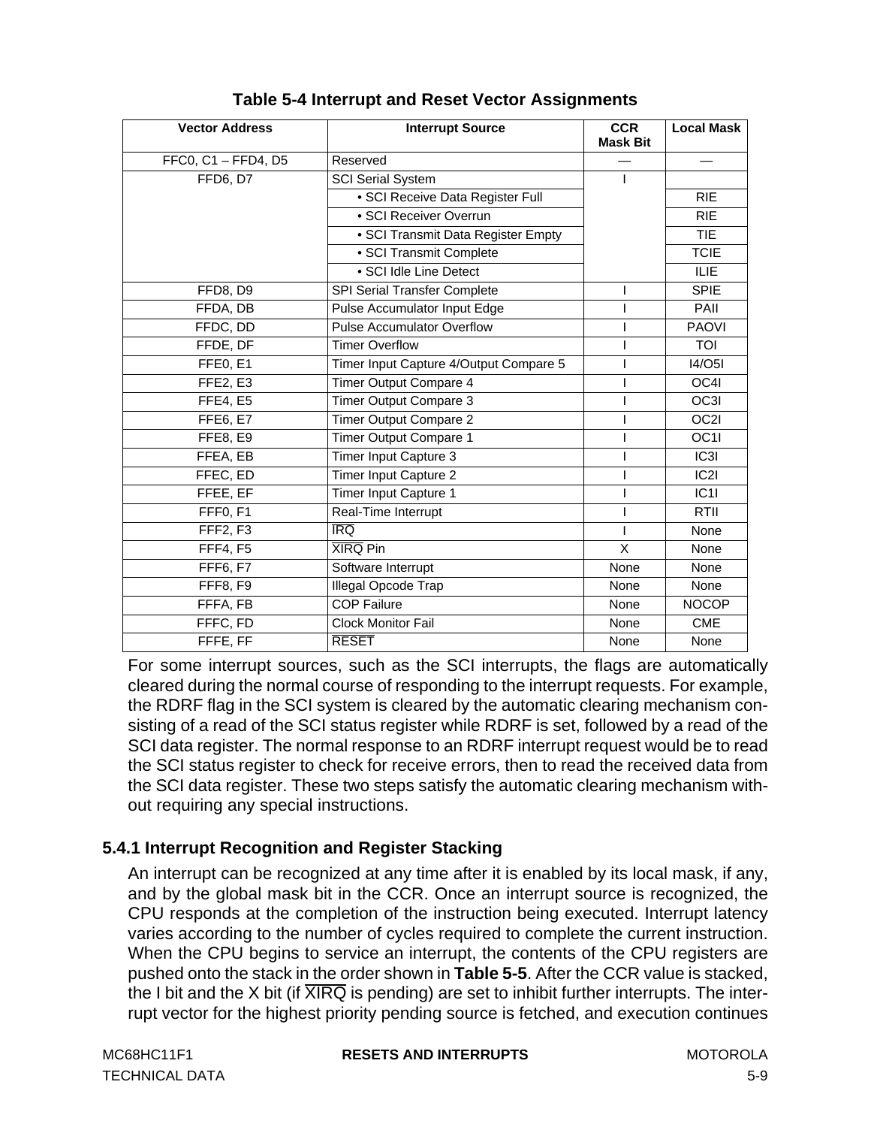<span id="page-70-0"></span>

| <b>Vector Address</b> | <b>Interrupt Source</b>                | <b>CCR</b><br><b>Mask Bit</b> | <b>Local Mask</b> |
|-----------------------|----------------------------------------|-------------------------------|-------------------|
| FFC0, C1 - FFD4, D5   | Reserved                               |                               |                   |
| FFD6, D7              | <b>SCI Serial System</b>               |                               |                   |
|                       | · SCI Receive Data Register Full       |                               | <b>RIE</b>        |
|                       | · SCI Receiver Overrun                 |                               | <b>RIE</b>        |
|                       | • SCI Transmit Data Register Empty     |                               | <b>TIE</b>        |
|                       | · SCI Transmit Complete                |                               | <b>TCIE</b>       |
|                       | · SCI Idle Line Detect                 |                               | <b>ILIE</b>       |
| FFD8, D9              | SPI Serial Transfer Complete           |                               | <b>SPIE</b>       |
| FFDA, DB              | Pulse Accumulator Input Edge           |                               | PAII              |
| FFDC, DD              | <b>Pulse Accumulator Overflow</b>      |                               | <b>PAOVI</b>      |
| FFDE, DF              | <b>Timer Overflow</b>                  |                               | TOI               |
| FFE0, E1              | Timer Input Capture 4/Output Compare 5 |                               | <b>I4/O5I</b>     |
| <b>FFE2, E3</b>       | Timer Output Compare 4                 |                               | OC4I              |
| <b>FFE4, E5</b>       | Timer Output Compare 3                 |                               | OC3I              |
| <b>FFE6, E7</b>       | Timer Output Compare 2                 |                               | OC2I              |
| FFE8, E9              | Timer Output Compare 1                 |                               | OC1I              |
| FFEA, EB              | Timer Input Capture 3                  |                               | C3                |
| FFEC, ED              | Timer Input Capture 2                  |                               | C2                |
| FFEE, EF              | Timer Input Capture 1                  |                               | IC11              |
| FFF0, F1              | Real-Time Interrupt                    |                               | <b>RTII</b>       |
| FFF2, F3              | $\overline{\text{IRQ}}$                |                               | None              |
| <b>FFF4, F5</b>       | <b>XIRQ Pin</b>                        | X                             | None              |
| <b>FFF6, F7</b>       | Software Interrupt                     | None                          | None              |
| FFF8, F9              | Illegal Opcode Trap                    | None                          | None              |
| FFFA, FB              | <b>COP Failure</b>                     | None                          | <b>NOCOP</b>      |
| FFFC, FD              | <b>Clock Monitor Fail</b>              | None                          | <b>CME</b>        |
| FFFE, FF              | <b>RESET</b>                           | None                          | None              |

## **Table 5-4 Interrupt and Reset Vector Assignments**

For some interrupt sources, such as the SCI interrupts, the flags are automatically cleared during the normal course of responding to the interrupt requests. For example, the RDRF flag in the SCI system is cleared by the automatic clearing mechanism consisting of a read of the SCI status register while RDRF is set, followed by a read of the SCI data register. The normal response to an RDRF interrupt request would be to read the SCI status register to check for receive errors, then to read the received data from the SCI data register. These two steps satisfy the automatic clearing mechanism without requiring any special instructions.

## **5.4.1 Interrupt Recognition and Register Stacking**

An interrupt can be recognized at any time after it is enabled by its local mask, if any, and by the global mask bit in the CCR. Once an interrupt source is recognized, the CPU responds at the completion of the instruction being executed. Interrupt latency varies according to the number of cycles required to complete the current instruction. When the CPU begins to service an interrupt, the contents of the CPU registers are pushed onto the stack in the order shown in **[Table 5-5](#page-71-0)**. After the CCR value is stacked, the I bit and the X bit (if  $\overline{XIRQ}$  is pending) are set to inhibit further interrupts. The interrupt vector for the highest priority pending source is fetched, and execution continues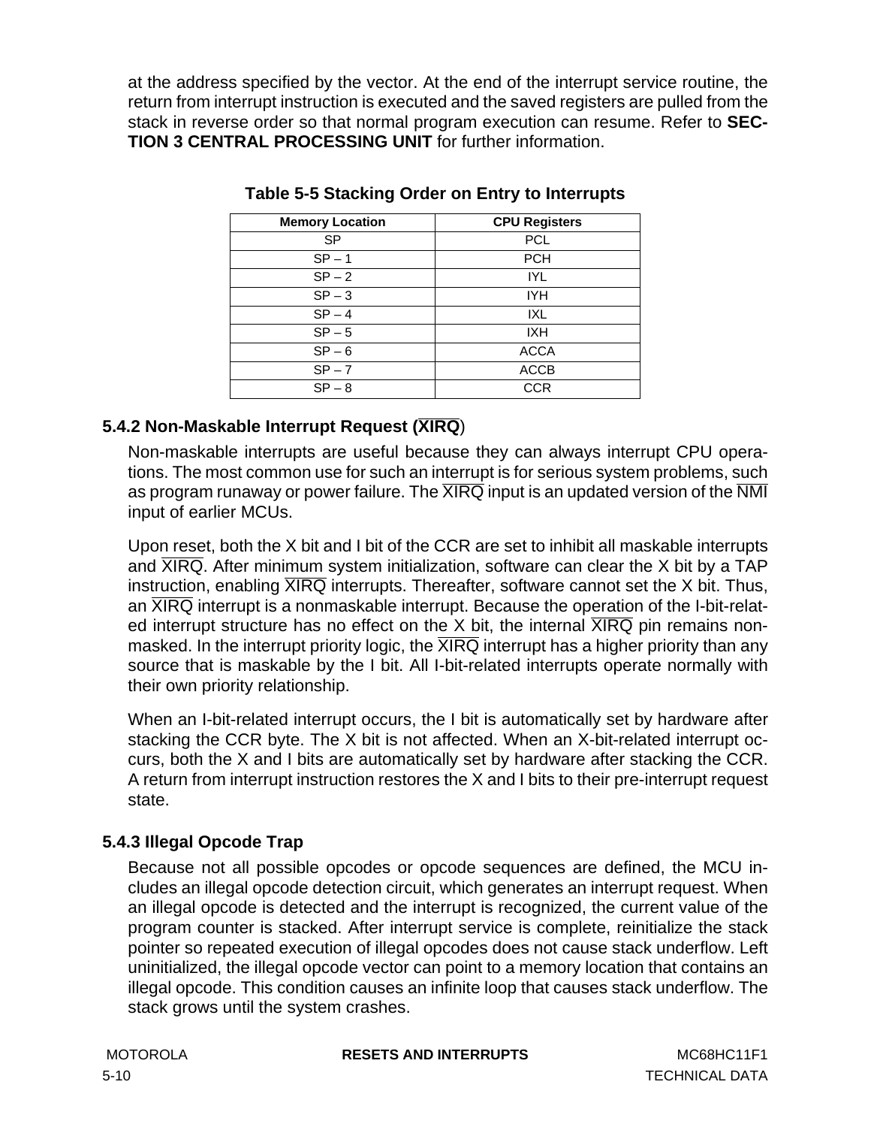<span id="page-71-0"></span>at the address specified by the vector. At the end of the interrupt service routine, the return from interrupt instruction is executed and the saved registers are pulled from the stack in reverse order so that normal program execution can resume. Refer to **[SEC-](#page-24-0)[TION 3 CENTRAL PROCESSING UNIT](#page-24-0)** for further information.

| <b>Memory Location</b> | <b>CPU Registers</b> |
|------------------------|----------------------|
| SP                     | <b>PCL</b>           |
| $SP - 1$               | <b>PCH</b>           |
| $SP-2$                 | <b>IYL</b>           |
| $SP - 3$               | <b>IYH</b>           |
| $SP-4$                 | IXL                  |
| $SP - 5$               | <b>IXH</b>           |
| $SP - 6$               | <b>ACCA</b>          |
| $SP - 7$               | <b>ACCB</b>          |
| $SP - 8$               | CCR                  |

### **Table 5-5 Stacking Order on Entry to Interrupts**

## **5.4.2 Non-Maskable Interrupt Request (XIRQ**)

Non-maskable interrupts are useful because they can always interrupt CPU operations. The most common use for such an interrupt is for serious system problems, such as program runaway or power failure. The  $\overline{\text{XIRQ}}$  input is an updated version of the  $\overline{\text{NMI}}$ input of earlier MCUs.

Upon reset, both the X bit and I bit of the CCR are set to inhibit all maskable interrupts and  $\overline{XIRQ}$ . After minimum system initialization, software can clear the X bit by a TAP instruction, enabling  $\overline{XIRQ}$  interrupts. Thereafter, software cannot set the X bit. Thus, an  $\overline{XIRQ}$  interrupt is a nonmaskable interrupt. Because the operation of the I-bit-related interrupt structure has no effect on the X bit, the internal  $\overline{XIRQ}$  pin remains nonmasked. In the interrupt priority logic, the  $\overline{\text{XIRQ}}$  interrupt has a higher priority than any source that is maskable by the I bit. All I-bit-related interrupts operate normally with their own priority relationship.

When an I-bit-related interrupt occurs, the I bit is automatically set by hardware after stacking the CCR byte. The X bit is not affected. When an X-bit-related interrupt occurs, both the X and I bits are automatically set by hardware after stacking the CCR. A return from interrupt instruction restores the X and I bits to their pre-interrupt request state.

## **5.4.3 Illegal Opcode Trap**

Because not all possible opcodes or opcode sequences are defined, the MCU includes an illegal opcode detection circuit, which generates an interrupt request. When an illegal opcode is detected and the interrupt is recognized, the current value of the program counter is stacked. After interrupt service is complete, reinitialize the stack pointer so repeated execution of illegal opcodes does not cause stack underflow. Left uninitialized, the illegal opcode vector can point to a memory location that contains an illegal opcode. This condition causes an infinite loop that causes stack underflow. The stack grows until the system crashes.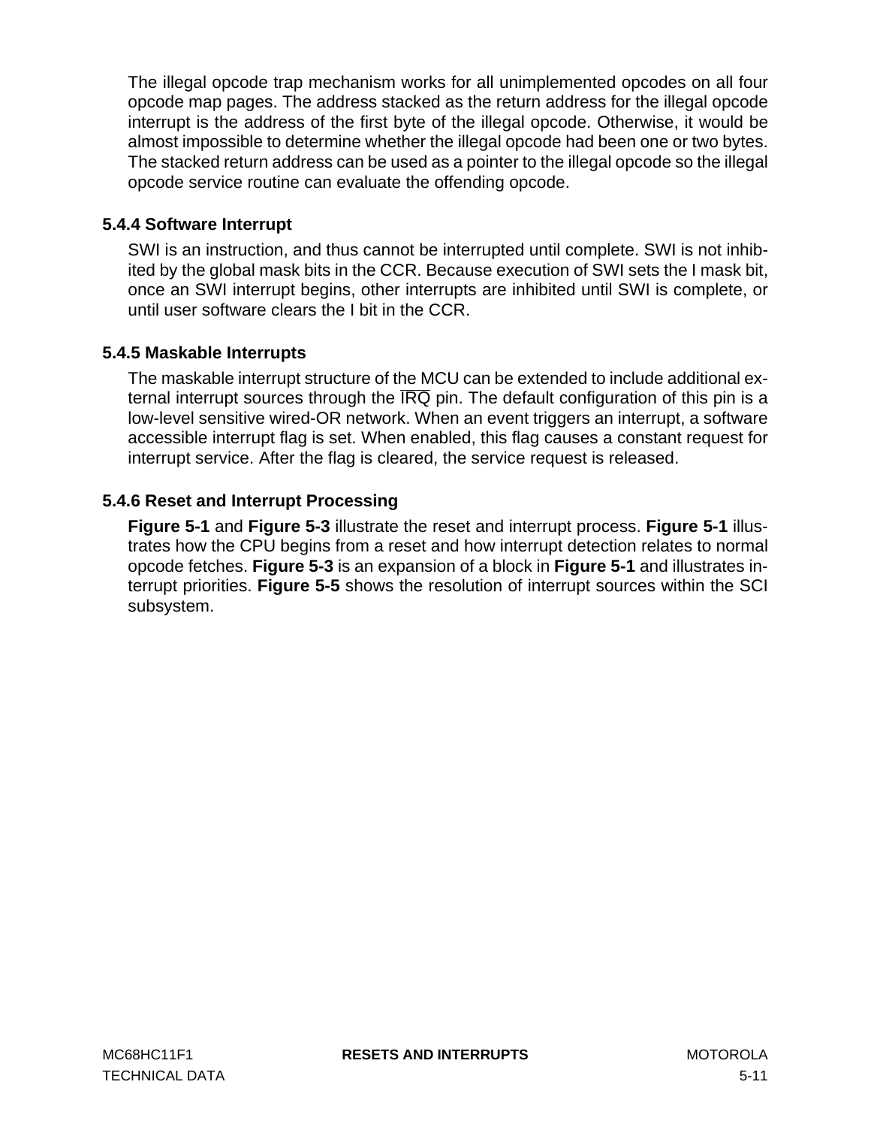The illegal opcode trap mechanism works for all unimplemented opcodes on all four opcode map pages. The address stacked as the return address for the illegal opcode interrupt is the address of the first byte of the illegal opcode. Otherwise, it would be almost impossible to determine whether the illegal opcode had been one or two bytes. The stacked return address can be used as a pointer to the illegal opcode so the illegal opcode service routine can evaluate the offending opcode.

### **5.4.4 Software Interrupt**

SWI is an instruction, and thus cannot be interrupted until complete. SWI is not inhibited by the global mask bits in the CCR. Because execution of SWI sets the I mask bit, once an SWI interrupt begins, other interrupts are inhibited until SWI is complete, or until user software clears the I bit in the CCR.

### **5.4.5 Maskable Interrupts**

The maskable interrupt structure of the MCU can be extended to include additional external interrupt sources through the  $\overline{IRQ}$  pin. The default configuration of this pin is a low-level sensitive wired-OR network. When an event triggers an interrupt, a software accessible interrupt flag is set. When enabled, this flag causes a constant request for interrupt service. After the flag is cleared, the service request is released.

### **5.4.6 Reset and Interrupt Processing**

**[Figure 5-1](#page-73-0)** and **[Figure 5-3](#page-75-0)** illustrate the reset and interrupt process. **[Figure 5-1](#page-73-0)** illustrates how the CPU begins from a reset and how interrupt detection relates to normal opcode fetches. **[Figure 5-3](#page-75-0)** is an expansion of a block in **[Figure 5-1](#page-73-0)** and illustrates interrupt priorities. **[Figure 5-5](#page-77-0)** shows the resolution of interrupt sources within the SCI subsystem.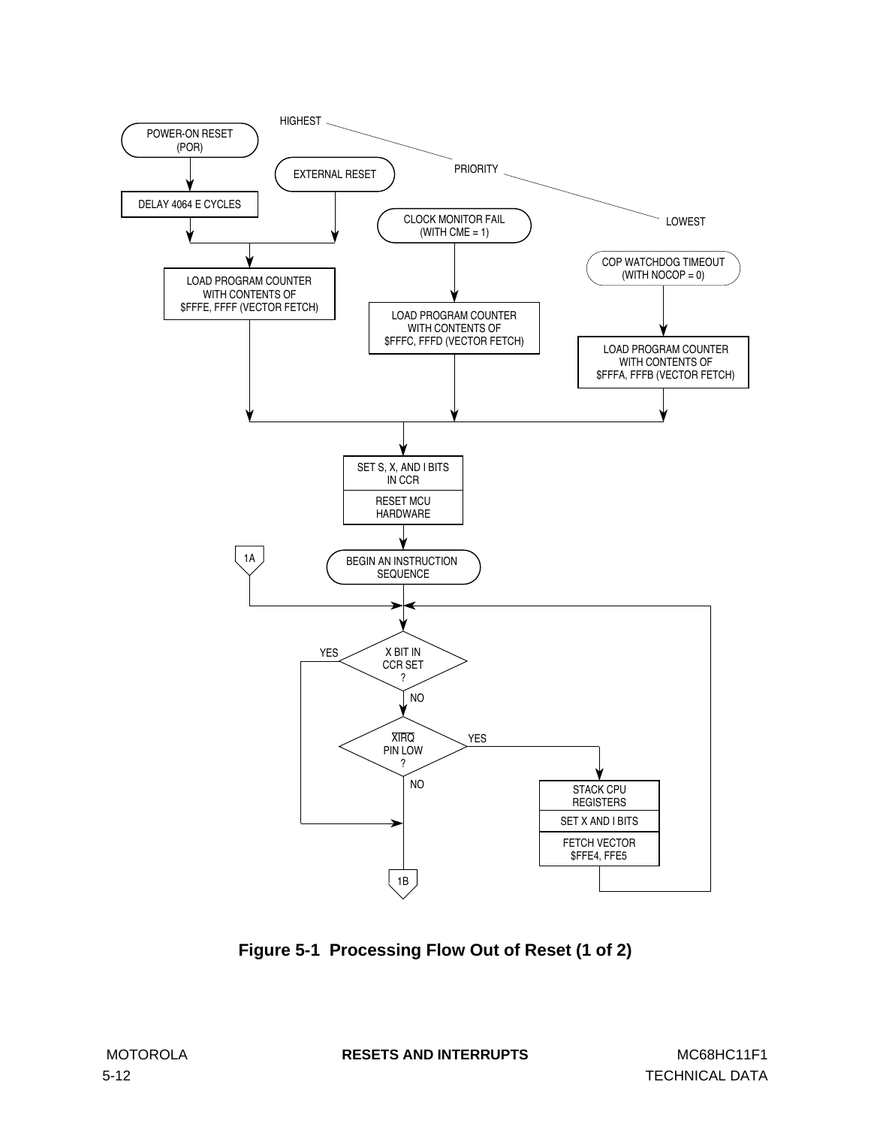<span id="page-73-0"></span>

**Figure 5-1 Processing Flow Out of Reset (1 of 2)**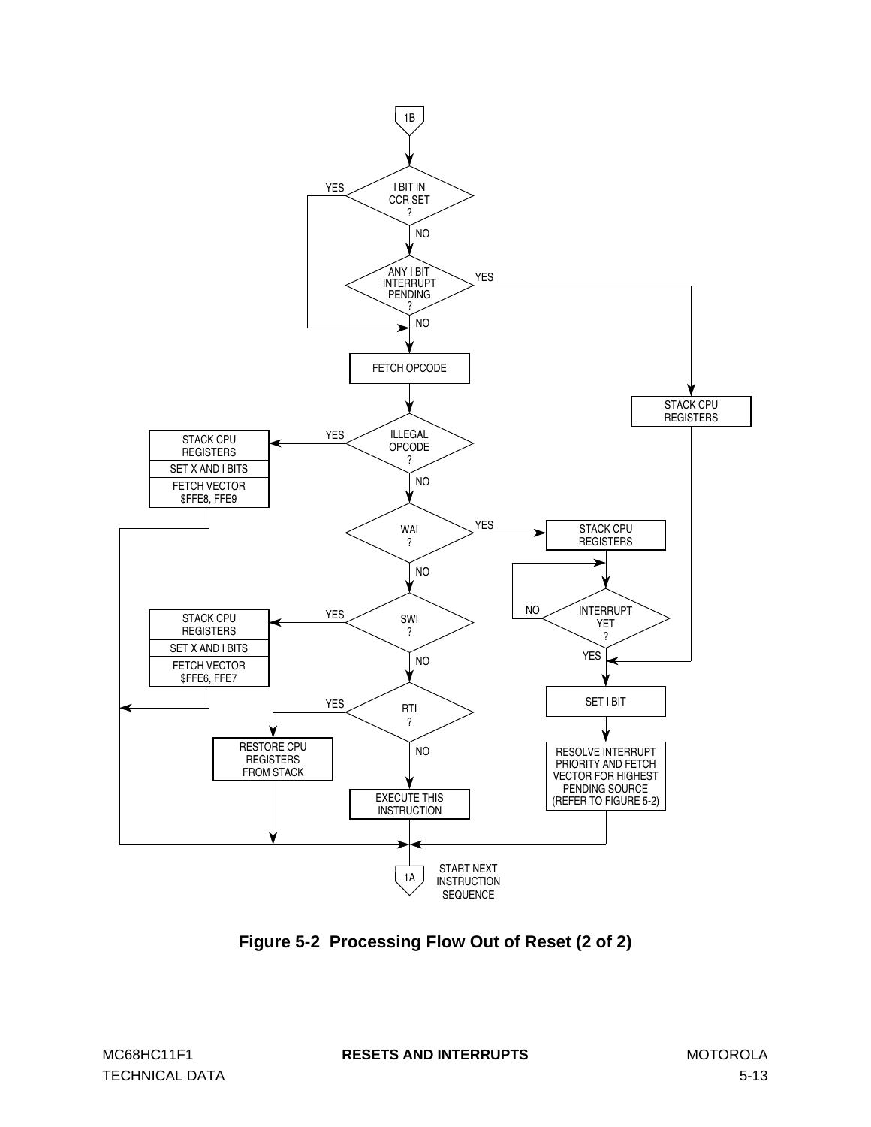

**Figure 5-2 Processing Flow Out of Reset (2 of 2)**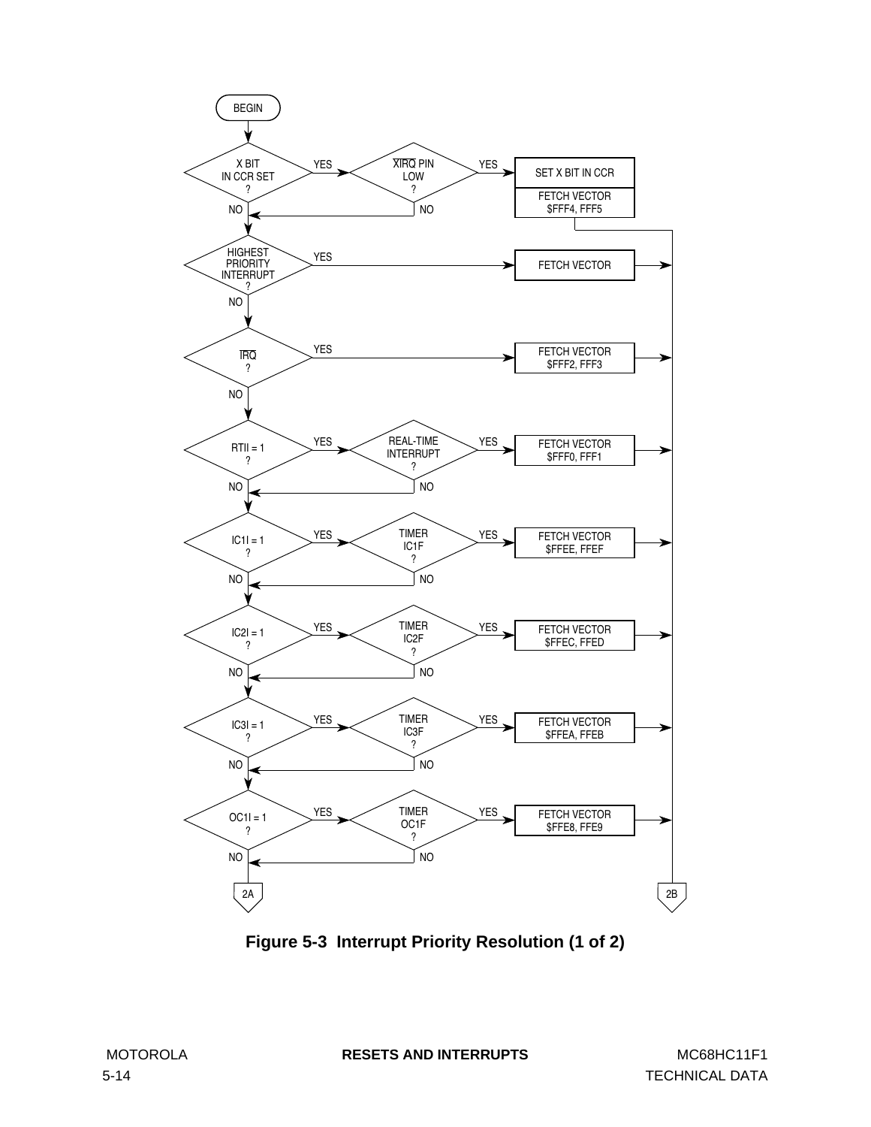<span id="page-75-0"></span>

**Figure 5-3 Interrupt Priority Resolution (1 of 2)**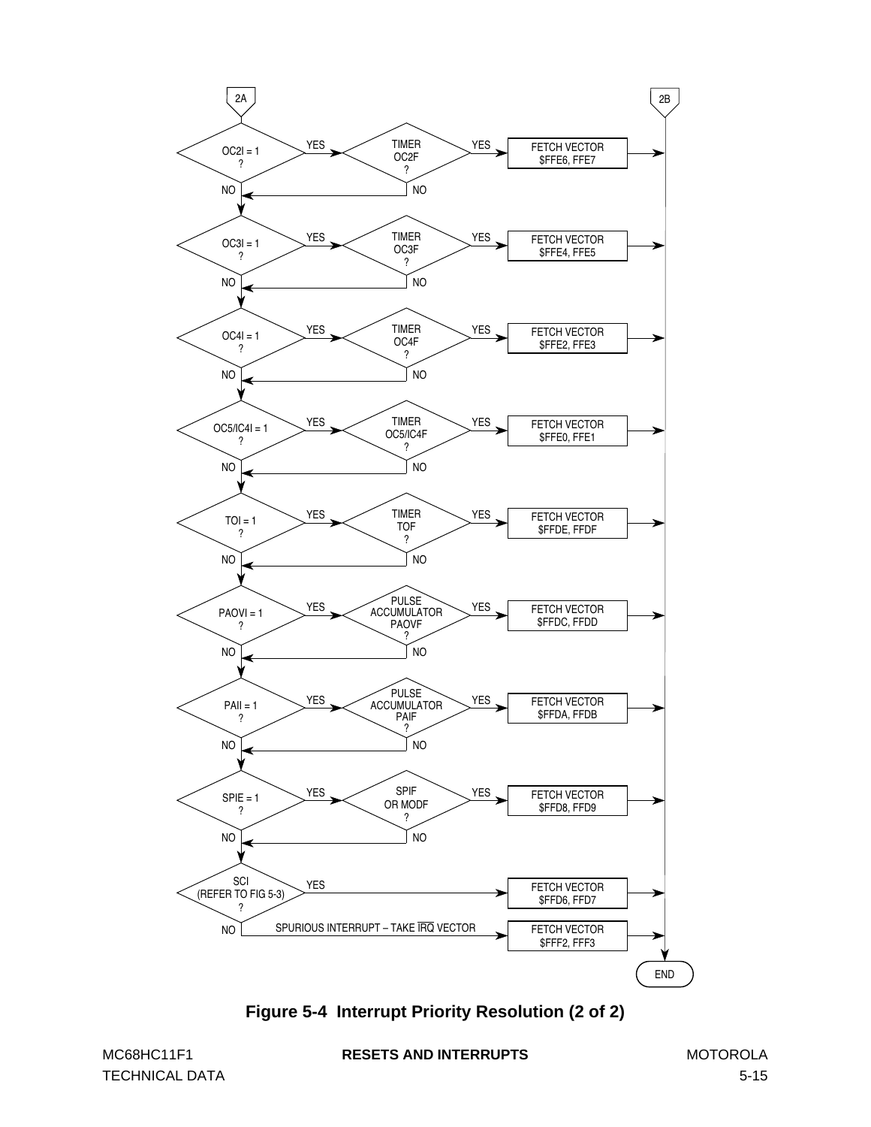

**Figure 5-4 Interrupt Priority Resolution (2 of 2)**

TECHNICAL DATA 5-15

MC68HC11F1 **RESETS AND INTERRUPTS** MOTOROLA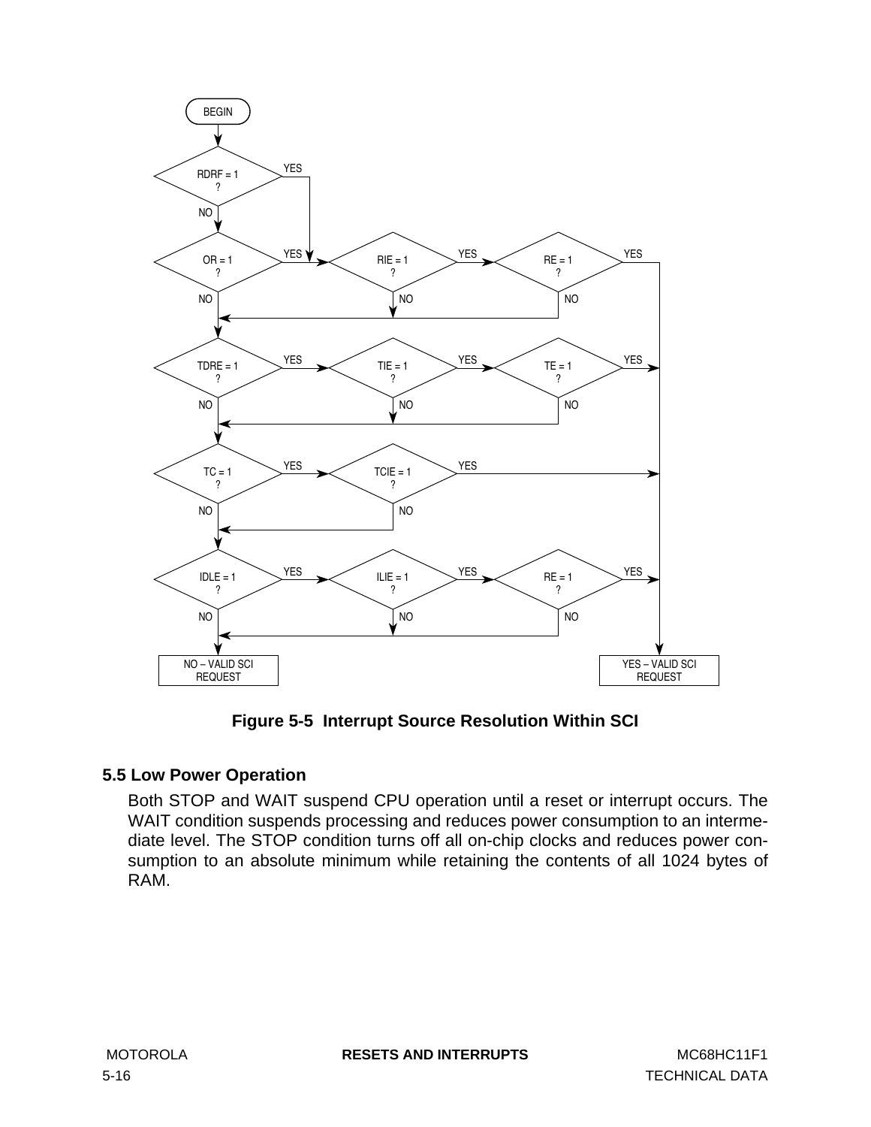<span id="page-77-0"></span>

**Figure 5-5 Interrupt Source Resolution Within SCI**

# **5.5 Low Power Operation**

Both STOP and WAIT suspend CPU operation until a reset or interrupt occurs. The WAIT condition suspends processing and reduces power consumption to an intermediate level. The STOP condition turns off all on-chip clocks and reduces power consumption to an absolute minimum while retaining the contents of all 1024 bytes of RAM.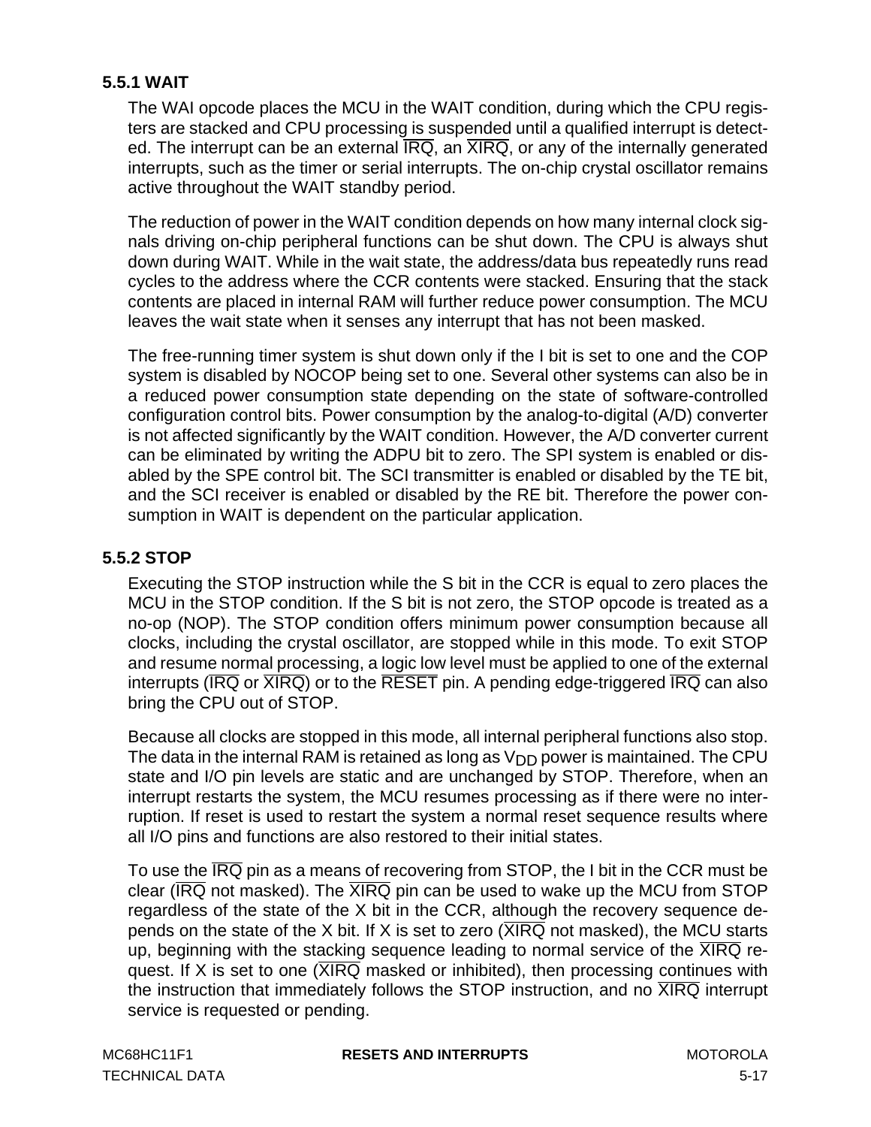# **5.5.1 WAIT**

The WAI opcode places the MCU in the WAIT condition, during which the CPU registers are stacked and CPU processing is suspended until a qualified interrupt is detected. The interrupt can be an external  $\overline{\text{IRQ}}$ , an  $\overline{\text{XIRQ}}$ , or any of the internally generated interrupts, such as the timer or serial interrupts. The on-chip crystal oscillator remains active throughout the WAIT standby period.

The reduction of power in the WAIT condition depends on how many internal clock signals driving on-chip peripheral functions can be shut down. The CPU is always shut down during WAIT. While in the wait state, the address/data bus repeatedly runs read cycles to the address where the CCR contents were stacked. Ensuring that the stack contents are placed in internal RAM will further reduce power consumption. The MCU leaves the wait state when it senses any interrupt that has not been masked.

The free-running timer system is shut down only if the I bit is set to one and the COP system is disabled by NOCOP being set to one. Several other systems can also be in a reduced power consumption state depending on the state of software-controlled configuration control bits. Power consumption by the analog-to-digital (A/D) converter is not affected significantly by the WAIT condition. However, the A/D converter current can be eliminated by writing the ADPU bit to zero. The SPI system is enabled or disabled by the SPE control bit. The SCI transmitter is enabled or disabled by the TE bit, and the SCI receiver is enabled or disabled by the RE bit. Therefore the power consumption in WAIT is dependent on the particular application.

# **5.5.2 STOP**

Executing the STOP instruction while the S bit in the CCR is equal to zero places the MCU in the STOP condition. If the S bit is not zero, the STOP opcode is treated as a no-op (NOP). The STOP condition offers minimum power consumption because all clocks, including the crystal oscillator, are stopped while in this mode. To exit STOP and resume normal processing, a logic low level must be applied to one of the external interrupts ( $\overline{IRQ}$  or  $\overline{XIRQ}$ ) or to the  $\overline{RESET}$  pin. A pending edge-triggered  $\overline{IRQ}$  can also bring the CPU out of STOP.

Because all clocks are stopped in this mode, all internal peripheral functions also stop. The data in the internal RAM is retained as long as  $V_{DD}$  power is maintained. The CPU state and I/O pin levels are static and are unchanged by STOP. Therefore, when an interrupt restarts the system, the MCU resumes processing as if there were no interruption. If reset is used to restart the system a normal reset sequence results where all I/O pins and functions are also restored to their initial states.

To use the  $\overline{IRQ}$  pin as a means of recovering from STOP, the I bit in the CCR must be clear ( $\overline{\text{IRQ}}$  not masked). The  $\overline{\text{XIRQ}}$  pin can be used to wake up the MCU from STOP regardless of the state of the X bit in the CCR, although the recovery sequence depends on the state of the X bit. If X is set to zero ( $\overline{\text{XIRQ}}$  not masked), the MCU starts up, beginning with the stacking sequence leading to normal service of the  $\overline{\text{XIRQ}}$  request. If X is set to one  $\overline{\text{XIRQ}}$  masked or inhibited), then processing continues with the instruction that immediately follows the STOP instruction, and no  $\overline{XIRQ}$  interrupt service is requested or pending.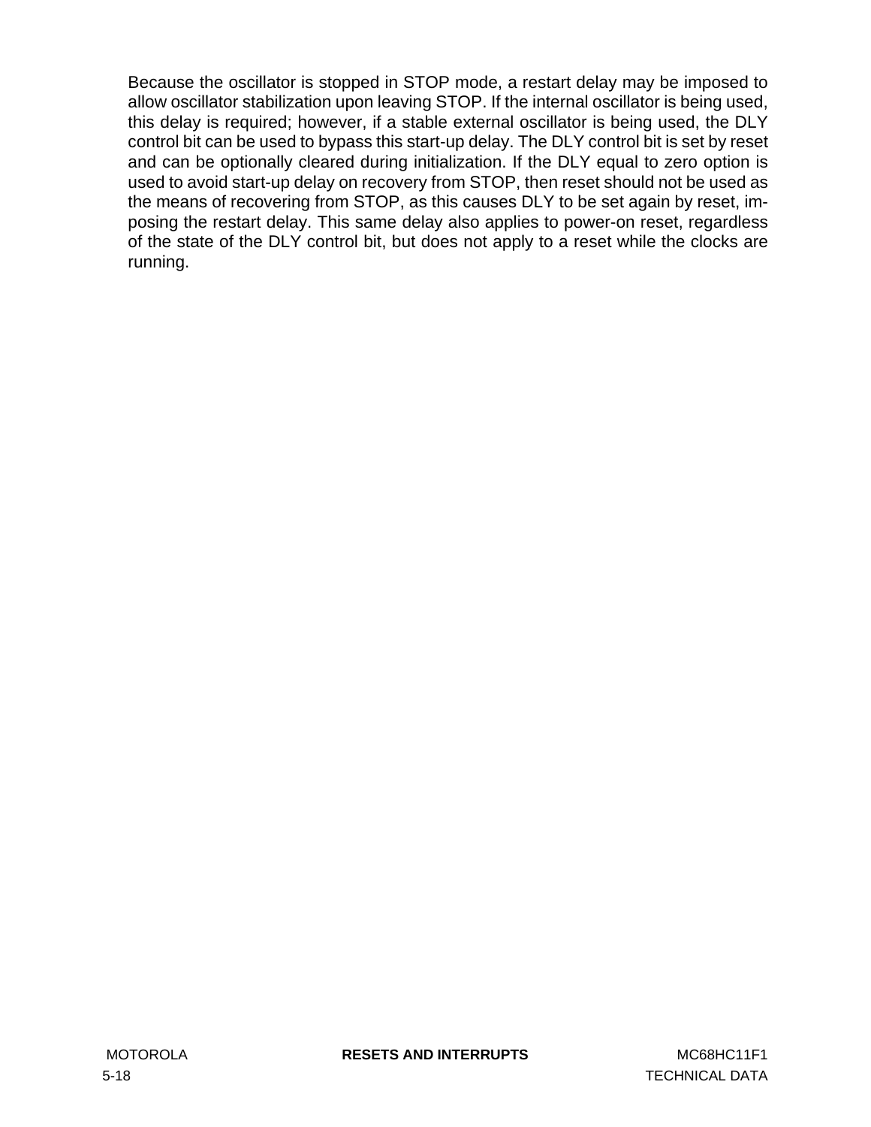Because the oscillator is stopped in STOP mode, a restart delay may be imposed to allow oscillator stabilization upon leaving STOP. If the internal oscillator is being used, this delay is required; however, if a stable external oscillator is being used, the DLY control bit can be used to bypass this start-up delay. The DLY control bit is set by reset and can be optionally cleared during initialization. If the DLY equal to zero option is used to avoid start-up delay on recovery from STOP, then reset should not be used as the means of recovering from STOP, as this causes DLY to be set again by reset, imposing the restart delay. This same delay also applies to power-on reset, regardless of the state of the DLY control bit, but does not apply to a reset while the clocks are running.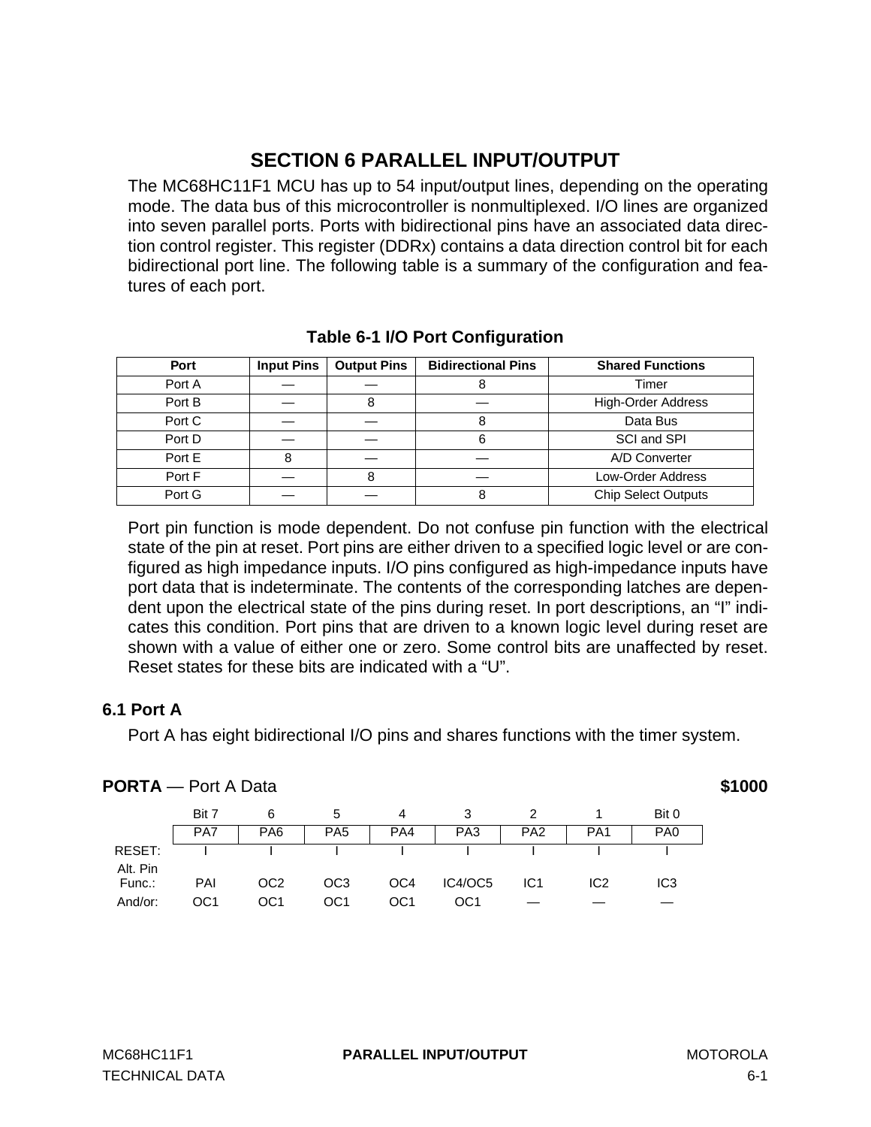# **SECTION 6 PARALLEL INPUT/OUTPUT**

The MC68HC11F1 MCU has up to 54 input/output lines, depending on the operating mode. The data bus of this microcontroller is nonmultiplexed. I/O lines are organized into seven parallel ports. Ports with bidirectional pins have an associated data direction control register. This register (DDRx) contains a data direction control bit for each bidirectional port line. The following table is a summary of the configuration and features of each port.

| Port   | <b>Input Pins</b> | <b>Output Pins</b> | <b>Bidirectional Pins</b> | <b>Shared Functions</b>    |
|--------|-------------------|--------------------|---------------------------|----------------------------|
| Port A |                   |                    |                           | Timer                      |
| Port B |                   |                    |                           | <b>High-Order Address</b>  |
| Port C |                   |                    |                           | Data Bus                   |
| Port D |                   |                    | 6                         | SCI and SPI                |
| Port E |                   |                    |                           | A/D Converter              |
| Port F |                   | 8                  |                           | <b>Low-Order Address</b>   |
| Port G |                   |                    |                           | <b>Chip Select Outputs</b> |

# **Table 6-1 I/O Port Configuration**

Port pin function is mode dependent. Do not confuse pin function with the electrical state of the pin at reset. Port pins are either driven to a specified logic level or are configured as high impedance inputs. I/O pins configured as high-impedance inputs have port data that is indeterminate. The contents of the corresponding latches are dependent upon the electrical state of the pins during reset. In port descriptions, an "I" indicates this condition. Port pins that are driven to a known logic level during reset are shown with a value of either one or zero. Some control bits are unaffected by reset. Reset states for these bits are indicated with a "U".

# **6.1 Port A**

Port A has eight bidirectional I/O pins and shares functions with the timer system.

| <b>PORTA</b> — Port A Data |       |                 |                 |                 |                 |                 |                 |                 | \$1000 |
|----------------------------|-------|-----------------|-----------------|-----------------|-----------------|-----------------|-----------------|-----------------|--------|
|                            | Bit 7 | 6               | 5               | 4               |                 |                 |                 | Bit 0           |        |
|                            | PA7   | PA <sub>6</sub> | PA <sub>5</sub> | PA4             | PA <sub>3</sub> | PA <sub>2</sub> | PA <sub>1</sub> | PA <sub>0</sub> |        |
| RESET:                     |       |                 |                 |                 |                 |                 |                 |                 |        |
| Alt. Pin                   |       |                 |                 |                 |                 |                 |                 |                 |        |
| Func.:                     | PAI   | OC <sub>2</sub> | OC <sub>3</sub> | OC <sub>4</sub> | IC4/OC5         | IC <sub>1</sub> | IC2             | IC <sub>3</sub> |        |
| And/or:                    | OC1   | OC1             | OC <sub>1</sub> | OC <sub>1</sub> | OC1             |                 |                 |                 |        |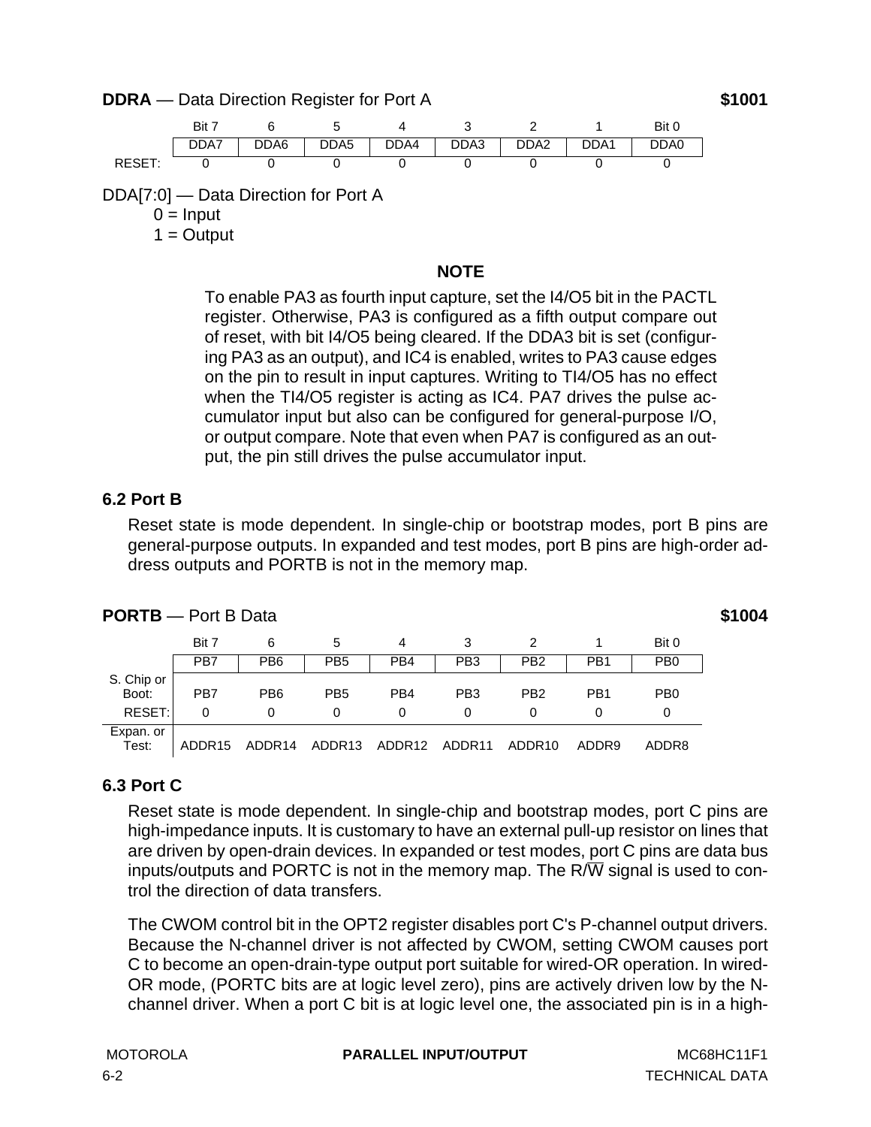### **DDRA** — Data Direction Register for Port A **\$1001**



DDA[7:0] — Data Direction for Port A

 $0 =$ Input

 $1 =$  Output

### **NOTE**

To enable PA3 as fourth input capture, set the I4/O5 bit in the PACTL register. Otherwise, PA3 is configured as a fifth output compare out of reset, with bit I4/O5 being cleared. If the DDA3 bit is set (configuring PA3 as an output), and IC4 is enabled, writes to PA3 cause edges on the pin to result in input captures. Writing to TI4/O5 has no effect when the TI4/O5 register is acting as IC4. PA7 drives the pulse accumulator input but also can be configured for general-purpose I/O, or output compare. Note that even when PA7 is configured as an output, the pin still drives the pulse accumulator input.

### **6.2 Port B**

Reset state is mode dependent. In single-chip or bootstrap modes, port B pins are general-purpose outputs. In expanded and test modes, port B pins are high-order address outputs and PORTB is not in the memory map.

| <b>PORTB</b> - Port B Data | \$1004 |  |
|----------------------------|--------|--|
|                            |        |  |

Bit 7 6 5 4 3 2 1 Bit 0 PB7 | PB6 | PB5 | PB4 | PB3 | PB2 | PB1 | PB0 S. Chip or Boot: PB7 PB6 PB5 PB4 PB3 PB2 PB1 PB0 RESET:| 0 0 0 0 0 0 0 0 0 Expan. or Test: ADDR15 ADDR14 ADDR13 ADDR12 ADDR11 ADDR10 ADDR9 ADDR8

# **6.3 Port C**

Reset state is mode dependent. In single-chip and bootstrap modes, port C pins are high-impedance inputs. It is customary to have an external pull-up resistor on lines that are driven by open-drain devices. In expanded or test modes, port C pins are data bus inputs/outputs and PORTC is not in the memory map. The  $R/\overline{W}$  signal is used to control the direction of data transfers.

The CWOM control bit in the OPT2 register disables port C's P-channel output drivers. Because the N-channel driver is not affected by CWOM, setting CWOM causes port C to become an open-drain-type output port suitable for wired-OR operation. In wired-OR mode, (PORTC bits are at logic level zero), pins are actively driven low by the Nchannel driver. When a port C bit is at logic level one, the associated pin is in a high-

### MOTOROLA **PARALLEL INPUT/OUTPUT** MC68HC11F1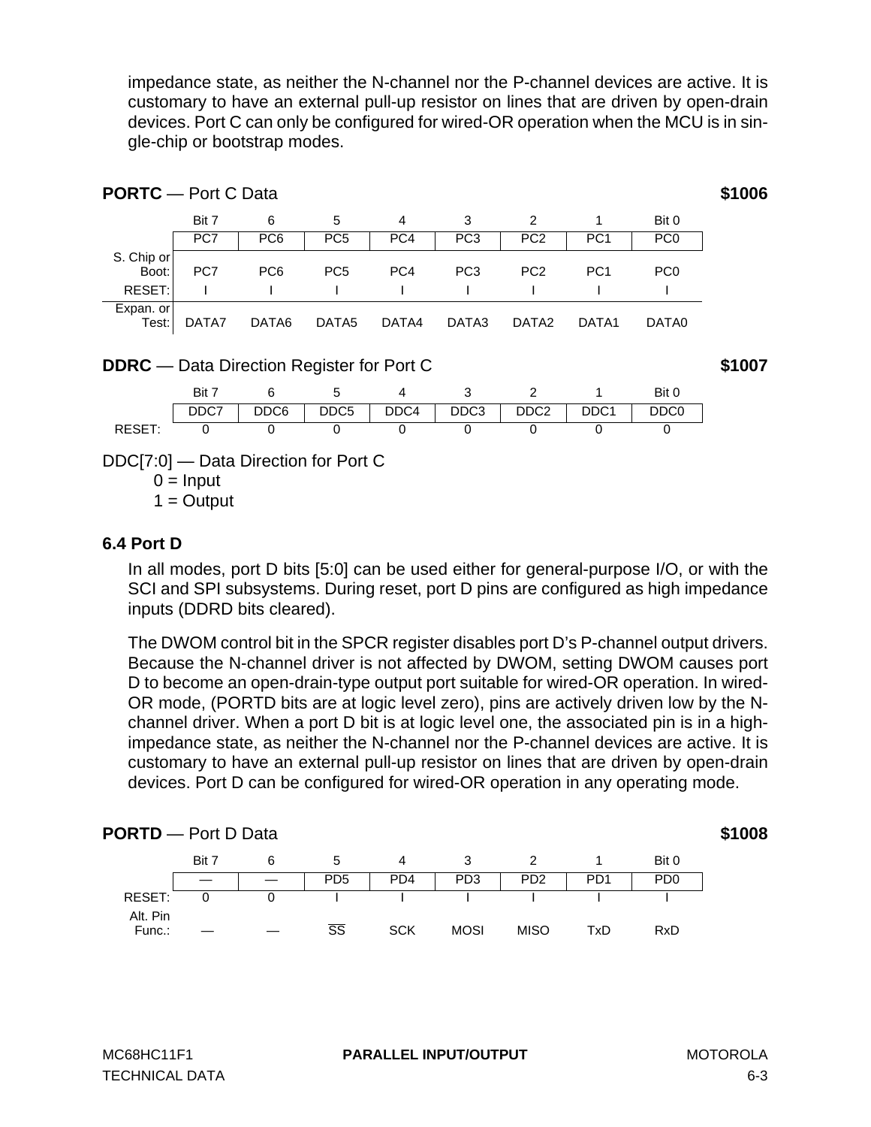impedance state, as neither the N-channel nor the P-channel devices are active. It is customary to have an external pull-up resistor on lines that are driven by open-drain devices. Port C can only be configured for wired-OR operation when the MCU is in single-chip or bootstrap modes.

| <b>PORTC</b> - Port C Data                       |                             |                  |                  |                 |                 |                   |                  |                 | \$1006 |
|--------------------------------------------------|-----------------------------|------------------|------------------|-----------------|-----------------|-------------------|------------------|-----------------|--------|
|                                                  | Bit 7                       | 6                | 5                | 4               | 3               | 2                 | 1                | Bit 0           |        |
|                                                  | PC7                         | PC <sub>6</sub>  | PC <sub>5</sub>  | PC4             | PC <sub>3</sub> | PC <sub>2</sub>   | PC <sub>1</sub>  | PC <sub>0</sub> |        |
| S. Chip or<br>Boot:                              | PC7                         | PC <sub>6</sub>  | PC <sub>5</sub>  | PC <sub>4</sub> | PC <sub>3</sub> | PC <sub>2</sub>   | PC <sub>1</sub>  | PC <sub>0</sub> |        |
| RESET:                                           |                             |                  |                  |                 |                 |                   |                  |                 |        |
| Expan. or<br>Test:                               | DATA7                       | DATA6            | DATA5            | DATA4           | DATA3           | DATA <sub>2</sub> | DATA1            | DATA0           |        |
| <b>DDRC</b> — Data Direction Register for Port C |                             |                  |                  |                 |                 |                   |                  |                 | \$1007 |
|                                                  | Bit 7                       | 6                | 5                | 4               | 3               | 2                 | 1                | Bit 0           |        |
|                                                  | DDC7                        | DDC <sub>6</sub> | DDC <sub>5</sub> | DDC4            | DDC3            | DDC <sub>2</sub>  | DDC <sub>1</sub> | DDC0            |        |
| RESET:                                           | $\Omega$                    | $\Omega$         | 0                | 0               | $\Omega$        | 0                 | 0                | 0               |        |
| DDC[7:0] — Data Direction for Port C             | $0 =$ Input<br>$1 =$ Output |                  |                  |                 |                 |                   |                  |                 |        |

### **6.4 Port D**

In all modes, port D bits [5:0] can be used either for general-purpose I/O, or with the SCI and SPI subsystems. During reset, port D pins are configured as high impedance inputs (DDRD bits cleared).

The DWOM control bit in the SPCR register disables port D's P-channel output drivers. Because the N-channel driver is not affected by DWOM, setting DWOM causes port D to become an open-drain-type output port suitable for wired-OR operation. In wired-OR mode, (PORTD bits are at logic level zero), pins are actively driven low by the Nchannel driver. When a port D bit is at logic level one, the associated pin is in a highimpedance state, as neither the N-channel nor the P-channel devices are active. It is customary to have an external pull-up resistor on lines that are driven by open-drain devices. Port D can be configured for wired-OR operation in any operating mode.

| <b>PORTD</b> - Port D Data |       |   |                        |                 |                 |                             |                  |                             | \$1008 |
|----------------------------|-------|---|------------------------|-----------------|-----------------|-----------------------------|------------------|-----------------------------|--------|
|                            | Bit 7 | 6 | b                      |                 |                 |                             |                  | Bit 0                       |        |
|                            |       |   | P <sub>D5</sub>        | PD <sub>4</sub> | PD <sub>3</sub> | P <sub>D</sub> <sub>2</sub> | P <sub>D</sub> 1 | P <sub>D</sub> <sub>0</sub> |        |
| RESET:                     |       |   |                        |                 |                 |                             |                  |                             |        |
| Alt. Pin<br>Func.:         |       |   | $\overline{\text{SS}}$ | <b>SCK</b>      | <b>MOSI</b>     | <b>MISO</b>                 | TxD              | RxD                         |        |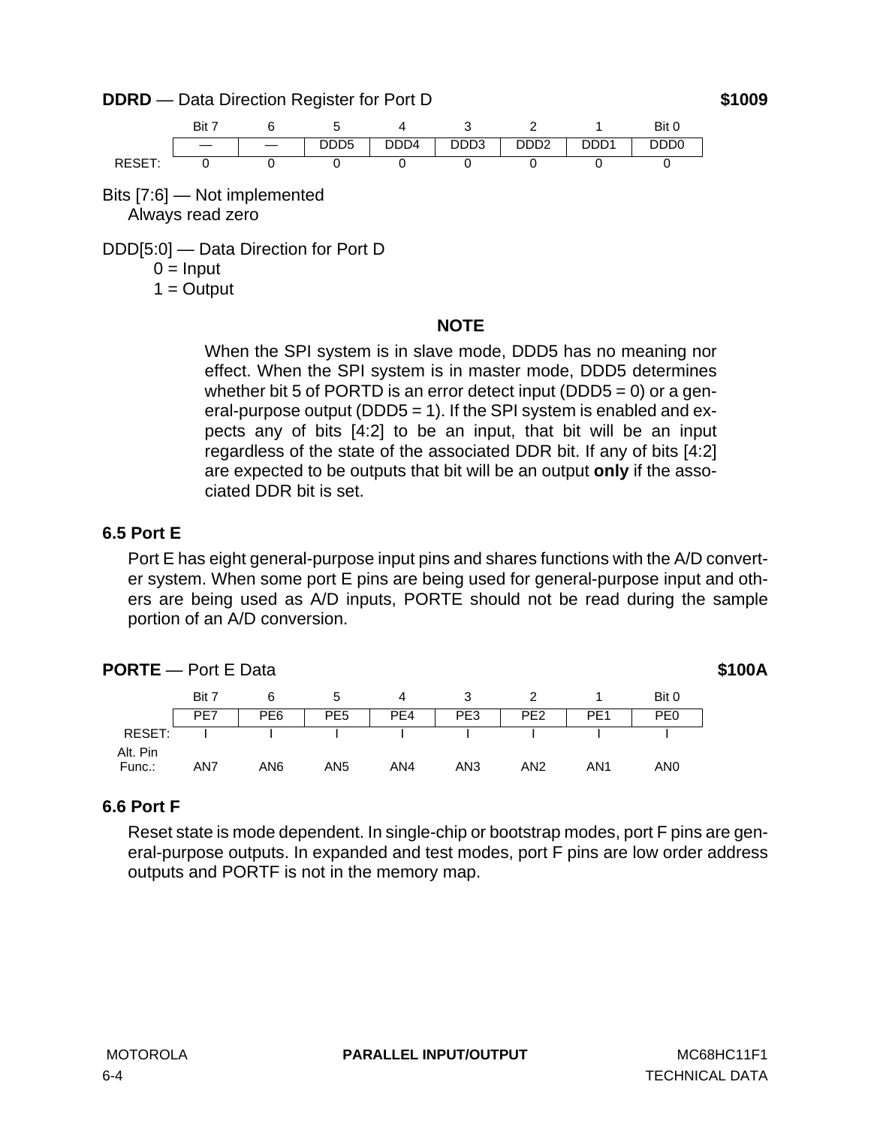**DDRD** — Data Direction Register for Port D **\$1009** 



Bits [7:6] — Not implemented Always read zero

DDD[5:0] — Data Direction for Port D

 $0 =$ Input

 $1 =$  Output

### **NOTE**

When the SPI system is in slave mode, DDD5 has no meaning nor effect. When the SPI system is in master mode, DDD5 determines whether bit 5 of PORTD is an error detect input (DDD5 = 0) or a general-purpose output (DDD5 = 1). If the SPI system is enabled and expects any of bits [4:2] to be an input, that bit will be an input regardless of the state of the associated DDR bit. If any of bits [4:2] are expected to be outputs that bit will be an output **only** if the associated DDR bit is set.

# **6.5 Port E**

Port E has eight general-purpose input pins and shares functions with the A/D converter system. When some port E pins are being used for general-purpose input and others are being used as A/D inputs, PORTE should not be read during the sample portion of an A/D conversion.

| <b>PORTE</b> - Port E Data |       |                 |                 |     |                 |                 |                 |                 |  |
|----------------------------|-------|-----------------|-----------------|-----|-----------------|-----------------|-----------------|-----------------|--|
|                            | Bit 7 | 6               | 5               | 4   |                 |                 |                 | Bit 0           |  |
|                            | PE7   | PE <sub>6</sub> | PE <sub>5</sub> | PE4 | PE3             | PE <sub>2</sub> | PE <sub>1</sub> | PE <sub>0</sub> |  |
| RESET:                     |       |                 |                 |     |                 |                 |                 |                 |  |
| Alt. Pin                   |       |                 |                 |     |                 |                 |                 |                 |  |
| Func.:                     | AN7   | AN6             | AN <sub>5</sub> | AN4 | AN <sub>3</sub> | AN2             | AN1             | AN0             |  |

# **6.6 Port F**

Reset state is mode dependent. In single-chip or bootstrap modes, port F pins are general-purpose outputs. In expanded and test modes, port F pins are low order address outputs and PORTF is not in the memory map.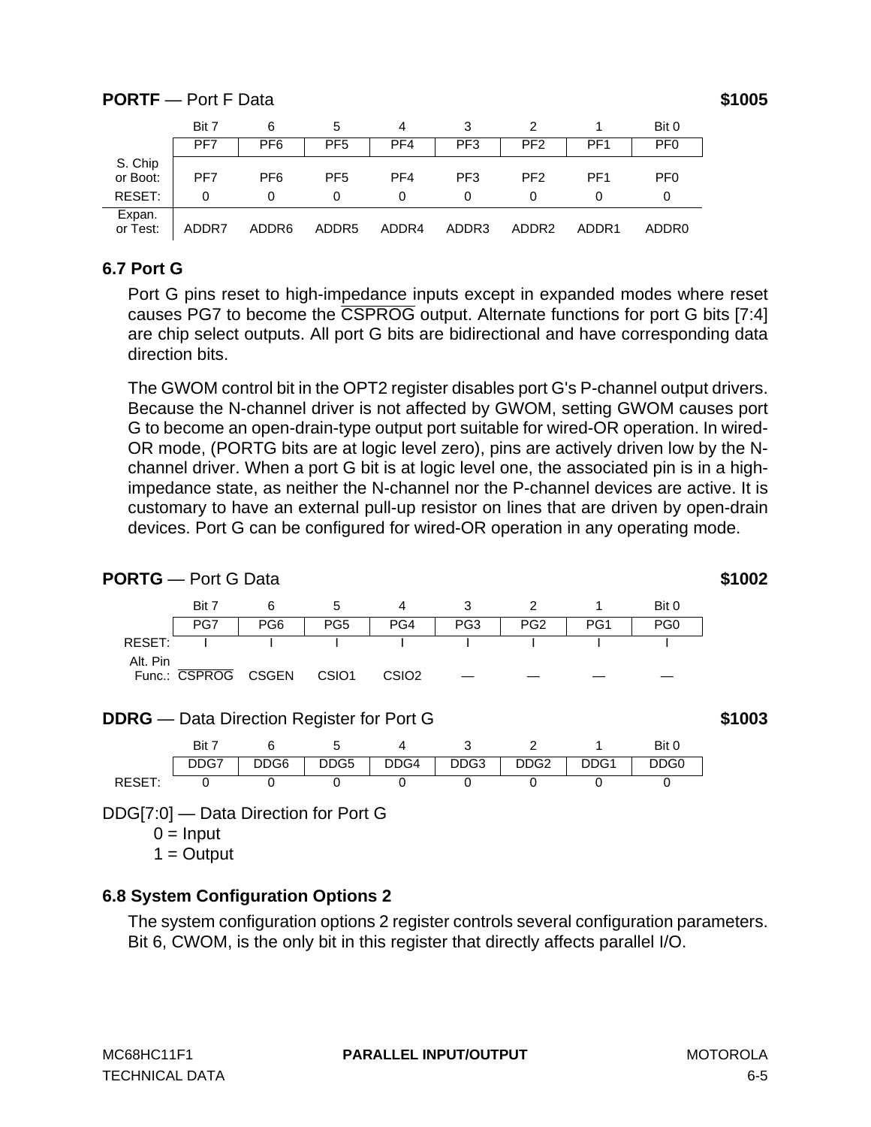# **PORTF** — Port F Data **\$1005**

|                     | Bit 7 | 6                 | 5                 | 4     |                 |                   |                 | Bit 0             |
|---------------------|-------|-------------------|-------------------|-------|-----------------|-------------------|-----------------|-------------------|
|                     | PF7   | PF <sub>6</sub>   | PF <sub>5</sub>   | PF4   | PF <sub>3</sub> | PF <sub>2</sub>   | PF <sub>1</sub> | PF <sub>0</sub>   |
| S. Chip<br>or Boot: | PF7   | PF <sub>6</sub>   | PF <sub>5</sub>   | PF4   | PF <sub>3</sub> | PF <sub>2</sub>   | PF <sub>1</sub> | PF <sub>0</sub>   |
| RESET:              | 0     |                   | 0                 | 0     |                 |                   |                 | 0                 |
| Expan.<br>or Test:  | ADDR7 | ADDR <sub>6</sub> | ADDR <sub>5</sub> | ADDR4 | ADDR3           | ADDR <sub>2</sub> | ADDR1           | ADDR <sub>0</sub> |

### **6.7 Port G**

Port G pins reset to high-impedance inputs except in expanded modes where reset causes PG7 to become the CSPROG output. Alternate functions for port G bits [7:4] are chip select outputs. All port G bits are bidirectional and have corresponding data direction bits.

The GWOM control bit in the OPT2 register disables port G's P-channel output drivers. Because the N-channel driver is not affected by GWOM, setting GWOM causes port G to become an open-drain-type output port suitable for wired-OR operation. In wired-OR mode, (PORTG bits are at logic level zero), pins are actively driven low by the Nchannel driver. When a port G bit is at logic level one, the associated pin is in a highimpedance state, as neither the N-channel nor the P-channel devices are active. It is customary to have an external pull-up resistor on lines that are driven by open-drain devices. Port G can be configured for wired-OR operation in any operating mode.



### **DDRG** — Data Direction Register for Port G **\$1003**



DDG[7:0] — Data Direction for Port G

 $0 =$  Input

 $1 =$  Output

# **6.8 System Configuration Options 2**

The system configuration options 2 register controls several configuration parameters. Bit 6, CWOM, is the only bit in this register that directly affects parallel I/O.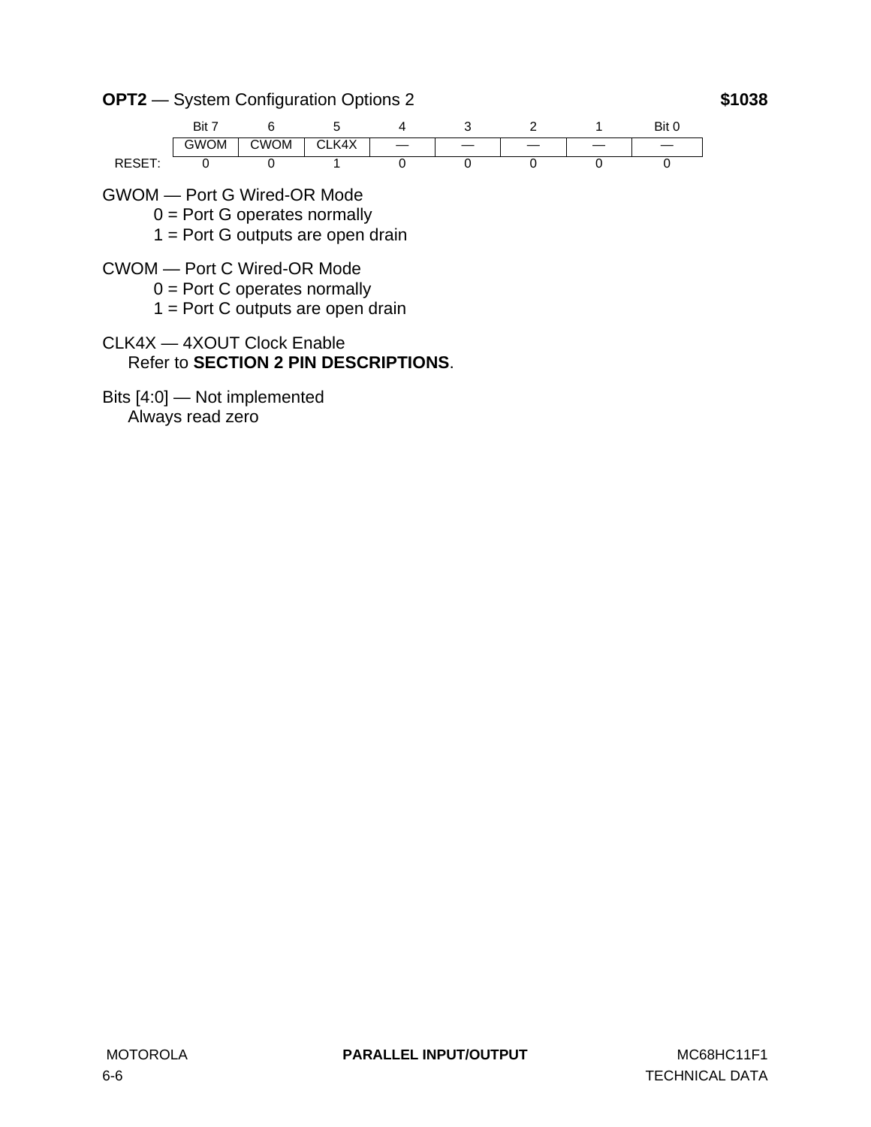**OPT2** — System Configuration Options 2 **\$1038**



- GWOM Port G Wired-OR Mode
	- $0 =$  Port G operates normally
	- 1 = Port G outputs are open drain
- CWOM Port C Wired-OR Mode
	- $0 =$  Port C operates normally
	- $1 =$  Port C outputs are open drain
- CLK4X 4XOUT Clock Enable Refer to **[SECTION 2 PIN DESCRIPTIONS](#page-14-0)**.
- Bits [4:0] Not implemented Always read zero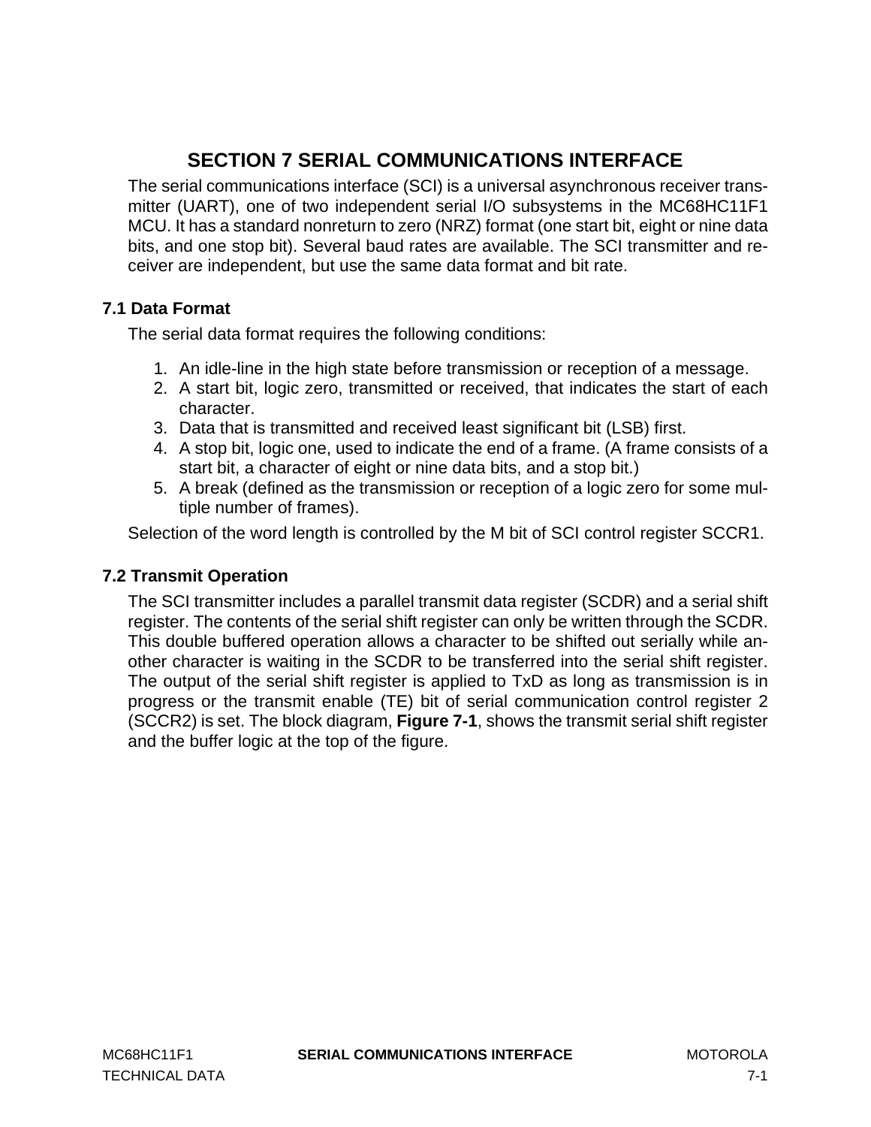# **SECTION 7 SERIAL COMMUNICATIONS INTERFACE**

The serial communications interface (SCI) is a universal asynchronous receiver transmitter (UART), one of two independent serial I/O subsystems in the MC68HC11F1 MCU. It has a standard nonreturn to zero (NRZ) format (one start bit, eight or nine data bits, and one stop bit). Several baud rates are available. The SCI transmitter and receiver are independent, but use the same data format and bit rate.

# **7.1 Data Format**

The serial data format requires the following conditions:

- 1. An idle-line in the high state before transmission or reception of a message.
- 2. A start bit, logic zero, transmitted or received, that indicates the start of each character.
- 3. Data that is transmitted and received least significant bit (LSB) first.
- 4. A stop bit, logic one, used to indicate the end of a frame. (A frame consists of a start bit, a character of eight or nine data bits, and a stop bit.)
- 5. A break (defined as the transmission or reception of a logic zero for some multiple number of frames).

Selection of the word length is controlled by the M bit of SCI control register SCCR1.

# **7.2 Transmit Operation**

The SCI transmitter includes a parallel transmit data register (SCDR) and a serial shift register. The contents of the serial shift register can only be written through the SCDR. This double buffered operation allows a character to be shifted out serially while another character is waiting in the SCDR to be transferred into the serial shift register. The output of the serial shift register is applied to TxD as long as transmission is in progress or the transmit enable (TE) bit of serial communication control register 2 (SCCR2) is set. The block diagram, **[Figure 7-1](#page-87-0)**, shows the transmit serial shift register and the buffer logic at the top of the figure.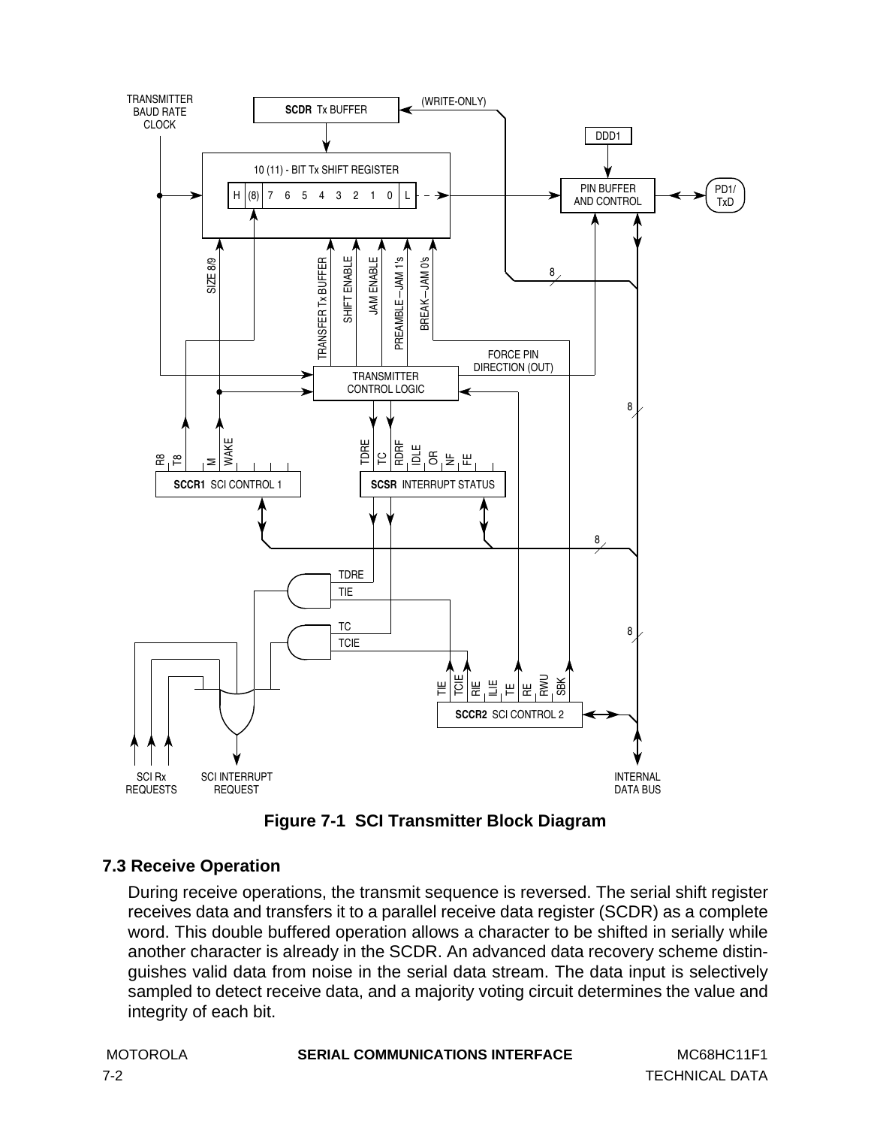<span id="page-87-0"></span>

**Figure 7-1 SCI Transmitter Block Diagram**

# **7.3 Receive Operation**

During receive operations, the transmit sequence is reversed. The serial shift register receives data and transfers it to a parallel receive data register (SCDR) as a complete word. This double buffered operation allows a character to be shifted in serially while another character is already in the SCDR. An advanced data recovery scheme distinguishes valid data from noise in the serial data stream. The data input is selectively sampled to detect receive data, and a majority voting circuit determines the value and integrity of each bit.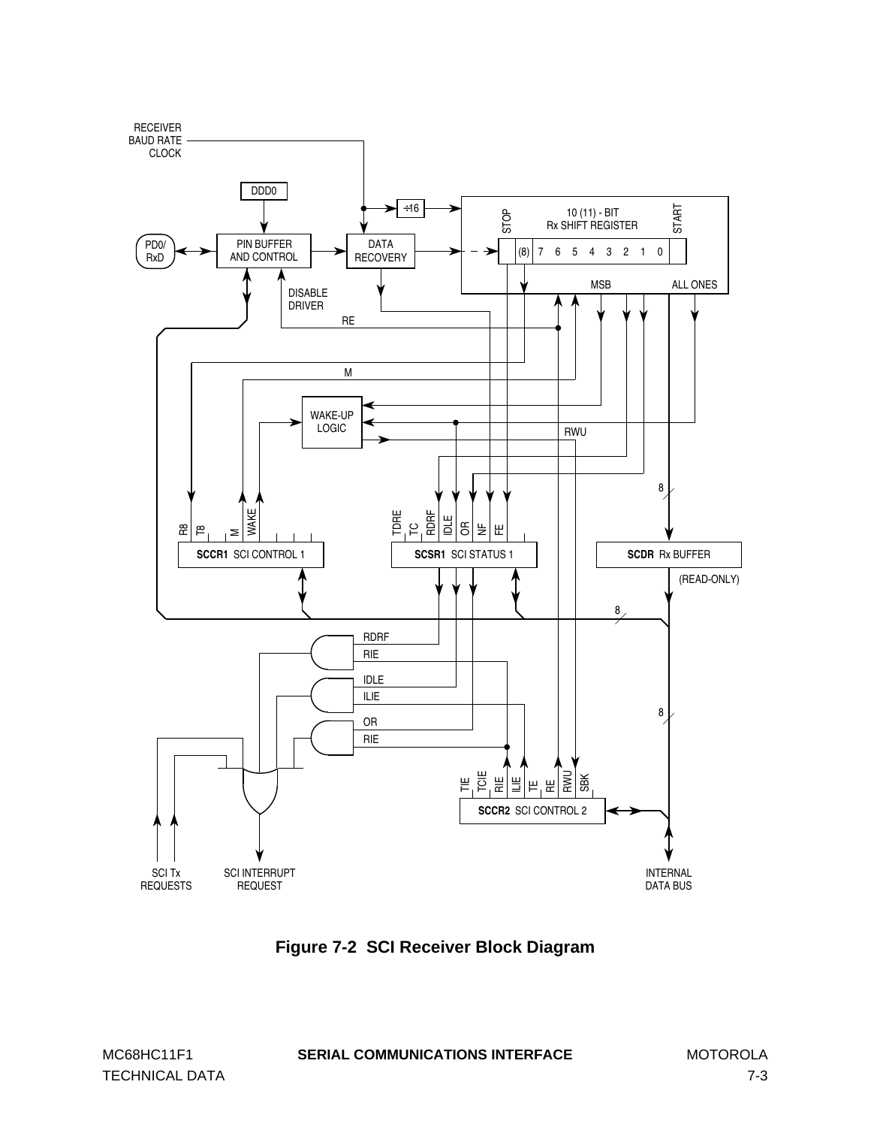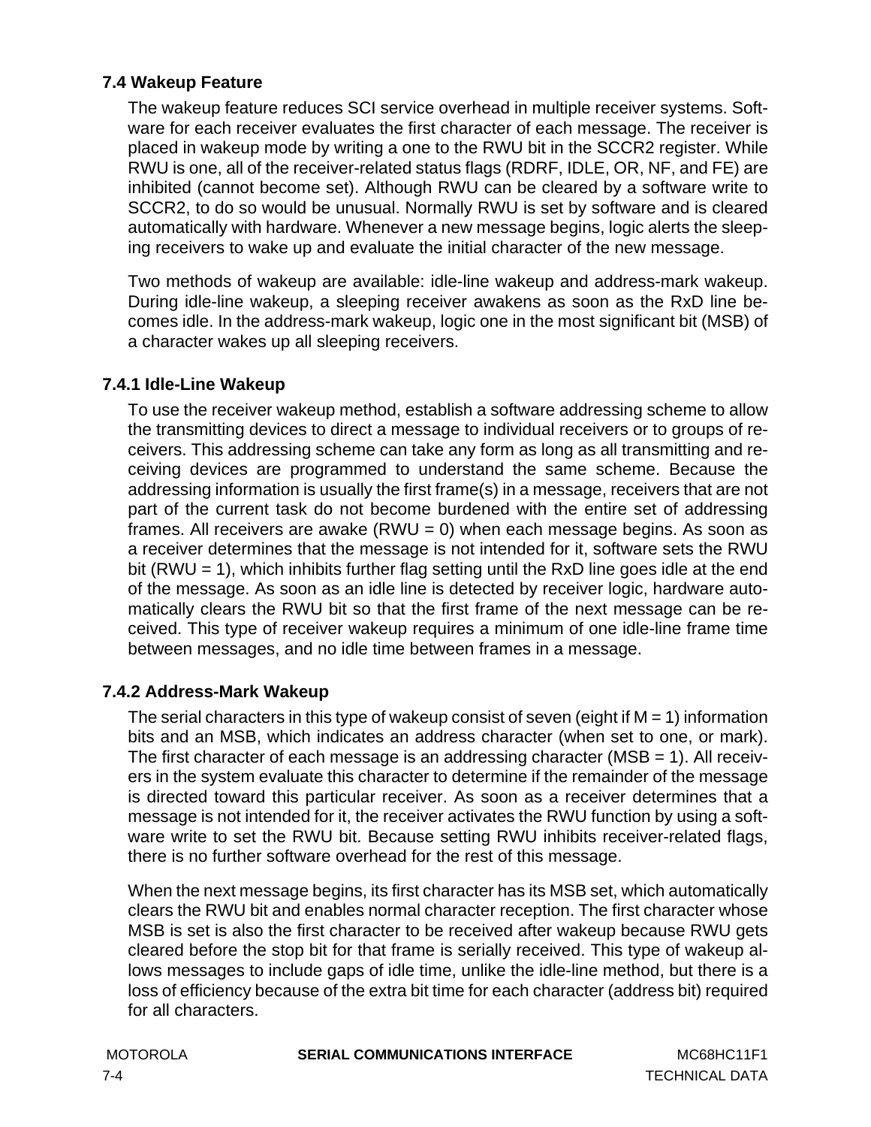# **7.4 Wakeup Feature**

The wakeup feature reduces SCI service overhead in multiple receiver systems. Software for each receiver evaluates the first character of each message. The receiver is placed in wakeup mode by writing a one to the RWU bit in the SCCR2 register. While RWU is one, all of the receiver-related status flags (RDRF, IDLE, OR, NF, and FE) are inhibited (cannot become set). Although RWU can be cleared by a software write to SCCR2, to do so would be unusual. Normally RWU is set by software and is cleared automatically with hardware. Whenever a new message begins, logic alerts the sleeping receivers to wake up and evaluate the initial character of the new message.

Two methods of wakeup are available: idle-line wakeup and address-mark wakeup. During idle-line wakeup, a sleeping receiver awakens as soon as the RxD line becomes idle. In the address-mark wakeup, logic one in the most significant bit (MSB) of a character wakes up all sleeping receivers.

### **7.4.1 Idle-Line Wakeup**

To use the receiver wakeup method, establish a software addressing scheme to allow the transmitting devices to direct a message to individual receivers or to groups of receivers. This addressing scheme can take any form as long as all transmitting and receiving devices are programmed to understand the same scheme. Because the addressing information is usually the first frame(s) in a message, receivers that are not part of the current task do not become burdened with the entire set of addressing frames. All receivers are awake  $(RWU = 0)$  when each message begins. As soon as a receiver determines that the message is not intended for it, software sets the RWU bit (RWU = 1), which inhibits further flag setting until the RxD line goes idle at the end of the message. As soon as an idle line is detected by receiver logic, hardware automatically clears the RWU bit so that the first frame of the next message can be received. This type of receiver wakeup requires a minimum of one idle-line frame time between messages, and no idle time between frames in a message.

### **7.4.2 Address-Mark Wakeup**

The serial characters in this type of wakeup consist of seven (eight if  $M = 1$ ) information bits and an MSB, which indicates an address character (when set to one, or mark). The first character of each message is an addressing character ( $MSB = 1$ ). All receivers in the system evaluate this character to determine if the remainder of the message is directed toward this particular receiver. As soon as a receiver determines that a message is not intended for it, the receiver activates the RWU function by using a software write to set the RWU bit. Because setting RWU inhibits receiver-related flags, there is no further software overhead for the rest of this message.

When the next message begins, its first character has its MSB set, which automatically clears the RWU bit and enables normal character reception. The first character whose MSB is set is also the first character to be received after wakeup because RWU gets cleared before the stop bit for that frame is serially received. This type of wakeup allows messages to include gaps of idle time, unlike the idle-line method, but there is a loss of efficiency because of the extra bit time for each character (address bit) required for all characters.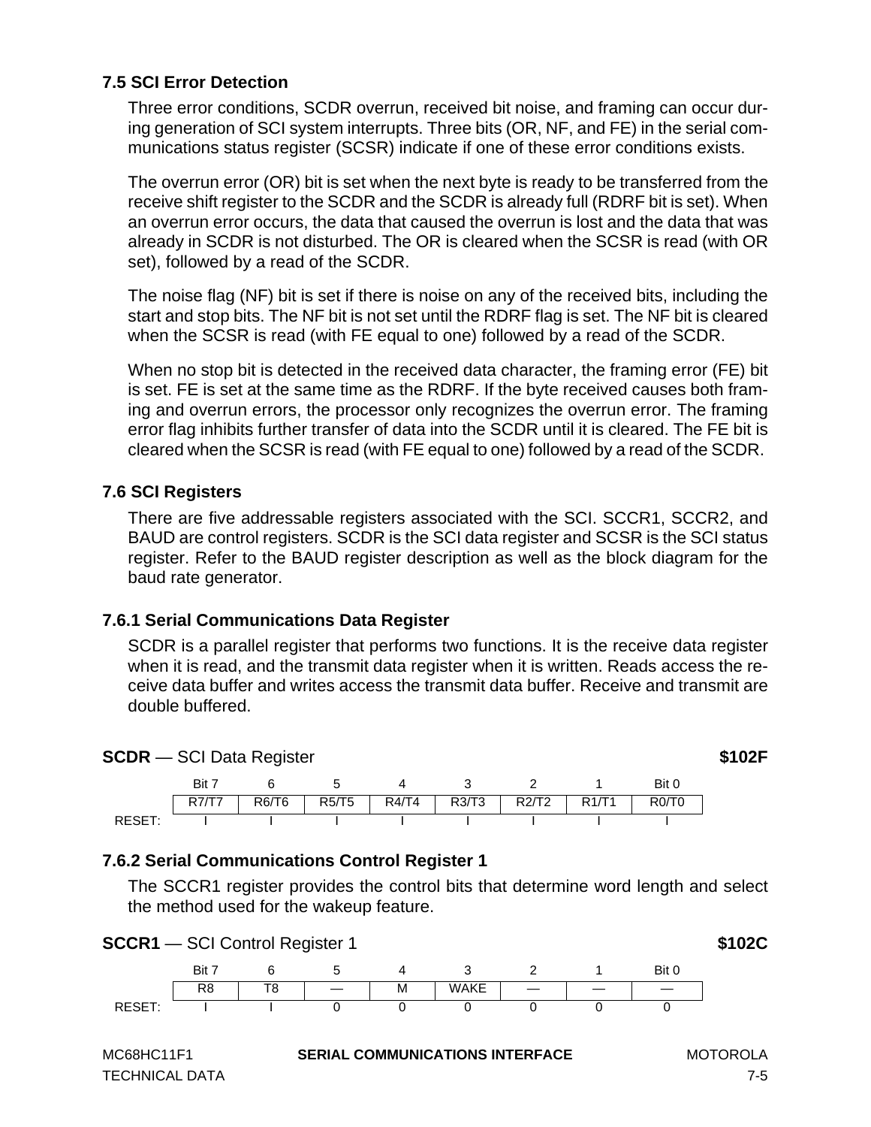# **7.5 SCI Error Detection**

Three error conditions, SCDR overrun, received bit noise, and framing can occur during generation of SCI system interrupts. Three bits (OR, NF, and FE) in the serial communications status register (SCSR) indicate if one of these error conditions exists.

The overrun error (OR) bit is set when the next byte is ready to be transferred from the receive shift register to the SCDR and the SCDR is already full (RDRF bit is set). When an overrun error occurs, the data that caused the overrun is lost and the data that was already in SCDR is not disturbed. The OR is cleared when the SCSR is read (with OR set), followed by a read of the SCDR.

The noise flag (NF) bit is set if there is noise on any of the received bits, including the start and stop bits. The NF bit is not set until the RDRF flag is set. The NF bit is cleared when the SCSR is read (with FE equal to one) followed by a read of the SCDR.

When no stop bit is detected in the received data character, the framing error (FE) bit is set. FE is set at the same time as the RDRF. If the byte received causes both framing and overrun errors, the processor only recognizes the overrun error. The framing error flag inhibits further transfer of data into the SCDR until it is cleared. The FE bit is cleared when the SCSR is read (with FE equal to one) followed by a read of the SCDR.

### **7.6 SCI Registers**

There are five addressable registers associated with the SCI. SCCR1, SCCR2, and BAUD are control registers. SCDR is the SCI data register and SCSR is the SCI status register. Refer to the BAUD register description as well as the block diagram for the baud rate generator.

### **7.6.1 Serial Communications Data Register**

SCDR is a parallel register that performs two functions. It is the receive data register when it is read, and the transmit data register when it is written. Reads access the receive data buffer and writes access the transmit data buffer. Receive and transmit are double buffered.



# **7.6.2 Serial Communications Control Register 1**

The SCCR1 register provides the control bits that determine word length and select the method used for the wakeup feature.

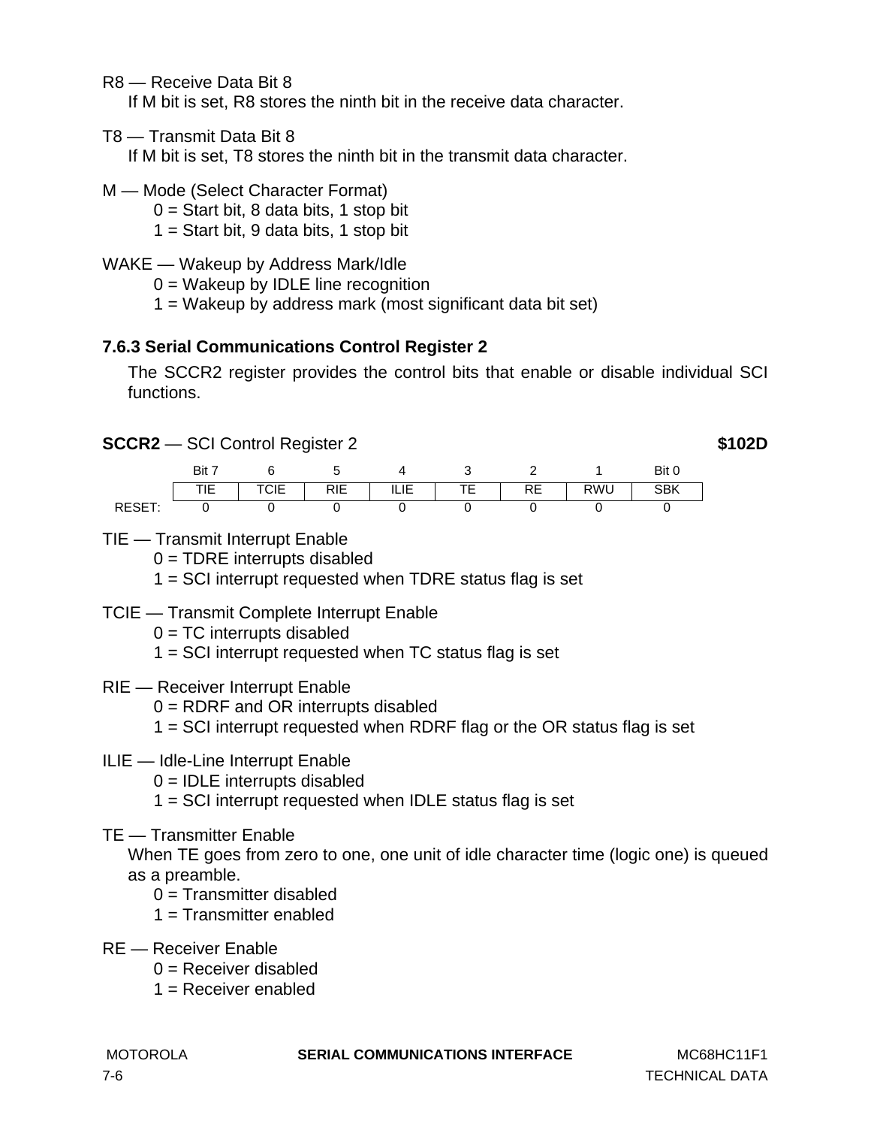R8 — Receive Data Bit 8

If M bit is set, R8 stores the ninth bit in the receive data character.

T8 — Transmit Data Bit 8

If M bit is set, T8 stores the ninth bit in the transmit data character.

- M Mode (Select Character Format)
	- $0 =$  Start bit, 8 data bits, 1 stop bit
	- $1 =$  Start bit, 9 data bits, 1 stop bit
- WAKE Wakeup by Address Mark/Idle
	- $0 =$  Wakeup by IDLE line recognition
	- 1 = Wakeup by address mark (most significant data bit set)

# **7.6.3 Serial Communications Control Register 2**

The SCCR2 register provides the control bits that enable or disable individual SCI functions.

**SCCR2** — SCI Control Register 2 **\$102D** 

Bit 7 6 5 4 3 2 1 Bit 0 TIE | TCIE | RIE | ILIE | TE | RE | RWU | SBK RESET: 0 0 0 0 0 0 0

TIE — Transmit Interrupt Enable

 $0 = TDRE$  interrupts disabled

1 = SCI interrupt requested when TDRE status flag is set

- TCIE Transmit Complete Interrupt Enable
	- $0 = TC$  interrupts disabled
	- 1 = SCI interrupt requested when TC status flag is set
- RIE Receiver Interrupt Enable
	- 0 = RDRF and OR interrupts disabled
	- 1 = SCI interrupt requested when RDRF flag or the OR status flag is set
- ILIE Idle-Line Interrupt Enable
	- $0 =$  IDLE interrupts disabled
	- 1 = SCI interrupt requested when IDLE status flag is set
- TE Transmitter Enable

When TE goes from zero to one, one unit of idle character time (logic one) is queued as a preamble.

- $0 =$ Transmitter disabled
- 1 = Transmitter enabled
- RE Receiver Enable
	- $0 =$  Receiver disabled
	- 1 = Receiver enabled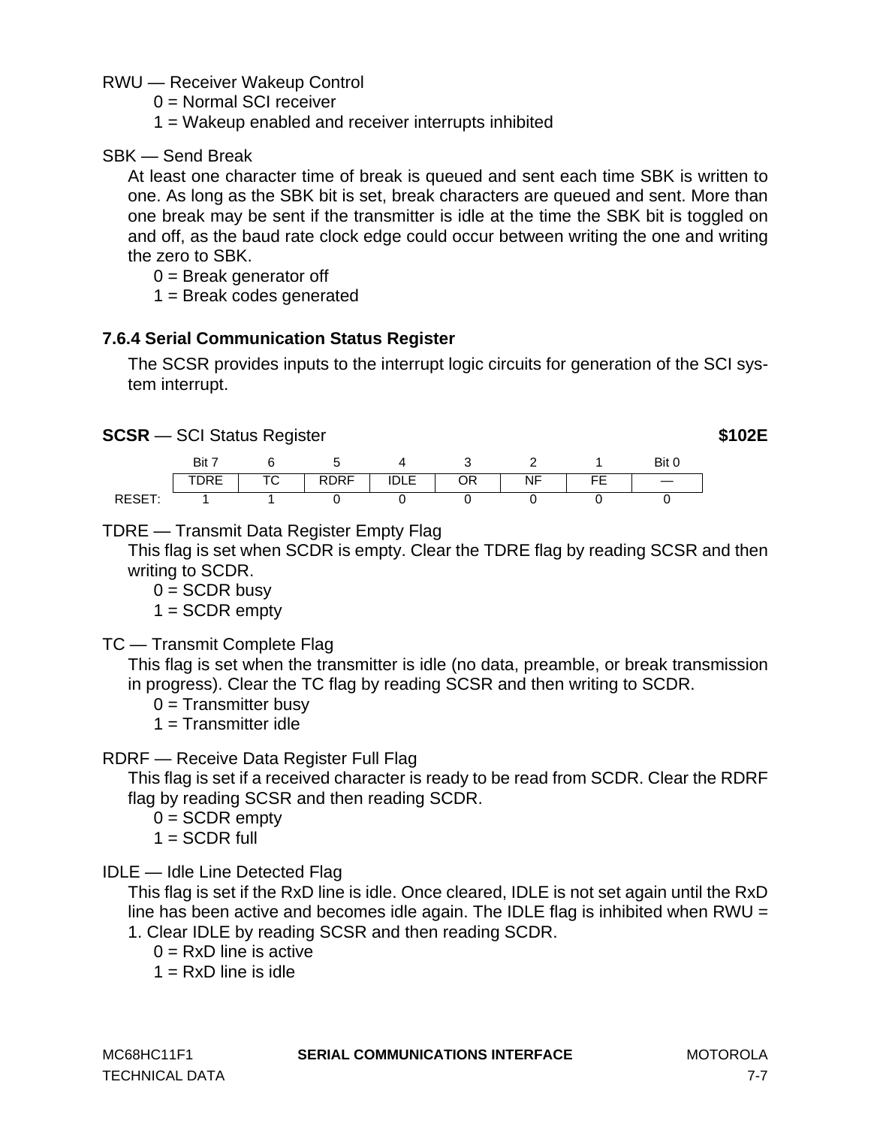RWU — Receiver Wakeup Control

0 = Normal SCI receiver

1 = Wakeup enabled and receiver interrupts inhibited

SBK — Send Break

At least one character time of break is queued and sent each time SBK is written to one. As long as the SBK bit is set, break characters are queued and sent. More than one break may be sent if the transmitter is idle at the time the SBK bit is toggled on and off, as the baud rate clock edge could occur between writing the one and writing the zero to SBK.

 $0 =$  Break generator off

1 = Break codes generated

# **7.6.4 Serial Communication Status Register**

The SCSR provides inputs to the interrupt logic circuits for generation of the SCI system interrupt.

### **SCSR** — SCI Status Register **\$102E**

|        | Bit  |         |             |           |         |             |        | Bit 0 |
|--------|------|---------|-------------|-----------|---------|-------------|--------|-------|
|        | PIN⊨ | ᠇៸<br>◡ | <b>RDRF</b> | IN F<br>. | ⊣ר<br>◡ | NF<br>1 M L | ᄄ<br>- |       |
| RESET: |      |         |             |           |         |             |        |       |

# TDRE — Transmit Data Register Empty Flag

This flag is set when SCDR is empty. Clear the TDRE flag by reading SCSR and then writing to SCDR.

 $0 =$  SCDR busy

 $1 = \text{SCDR empty}$ 

TC — Transmit Complete Flag

This flag is set when the transmitter is idle (no data, preamble, or break transmission in progress). Clear the TC flag by reading SCSR and then writing to SCDR.

 $0 =$ Transmitter busy

 $1 =$ Transmitter idle

# RDRF — Receive Data Register Full Flag

This flag is set if a received character is ready to be read from SCDR. Clear the RDRF flag by reading SCSR and then reading SCDR.

- $0 = SCDR$  empty
- $1 =$  SCDR full
- IDLE Idle Line Detected Flag

This flag is set if the RxD line is idle. Once cleared, IDLE is not set again until the RxD line has been active and becomes idle again. The IDLE flag is inhibited when RWU  $=$ 1. Clear IDLE by reading SCSR and then reading SCDR.

- $0 = RxD$  line is active
- $1 = RxD$  line is idle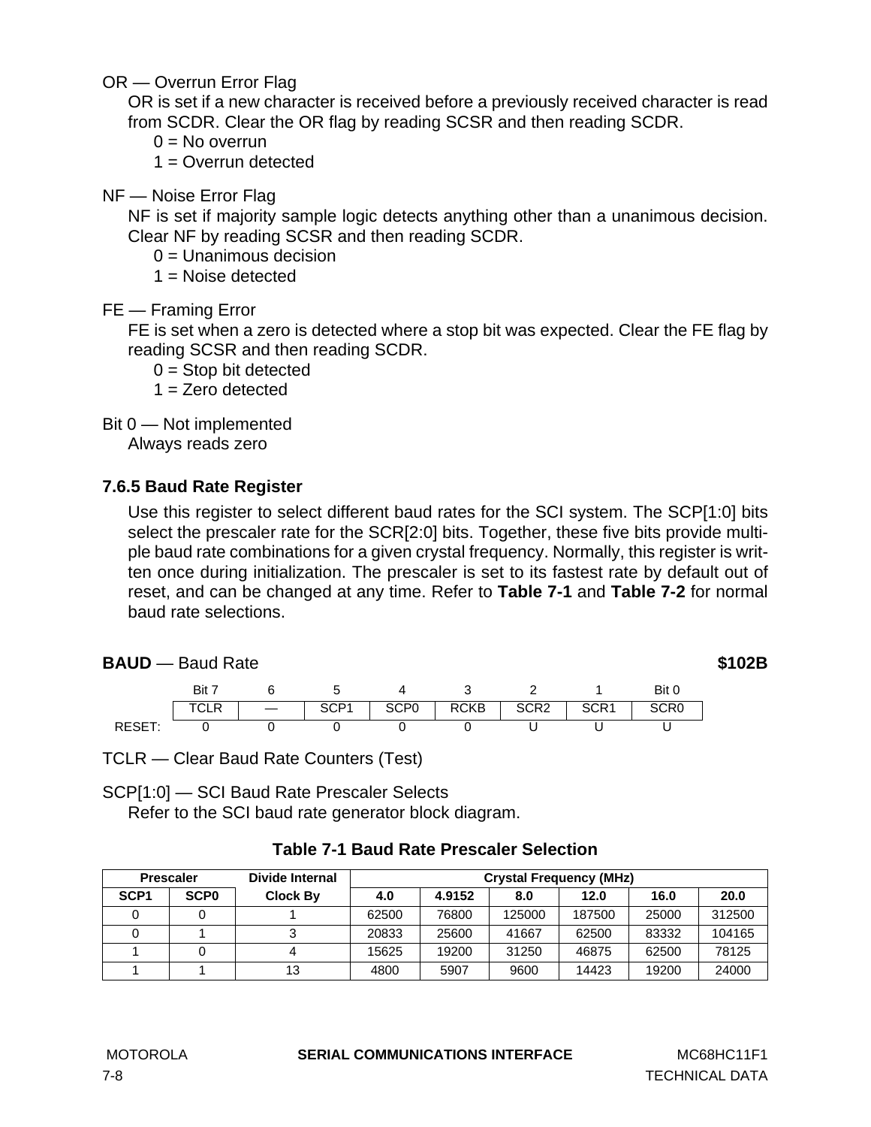OR — Overrun Error Flag

OR is set if a new character is received before a previously received character is read from SCDR. Clear the OR flag by reading SCSR and then reading SCDR.

 $0 = No$  overrun

 $1 =$  Overrun detected

NF — Noise Error Flag

NF is set if majority sample logic detects anything other than a unanimous decision. Clear NF by reading SCSR and then reading SCDR.

0 = Unanimous decision

 $1 =$  Noise detected

FE — Framing Error

FE is set when a zero is detected where a stop bit was expected. Clear the FE flag by reading SCSR and then reading SCDR.

 $0 =$ Stop bit detected

 $1 =$  Zero detected

Bit 0 — Not implemented

Always reads zero

# **7.6.5 Baud Rate Register**

Use this register to select different baud rates for the SCI system. The SCP[1:0] bits select the prescaler rate for the SCR[2:0] bits. Together, these five bits provide multiple baud rate combinations for a given crystal frequency. Normally, this register is written once during initialization. The prescaler is set to its fastest rate by default out of reset, and can be changed at any time. Refer to **Table 7-1** and **[Table 7-2](#page-94-0)** for normal baud rate selections.

| <b>BAUD</b> - Baud Rate |       |                  |                  |             |                  |                  |       | \$102B |
|-------------------------|-------|------------------|------------------|-------------|------------------|------------------|-------|--------|
|                         | Bit 7 | b                | 4                |             |                  |                  | Bit 0 |        |
|                         | TCLR  | SCP <sub>1</sub> | SCP <sub>0</sub> | <b>RCKB</b> | SCR <sub>2</sub> | SCR <sub>1</sub> | SCR0  |        |
| RESET:                  |       |                  |                  |             |                  |                  |       |        |

TCLR — Clear Baud Rate Counters (Test)

SCP[1:0] — SCI Baud Rate Prescaler Selects Refer to the SCI baud rate generator block diagram.

|                  | <b>Prescaler</b> | Divide Internal | <b>Crystal Frequency (MHz)</b> |        |        |        |       |        |
|------------------|------------------|-----------------|--------------------------------|--------|--------|--------|-------|--------|
| SCP <sub>1</sub> | <b>SCPO</b>      | <b>Clock By</b> | 4.0                            | 4.9152 | 8.0    | 12.0   | 16.0  | 20.0   |
|                  |                  |                 | 62500                          | 76800  | 125000 | 187500 | 25000 | 312500 |
|                  |                  |                 | 20833                          | 25600  | 41667  | 62500  | 83332 | 104165 |
|                  |                  |                 | 15625                          | 19200  | 31250  | 46875  | 62500 | 78125  |
|                  |                  | 13              | 4800                           | 5907   | 9600   | 14423  | 19200 | 24000  |

# **Table 7-1 Baud Rate Prescaler Selection**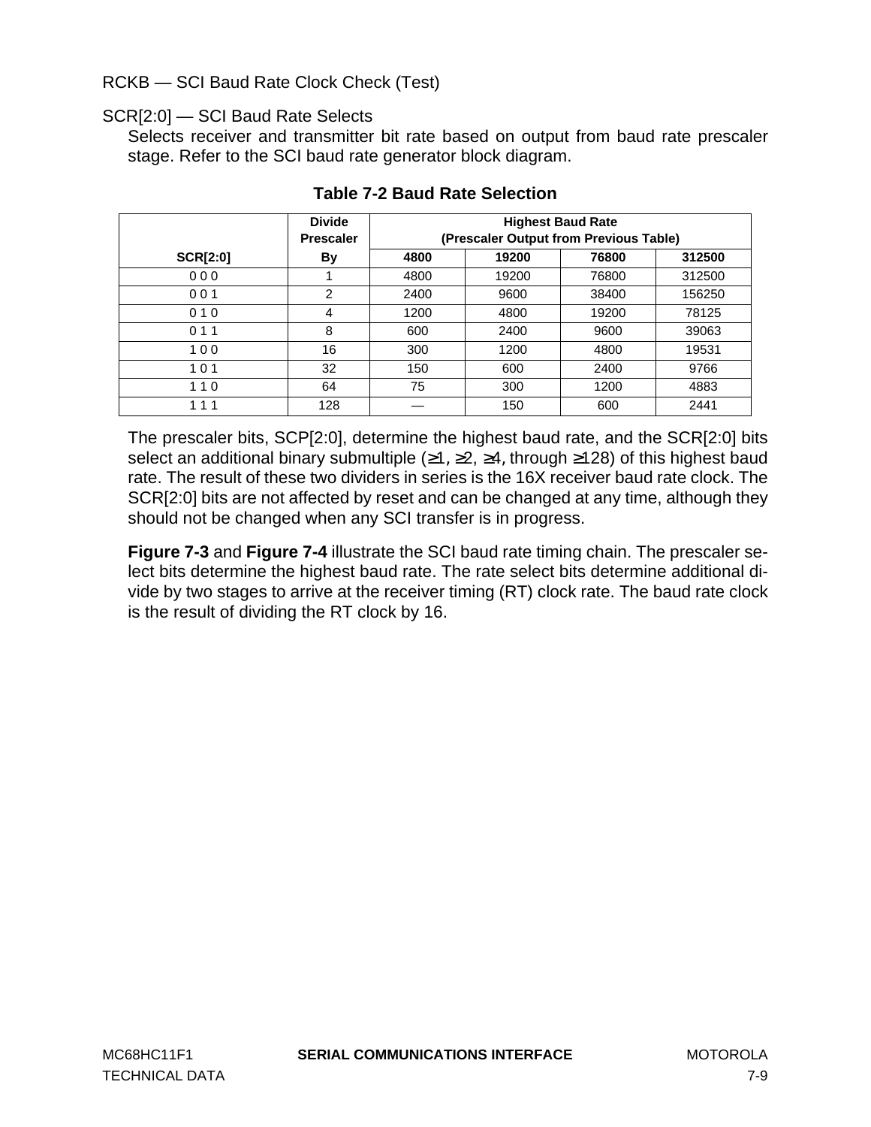### <span id="page-94-0"></span>RCKB — SCI Baud Rate Clock Check (Test)

### SCR[2:0] — SCI Baud Rate Selects

Selects receiver and transmitter bit rate based on output from baud rate prescaler stage. Refer to the SCI baud rate generator block diagram.

|                 | <b>Divide</b>    | <b>Highest Baud Rate</b> |                                        |       |        |  |  |
|-----------------|------------------|--------------------------|----------------------------------------|-------|--------|--|--|
|                 | <b>Prescaler</b> |                          | (Prescaler Output from Previous Table) |       |        |  |  |
| <b>SCR[2:0]</b> | By               | 4800                     | 19200                                  | 76800 | 312500 |  |  |
| 000             |                  | 4800                     | 19200                                  | 76800 | 312500 |  |  |
| 001             | 2                | 2400                     | 9600                                   | 38400 | 156250 |  |  |
| 010             | 4                | 1200                     | 4800                                   | 19200 | 78125  |  |  |
| 011             | 8                | 600                      | 2400                                   | 9600  | 39063  |  |  |
| 100             | 16               | 300                      | 1200                                   | 4800  | 19531  |  |  |
| 101             | 32               | 150                      | 600                                    | 2400  | 9766   |  |  |
| 110             | 64               | 75                       | 300                                    | 1200  | 4883   |  |  |
| 111             | 128              |                          | 150                                    | 600   | 2441   |  |  |

### **Table 7-2 Baud Rate Selection**

The prescaler bits, SCP[2:0], determine the highest baud rate, and the SCR[2:0] bits select an additional binary submultiple ( $\geq 1$ ,  $\geq 2$ ,  $\geq 4$ , through  $\geq 128$ ) of this highest baud rate. The result of these two dividers in series is the 16X receiver baud rate clock. The SCR[2:0] bits are not affected by reset and can be changed at any time, although they should not be changed when any SCI transfer is in progress.

**[Figure 7-3](#page-95-0)** and **[Figure 7-4](#page-97-0)** illustrate the SCI baud rate timing chain. The prescaler select bits determine the highest baud rate. The rate select bits determine additional divide by two stages to arrive at the receiver timing (RT) clock rate. The baud rate clock is the result of dividing the RT clock by 16.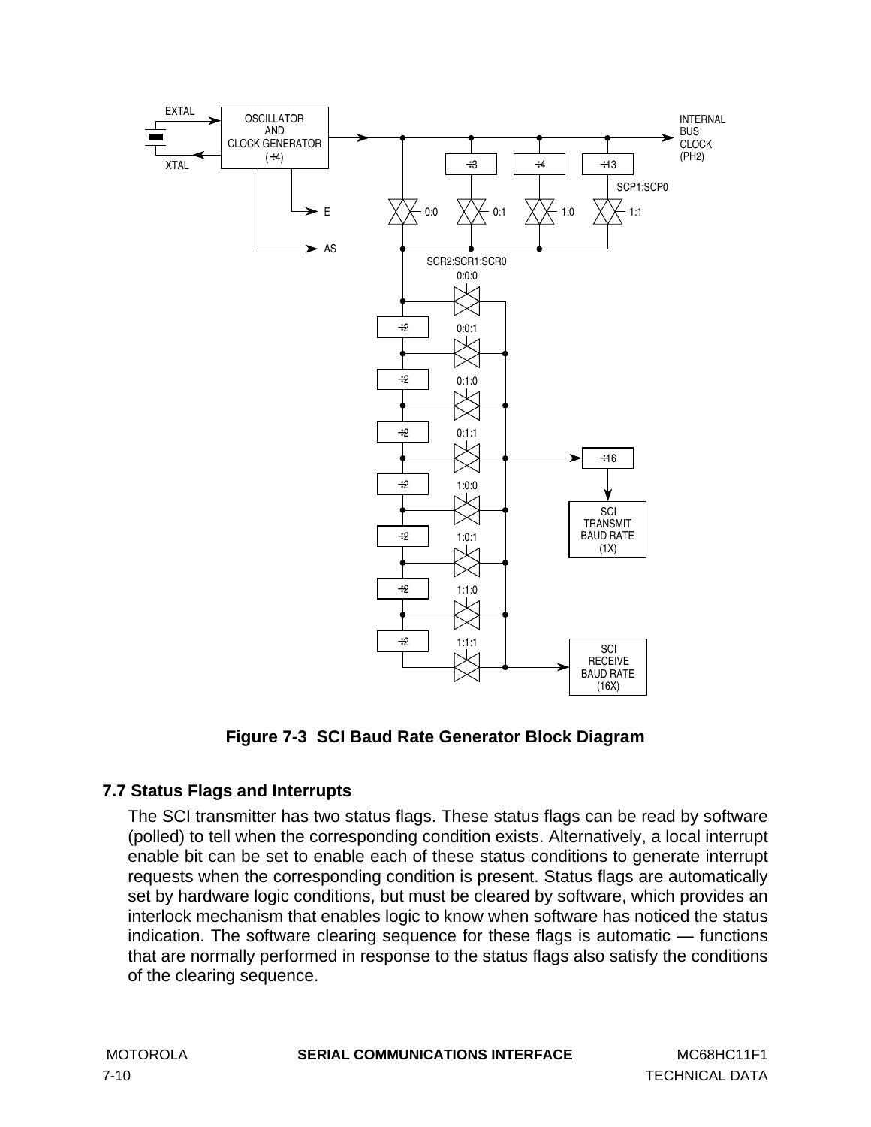<span id="page-95-0"></span>

**Figure 7-3 SCI Baud Rate Generator Block Diagram**

# **7.7 Status Flags and Interrupts**

The SCI transmitter has two status flags. These status flags can be read by software (polled) to tell when the corresponding condition exists. Alternatively, a local interrupt enable bit can be set to enable each of these status conditions to generate interrupt requests when the corresponding condition is present. Status flags are automatically set by hardware logic conditions, but must be cleared by software, which provides an interlock mechanism that enables logic to know when software has noticed the status indication. The software clearing sequence for these flags is automatic — functions that are normally performed in response to the status flags also satisfy the conditions of the clearing sequence.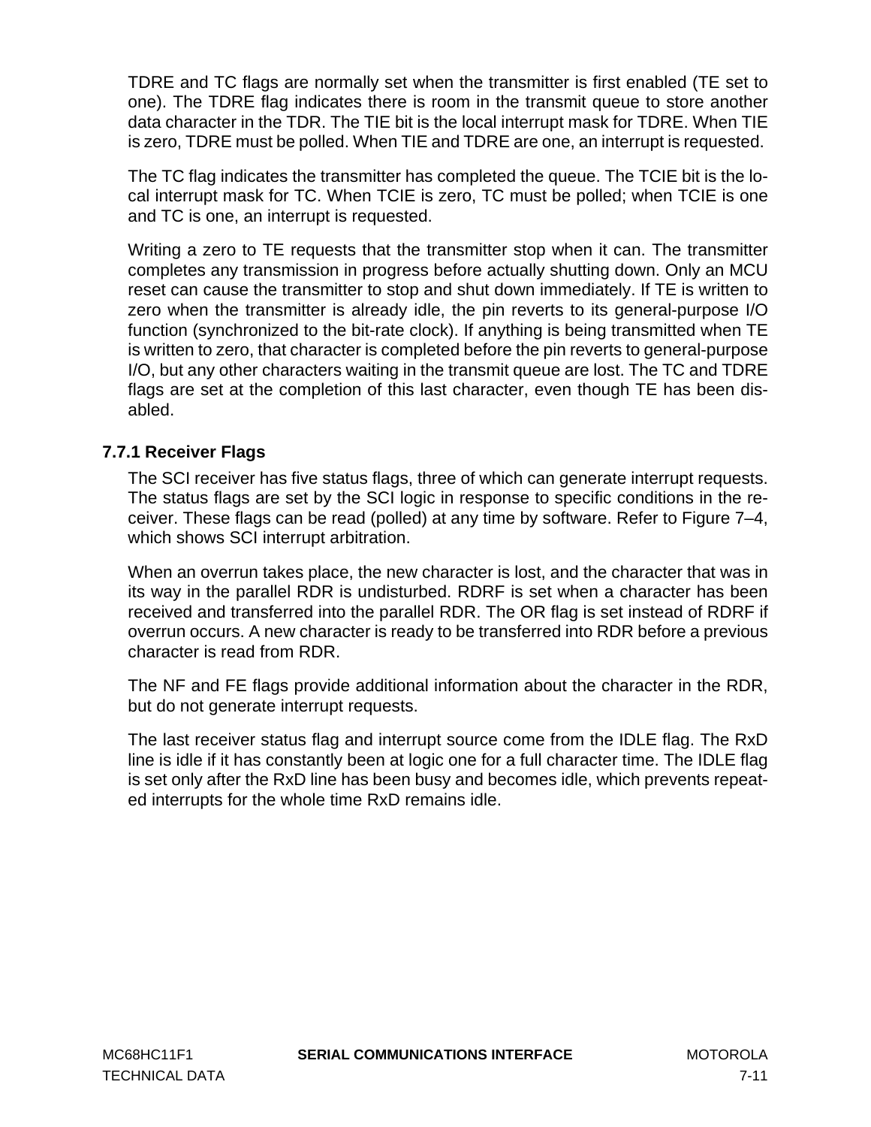TDRE and TC flags are normally set when the transmitter is first enabled (TE set to one). The TDRE flag indicates there is room in the transmit queue to store another data character in the TDR. The TIE bit is the local interrupt mask for TDRE. When TIE is zero, TDRE must be polled. When TIE and TDRE are one, an interrupt is requested.

The TC flag indicates the transmitter has completed the queue. The TCIE bit is the local interrupt mask for TC. When TCIE is zero, TC must be polled; when TCIE is one and TC is one, an interrupt is requested.

Writing a zero to TE requests that the transmitter stop when it can. The transmitter completes any transmission in progress before actually shutting down. Only an MCU reset can cause the transmitter to stop and shut down immediately. If TE is written to zero when the transmitter is already idle, the pin reverts to its general-purpose I/O function (synchronized to the bit-rate clock). If anything is being transmitted when TE is written to zero, that character is completed before the pin reverts to general-purpose I/O, but any other characters waiting in the transmit queue are lost. The TC and TDRE flags are set at the completion of this last character, even though TE has been disabled.

# **7.7.1 Receiver Flags**

The SCI receiver has five status flags, three of which can generate interrupt requests. The status flags are set by the SCI logic in response to specific conditions in the receiver. These flags can be read (polled) at any time by software. Refer to Figure 7–4, which shows SCI interrupt arbitration.

When an overrun takes place, the new character is lost, and the character that was in its way in the parallel RDR is undisturbed. RDRF is set when a character has been received and transferred into the parallel RDR. The OR flag is set instead of RDRF if overrun occurs. A new character is ready to be transferred into RDR before a previous character is read from RDR.

The NF and FE flags provide additional information about the character in the RDR, but do not generate interrupt requests.

The last receiver status flag and interrupt source come from the IDLE flag. The RxD line is idle if it has constantly been at logic one for a full character time. The IDLE flag is set only after the RxD line has been busy and becomes idle, which prevents repeated interrupts for the whole time RxD remains idle.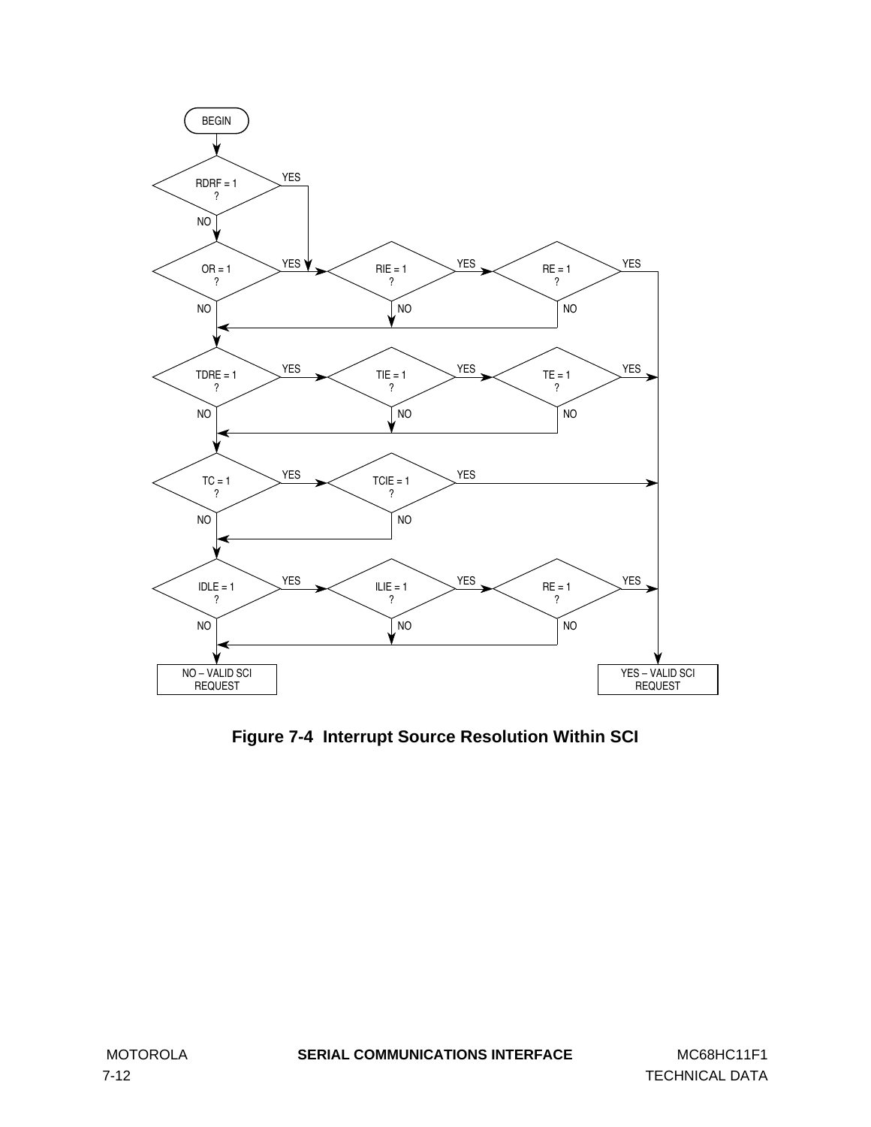<span id="page-97-0"></span>

**Figure 7-4 Interrupt Source Resolution Within SCI**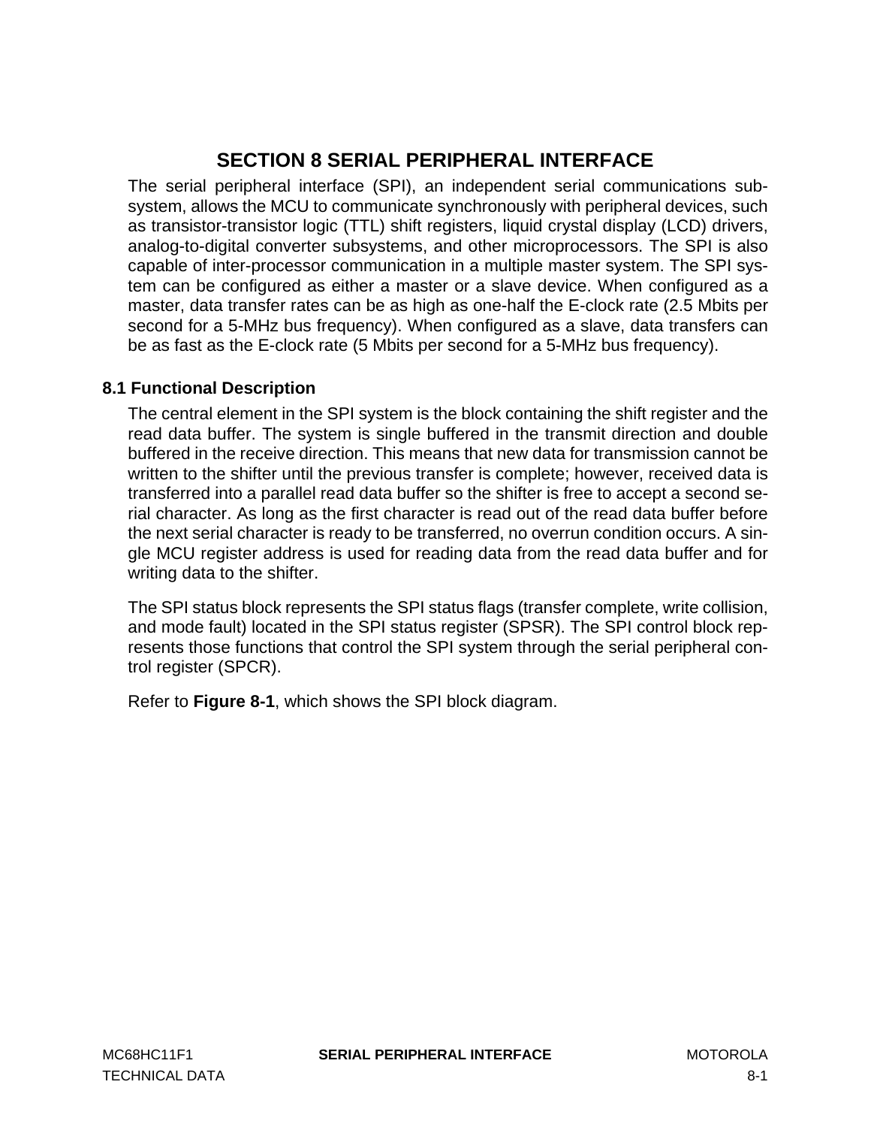# **SECTION 8 SERIAL PERIPHERAL INTERFACE**

The serial peripheral interface (SPI), an independent serial communications subsystem, allows the MCU to communicate synchronously with peripheral devices, such as transistor-transistor logic (TTL) shift registers, liquid crystal display (LCD) drivers, analog-to-digital converter subsystems, and other microprocessors. The SPI is also capable of inter-processor communication in a multiple master system. The SPI system can be configured as either a master or a slave device. When configured as a master, data transfer rates can be as high as one-half the E-clock rate (2.5 Mbits per second for a 5-MHz bus frequency). When configured as a slave, data transfers can be as fast as the E-clock rate (5 Mbits per second for a 5-MHz bus frequency).

# **8.1 Functional Description**

The central element in the SPI system is the block containing the shift register and the read data buffer. The system is single buffered in the transmit direction and double buffered in the receive direction. This means that new data for transmission cannot be written to the shifter until the previous transfer is complete; however, received data is transferred into a parallel read data buffer so the shifter is free to accept a second serial character. As long as the first character is read out of the read data buffer before the next serial character is ready to be transferred, no overrun condition occurs. A single MCU register address is used for reading data from the read data buffer and for writing data to the shifter.

The SPI status block represents the SPI status flags (transfer complete, write collision, and mode fault) located in the SPI status register (SPSR). The SPI control block represents those functions that control the SPI system through the serial peripheral control register (SPCR).

Refer to **[Figure 8-1](#page-99-0)**, which shows the SPI block diagram.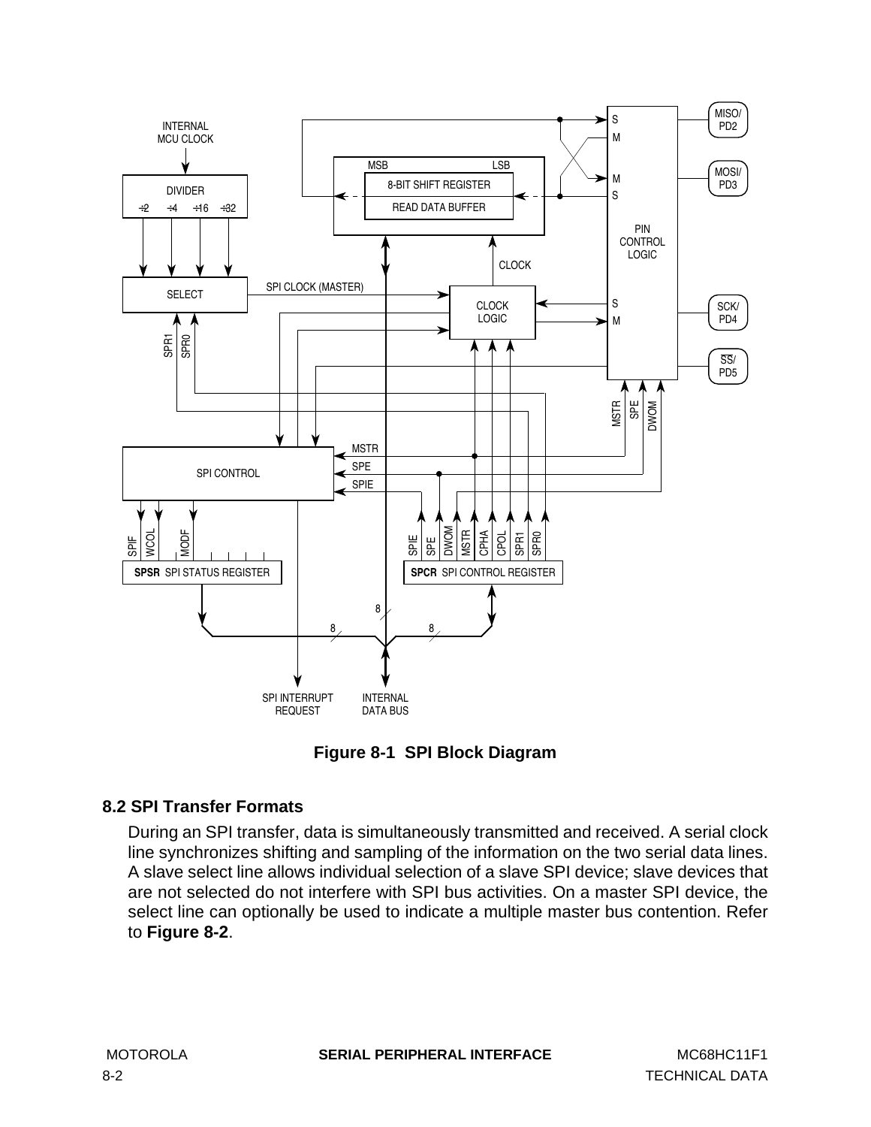<span id="page-99-0"></span>

**Figure 8-1 SPI Block Diagram**

# **8.2 SPI Transfer Formats**

During an SPI transfer, data is simultaneously transmitted and received. A serial clock line synchronizes shifting and sampling of the information on the two serial data lines. A slave select line allows individual selection of a slave SPI device; slave devices that are not selected do not interfere with SPI bus activities. On a master SPI device, the select line can optionally be used to indicate a multiple master bus contention. Refer to **[Figure 8-2](#page-100-0)**.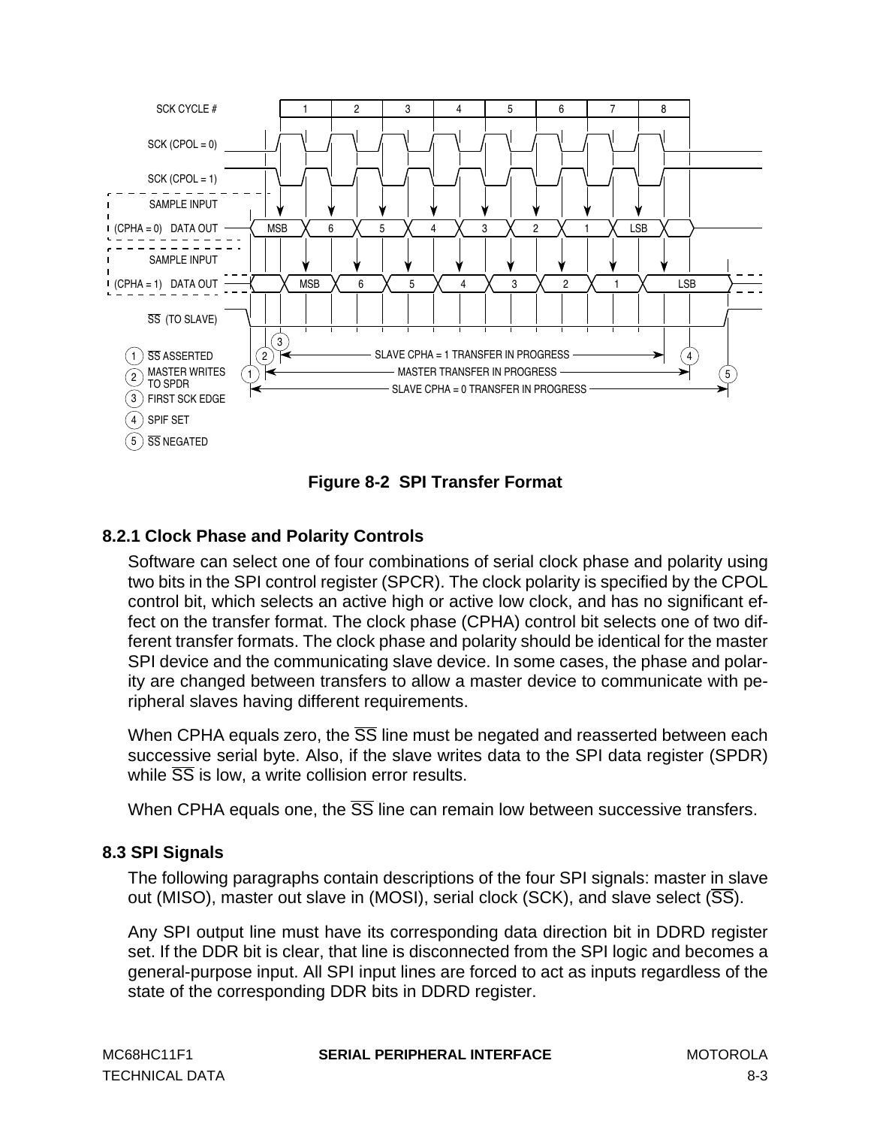<span id="page-100-0"></span>



# **8.2.1 Clock Phase and Polarity Controls**

Software can select one of four combinations of serial clock phase and polarity using two bits in the SPI control register (SPCR). The clock polarity is specified by the CPOL control bit, which selects an active high or active low clock, and has no significant effect on the transfer format. The clock phase (CPHA) control bit selects one of two different transfer formats. The clock phase and polarity should be identical for the master SPI device and the communicating slave device. In some cases, the phase and polarity are changed between transfers to allow a master device to communicate with peripheral slaves having different requirements.

When CPHA equals zero, the  $\overline{SS}$  line must be negated and reasserted between each successive serial byte. Also, if the slave writes data to the SPI data register (SPDR) while  $\overline{SS}$  is low, a write collision error results.

When CPHA equals one, the  $\overline{SS}$  line can remain low between successive transfers.

### **8.3 SPI Signals**

The following paragraphs contain descriptions of the four SPI signals: master in slave out (MISO), master out slave in (MOSI), serial clock (SCK), and slave select (SS).

Any SPI output line must have its corresponding data direction bit in DDRD register set. If the DDR bit is clear, that line is disconnected from the SPI logic and becomes a general-purpose input. All SPI input lines are forced to act as inputs regardless of the state of the corresponding DDR bits in DDRD register.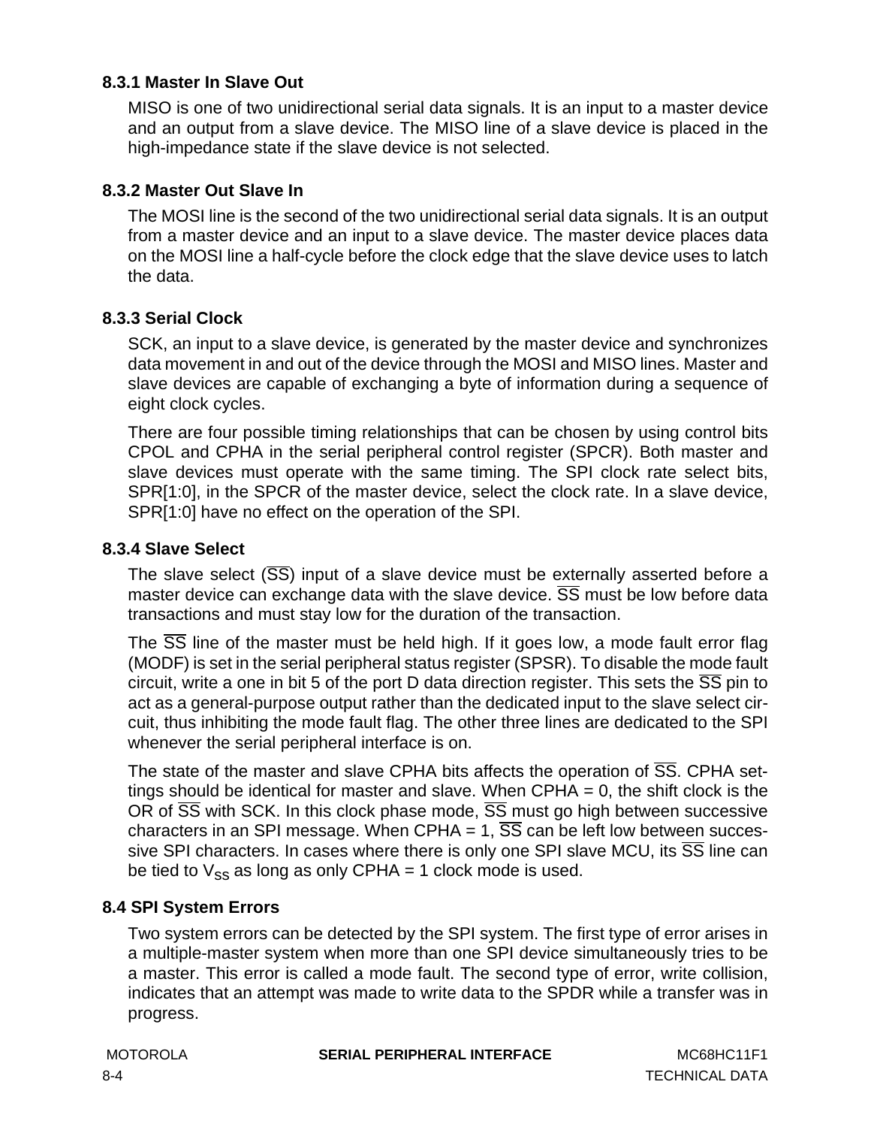### <span id="page-101-0"></span>**8.3.1 Master In Slave Out**

MISO is one of two unidirectional serial data signals. It is an input to a master device and an output from a slave device. The MISO line of a slave device is placed in the high-impedance state if the slave device is not selected.

### **8.3.2 Master Out Slave In**

The MOSI line is the second of the two unidirectional serial data signals. It is an output from a master device and an input to a slave device. The master device places data on the MOSI line a half-cycle before the clock edge that the slave device uses to latch the data.

### **8.3.3 Serial Clock**

SCK, an input to a slave device, is generated by the master device and synchronizes data movement in and out of the device through the MOSI and MISO lines. Master and slave devices are capable of exchanging a byte of information during a sequence of eight clock cycles.

There are four possible timing relationships that can be chosen by using control bits CPOL and CPHA in the serial peripheral control register (SPCR). Both master and slave devices must operate with the same timing. The SPI clock rate select bits, SPR[1:0], in the SPCR of the master device, select the clock rate. In a slave device, SPR[1:0] have no effect on the operation of the SPI.

### **8.3.4 Slave Select**

The slave select  $(\overline{SS})$  input of a slave device must be externally asserted before a master device can exchange data with the slave device.  $\overline{SS}$  must be low before data transactions and must stay low for the duration of the transaction.

The SS line of the master must be held high. If it goes low, a mode fault error flag (MODF) is set in the serial peripheral status register (SPSR). To disable the mode fault circuit, write a one in bit 5 of the port D data direction register. This sets the  $\overline{SS}$  pin to act as a general-purpose output rather than the dedicated input to the slave select circuit, thus inhibiting the mode fault flag. The other three lines are dedicated to the SPI whenever the serial peripheral interface is on.

The state of the master and slave CPHA bits affects the operation of SS. CPHA settings should be identical for master and slave. When  $CPHA = 0$ , the shift clock is the OR of  $\overline{SS}$  with SCK. In this clock phase mode,  $\overline{SS}$  must go high between successive characters in an SPI message. When CPHA = 1,  $\overline{SS}$  can be left low between successive SPI characters. In cases where there is only one SPI slave MCU, its  $\overline{SS}$  line can be tied to  $V_{SS}$  as long as only CPHA = 1 clock mode is used.

### **8.4 SPI System Errors**

Two system errors can be detected by the SPI system. The first type of error arises in a multiple-master system when more than one SPI device simultaneously tries to be a master. This error is called a mode fault. The second type of error, write collision, indicates that an attempt was made to write data to the SPDR while a transfer was in progress.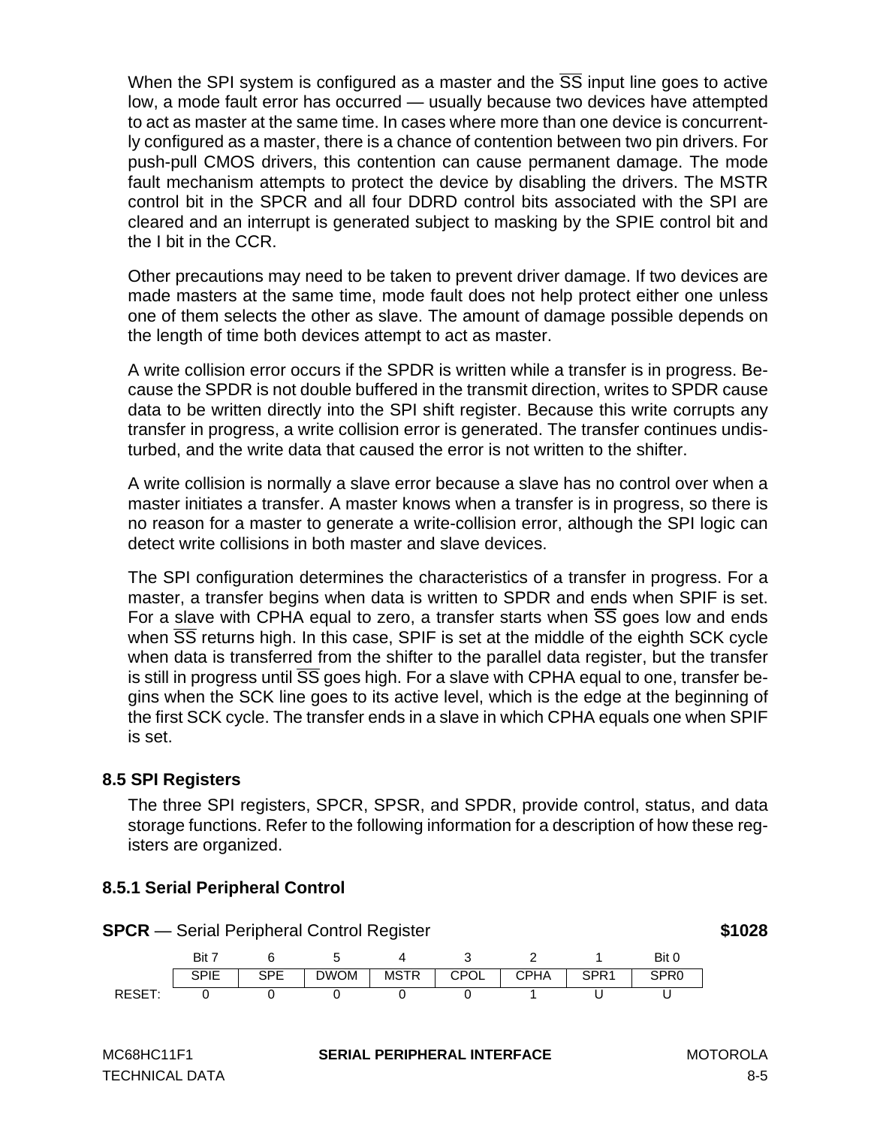When the SPI system is configured as a master and the  $\overline{SS}$  input line goes to active low, a mode fault error has occurred — usually because two devices have attempted to act as master at the same time. In cases where more than one device is concurrently configured as a master, there is a chance of contention between two pin drivers. For push-pull CMOS drivers, this contention can cause permanent damage. The mode fault mechanism attempts to protect the device by disabling the drivers. The MSTR control bit in the SPCR and all four DDRD control bits associated with the SPI are cleared and an interrupt is generated subject to masking by the SPIE control bit and the I bit in the CCR.

Other precautions may need to be taken to prevent driver damage. If two devices are made masters at the same time, mode fault does not help protect either one unless one of them selects the other as slave. The amount of damage possible depends on the length of time both devices attempt to act as master.

A write collision error occurs if the SPDR is written while a transfer is in progress. Because the SPDR is not double buffered in the transmit direction, writes to SPDR cause data to be written directly into the SPI shift register. Because this write corrupts any transfer in progress, a write collision error is generated. The transfer continues undisturbed, and the write data that caused the error is not written to the shifter.

A write collision is normally a slave error because a slave has no control over when a master initiates a transfer. A master knows when a transfer is in progress, so there is no reason for a master to generate a write-collision error, although the SPI logic can detect write collisions in both master and slave devices.

The SPI configuration determines the characteristics of a transfer in progress. For a master, a transfer begins when data is written to SPDR and ends when SPIF is set. For a slave with CPHA equal to zero, a transfer starts when  $\overline{SS}$  goes low and ends when  $\overline{SS}$  returns high. In this case, SPIF is set at the middle of the eighth SCK cycle when data is transferred from the shifter to the parallel data register, but the transfer is still in progress until SS goes high. For a slave with CPHA equal to one, transfer begins when the SCK line goes to its active level, which is the edge at the beginning of the first SCK cycle. The transfer ends in a slave in which CPHA equals one when SPIF is set.

# **8.5 SPI Registers**

The three SPI registers, SPCR, SPSR, and SPDR, provide control, status, and data storage functions. Refer to the following information for a description of how these registers are organized.

### **8.5.1 Serial Peripheral Control**

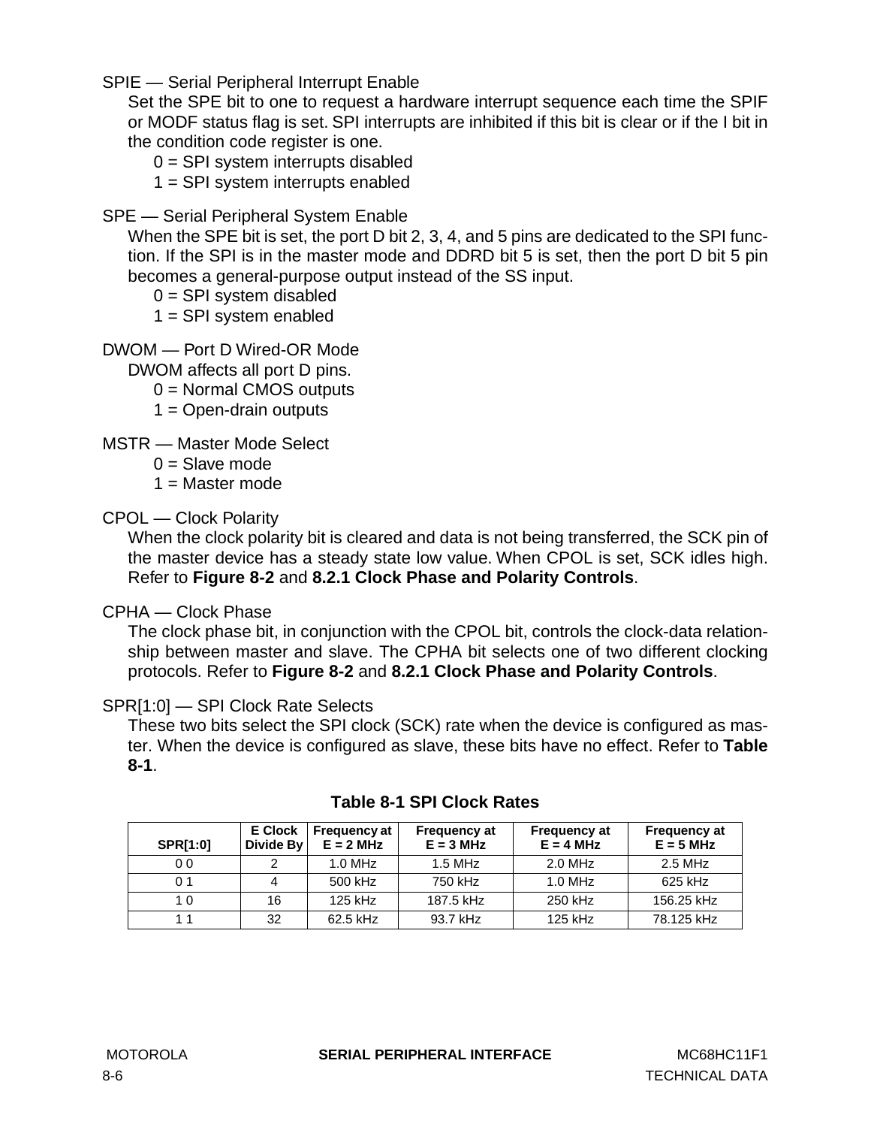SPIE — Serial Peripheral Interrupt Enable

Set the SPE bit to one to request a hardware interrupt sequence each time the SPIF or MODF status flag is set. SPI interrupts are inhibited if this bit is clear or if the I bit in the condition code register is one.

- $0 =$  SPI system interrupts disabled
- 1 = SPI system interrupts enabled
- SPE Serial Peripheral System Enable

When the SPE bit is set, the port D bit 2, 3, 4, and 5 pins are dedicated to the SPI function. If the SPI is in the master mode and DDRD bit 5 is set, then the port D bit 5 pin becomes a general-purpose output instead of the SS input.

- $0 =$  SPI system disabled
- $1 =$  SPI system enabled
- DWOM Port D Wired-OR Mode

DWOM affects all port D pins.

- 0 = Normal CMOS outputs
- $1 =$  Open-drain outputs

MSTR — Master Mode Select

- $0 =$ Slave mode
- $1 =$ Master mode

### CPOL — Clock Polarity

When the clock polarity bit is cleared and data is not being transferred, the SCK pin of the master device has a steady state low value. When CPOL is set, SCK idles high. Refer to **[Figure 8-2](#page-100-0)** and **[8.2.1 Clock Phase and Polarity Controls](#page-100-0)**.

### CPHA — Clock Phase

The clock phase bit, in conjunction with the CPOL bit, controls the clock-data relationship between master and slave. The CPHA bit selects one of two different clocking protocols. Refer to **[Figure 8-2](#page-100-0)** and **[8.2.1 Clock Phase and Polarity Controls](#page-100-0)**.

### SPR[1:0] — SPI Clock Rate Selects

These two bits select the SPI clock (SCK) rate when the device is configured as master. When the device is configured as slave, these bits have no effect. Refer to **Table 8-1**.

| <b>SPR[1:0]</b> | <b>E</b> Clock<br>Divide By | <b>Frequency at</b><br>$E = 2 MHz$ | <b>Frequency at</b><br>$E = 3 MHz$ | <b>Frequency at</b><br>$E = 4 MHz$ | <b>Frequency at</b><br>$E = 5 MHz$ |
|-----------------|-----------------------------|------------------------------------|------------------------------------|------------------------------------|------------------------------------|
| 0 <sub>0</sub>  |                             | $1.0$ MHz                          | $1.5$ MHz                          | 2.0 MHz                            | 2.5 MHz                            |
| 0 <sub>1</sub>  |                             | 500 kHz                            | 750 kHz                            | $1.0$ MHz                          | 625 kHz                            |
| 1 0             | 16                          | 125 kHz                            | 187.5 kHz                          | 250 kHz                            | 156.25 kHz                         |
|                 | 32                          | 62.5 kHz                           | 93.7 kHz                           | 125 kHz                            | 78.125 kHz                         |

### **Table 8-1 SPI Clock Rates**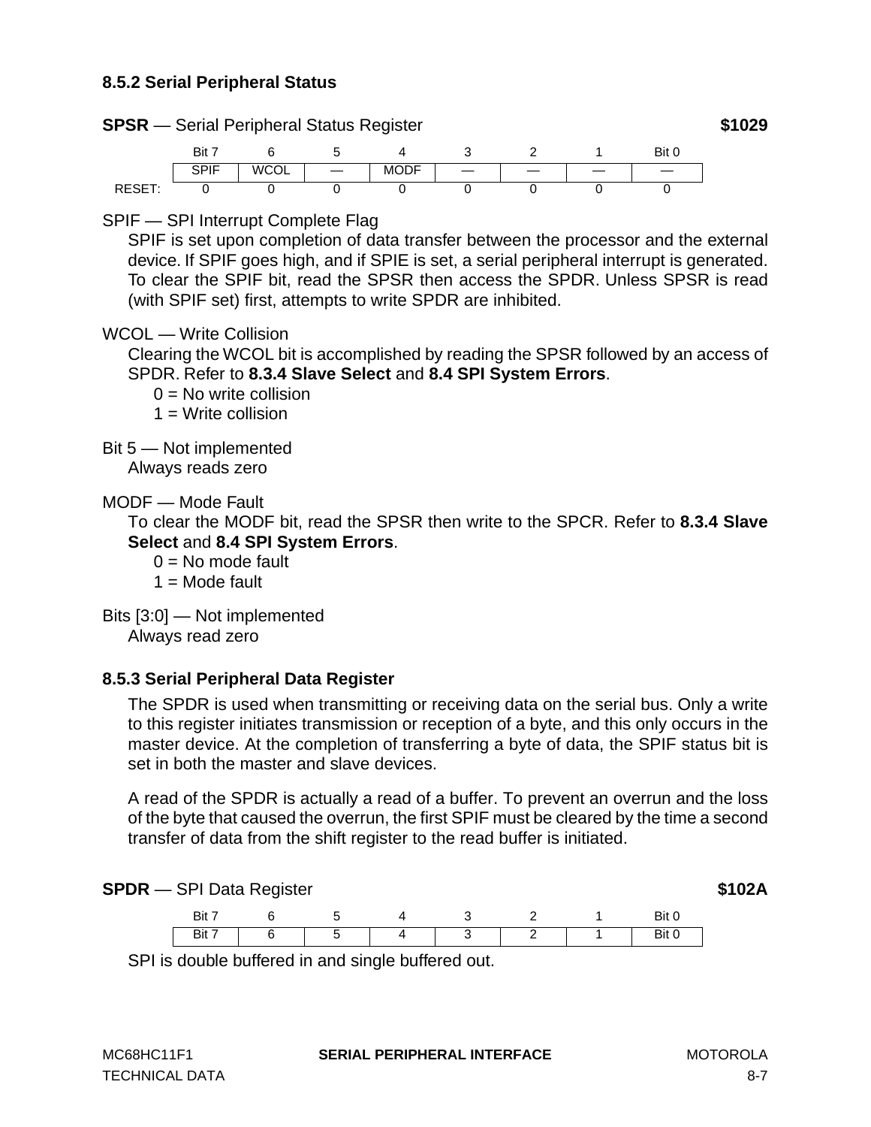### **8.5.2 Serial Peripheral Status**



### SPIF — SPI Interrupt Complete Flag

SPIF is set upon completion of data transfer between the processor and the external device. If SPIF goes high, and if SPIE is set, a serial peripheral interrupt is generated. To clear the SPIF bit, read the SPSR then access the SPDR. Unless SPSR is read (with SPIF set) first, attempts to write SPDR are inhibited.

### WCOL — Write Collision

Clearing the WCOL bit is accomplished by reading the SPSR followed by an access of SPDR. Refer to **[8.3.4 Slave Select](#page-101-0)** and **[8.4 SPI System Errors](#page-101-0)**.

 $0 = No$  write collision

 $1 =$  Write collision

Bit 5 — Not implemented

Always reads zero

MODF — Mode Fault

To clear the MODF bit, read the SPSR then write to the SPCR. Refer to **[8.3.4 Slave](#page-101-0) [Select](#page-101-0)** and **[8.4 SPI System Errors](#page-101-0)**.

- $0 = No$  mode fault
- $1 =$  Mode fault
- Bits [3:0] Not implemented

Always read zero

### **8.5.3 Serial Peripheral Data Register**

The SPDR is used when transmitting or receiving data on the serial bus. Only a write to this register initiates transmission or reception of a byte, and this only occurs in the master device. At the completion of transferring a byte of data, the SPIF status bit is set in both the master and slave devices.

A read of the SPDR is actually a read of a buffer. To prevent an overrun and the loss of the byte that caused the overrun, the first SPIF must be cleared by the time a second transfer of data from the shift register to the read buffer is initiated.



SPI is double buffered in and single buffered out.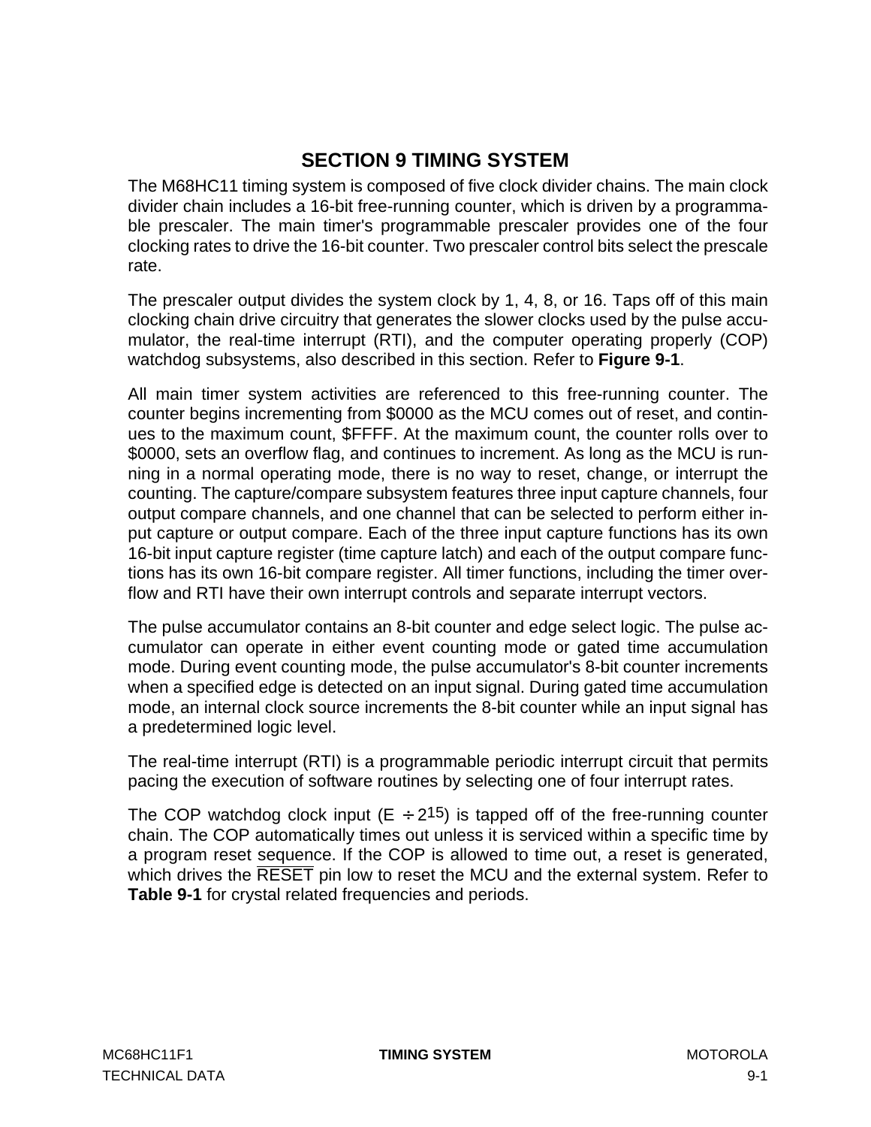# **SECTION 9 TIMING SYSTEM**

The M68HC11 timing system is composed of five clock divider chains. The main clock divider chain includes a 16-bit free-running counter, which is driven by a programmable prescaler. The main timer's programmable prescaler provides one of the four clocking rates to drive the 16-bit counter. Two prescaler control bits select the prescale rate.

The prescaler output divides the system clock by 1, 4, 8, or 16. Taps off of this main clocking chain drive circuitry that generates the slower clocks used by the pulse accumulator, the real-time interrupt (RTI), and the computer operating properly (COP) watchdog subsystems, also described in this section. Refer to **[Figure 9-1](#page-107-0)**.

All main timer system activities are referenced to this free-running counter. The counter begins incrementing from \$0000 as the MCU comes out of reset, and continues to the maximum count, \$FFFF. At the maximum count, the counter rolls over to \$0000, sets an overflow flag, and continues to increment. As long as the MCU is running in a normal operating mode, there is no way to reset, change, or interrupt the counting. The capture/compare subsystem features three input capture channels, four output compare channels, and one channel that can be selected to perform either input capture or output compare. Each of the three input capture functions has its own 16-bit input capture register (time capture latch) and each of the output compare functions has its own 16-bit compare register. All timer functions, including the timer overflow and RTI have their own interrupt controls and separate interrupt vectors.

The pulse accumulator contains an 8-bit counter and edge select logic. The pulse accumulator can operate in either event counting mode or gated time accumulation mode. During event counting mode, the pulse accumulator's 8-bit counter increments when a specified edge is detected on an input signal. During gated time accumulation mode, an internal clock source increments the 8-bit counter while an input signal has a predetermined logic level.

The real-time interrupt (RTI) is a programmable periodic interrupt circuit that permits pacing the execution of software routines by selecting one of four interrupt rates.

The COP watchdog clock input ( $E \div 2^{15}$ ) is tapped off of the free-running counter chain. The COP automatically times out unless it is serviced within a specific time by a program reset sequence. If the COP is allowed to time out, a reset is generated, which drives the RESET pin low to reset the MCU and the external system. Refer to **[Table 9-1](#page-108-0)** for crystal related frequencies and periods.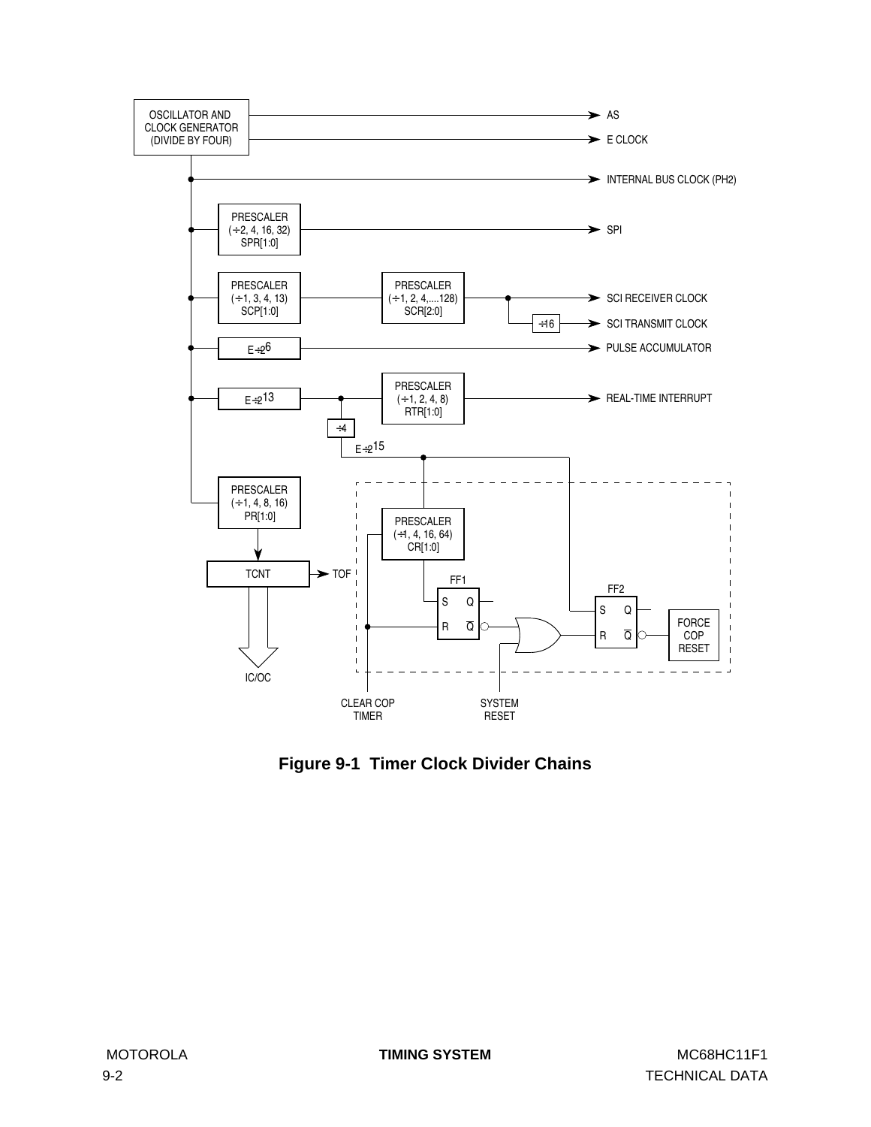<span id="page-107-0"></span>

**Figure 9-1 Timer Clock Divider Chains**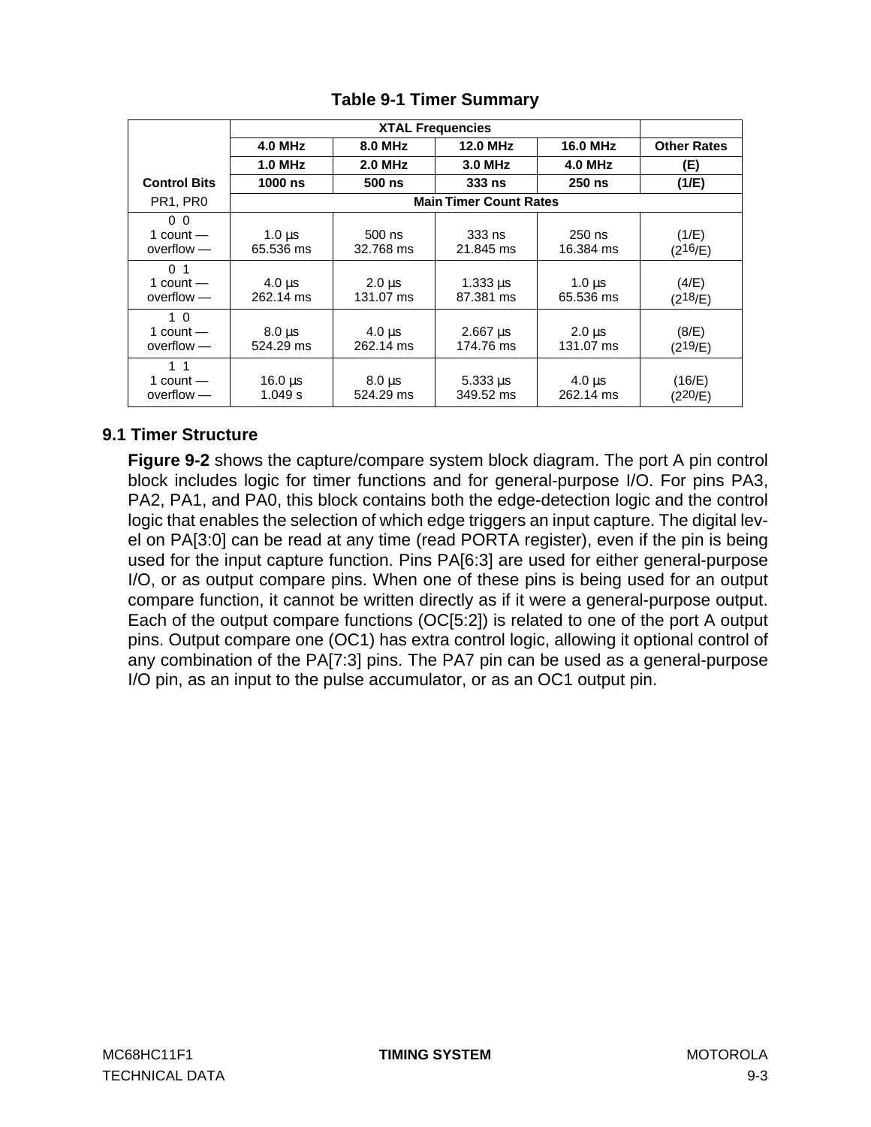<span id="page-108-0"></span>

|                                               |                            |                            | <b>XTAL Frequencies</b>               |                            |                    |
|-----------------------------------------------|----------------------------|----------------------------|---------------------------------------|----------------------------|--------------------|
|                                               | 4.0 MHz                    | <b>8.0 MHz</b>             | <b>12.0 MHz</b>                       | <b>16.0 MHz</b>            | <b>Other Rates</b> |
|                                               | $1.0$ MHz                  | <b>2.0 MHz</b>             | 3.0 MHz                               | <b>4.0 MHz</b>             | (E)                |
| <b>Control Bits</b>                           | 1000 ns                    | $500$ ns                   | 333 ns                                | $250$ ns                   | (1/E)              |
| PR <sub>1</sub> , PR <sub>0</sub>             |                            |                            | <b>Main Timer Count Rates</b>         |                            |                    |
| 0 <sub>0</sub><br>1 count $-$<br>$overflow -$ | $1.0 \,\mu s$<br>65.536 ms | $500$ ns<br>32.768 ms      | $333$ ns<br>21.845 ms                 | $250$ ns<br>16.384 ms      | (1/E)<br>(216/E)   |
| 0 <sub>1</sub><br>1 count $-$<br>$overflow -$ | $4.0 \,\mu s$<br>262.14 ms | $2.0 \mu s$<br>131.07 ms   | $1.333 \,\mu s$<br>87.381 ms          | $1.0 \,\mu s$<br>65.536 ms | (4/E)<br>(218/E)   |
| 1 <sub>0</sub><br>1 count $-$<br>$overflow -$ | $8.0 \,\mu s$<br>524.29 ms | $4.0 \,\mu s$<br>262.14 ms | $2.667 \,\mathrm{\mu s}$<br>174.76 ms | $2.0 \,\mu s$<br>131.07 ms | (8/E)<br>(219/E)   |
| 1 <sub>1</sub><br>1 count $-$<br>$overflow -$ | $16.0 \,\mu s$<br>1.049 s  | $8.0 \,\mu s$<br>524.29 ms | $5.333 \,\mu s$<br>349.52 ms          | $4.0 \,\mu s$<br>262.14 ms | (16/E)<br>(220/E)  |

## **Table 9-1 Timer Summary**

## **9.1 Timer Structure**

**[Figure 9-2](#page-109-0)** shows the capture/compare system block diagram. The port A pin control block includes logic for timer functions and for general-purpose I/O. For pins PA3, PA2, PA1, and PA0, this block contains both the edge-detection logic and the control logic that enables the selection of which edge triggers an input capture. The digital level on PA[3:0] can be read at any time (read PORTA register), even if the pin is being used for the input capture function. Pins PA[6:3] are used for either general-purpose I/O, or as output compare pins. When one of these pins is being used for an output compare function, it cannot be written directly as if it were a general-purpose output. Each of the output compare functions (OC[5:2]) is related to one of the port A output pins. Output compare one (OC1) has extra control logic, allowing it optional control of any combination of the PA[7:3] pins. The PA7 pin can be used as a general-purpose I/O pin, as an input to the pulse accumulator, or as an OC1 output pin.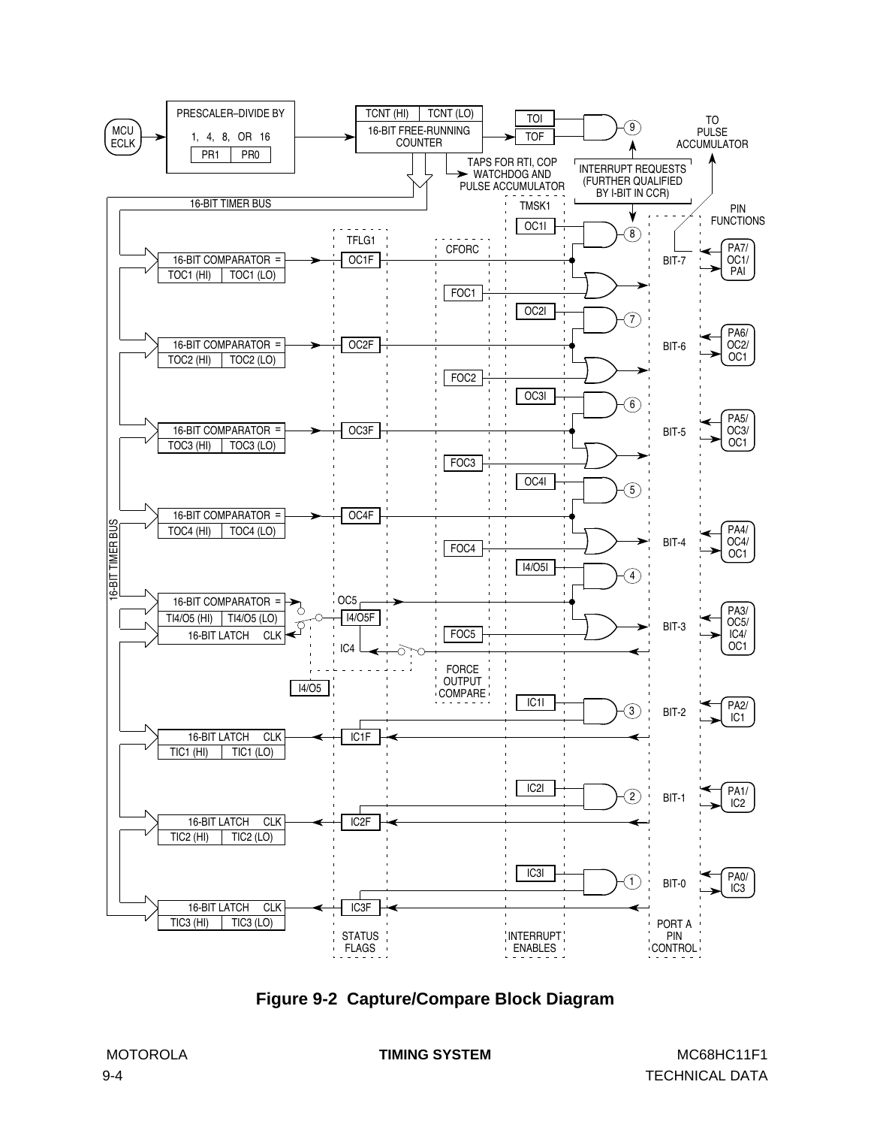<span id="page-109-0"></span>

**Figure 9-2 Capture/Compare Block Diagram**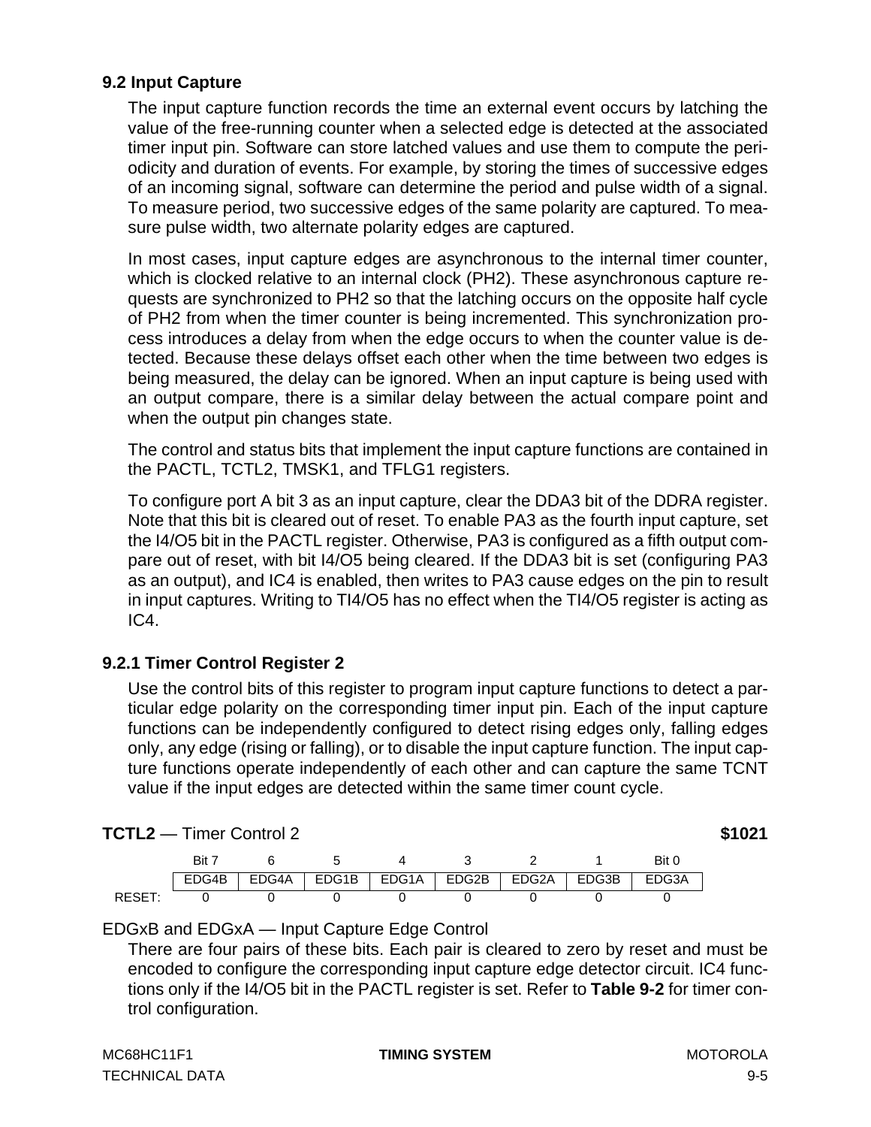#### **9.2 Input Capture**

The input capture function records the time an external event occurs by latching the value of the free-running counter when a selected edge is detected at the associated timer input pin. Software can store latched values and use them to compute the periodicity and duration of events. For example, by storing the times of successive edges of an incoming signal, software can determine the period and pulse width of a signal. To measure period, two successive edges of the same polarity are captured. To measure pulse width, two alternate polarity edges are captured.

In most cases, input capture edges are asynchronous to the internal timer counter, which is clocked relative to an internal clock (PH2). These asynchronous capture requests are synchronized to PH2 so that the latching occurs on the opposite half cycle of PH2 from when the timer counter is being incremented. This synchronization process introduces a delay from when the edge occurs to when the counter value is detected. Because these delays offset each other when the time between two edges is being measured, the delay can be ignored. When an input capture is being used with an output compare, there is a similar delay between the actual compare point and when the output pin changes state.

The control and status bits that implement the input capture functions are contained in the PACTL, TCTL2, TMSK1, and TFLG1 registers.

To configure port A bit 3 as an input capture, clear the DDA3 bit of the DDRA register. Note that this bit is cleared out of reset. To enable PA3 as the fourth input capture, set the I4/O5 bit in the PACTL register. Otherwise, PA3 is configured as a fifth output compare out of reset, with bit I4/O5 being cleared. If the DDA3 bit is set (configuring PA3 as an output), and IC4 is enabled, then writes to PA3 cause edges on the pin to result in input captures. Writing to TI4/O5 has no effect when the TI4/O5 register is acting as IC4.

## **9.2.1 Timer Control Register 2**

Use the control bits of this register to program input capture functions to detect a particular edge polarity on the corresponding timer input pin. Each of the input capture functions can be independently configured to detect rising edges only, falling edges only, any edge (rising or falling), or to disable the input capture function. The input capture functions operate independently of each other and can capture the same TCNT value if the input edges are detected within the same timer count cycle.

|       | Bit : |       |       |       |               |       | Bit 0 |
|-------|-------|-------|-------|-------|---------------|-------|-------|
|       | EDG4B | EDG4A | EDG1B | EDG1A | EDG2B   EDG2A | EDG3B | EDG3A |
| RESE1 |       |       |       |       |               |       |       |

**TCTL2** — Timer Control 2 **\$1021**

#### EDGxB and EDGxA — Input Capture Edge Control

There are four pairs of these bits. Each pair is cleared to zero by reset and must be encoded to configure the corresponding input capture edge detector circuit. IC4 functions only if the I4/O5 bit in the PACTL register is set. Refer to **[Table 9-2](#page-115-0)** for timer control configuration.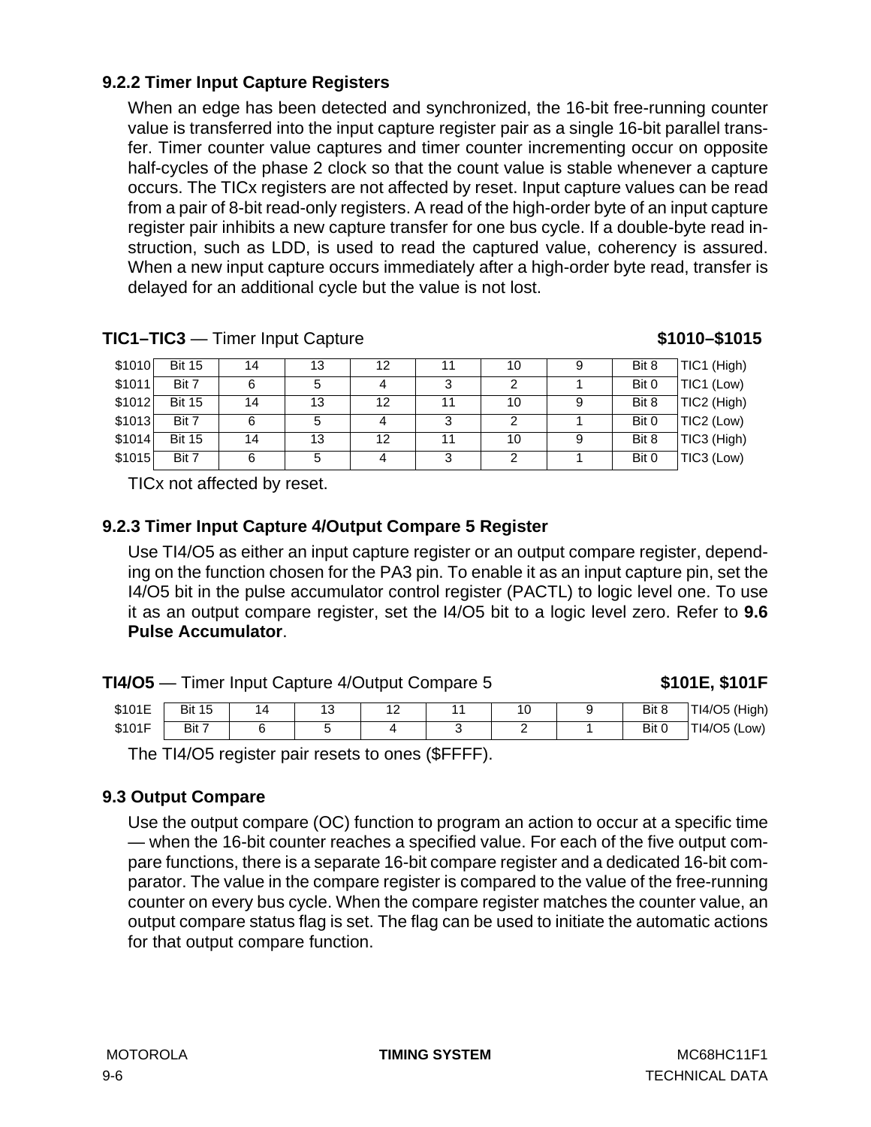## **9.2.2 Timer Input Capture Registers**

When an edge has been detected and synchronized, the 16-bit free-running counter value is transferred into the input capture register pair as a single 16-bit parallel transfer. Timer counter value captures and timer counter incrementing occur on opposite half-cycles of the phase 2 clock so that the count value is stable whenever a capture occurs. The TICx registers are not affected by reset. Input capture values can be read from a pair of 8-bit read-only registers. A read of the high-order byte of an input capture register pair inhibits a new capture transfer for one bus cycle. If a double-byte read instruction, such as LDD, is used to read the captured value, coherency is assured. When a new input capture occurs immediately after a high-order byte read, transfer is delayed for an additional cycle but the value is not lost.

| \$1010  | <b>Bit 15</b> | 14 | 13 | 12 |    | 10 | 9 | Bit 8 | TIC1 (High) |
|---------|---------------|----|----|----|----|----|---|-------|-------------|
| \$1011  | Bit 7         | 6  |    |    |    |    |   | Bit 0 | TIC1 (Low)  |
| \$1012  | <b>Bit 15</b> | 14 | 13 | 12 | 11 | 10 | 9 | Bit 8 | TIC2 (High) |
| \$1013  | Bit 7         | 6  | 5  | 4  | 3  |    |   | Bit 0 | TIC2 (Low)  |
| \$1014] | <b>Bit 15</b> | 14 | 13 | 12 | 11 | 10 | 9 | Bit 8 | TIC3 (High) |
| \$1015  | Bit 7         | 6  | 5  | 4  |    |    |   | Bit 0 | TIC3 (Low)  |

**TIC1–TIC3** — Timer Input Capture **1011 51010–\$1015** 

TICx not affected by reset.

#### **9.2.3 Timer Input Capture 4/Output Compare 5 Register**

Use TI4/O5 as either an input capture register or an output compare register, depending on the function chosen for the PA3 pin. To enable it as an input capture pin, set the I4/O5 bit in the pulse accumulator control register (PACTL) to logic level one. To use it as an output compare register, set the I4/O5 bit to a logic level zero. Refer to **9.6 Pulse Accumulator**.

|        | <b>TI4/O5</b> — Timer Input Capture 4/Output Compare 5 |    | \$101E, \$101F |  |    |       |               |
|--------|--------------------------------------------------------|----|----------------|--|----|-------|---------------|
| \$101E | <b>Bit 15</b>                                          | 14 | 13             |  | 10 | Bit 8 | TI4/O5 (High) |
| \$101F | Bit 7                                                  |    |                |  | -  | Bit 0 | TI4/O5 (Low)  |

The TI4/O5 register pair resets to ones (\$FFFF).

#### **9.3 Output Compare**

Use the output compare (OC) function to program an action to occur at a specific time — when the 16-bit counter reaches a specified value. For each of the five output compare functions, there is a separate 16-bit compare register and a dedicated 16-bit comparator. The value in the compare register is compared to the value of the free-running counter on every bus cycle. When the compare register matches the counter value, an output compare status flag is set. The flag can be used to initiate the automatic actions for that output compare function.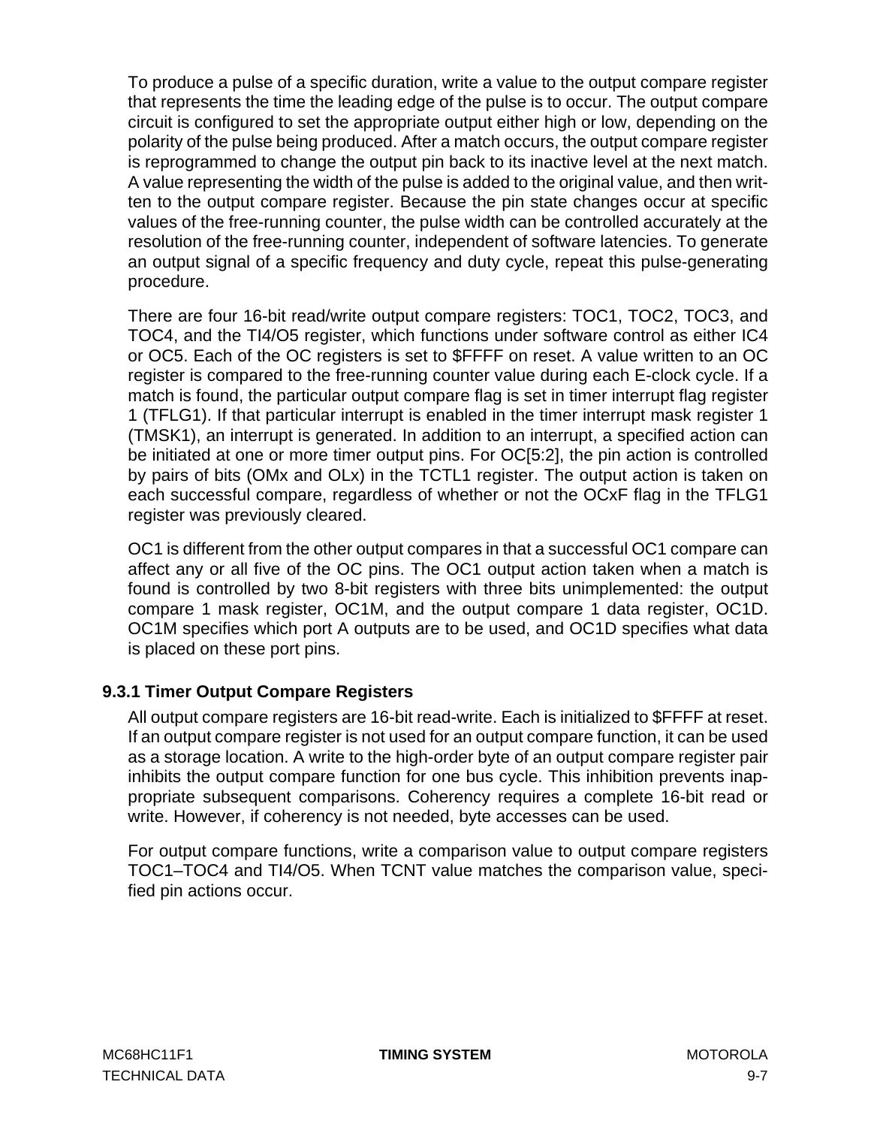To produce a pulse of a specific duration, write a value to the output compare register that represents the time the leading edge of the pulse is to occur. The output compare circuit is configured to set the appropriate output either high or low, depending on the polarity of the pulse being produced. After a match occurs, the output compare register is reprogrammed to change the output pin back to its inactive level at the next match. A value representing the width of the pulse is added to the original value, and then written to the output compare register. Because the pin state changes occur at specific values of the free-running counter, the pulse width can be controlled accurately at the resolution of the free-running counter, independent of software latencies. To generate an output signal of a specific frequency and duty cycle, repeat this pulse-generating procedure.

There are four 16-bit read/write output compare registers: TOC1, TOC2, TOC3, and TOC4, and the TI4/O5 register, which functions under software control as either IC4 or OC5. Each of the OC registers is set to \$FFFF on reset. A value written to an OC register is compared to the free-running counter value during each E-clock cycle. If a match is found, the particular output compare flag is set in timer interrupt flag register 1 (TFLG1). If that particular interrupt is enabled in the timer interrupt mask register 1 (TMSK1), an interrupt is generated. In addition to an interrupt, a specified action can be initiated at one or more timer output pins. For OC[5:2], the pin action is controlled by pairs of bits (OMx and OLx) in the TCTL1 register. The output action is taken on each successful compare, regardless of whether or not the OCxF flag in the TFLG1 register was previously cleared.

OC1 is different from the other output compares in that a successful OC1 compare can affect any or all five of the OC pins. The OC1 output action taken when a match is found is controlled by two 8-bit registers with three bits unimplemented: the output compare 1 mask register, OC1M, and the output compare 1 data register, OC1D. OC1M specifies which port A outputs are to be used, and OC1D specifies what data is placed on these port pins.

## **9.3.1 Timer Output Compare Registers**

All output compare registers are 16-bit read-write. Each is initialized to \$FFFF at reset. If an output compare register is not used for an output compare function, it can be used as a storage location. A write to the high-order byte of an output compare register pair inhibits the output compare function for one bus cycle. This inhibition prevents inappropriate subsequent comparisons. Coherency requires a complete 16-bit read or write. However, if coherency is not needed, byte accesses can be used.

For output compare functions, write a comparison value to output compare registers TOC1–TOC4 and TI4/O5. When TCNT value matches the comparison value, specified pin actions occur.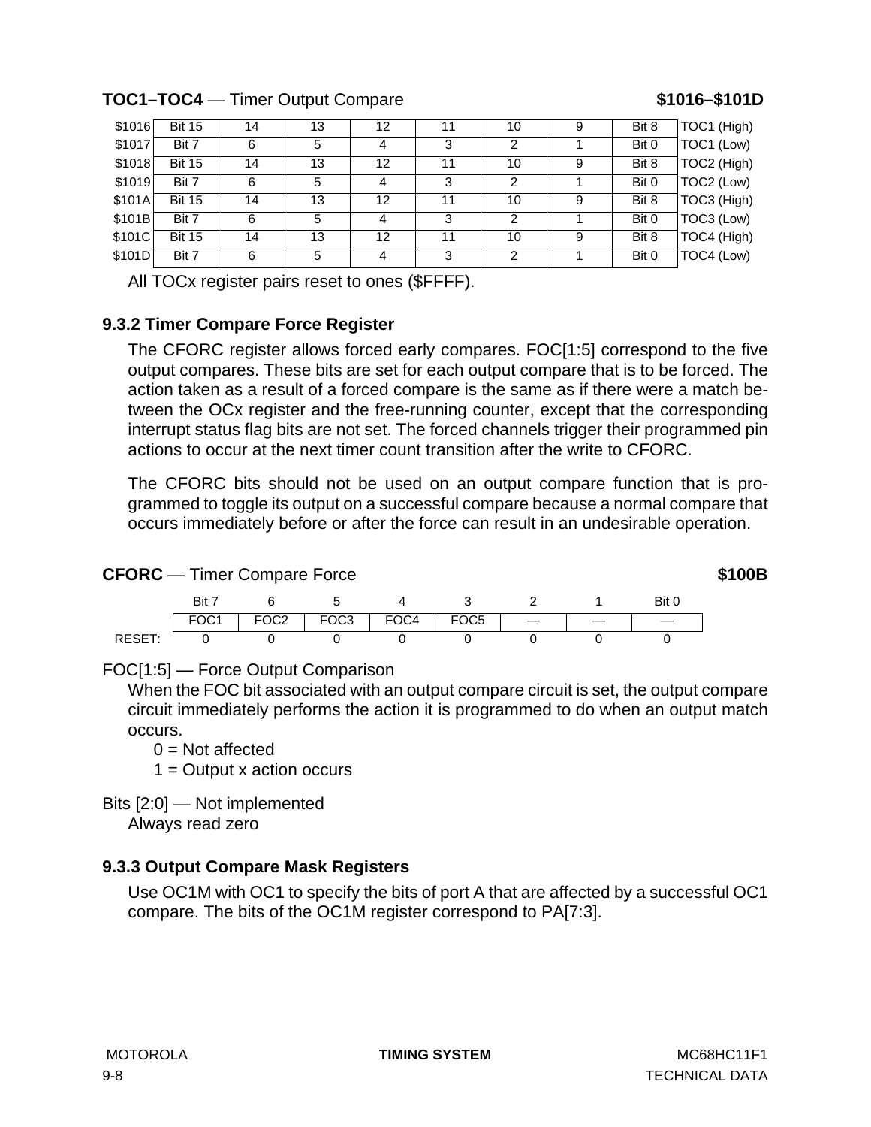## **TOC1–TOC4** — Timer Output Compare **\$1016–\$101D**

| \$1016 | <b>Bit 15</b> | 14 | 13 | 12 |    | 10 | 9 | Bit 8 | TOC1 (High) |
|--------|---------------|----|----|----|----|----|---|-------|-------------|
| \$1017 | Bit 7         | 6  | 5  | 4  | 3  | 2  |   | Bit 0 | TOC1 (Low)  |
| \$1018 | <b>Bit 15</b> | 14 | 13 | 12 | 11 | 10 | 9 | Bit 8 | TOC2 (High) |
| \$1019 | Bit 7         | 6  | 5  | 4  | 3  | 2  |   | Bit 0 | TOC2 (Low)  |
| \$101A | <b>Bit 15</b> | 14 | 13 | 12 | 11 | 10 | 9 | Bit 8 | TOC3 (High) |
| \$101B | Bit 7         | 6  | 5  | 4  | 3  | 2  |   | Bit 0 | TOC3 (Low)  |
| \$101C | <b>Bit 15</b> | 14 | 13 | 12 | 11 | 10 | 9 | Bit 8 | TOC4 (High) |
| \$101D | Bit 7         | 6  | 5  | 4  | 3  | 2  |   | Bit 0 | TOC4 (Low)  |

All TOCx register pairs reset to ones (\$FFFF).

## **9.3.2 Timer Compare Force Register**

The CFORC register allows forced early compares. FOC[1:5] correspond to the five output compares. These bits are set for each output compare that is to be forced. The action taken as a result of a forced compare is the same as if there were a match between the OCx register and the free-running counter, except that the corresponding interrupt status flag bits are not set. The forced channels trigger their programmed pin actions to occur at the next timer count transition after the write to CFORC.

The CFORC bits should not be used on an output compare function that is programmed to toggle its output on a successful compare because a normal compare that occurs immediately before or after the force can result in an undesirable operation.

#### **CFORC** — Timer Compare Force **\$100B**

|               | Bit 1            |                  |        |      |                  |  |  |
|---------------|------------------|------------------|--------|------|------------------|--|--|
|               | FOC <sub>1</sub> | FOC <sub>2</sub> | $FOC3$ | FOC4 | FOC <sub>5</sub> |  |  |
| <b>RESET:</b> |                  |                  |        |      |                  |  |  |

FOC[1:5] — Force Output Comparison

When the FOC bit associated with an output compare circuit is set, the output compare circuit immediately performs the action it is programmed to do when an output match occurs.

- $0 = Not$  affected
- $1 =$  Output x action occurs

Bits [2:0] — Not implemented

Always read zero

## **9.3.3 Output Compare Mask Registers**

Use OC1M with OC1 to specify the bits of port A that are affected by a successful OC1 compare. The bits of the OC1M register correspond to PA[7:3].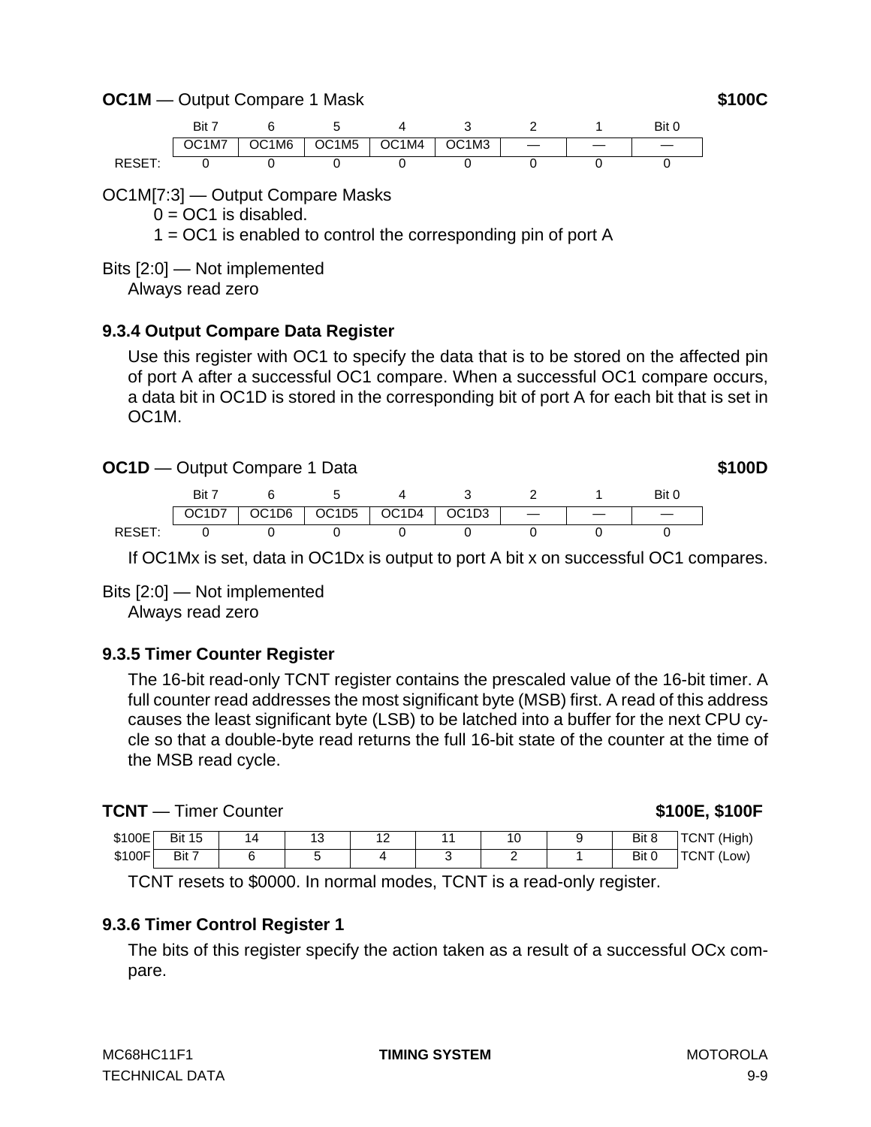**OC1M** — Output Compare 1 Mask **\$100C** 



OC1M[7:3] — Output Compare Masks

 $0 = OC1$  is disabled.

1 = OC1 is enabled to control the corresponding pin of port A

Bits [2:0] — Not implemented

Always read zero

#### **9.3.4 Output Compare Data Register**

Use this register with OC1 to specify the data that is to be stored on the affected pin of port A after a successful OC1 compare. When a successful OC1 compare occurs, a data bit in OC1D is stored in the corresponding bit of port A for each bit that is set in OC1M.

#### **OC1D** — Output Compare 1 Data **\$100D**

Bit 7 6 5 4 3 2 1 Bit 0 OC1D7 | OC1D6 | OC1D5 | OC1D4 | OC1D3 | — | — | — RESET: 0 0 0 0 0 0 0

If OC1Mx is set, data in OC1Dx is output to port A bit x on successful OC1 compares.

#### Bits [2:0] — Not implemented

Always read zero

## **9.3.5 Timer Counter Register**

The 16-bit read-only TCNT register contains the prescaled value of the 16-bit timer. A full counter read addresses the most significant byte (MSB) first. A read of this address causes the least significant byte (LSB) to be latched into a buffer for the next CPU cycle so that a double-byte read returns the full 16-bit state of the counter at the time of the MSB read cycle.

#### **TCNT** — Timer Counter **100E, 100E, 100E**, 100E, 100E

| \$100E | <b>Bit 15</b> | ີ | $\overline{ }$<br>$\epsilon$ |  | Bit 8 | (High)<br><b>TCNT</b> |
|--------|---------------|---|------------------------------|--|-------|-----------------------|
| \$100F | Bit 7         |   |                              |  | Bit 0 | <b>TCNT</b><br>'Low)  |

TCNT resets to \$0000. In normal modes, TCNT is a read-only register.

## **9.3.6 Timer Control Register 1**

The bits of this register specify the action taken as a result of a successful OCx compare.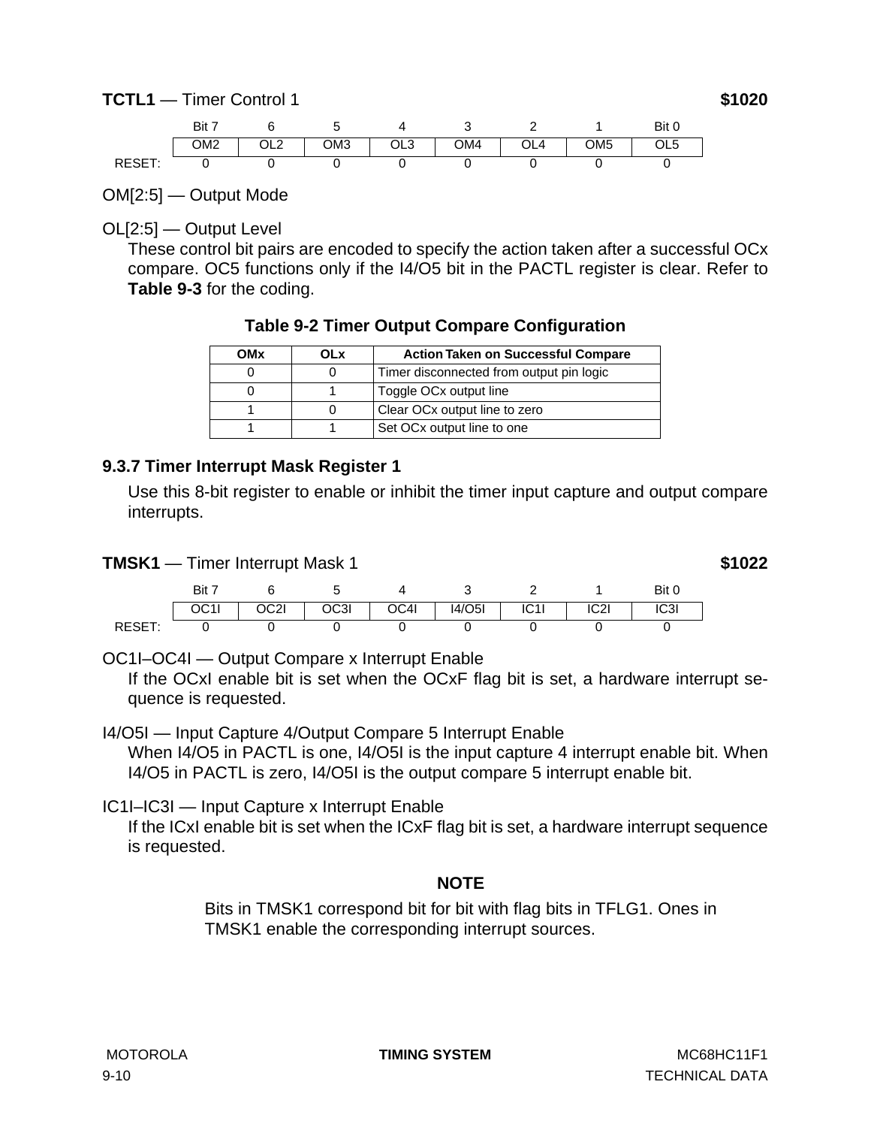<span id="page-115-0"></span>

OM[2:5] — Output Mode

OL[2:5] — Output Level

These control bit pairs are encoded to specify the action taken after a successful OCx compare. OC5 functions only if the I4/O5 bit in the PACTL register is clear. Refer to **[Table 9-3](#page-117-0)** for the coding.

|  | Table 9-2 Timer Output Compare Configuration |
|--|----------------------------------------------|
|  |                                              |

| OMx | OLx | <b>Action Taken on Successful Compare</b> |
|-----|-----|-------------------------------------------|
|     |     | Timer disconnected from output pin logic  |
|     |     | Toggle OCx output line                    |
|     |     | Clear OCx output line to zero             |
|     |     | Set OCx output line to one                |

#### **9.3.7 Timer Interrupt Mask Register 1**

Use this 8-bit register to enable or inhibit the timer input capture and output compare interrupts.

**TMSK1** — Timer Interrupt Mask 1 **\$1022** 

|        | $B$ it $7$ |      |      |      |        |      |                   | Bit 0 |
|--------|------------|------|------|------|--------|------|-------------------|-------|
|        | UUTI       | OC2I | OC3I | OC4I | 14/O5I | IC1I | IC <sub>2</sub> I | IC3I  |
| RESET: |            |      |      |      |        |      |                   |       |

OC1I–OC4I — Output Compare x Interrupt Enable

If the OCxI enable bit is set when the OCxF flag bit is set, a hardware interrupt sequence is requested.

I4/O5I — Input Capture 4/Output Compare 5 Interrupt Enable When I4/O5 in PACTL is one, I4/O5I is the input capture 4 interrupt enable bit. When I4/O5 in PACTL is zero, I4/O5I is the output compare 5 interrupt enable bit.

IC1I–IC3I — Input Capture x Interrupt Enable

If the ICxI enable bit is set when the ICxF flag bit is set, a hardware interrupt sequence is requested.

## **NOTE**

Bits in TMSK1 correspond bit for bit with flag bits in TFLG1. Ones in TMSK1 enable the corresponding interrupt sources.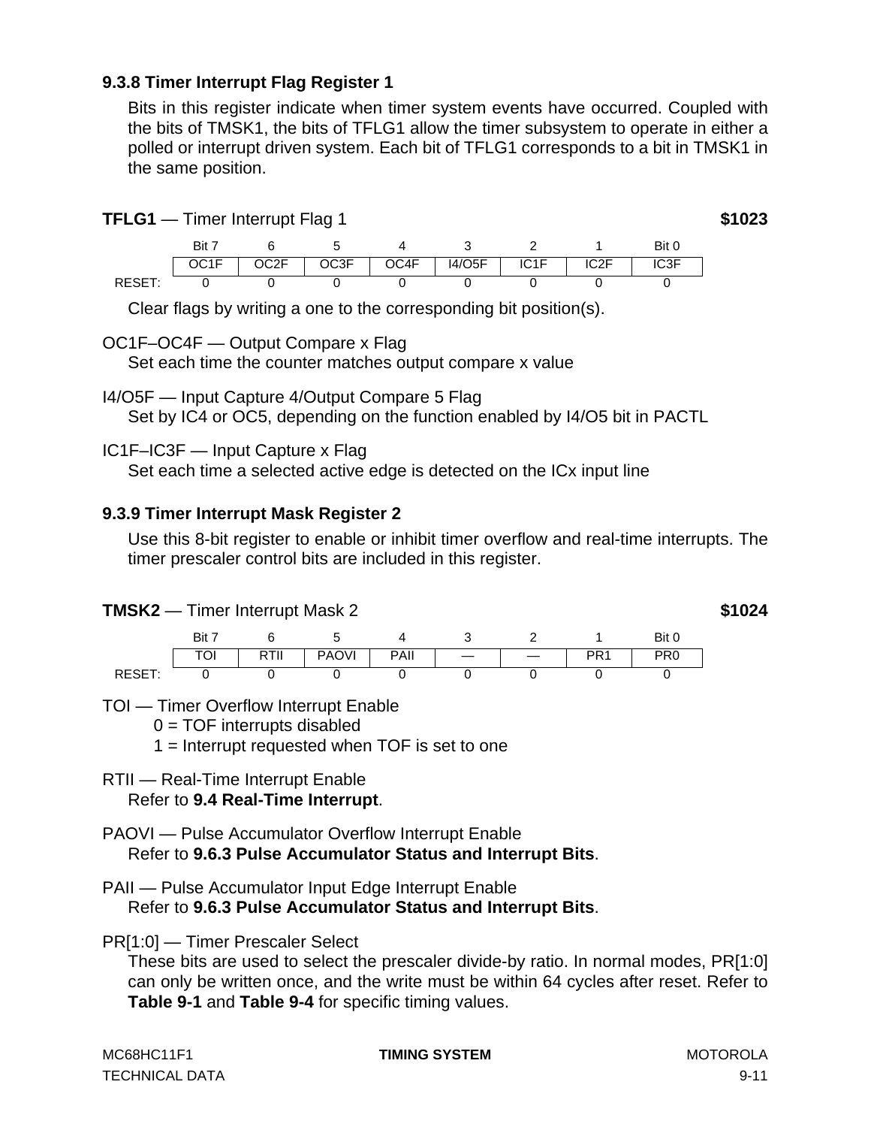#### **9.3.8 Timer Interrupt Flag Register 1**

Bits in this register indicate when timer system events have occurred. Coupled with the bits of TMSK1, the bits of TFLG1 allow the timer subsystem to operate in either a polled or interrupt driven system. Each bit of TFLG1 corresponds to a bit in TMSK1 in the same position.

**TFLG1** — Timer Interrupt Flag 1 **\$1023** 

Bit 7 6 5 4 3 2 1 Bit 0 OC1F | OC2F | OC3F | OC4F | I4/O5F | IC1F | IC2F | IC3F RESET: 0 0 0 0 0 0 0

Clear flags by writing a one to the corresponding bit position(s).

OC1F–OC4F — Output Compare x Flag

Set each time the counter matches output compare x value

I4/O5F — Input Capture 4/Output Compare 5 Flag

Set by IC4 or OC5, depending on the function enabled by I4/O5 bit in PACTL

IC1F–IC3F — Input Capture x Flag

Set each time a selected active edge is detected on the ICx input line

#### **9.3.9 Timer Interrupt Mask Register 2**

Use this 8-bit register to enable or inhibit timer overflow and real-time interrupts. The timer prescaler control bits are included in this register.

#### **TMSK2** — Timer Interrupt Mask 2 **\$1024**



#### TOI — Timer Overflow Interrupt Enable

 $0 = TOF$  interrupts disabled

1 = Interrupt requested when TOF is set to one

# RTII — Real-Time Interrupt Enable

Refer to **[9.4 Real-Time Interrupt](#page-117-0)**.

- PAOVI Pulse Accumulator Overflow Interrupt Enable Refer to **[9.6.3 Pulse Accumulator Status and Interrupt Bits](#page-123-0)**.
- PAII Pulse Accumulator Input Edge Interrupt Enable Refer to **[9.6.3 Pulse Accumulator Status and Interrupt Bits](#page-123-0)**.
- PR[1:0] Timer Prescaler Select

These bits are used to select the prescaler divide-by ratio. In normal modes, PR[1:0] can only be written once, and the write must be within 64 cycles after reset. Refer to **[Table 9-1](#page-108-0)** and **[Table 9-4](#page-118-0)** for specific timing values.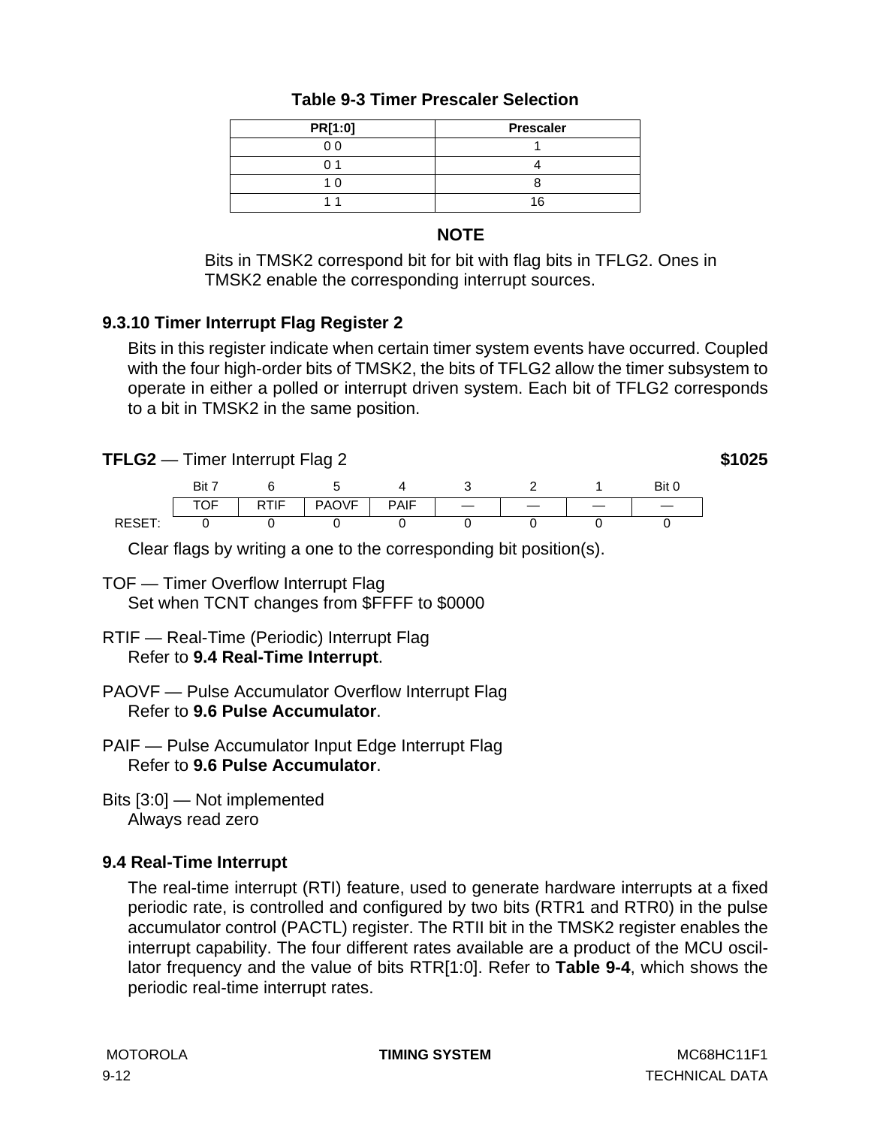<span id="page-117-0"></span>

| PR[1:0] | <b>Prescaler</b> |  |  |  |  |
|---------|------------------|--|--|--|--|
| 00      |                  |  |  |  |  |
|         |                  |  |  |  |  |
|         |                  |  |  |  |  |
|         |                  |  |  |  |  |

### **Table 9-3 Timer Prescaler Selection**

#### **NOTE**

Bits in TMSK2 correspond bit for bit with flag bits in TFLG2. Ones in TMSK2 enable the corresponding interrupt sources.

## **9.3.10 Timer Interrupt Flag Register 2**

Bits in this register indicate when certain timer system events have occurred. Coupled with the four high-order bits of TMSK2, the bits of TFLG2 allow the timer subsystem to operate in either a polled or interrupt driven system. Each bit of TFLG2 corresponds to a bit in TMSK2 in the same position.

**TFLG2** — Timer Interrupt Flag 2 **\$1025** 

|              | Rit. |             |              |             |  | Bit |
|--------------|------|-------------|--------------|-------------|--|-----|
|              | ◡    | <b>RTIF</b> | <b>PAOVF</b> | <b>PAIF</b> |  |     |
| RF<br>$\sim$ |      |             |              |             |  |     |

Clear flags by writing a one to the corresponding bit position(s).

- TOF Timer Overflow Interrupt Flag Set when TCNT changes from \$FFFF to \$0000
- RTIF Real-Time (Periodic) Interrupt Flag Refer to **9.4 Real-Time Interrupt**.
- PAOVF Pulse Accumulator Overflow Interrupt Flag Refer to **[9.6 Pulse Accumulator](#page-120-0)**.
- PAIF Pulse Accumulator Input Edge Interrupt Flag Refer to **[9.6 Pulse Accumulator](#page-120-0)**.
- Bits [3:0] Not implemented Always read zero

## **9.4 Real-Time Interrupt**

The real-time interrupt (RTI) feature, used to generate hardware interrupts at a fixed periodic rate, is controlled and configured by two bits (RTR1 and RTR0) in the pulse accumulator control (PACTL) register. The RTII bit in the TMSK2 register enables the interrupt capability. The four different rates available are a product of the MCU oscillator frequency and the value of bits RTR[1:0]. Refer to **[Table 9-4](#page-118-0)**, which shows the periodic real-time interrupt rates.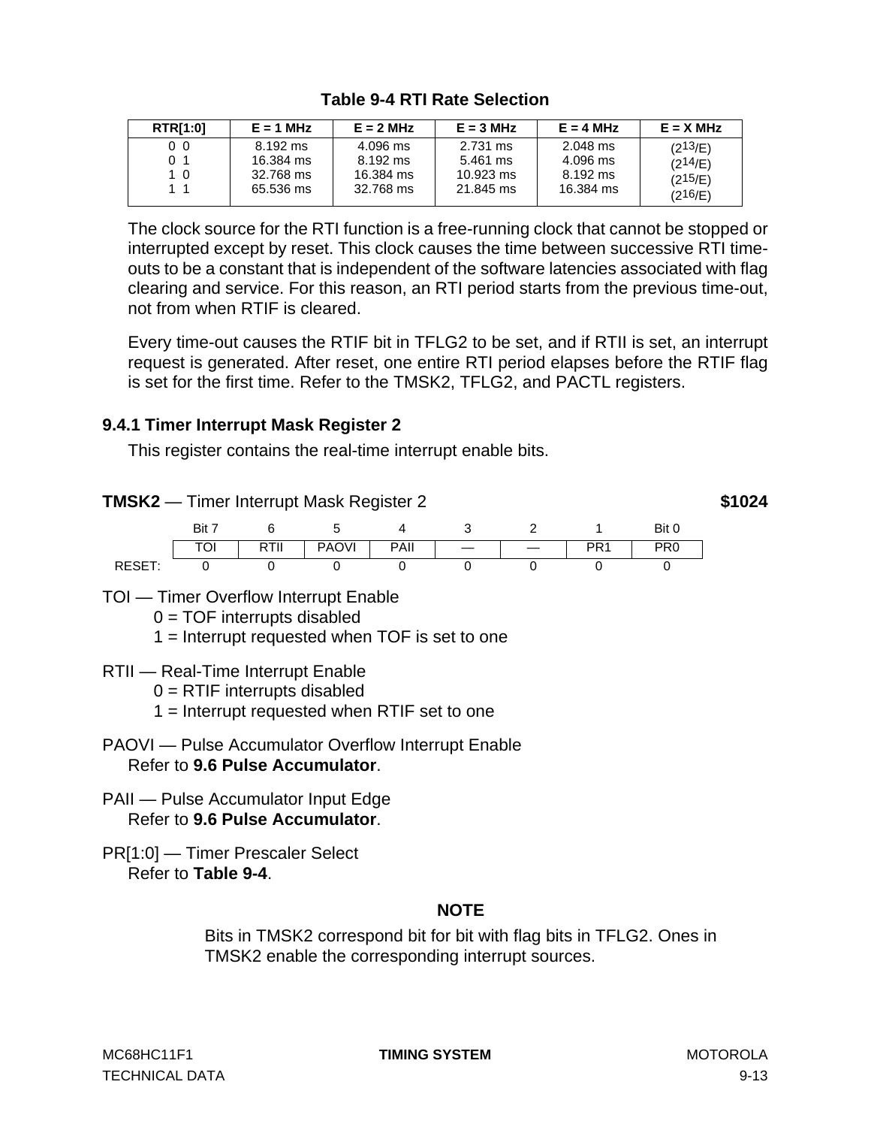<span id="page-118-0"></span>

| <b>RTR[1:0]</b> | $E = 1$ MHz | $E = 2 MHz$ | $E = 3 MHz$         | $E = 4 MHz$ | $E = X MHz$ |
|-----------------|-------------|-------------|---------------------|-------------|-------------|
| 0 <sub>0</sub>  | 8.192 ms    | 4.096 ms    | 2.731 ms            | 2.048 ms    | (213/E)     |
| 01              | 16.384 ms   | 8.192 ms    | 5.461 ms            | 4.096 ms    | (214/E)     |
| 10              | 32.768 ms   | 16.384 ms   | $10.923 \text{ ms}$ | 8.192 ms    | (215/E)     |
| 11              | 65.536 ms   | 32.768 ms   | 21.845 ms           | 16,384 ms   | (216/E)     |

## **Table 9-4 RTI Rate Selection**

The clock source for the RTI function is a free-running clock that cannot be stopped or interrupted except by reset. This clock causes the time between successive RTI timeouts to be a constant that is independent of the software latencies associated with flag clearing and service. For this reason, an RTI period starts from the previous time-out, not from when RTIF is cleared.

Every time-out causes the RTIF bit in TFLG2 to be set, and if RTII is set, an interrupt request is generated. After reset, one entire RTI period elapses before the RTIF flag is set for the first time. Refer to the TMSK2, TFLG2, and PACTL registers.

## **9.4.1 Timer Interrupt Mask Register 2**

This register contains the real-time interrupt enable bits.

**TMSK2** — Timer Interrupt Mask Register 2 **\$1024**



- TOI Timer Overflow Interrupt Enable
	- $0 = TOF$  interrupts disabled
	- 1 = Interrupt requested when TOF is set to one
- RTII Real-Time Interrupt Enable
	- $0 = RTIF$  interrupts disabled
	- 1 = Interrupt requested when RTIF set to one
- PAOVI Pulse Accumulator Overflow Interrupt Enable Refer to **[9.6 Pulse Accumulator](#page-120-0)**.
- PAII Pulse Accumulator Input Edge Refer to **[9.6 Pulse Accumulator](#page-120-0)**.
- PR[1:0] Timer Prescaler Select Refer to **Table 9-4**.

## **NOTE**

Bits in TMSK2 correspond bit for bit with flag bits in TFLG2. Ones in TMSK2 enable the corresponding interrupt sources.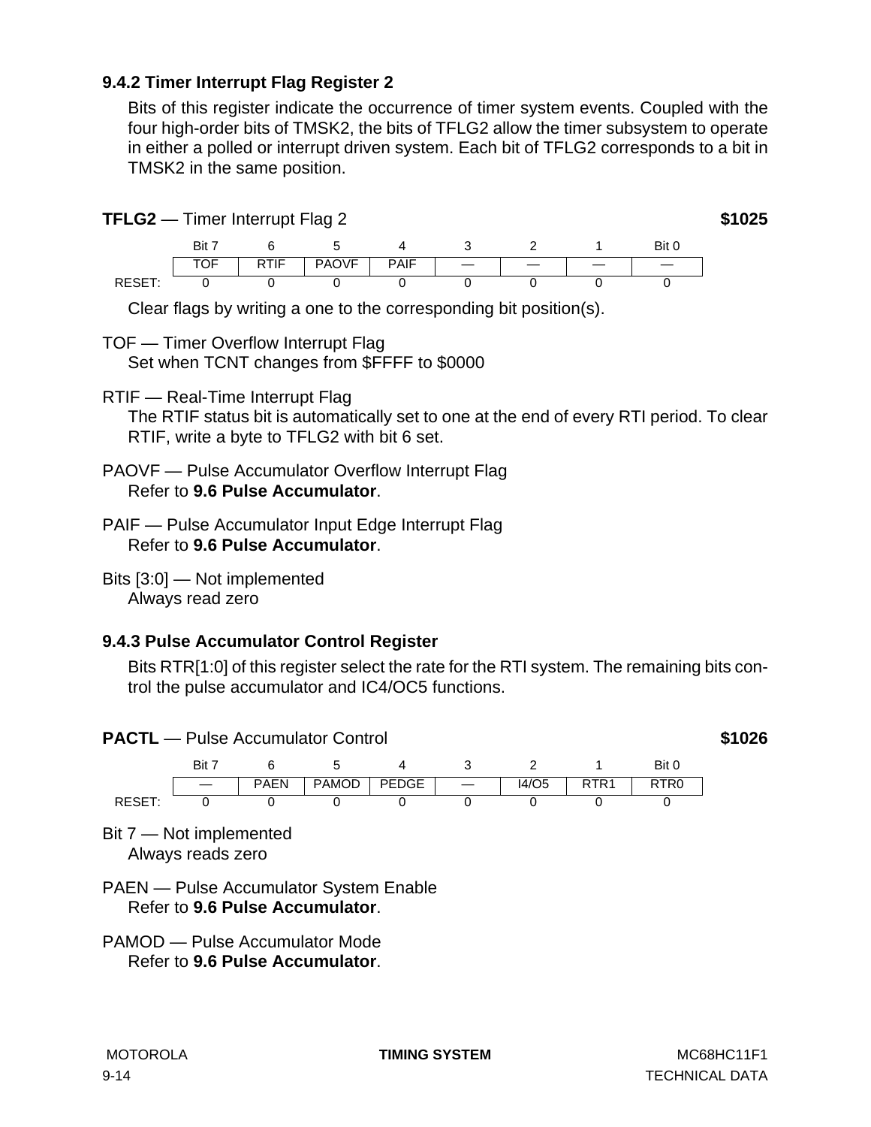#### **9.4.2 Timer Interrupt Flag Register 2**

Bits of this register indicate the occurrence of timer system events. Coupled with the four high-order bits of TMSK2, the bits of TFLG2 allow the timer subsystem to operate in either a polled or interrupt driven system. Each bit of TFLG2 corresponds to a bit in TMSK2 in the same position.

**TFLG2** — Timer Interrupt Flag 2 **\$1025** 



Clear flags by writing a one to the corresponding bit position(s).

- TOF Timer Overflow Interrupt Flag Set when TCNT changes from \$FFFF to \$0000
- RTIF Real-Time Interrupt Flag

The RTIF status bit is automatically set to one at the end of every RTI period. To clear RTIF, write a byte to TFLG2 with bit 6 set.

- PAOVF Pulse Accumulator Overflow Interrupt Flag Refer to **[9.6 Pulse Accumulator](#page-120-0)**.
- PAIF Pulse Accumulator Input Edge Interrupt Flag Refer to **[9.6 Pulse Accumulator](#page-120-0)**.
- Bits [3:0] Not implemented Always read zero

## **9.4.3 Pulse Accumulator Control Register**

Bits RTR[1:0] of this register select the rate for the RTI system. The remaining bits control the pulse accumulator and IC4/OC5 functions.







Bit 7 — Not implemented Always reads zero

- PAEN Pulse Accumulator System Enable Refer to **[9.6 Pulse Accumulator](#page-120-0)**.
- PAMOD Pulse Accumulator Mode Refer to **[9.6 Pulse Accumulator](#page-120-0)**.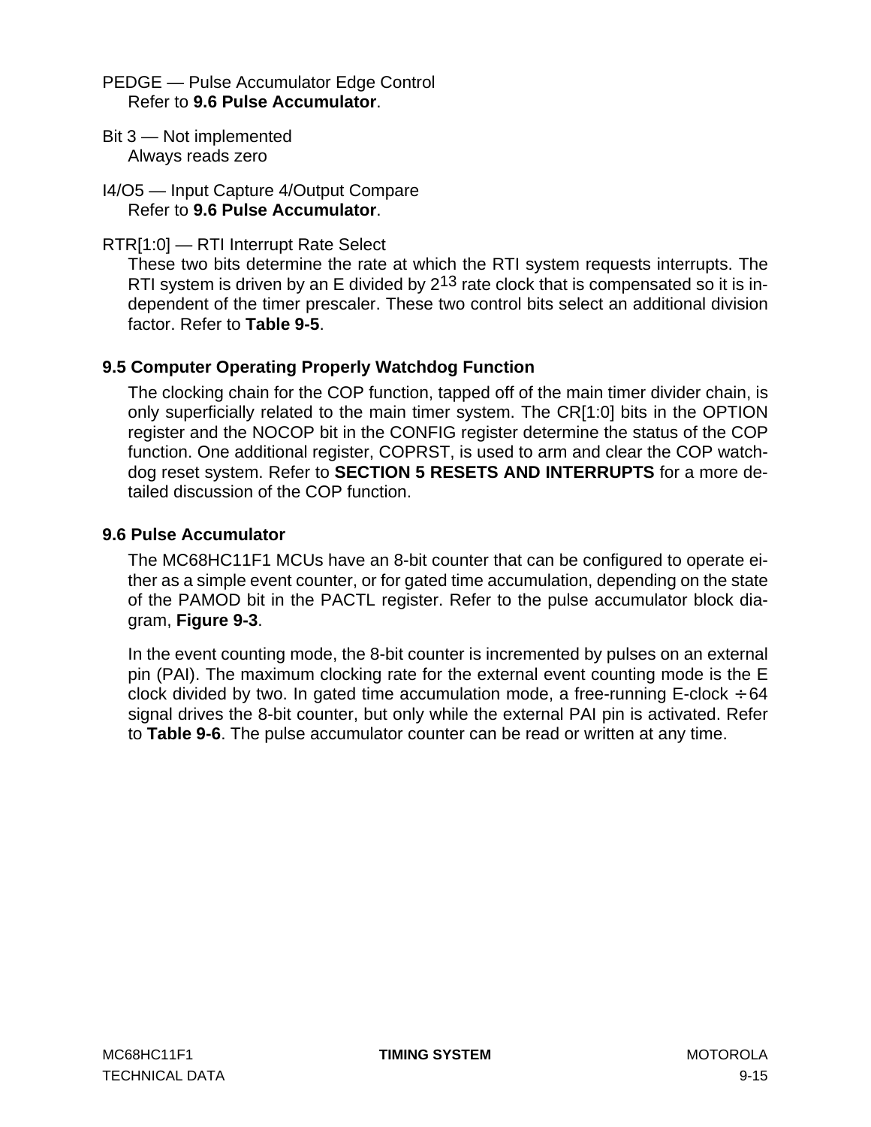<span id="page-120-0"></span>PEDGE — Pulse Accumulator Edge Control Refer to **9.6 Pulse Accumulator**.

- Bit 3 Not implemented Always reads zero
- I4/O5 Input Capture 4/Output Compare Refer to **9.6 Pulse Accumulator**.

## RTR[1:0] — RTI Interrupt Rate Select

These two bits determine the rate at which the RTI system requests interrupts. The RTI system is driven by an E divided by 2<sup>13</sup> rate clock that is compensated so it is independent of the timer prescaler. These two control bits select an additional division factor. Refer to **[Table 9-5](#page-121-0)**.

## **9.5 Computer Operating Properly Watchdog Function**

The clocking chain for the COP function, tapped off of the main timer divider chain, is only superficially related to the main timer system. The CR[1:0] bits in the OPTION register and the NOCOP bit in the CONFIG register determine the status of the COP function. One additional register, COPRST, is used to arm and clear the COP watchdog reset system. Refer to **[SECTION 5 RESETS AND INTERRUPTS](#page-62-0)** for a more detailed discussion of the COP function.

## **9.6 Pulse Accumulator**

The MC68HC11F1 MCUs have an 8-bit counter that can be configured to operate either as a simple event counter, or for gated time accumulation, depending on the state of the PAMOD bit in the PACTL register. Refer to the pulse accumulator block diagram, **[Figure 9-3](#page-121-0)**.

In the event counting mode, the 8-bit counter is incremented by pulses on an external pin (PAI). The maximum clocking rate for the external event counting mode is the E clock divided by two. In gated time accumulation mode, a free-running E-clock  $\div$  64 signal drives the 8-bit counter, but only while the external PAI pin is activated. Refer to **[Table 9-6](#page-122-0)**. The pulse accumulator counter can be read or written at any time.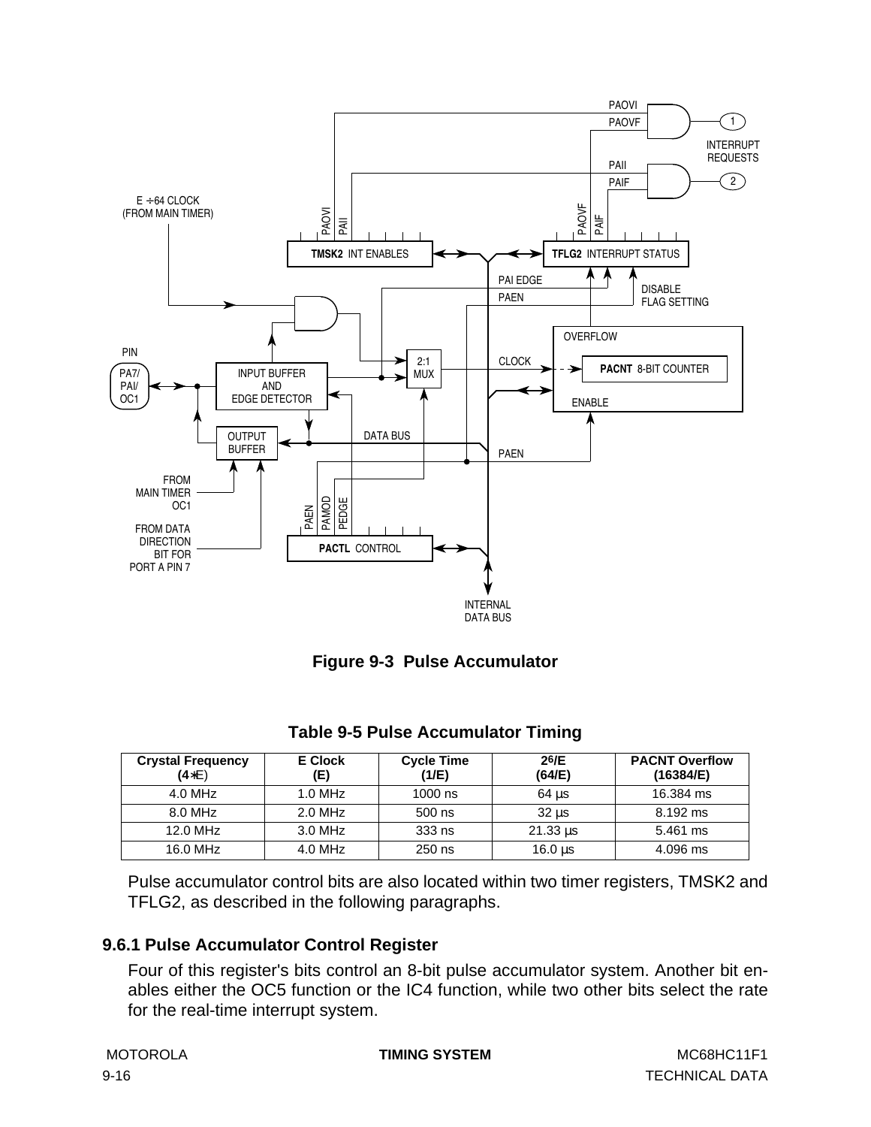<span id="page-121-0"></span>



| <b>Crystal Frequency</b><br>$(4*E)$ | E Clock<br>(E) | <b>Cycle Time</b><br>(1/E) | 26/E<br>(64/E)              | <b>PACNT Overflow</b><br>(16384/E) |
|-------------------------------------|----------------|----------------------------|-----------------------------|------------------------------------|
| $4.0$ MHz                           | $1.0$ MHz      | $1000$ ns                  | $64$ us                     | 16,384 ms                          |
| 8.0 MHz                             | $2.0$ MHz      | $500$ ns                   | $32 \text{ }\mu\text{s}$    | 8.192 ms                           |
| 12.0 MHz                            | $3.0$ MHz      | 333 ns                     | $21.33 \text{ }\mu\text{s}$ | 5.461 ms                           |
| 16.0 MHz                            | 4.0 MHz        | 250 ns                     | $16.0 \text{ }\mu s$        | 4.096 ms                           |

#### **Table 9-5 Pulse Accumulator Timing**

Pulse accumulator control bits are also located within two timer registers, TMSK2 and TFLG2, as described in the following paragraphs.

## **9.6.1 Pulse Accumulator Control Register**

Four of this register's bits control an 8-bit pulse accumulator system. Another bit enables either the OC5 function or the IC4 function, while two other bits select the rate for the real-time interrupt system.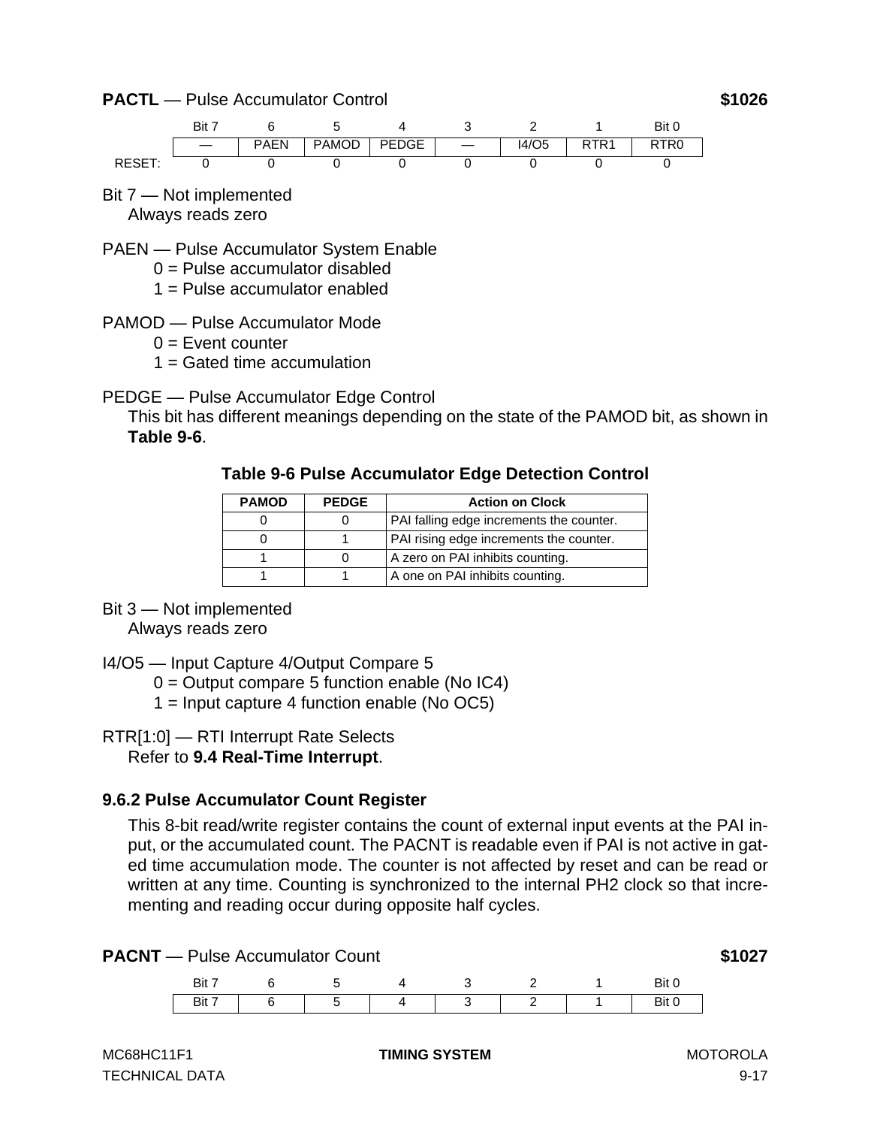<span id="page-122-0"></span>**PACTL** — Pulse Accumulator Control **\$1026** 



Bit 7 — Not implemented Always reads zero

PAEN — Pulse Accumulator System Enable

- $0 =$  Pulse accumulator disabled
- $1 =$  Pulse accumulator enabled
- PAMOD Pulse Accumulator Mode
	- $0 =$  Event counter
	- $1 =$  Gated time accumulation
- PEDGE Pulse Accumulator Edge Control

This bit has different meanings depending on the state of the PAMOD bit, as shown in **Table 9-6**.

#### **Table 9-6 Pulse Accumulator Edge Detection Control**

| <b>PAMOD</b> | <b>PEDGE</b> | <b>Action on Clock</b>                   |
|--------------|--------------|------------------------------------------|
|              |              | PAI falling edge increments the counter. |
|              |              | PAI rising edge increments the counter.  |
|              |              | A zero on PAI inhibits counting.         |
|              |              | A one on PAI inhibits counting.          |

## Bit 3 — Not implemented

Always reads zero

- I4/O5 Input Capture 4/Output Compare 5
	- $0 =$  Output compare 5 function enable (No IC4)
	- 1 = Input capture 4 function enable (No OC5)

## RTR[1:0] — RTI Interrupt Rate Selects

Refer to **[9.4 Real-Time Interrupt](#page-117-0)**.

## **9.6.2 Pulse Accumulator Count Register**

This 8-bit read/write register contains the count of external input events at the PAI input, or the accumulated count. The PACNT is readable even if PAI is not active in gated time accumulation mode. The counter is not affected by reset and can be read or written at any time. Counting is synchronized to the internal PH2 clock so that incrementing and reading occur during opposite half cycles.

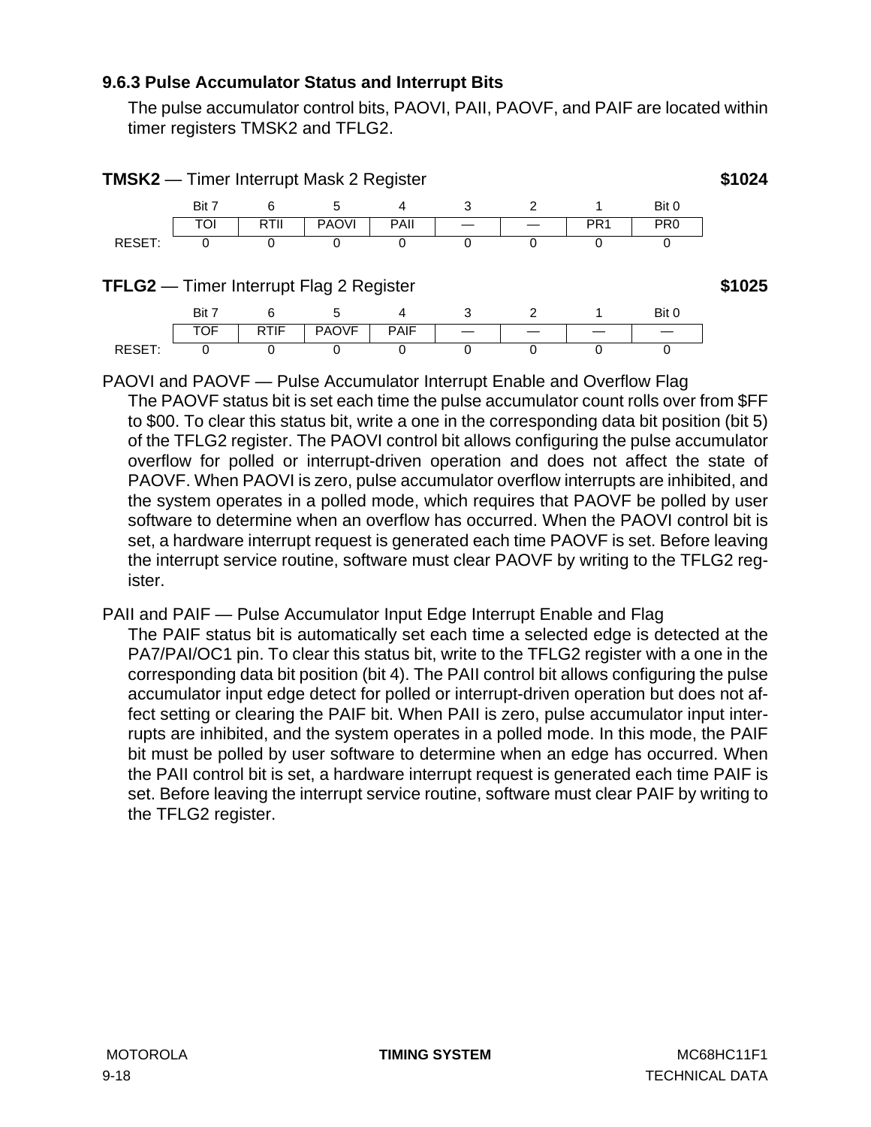#### <span id="page-123-0"></span>**9.6.3 Pulse Accumulator Status and Interrupt Bits**

The pulse accumulator control bits, PAOVI, PAII, PAOVF, and PAIF are located within timer registers TMSK2 and TFLG2.



PAOVI and PAOVF — Pulse Accumulator Interrupt Enable and Overflow Flag The PAOVF status bit is set each time the pulse accumulator count rolls over from \$FF to \$00. To clear this status bit, write a one in the corresponding data bit position (bit 5) of the TFLG2 register. The PAOVI control bit allows configuring the pulse accumulator overflow for polled or interrupt-driven operation and does not affect the state of PAOVF. When PAOVI is zero, pulse accumulator overflow interrupts are inhibited, and the system operates in a polled mode, which requires that PAOVF be polled by user software to determine when an overflow has occurred. When the PAOVI control bit is set, a hardware interrupt request is generated each time PAOVF is set. Before leaving the interrupt service routine, software must clear PAOVF by writing to the TFLG2 register.

#### PAII and PAIF — Pulse Accumulator Input Edge Interrupt Enable and Flag

The PAIF status bit is automatically set each time a selected edge is detected at the PA7/PAI/OC1 pin. To clear this status bit, write to the TFLG2 register with a one in the corresponding data bit position (bit 4). The PAII control bit allows configuring the pulse accumulator input edge detect for polled or interrupt-driven operation but does not affect setting or clearing the PAIF bit. When PAII is zero, pulse accumulator input interrupts are inhibited, and the system operates in a polled mode. In this mode, the PAIF bit must be polled by user software to determine when an edge has occurred. When the PAII control bit is set, a hardware interrupt request is generated each time PAIF is set. Before leaving the interrupt service routine, software must clear PAIF by writing to the TFLG2 register.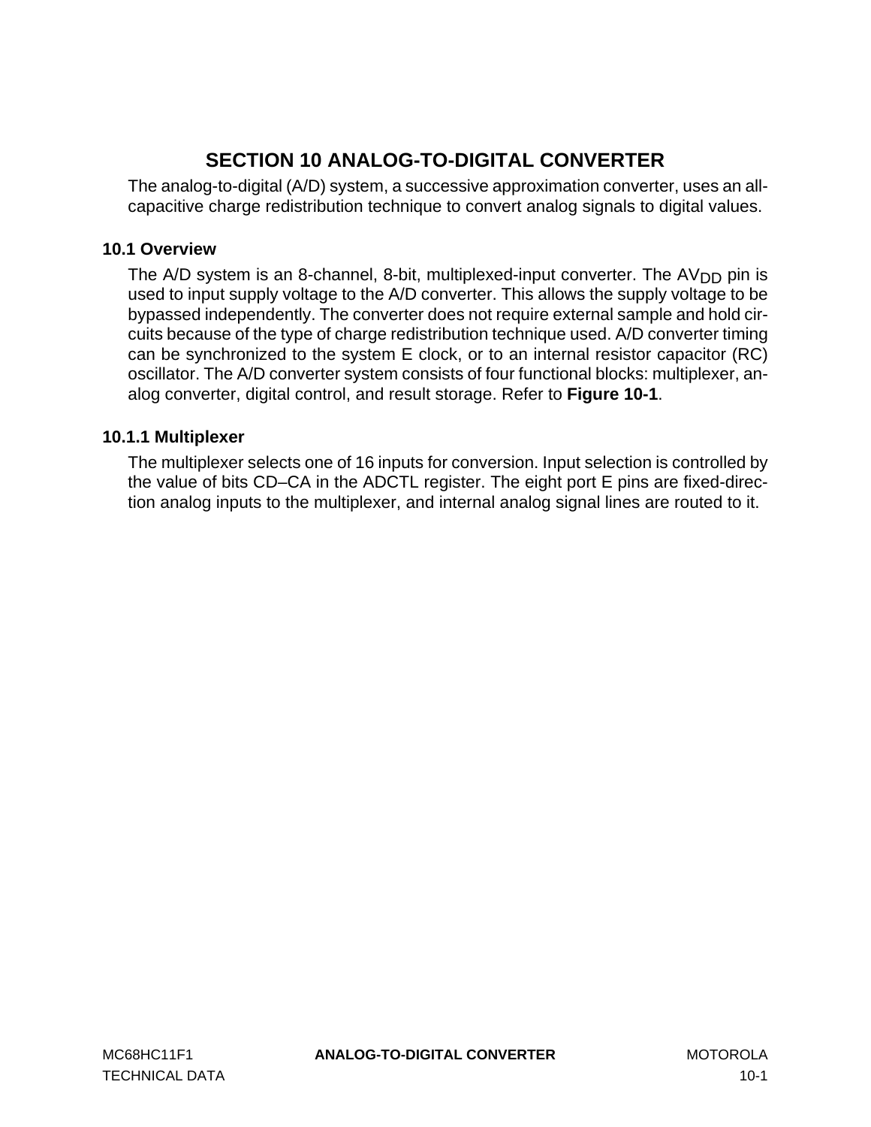# **SECTION 10 ANALOG-TO-DIGITAL CONVERTER**

The analog-to-digital (A/D) system, a successive approximation converter, uses an allcapacitive charge redistribution technique to convert analog signals to digital values.

## **10.1 Overview**

The A/D system is an 8-channel, 8-bit, multiplexed-input converter. The  $AV_{DD}$  pin is used to input supply voltage to the A/D converter. This allows the supply voltage to be bypassed independently. The converter does not require external sample and hold circuits because of the type of charge redistribution technique used. A/D converter timing can be synchronized to the system E clock, or to an internal resistor capacitor (RC) oscillator. The A/D converter system consists of four functional blocks: multiplexer, analog converter, digital control, and result storage. Refer to **[Figure 10-1](#page-125-0)**.

## **10.1.1 Multiplexer**

The multiplexer selects one of 16 inputs for conversion. Input selection is controlled by the value of bits CD–CA in the ADCTL register. The eight port E pins are fixed-direction analog inputs to the multiplexer, and internal analog signal lines are routed to it.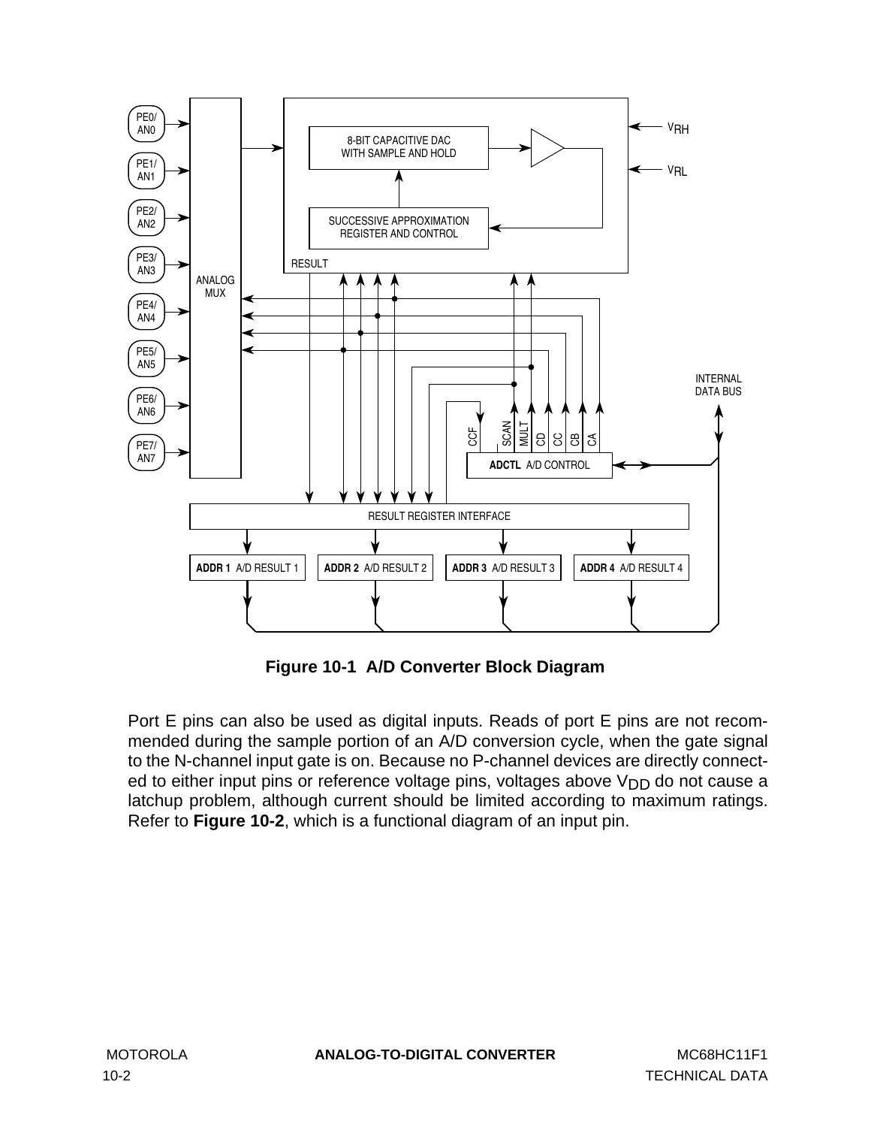<span id="page-125-0"></span>

**Figure 10-1 A/D Converter Block Diagram**

Port E pins can also be used as digital inputs. Reads of port E pins are not recommended during the sample portion of an A/D conversion cycle, when the gate signal to the N-channel input gate is on. Because no P-channel devices are directly connected to either input pins or reference voltage pins, voltages above V<sub>DD</sub> do not cause a latchup problem, although current should be limited according to maximum ratings. Refer to **[Figure 10-2](#page-126-0)**, which is a functional diagram of an input pin.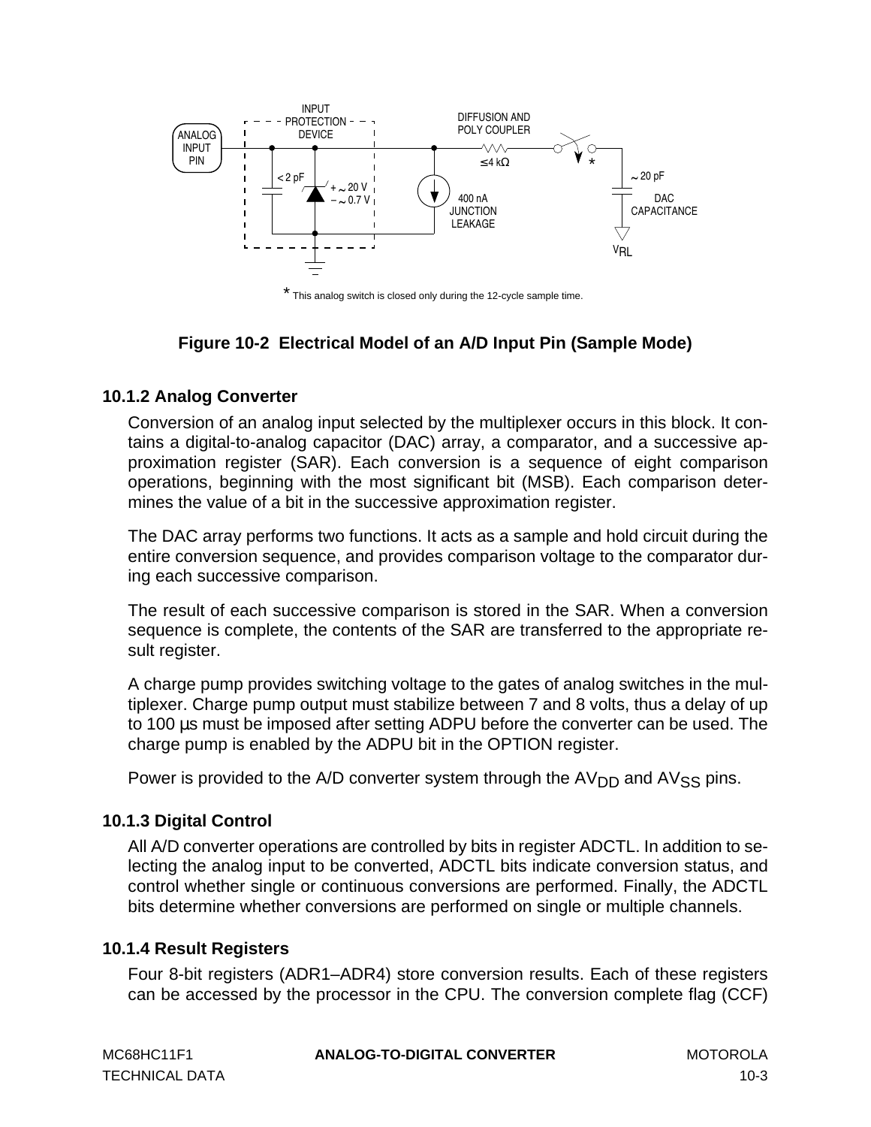<span id="page-126-0"></span>

\* This analog switch is closed only during the 12-cycle sample time.

## **Figure 10-2 Electrical Model of an A/D Input Pin (Sample Mode)**

#### **10.1.2 Analog Converter**

Conversion of an analog input selected by the multiplexer occurs in this block. It contains a digital-to-analog capacitor (DAC) array, a comparator, and a successive approximation register (SAR). Each conversion is a sequence of eight comparison operations, beginning with the most significant bit (MSB). Each comparison determines the value of a bit in the successive approximation register.

The DAC array performs two functions. It acts as a sample and hold circuit during the entire conversion sequence, and provides comparison voltage to the comparator during each successive comparison.

The result of each successive comparison is stored in the SAR. When a conversion sequence is complete, the contents of the SAR are transferred to the appropriate result register.

A charge pump provides switching voltage to the gates of analog switches in the multiplexer. Charge pump output must stabilize between 7 and 8 volts, thus a delay of up to 100 µs must be imposed after setting ADPU before the converter can be used. The charge pump is enabled by the ADPU bit in the OPTION register.

Power is provided to the A/D converter system through the  $AV<sub>DD</sub>$  and  $AV<sub>SS</sub>$  pins.

## **10.1.3 Digital Control**

All A/D converter operations are controlled by bits in register ADCTL. In addition to selecting the analog input to be converted, ADCTL bits indicate conversion status, and control whether single or continuous conversions are performed. Finally, the ADCTL bits determine whether conversions are performed on single or multiple channels.

## **10.1.4 Result Registers**

Four 8-bit registers (ADR1–ADR4) store conversion results. Each of these registers can be accessed by the processor in the CPU. The conversion complete flag (CCF)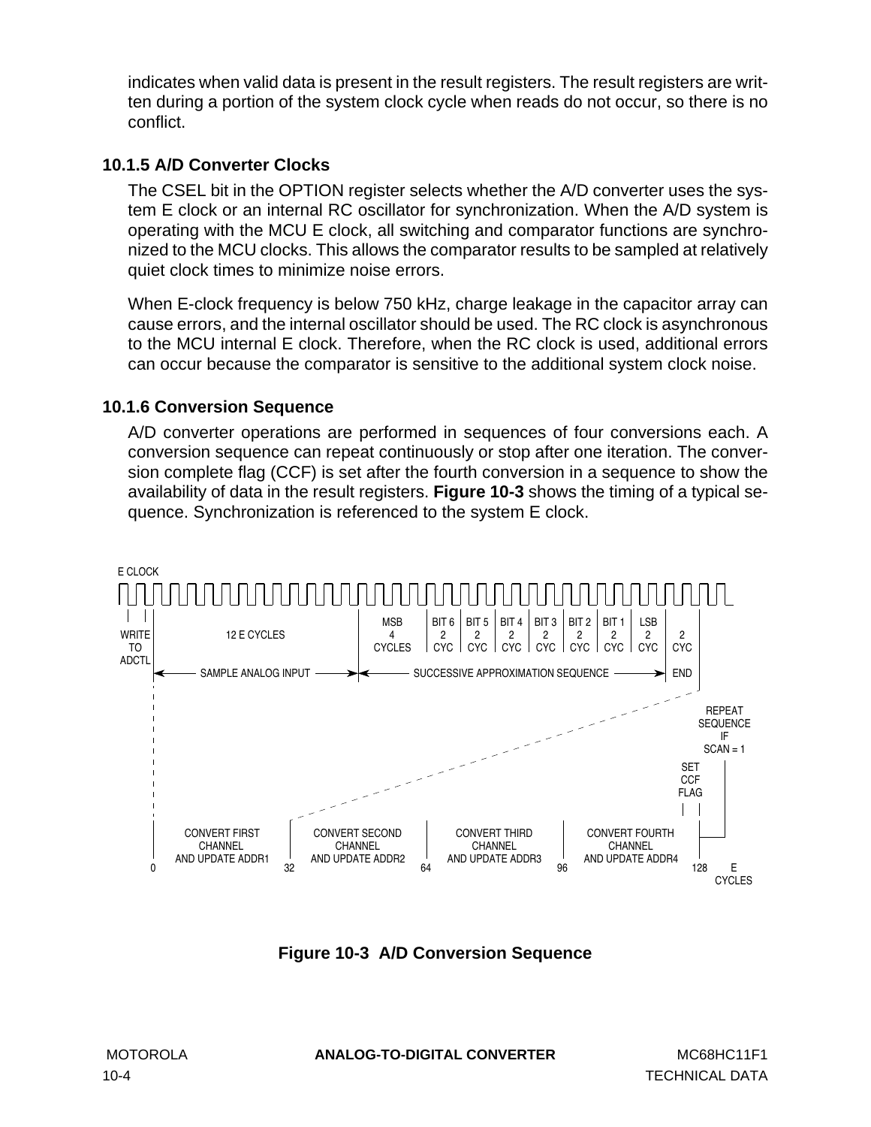<span id="page-127-0"></span>indicates when valid data is present in the result registers. The result registers are written during a portion of the system clock cycle when reads do not occur, so there is no conflict.

## **10.1.5 A/D Converter Clocks**

The CSEL bit in the OPTION register selects whether the A/D converter uses the system E clock or an internal RC oscillator for synchronization. When the A/D system is operating with the MCU E clock, all switching and comparator functions are synchronized to the MCU clocks. This allows the comparator results to be sampled at relatively quiet clock times to minimize noise errors.

When E-clock frequency is below 750 kHz, charge leakage in the capacitor array can cause errors, and the internal oscillator should be used. The RC clock is asynchronous to the MCU internal E clock. Therefore, when the RC clock is used, additional errors can occur because the comparator is sensitive to the additional system clock noise.

## **10.1.6 Conversion Sequence**

A/D converter operations are performed in sequences of four conversions each. A conversion sequence can repeat continuously or stop after one iteration. The conversion complete flag (CCF) is set after the fourth conversion in a sequence to show the availability of data in the result registers. **Figure 10-3** shows the timing of a typical sequence. Synchronization is referenced to the system E clock.



**Figure 10-3 A/D Conversion Sequence**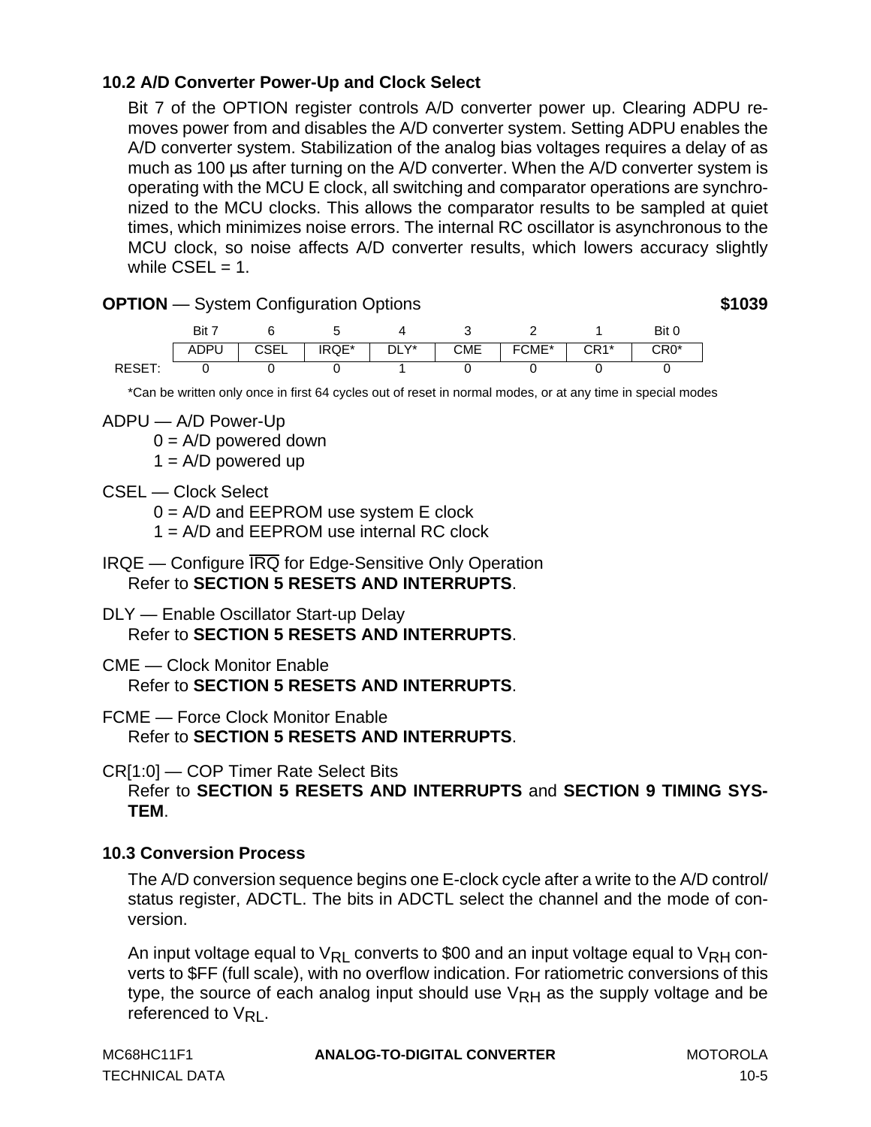## **10.2 A/D Converter Power-Up and Clock Select**

Bit 7 of the OPTION register controls A/D converter power up. Clearing ADPU removes power from and disables the A/D converter system. Setting ADPU enables the A/D converter system. Stabilization of the analog bias voltages requires a delay of as much as 100 µs after turning on the A/D converter. When the A/D converter system is operating with the MCU E clock, all switching and comparator operations are synchronized to the MCU clocks. This allows the comparator results to be sampled at quiet times, which minimizes noise errors. The internal RC oscillator is asynchronous to the MCU clock, so noise affects A/D converter results, which lowers accuracy slightly while  $CSEL = 1$ .



\*Can be written only once in first 64 cycles out of reset in normal modes, or at any time in special modes

ADPU — A/D Power-Up

 $0 = A/D$  powered down

 $1 = A/D$  powered up

CSEL — Clock Select

 $0 = A/D$  and  $EEPROM$  use system E clock

1 = A/D and EEPROM use internal RC clock

- IRQE Configure IRQ for Edge-Sensitive Only Operation Refer to **[SECTION 5 RESETS AND INTERRUPTS](#page-62-0)**.
- DLY Enable Oscillator Start-up Delay Refer to **[SECTION 5 RESETS AND INTERRUPTS](#page-62-0)**.

CME — Clock Monitor Enable Refer to **[SECTION 5 RESETS AND INTERRUPTS](#page-62-0)**.

FCME — Force Clock Monitor Enable Refer to **[SECTION 5 RESETS AND INTERRUPTS](#page-62-0)**.

CR[1:0] — COP Timer Rate Select Bits

Refer to **[SECTION 5 RESETS AND INTERRUPTS](#page-62-0)** and **[SECTION 9 TIMING SYS-](#page-106-0)[TEM](#page-106-0)**.

## **10.3 Conversion Process**

The A/D conversion sequence begins one E-clock cycle after a write to the A/D control/ status register, ADCTL. The bits in ADCTL select the channel and the mode of conversion.

An input voltage equal to  $V_{\mathsf{RL}}$  converts to \$00 and an input voltage equal to  $V_{\mathsf{RH}}$  converts to \$FF (full scale), with no overflow indication. For ratiometric conversions of this type, the source of each analog input should use  $V_{\rm RH}$  as the supply voltage and be referenced to  $V_{\text{RI}}$ .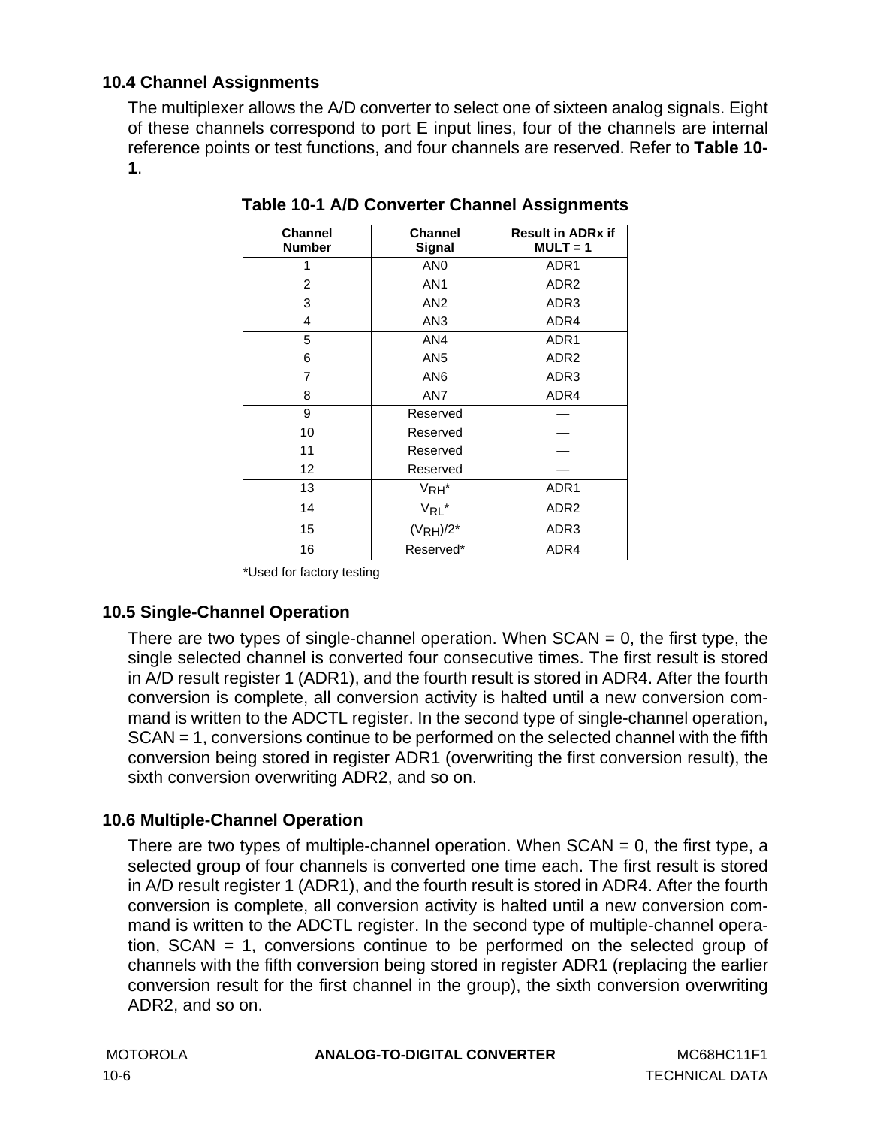## **10.4 Channel Assignments**

The multiplexer allows the A/D converter to select one of sixteen analog signals. Eight of these channels correspond to port E input lines, four of the channels are internal reference points or test functions, and four channels are reserved. Refer to **Table 10- 1**.

| <b>Channel</b><br><b>Number</b> | <b>Channel</b><br>Signal | <b>Result in ADRx if</b><br>$MULT = 1$ |
|---------------------------------|--------------------------|----------------------------------------|
| 1                               | AN <sub>0</sub>          | ADR <sub>1</sub>                       |
| 2                               | AN <sub>1</sub>          | ADR <sub>2</sub>                       |
| 3                               | AN <sub>2</sub>          | ADR3                                   |
| 4                               | AN <sub>3</sub>          | ADR4                                   |
| 5                               | AN4                      | ADR <sub>1</sub>                       |
| 6                               | AN <sub>5</sub>          | ADR <sub>2</sub>                       |
| 7                               | AN <sub>6</sub>          | ADR3                                   |
| 8                               | AN7                      | ADR4                                   |
| 9                               | Reserved                 |                                        |
| 10                              | Reserved                 |                                        |
| 11                              | Reserved                 |                                        |
| $12 \overline{ }$               | Reserved                 |                                        |
| 13                              | V <sub>RH</sub> *        | ADR1                                   |
| 14                              | $V_{RL}$ *               | ADR <sub>2</sub>                       |
| 15                              | $(VRH)/2*$               | ADR3                                   |
| 16                              | Reserved*                | ADR4                                   |

**Table 10-1 A/D Converter Channel Assignments**

\*Used for factory testing

## **10.5 Single-Channel Operation**

There are two types of single-channel operation. When  $SCAN = 0$ , the first type, the single selected channel is converted four consecutive times. The first result is stored in A/D result register 1 (ADR1), and the fourth result is stored in ADR4. After the fourth conversion is complete, all conversion activity is halted until a new conversion command is written to the ADCTL register. In the second type of single-channel operation, SCAN = 1, conversions continue to be performed on the selected channel with the fifth conversion being stored in register ADR1 (overwriting the first conversion result), the sixth conversion overwriting ADR2, and so on.

## **10.6 Multiple-Channel Operation**

There are two types of multiple-channel operation. When  $SCAN = 0$ , the first type, a selected group of four channels is converted one time each. The first result is stored in A/D result register 1 (ADR1), and the fourth result is stored in ADR4. After the fourth conversion is complete, all conversion activity is halted until a new conversion command is written to the ADCTL register. In the second type of multiple-channel operation, SCAN = 1, conversions continue to be performed on the selected group of channels with the fifth conversion being stored in register ADR1 (replacing the earlier conversion result for the first channel in the group), the sixth conversion overwriting ADR2, and so on.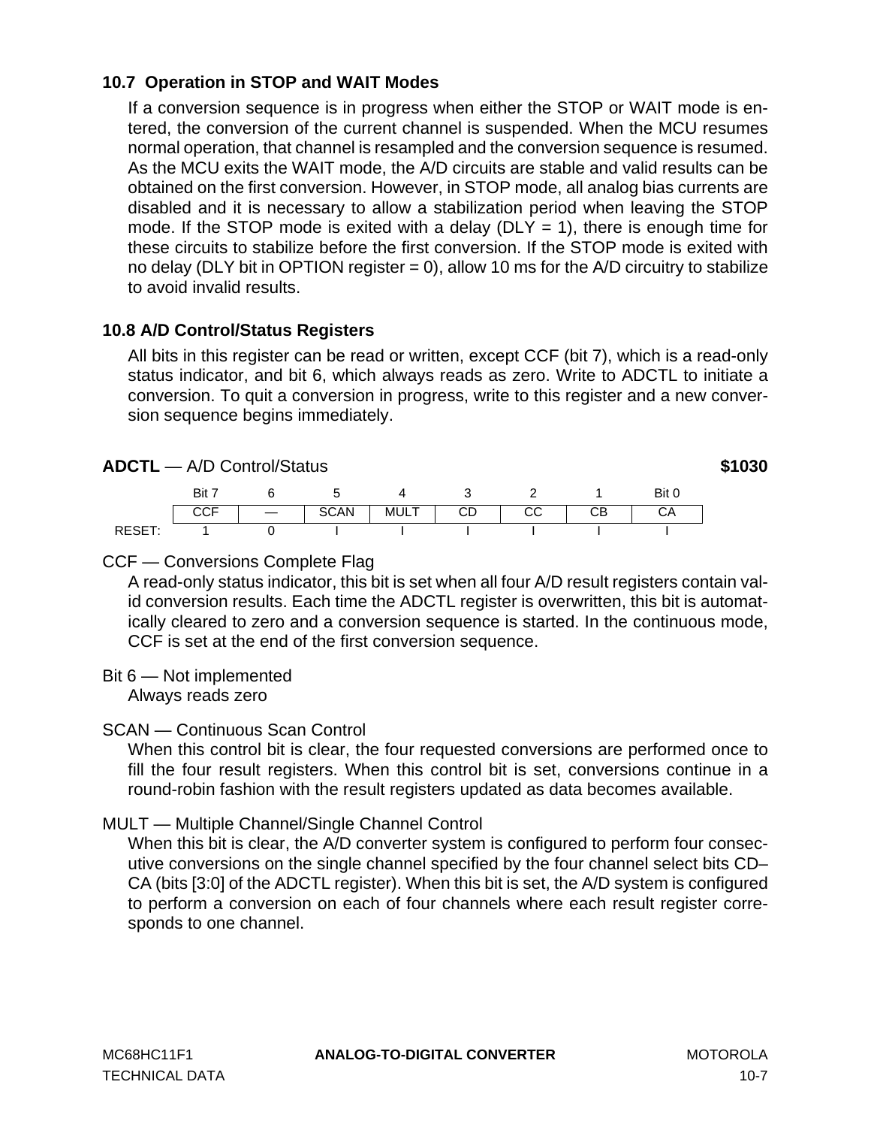### **10.7 Operation in STOP and WAIT Modes**

If a conversion sequence is in progress when either the STOP or WAIT mode is entered, the conversion of the current channel is suspended. When the MCU resumes normal operation, that channel is resampled and the conversion sequence is resumed. As the MCU exits the WAIT mode, the A/D circuits are stable and valid results can be obtained on the first conversion. However, in STOP mode, all analog bias currents are disabled and it is necessary to allow a stabilization period when leaving the STOP mode. If the STOP mode is exited with a delay ( $DLY = 1$ ), there is enough time for these circuits to stabilize before the first conversion. If the STOP mode is exited with no delay (DLY bit in OPTION register  $= 0$ ), allow 10 ms for the A/D circuitry to stabilize to avoid invalid results.

#### **10.8 A/D Control/Status Registers**

All bits in this register can be read or written, except CCF (bit 7), which is a read-only status indicator, and bit 6, which always reads as zero. Write to ADCTL to initiate a conversion. To quit a conversion in progress, write to this register and a new conversion sequence begins immediately.

#### **ADCTL** — A/D Control/Status **\$1030**

|        | Bit |             |      |    |          | Bit 0 |
|--------|-----|-------------|------|----|----------|-------|
|        |     | <b>SCAN</b> | MULT | CD | rr<br>◡◡ | CА    |
| RESET: |     |             |      |    |          |       |

#### CCF — Conversions Complete Flag

A read-only status indicator, this bit is set when all four A/D result registers contain valid conversion results. Each time the ADCTL register is overwritten, this bit is automatically cleared to zero and a conversion sequence is started. In the continuous mode, CCF is set at the end of the first conversion sequence.

#### Bit 6 — Not implemented Always reads zero

#### SCAN — Continuous Scan Control

When this control bit is clear, the four requested conversions are performed once to fill the four result registers. When this control bit is set, conversions continue in a round-robin fashion with the result registers updated as data becomes available.

#### MULT — Multiple Channel/Single Channel Control

When this bit is clear, the A/D converter system is configured to perform four consecutive conversions on the single channel specified by the four channel select bits CD– CA (bits [3:0] of the ADCTL register). When this bit is set, the A/D system is configured to perform a conversion on each of four channels where each result register corresponds to one channel.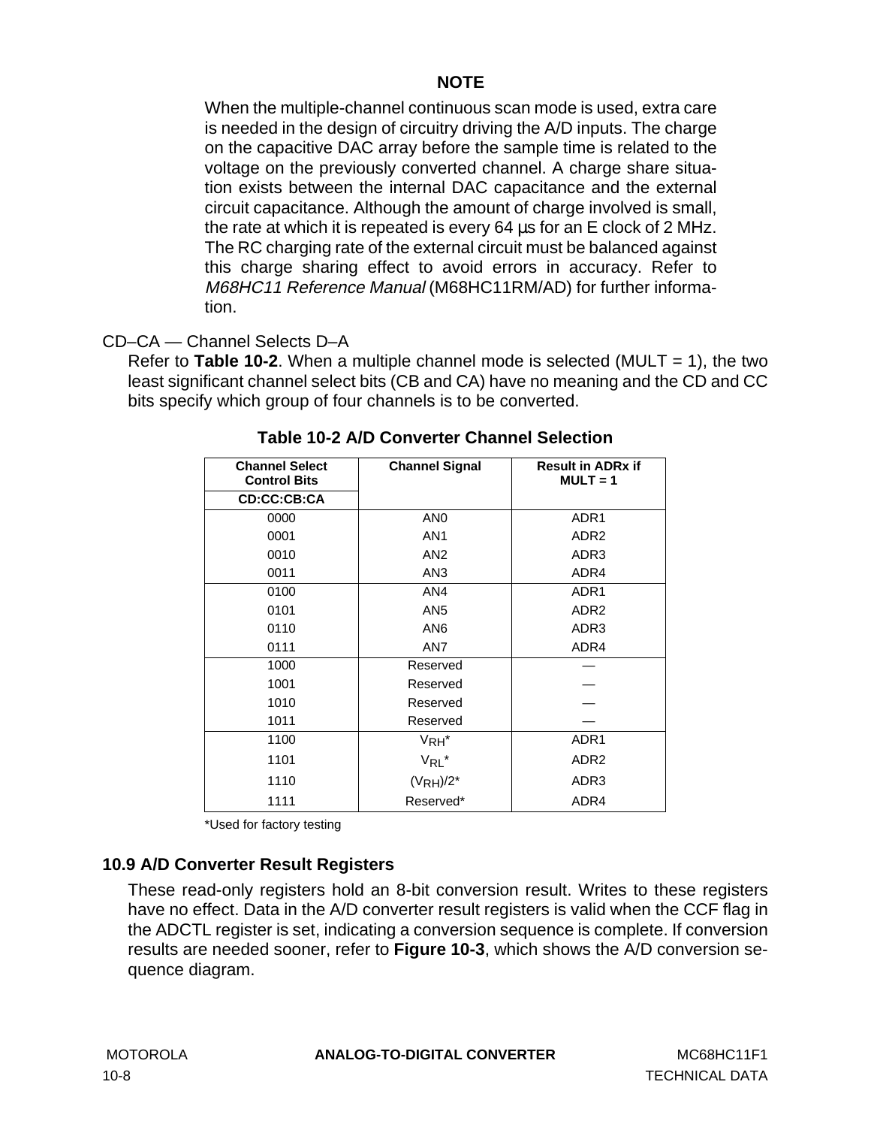## **NOTE**

When the multiple-channel continuous scan mode is used, extra care is needed in the design of circuitry driving the A/D inputs. The charge on the capacitive DAC array before the sample time is related to the voltage on the previously converted channel. A charge share situation exists between the internal DAC capacitance and the external circuit capacitance. Although the amount of charge involved is small, the rate at which it is repeated is every 64 µs for an E clock of 2 MHz. The RC charging rate of the external circuit must be balanced against this charge sharing effect to avoid errors in accuracy. Refer to M68HC11 Reference Manual (M68HC11RM/AD) for further information.

## CD–CA — Channel Selects D–A

Refer to **Table 10-2**. When a multiple channel mode is selected (MULT  $= 1$ ), the two least significant channel select bits (CB and CA) have no meaning and the CD and CC bits specify which group of four channels is to be converted.

| <b>Channel Select</b><br><b>Control Bits</b> | <b>Channel Signal</b> | <b>Result in ADRx if</b><br>$MULT = 1$ |
|----------------------------------------------|-----------------------|----------------------------------------|
| CD:CC:CB:CA                                  |                       |                                        |
| 0000                                         | AN <sub>0</sub>       | ADR <sub>1</sub>                       |
| 0001                                         | AN <sub>1</sub>       | ADR <sub>2</sub>                       |
| 0010                                         | AN <sub>2</sub>       | ADR3                                   |
| 0011                                         | AN <sub>3</sub>       | ADR4                                   |
| 0100                                         | AN4                   | ADR <sub>1</sub>                       |
| 0101                                         | AN <sub>5</sub>       | ADR <sub>2</sub>                       |
| 0110                                         | AN <sub>6</sub>       | ADR3                                   |
| 0111                                         | AN7                   | ADR4                                   |
| 1000                                         | Reserved              |                                        |
| 1001                                         | Reserved              |                                        |
| 1010                                         | Reserved              |                                        |
| 1011                                         | Reserved              |                                        |
| 1100                                         | V <sub>RH</sub> *     | ADR <sub>1</sub>                       |
| 1101                                         | $V_{RL}$ *            | ADR <sub>2</sub>                       |
| 1110                                         | $(VRH)/2^*$           | ADR3                                   |
| 1111                                         | Reserved*             | ADR4                                   |

| Table 10-2 A/D Converter Channel Selection |  |
|--------------------------------------------|--|
|--------------------------------------------|--|

\*Used for factory testing

## **10.9 A/D Converter Result Registers**

These read-only registers hold an 8-bit conversion result. Writes to these registers have no effect. Data in the A/D converter result registers is valid when the CCF flag in the ADCTL register is set, indicating a conversion sequence is complete. If conversion results are needed sooner, refer to **[Figure 10-3](#page-127-0)**, which shows the A/D conversion sequence diagram.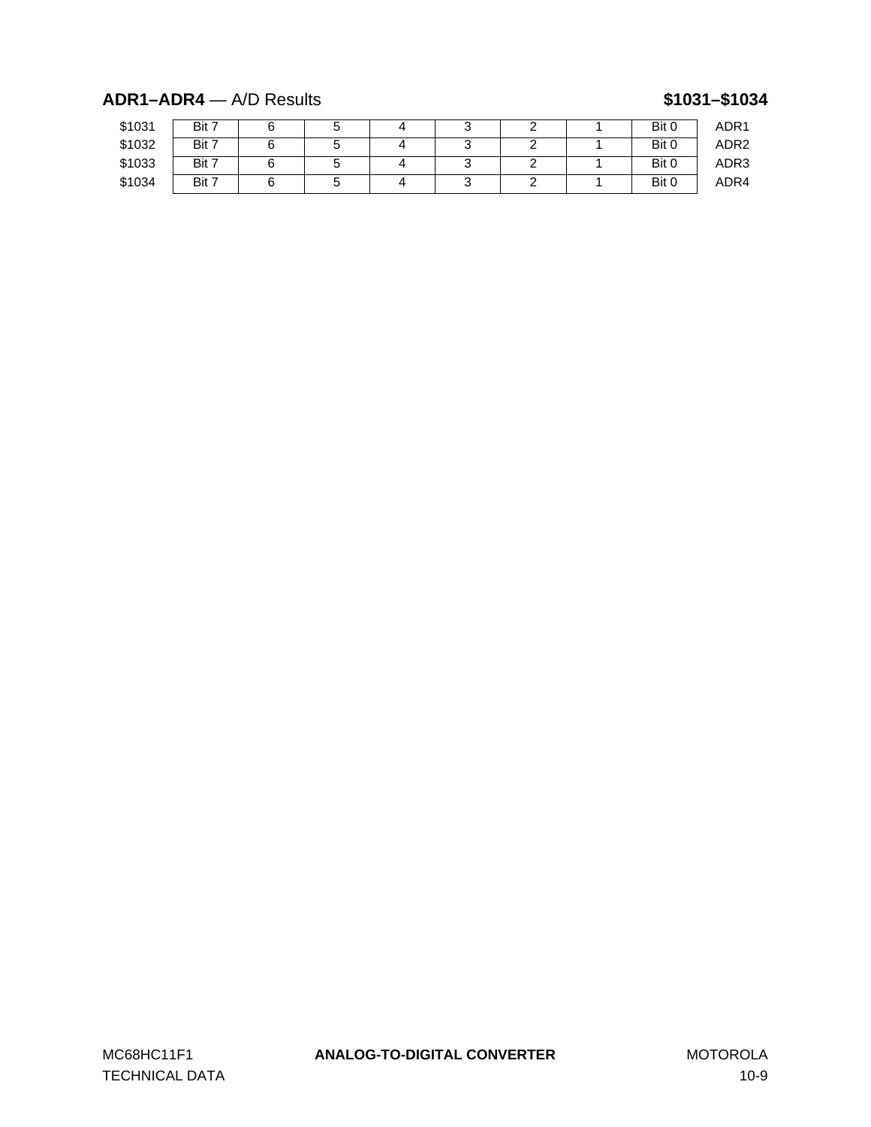## **ADR1–ADR4** — A/D Results **\$1031–\$1034**

| \$1031 | Bit 7 |  |   |  | Bit 0 | ADR1             |
|--------|-------|--|---|--|-------|------------------|
| \$1032 | Bit 7 |  | ີ |  | Bit 0 | ADR <sub>2</sub> |
| \$1033 | Bit 7 |  |   |  | Bit 0 | ADR3             |
| \$1034 | Bit 7 |  | ີ |  | Bit 0 | ADR4             |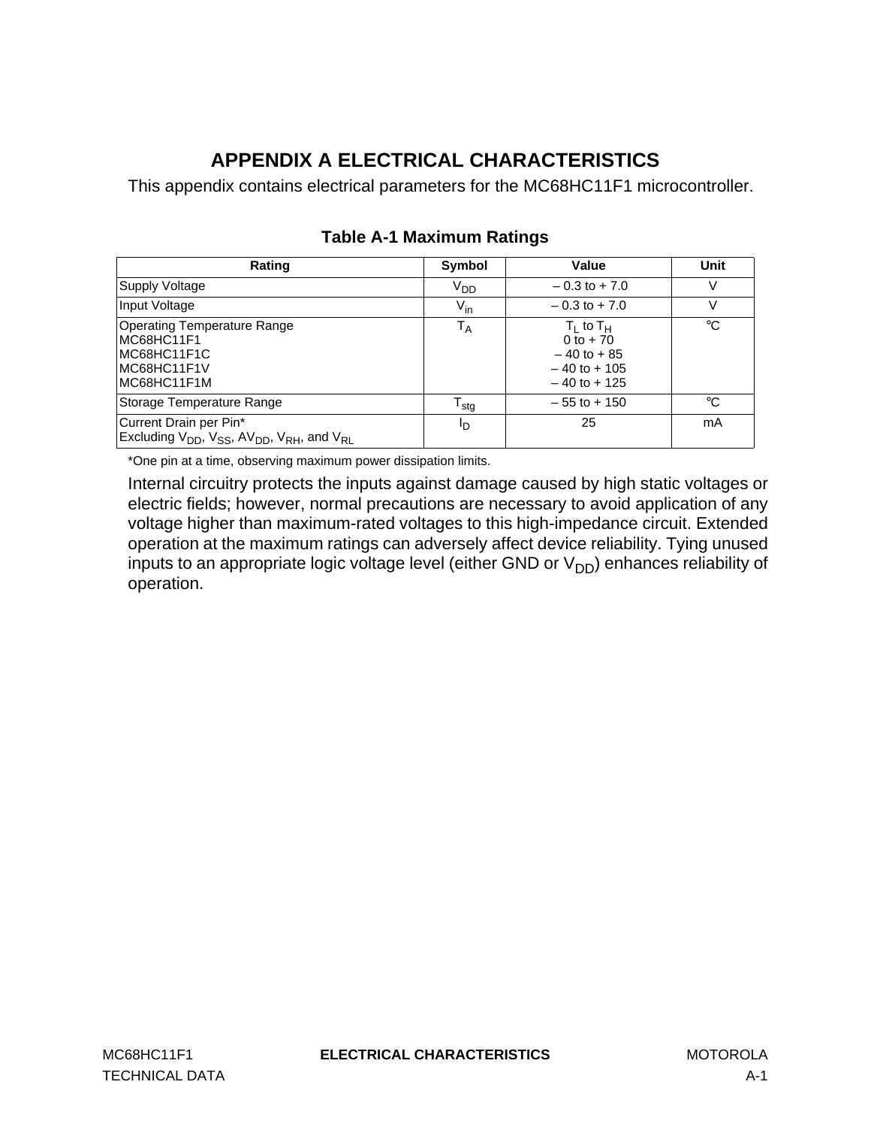# **APPENDIX A ELECTRICAL CHARACTERISTICS**

This appendix contains electrical parameters for the MC68HC11F1 microcontroller.

| Rating                                                                                               | Symbol           | Value                                                                                  | Unit        |
|------------------------------------------------------------------------------------------------------|------------------|----------------------------------------------------------------------------------------|-------------|
| Supply Voltage                                                                                       | V <sub>DD</sub>  | $-0.3$ to $+7.0$                                                                       | V           |
| Input Voltage                                                                                        | $V_{\text{in}}$  | $-0.3$ to $+7.0$                                                                       | V           |
| Operating Temperature Range<br>MC68HC11F1<br>MC68HC11F1C<br>MC68HC11F1V<br>MC68HC11F1M               | $T_A$            | $T_1$ to $T_{H}$<br>0 to $+70$<br>$-40$ to $+85$<br>$-40$ to $+105$<br>$-40$ to $+125$ | $^{\circ}C$ |
| Storage Temperature Range                                                                            | $T_{\text{stg}}$ | $-55$ to $+150$                                                                        | °C          |
| Current Drain per Pin*<br>Excluding $V_{DD}$ , $V_{SS}$ , AV <sub>DD</sub> , $V_{RH}$ , and $V_{RI}$ | םי               | 25                                                                                     | mA          |

## **Table A-1 Maximum Ratings**

\*One pin at a time, observing maximum power dissipation limits.

Internal circuitry protects the inputs against damage caused by high static voltages or electric fields; however, normal precautions are necessary to avoid application of any voltage higher than maximum-rated voltages to this high-impedance circuit. Extended operation at the maximum ratings can adversely affect device reliability. Tying unused inputs to an appropriate logic voltage level (either GND or  $V_{DD}$ ) enhances reliability of operation.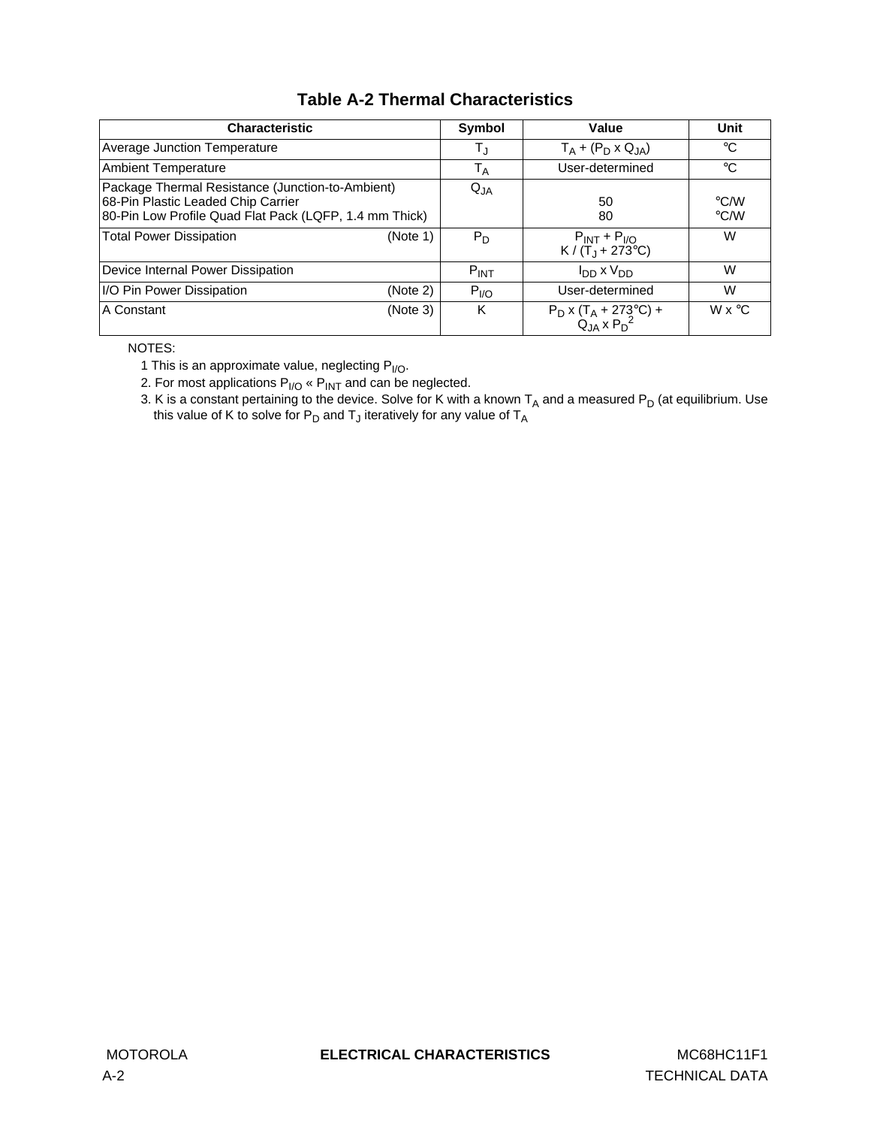## **Table A-2 Thermal Characteristics**

| <b>Characteristic</b>                                                                                                                            | Symbol           | Value                                                           | Unit                                |
|--------------------------------------------------------------------------------------------------------------------------------------------------|------------------|-----------------------------------------------------------------|-------------------------------------|
| Average Junction Temperature                                                                                                                     | T,               | $T_A + (P_D \times Q_{JA})$                                     | $^{\circ}C$                         |
| <b>Ambient Temperature</b>                                                                                                                       | $T_A$            | User-determined                                                 | $^{\circ}C$                         |
| Package Thermal Resistance (Junction-to-Ambient)<br>68-Pin Plastic Leaded Chip Carrier<br>80-Pin Low Profile Quad Flat Pack (LQFP, 1.4 mm Thick) | $Q_{JA}$         | 50<br>80                                                        | $\degree$ C/W<br>$\rm ^{\circ}$ C/W |
| <b>Total Power Dissipation</b><br>(Note 1)                                                                                                       | $P_D$            | $P_{INT}$ + $P_{I/O}$<br>$K / (T_1 + 273^{\circ}C)$             | W                                   |
| Device Internal Power Dissipation                                                                                                                | $P_{INT}$        | $I_{DD}$ x $V_{DD}$                                             | W                                   |
| I/O Pin Power Dissipation<br>(Note 2)                                                                                                            | P <sub>I/O</sub> | User-determined                                                 | W                                   |
| A Constant<br>(Note 3)                                                                                                                           | K                | $P_D$ x (T <sub>A</sub> + 273°C) +<br>Q <sub>JA</sub> x $P_D^2$ | $W \times C$                        |

NOTES:

1 This is an approximate value, neglecting  $P_{I/O}$ .

2. For most applications  $P_{I/O}$  «  $P_{INT}$  and can be neglected.

3. K is a constant pertaining to the device. Solve for K with a known  $T_A$  and a measured P<sub>D</sub> (at equilibrium. Use this value of K to solve for  $P_D$  and  $T_J$  iteratively for any value of  $T_A$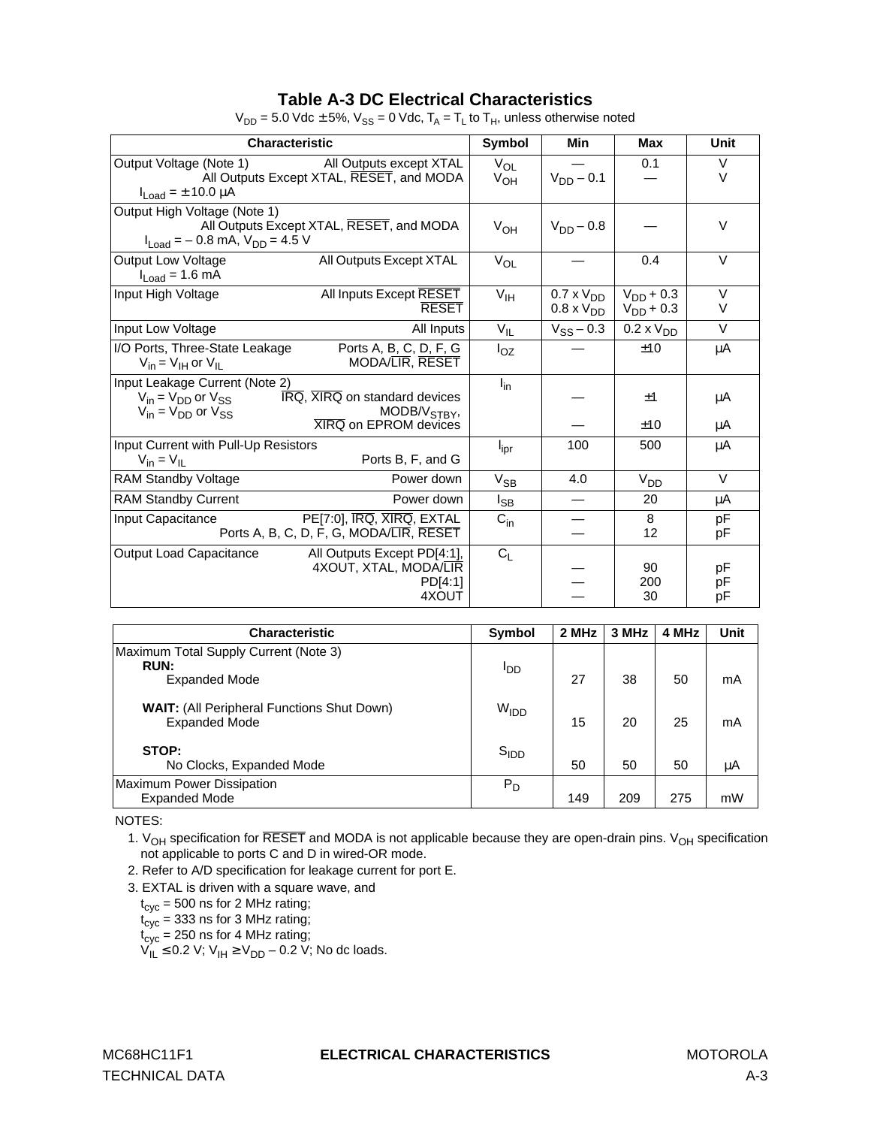#### **Table A-3 DC Electrical Characteristics**

| <b>Characteristic</b>                                                                                                                                                                         | <b>Symbol</b>        | Min                                        | Max                              | Unit             |
|-----------------------------------------------------------------------------------------------------------------------------------------------------------------------------------------------|----------------------|--------------------------------------------|----------------------------------|------------------|
| Output Voltage (Note 1)<br>All Outputs except XTAL<br>All Outputs Except XTAL, RESET, and MODA<br>$I_{Load} = \pm 10.0 \mu A$                                                                 | $V_{OL}$<br>$V_{OH}$ | $V_{DD} - 0.1$                             | 0.1                              | $\vee$<br>$\vee$ |
| Output High Voltage (Note 1)<br>All Outputs Except XTAL, RESET, and MODA<br>$I_{Load} = -0.8$ mA, $V_{DD} = 4.5$ V                                                                            | $V_{OH}$             | $V_{DD} - 0.8$                             |                                  | $\vee$           |
| All Outputs Except XTAL<br><b>Output Low Voltage</b><br>$I_{Load} = 1.6$ mA                                                                                                                   | $V_{OL}$             |                                            | 0.4                              | $\vee$           |
| All Inputs Except RESET<br>Input High Voltage<br><b>RESET</b>                                                                                                                                 | $V_{\text{IH}}$      | $0.7 \times V_{DD}$<br>$0.8 \times V_{DD}$ | $V_{DD}$ + 0.3<br>$V_{DD}$ + 0.3 | V<br>V           |
| Input Low Voltage<br>All Inputs                                                                                                                                                               | $V_{IL}$             | $V_{SS} - 0.3$                             | $0.2 \times VDD$                 | $\vee$           |
| I/O Ports, Three-State Leakage<br>Ports A, B, C, D, F, G<br>MODA/LIR, RESET<br>$V_{in} = V_{IH}$ or $V_{IL}$                                                                                  | $I_{OZ}$             |                                            | ±10                              | μA               |
| Input Leakage Current (Note 2)<br>IRQ, XIRQ on standard devices<br>$V_{in} = V_{DD}$ or $V_{SS}$<br>MODB/V <sub>STBY</sub> ,<br>$V_{in} = V_{DD}$ or $V_{SS}$<br><b>XIRQ on EPROM devices</b> | $I_{in}$             |                                            | ±1<br>±10                        | μA               |
| Input Current with Pull-Up Resistors<br>Ports B, F, and G<br>$V_{in} = V_{II}$                                                                                                                | $I_{\rm ipr}$        | 100                                        | 500                              | μA<br>μA         |
| <b>RAM Standby Voltage</b><br>Power down                                                                                                                                                      | $V_{SB}$             | 4.0                                        | $V_{DD}$                         | $\vee$           |
| <b>RAM Standby Current</b><br>Power down                                                                                                                                                      | $I_{SB}$             |                                            | 20                               | μA               |
| PE[7:0], IRQ, XIRQ, EXTAL<br>Input Capacitance<br>Ports A, B, C, D, F, G, MODA/LIR, RESET                                                                                                     | $C_{in}$             |                                            | 8<br>12                          | pF<br>рF         |
| <b>Output Load Capacitance</b><br>All Outputs Except PD[4:1],<br>4XOUT, XTAL, MODA/LIR<br>PD[4:1]<br>4XOUT                                                                                    | $C_L$                |                                            | 90<br>200<br>30                  | рF<br>рF<br>рF   |

 $V_{DD} = 5.0$  Vdc  $\pm$  5%,  $V_{SS} = 0$  Vdc,  $T_A = T_L$  to  $T_H$ , unless otherwise noted

| <b>Characteristic</b>                                                        | Symbol           | 2 MHz | 3 MHz | 4 MHz | Unit |
|------------------------------------------------------------------------------|------------------|-------|-------|-------|------|
| Maximum Total Supply Current (Note 3)<br><b>RUN:</b><br><b>Expanded Mode</b> | ססי              | 27    | 38    | 50    | mA   |
| <b>WAIT:</b> (All Peripheral Functions Shut Down)<br><b>Expanded Mode</b>    | W <sub>IDD</sub> | 15    | 20    | 25    | mA   |
| STOP:<br>No Clocks, Expanded Mode                                            | S <sub>IDD</sub> | 50    | 50    | 50    | μA   |
| Maximum Power Dissipation<br><b>Expanded Mode</b>                            | $P_D$            | 149   | 209   | 275   | mW   |

NOTES:

1.  $V_{OH}$  specification for RESET and MODA is not applicable because they are open-drain pins.  $V_{OH}$  specification not applicable to ports C and D in wired-OR mode.

2. Refer to A/D specification for leakage current for port E.

3. EXTAL is driven with a square wave, and

 ${\rm t_{cyc}}$  = 500 ns for 2 MHz rating;

 $t_{\mathrm{cyc}}$  = 333 ns for 3 MHz rating;

 $t_{\rm cyc}$  = 250 ns for 4 MHz rating;

 $V_{IL}$  ≤ 0.2 V;  $V_{IH}$  ≥  $V_{DD}$  – 0.2 V; No dc loads.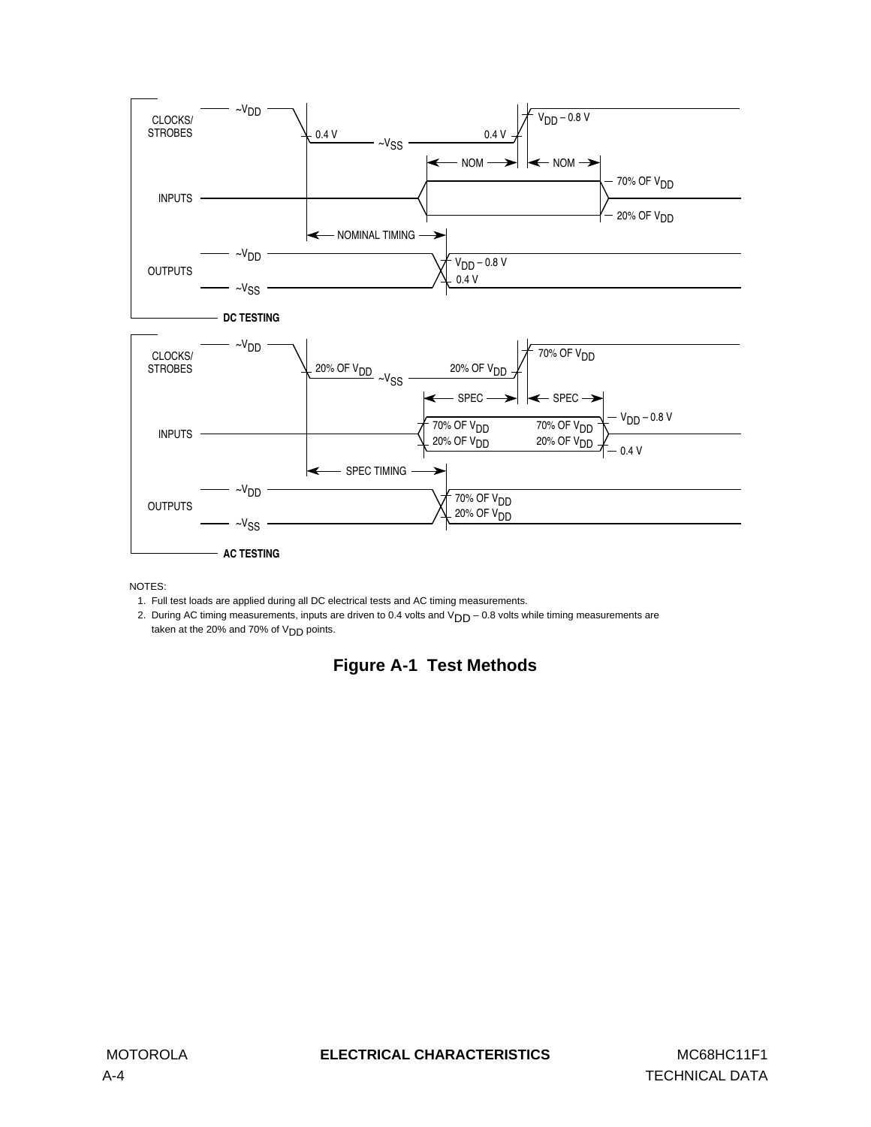

NOTES:

1. Full test loads are applied during all DC electrical tests and AC timing measurements.

2. During AC timing measurements, inputs are driven to 0.4 volts and  $V_{DD}$  – 0.8 volts while timing measurements are taken at the 20% and 70% of  $V<sub>DD</sub>$  points.

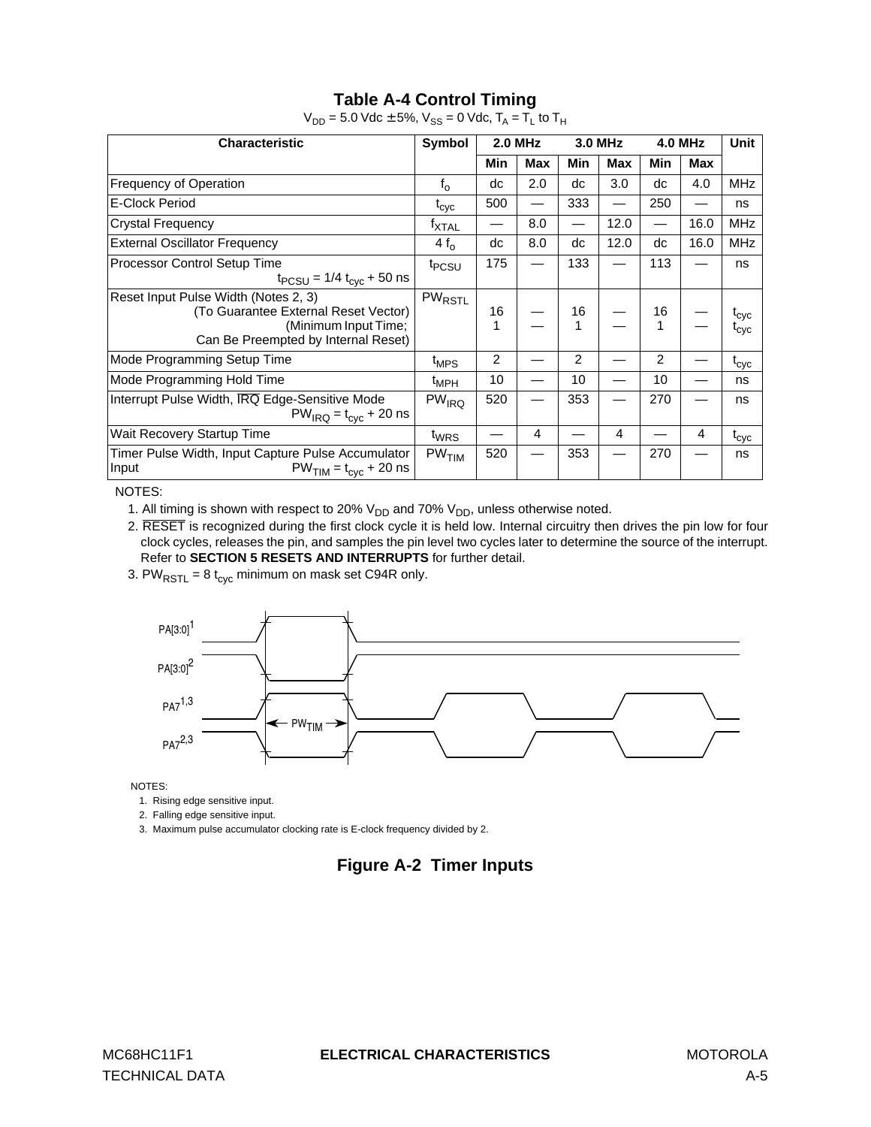## **Table A-4 Control Timing**

| <b>Characteristic</b>                                                                                                                       | Symbol             | <b>2.0 MHz</b> |     | 3.0 MHz |            | <b>4.0 MHz</b> |            | <b>Unit</b>                              |
|---------------------------------------------------------------------------------------------------------------------------------------------|--------------------|----------------|-----|---------|------------|----------------|------------|------------------------------------------|
|                                                                                                                                             |                    | <b>Min</b>     | Max | Min     | <b>Max</b> | Min            | <b>Max</b> |                                          |
| Frequency of Operation                                                                                                                      | $f_{o}$            | dc             | 2.0 | dc      | 3.0        | dc             | 4.0        | <b>MHz</b>                               |
| E-Clock Period                                                                                                                              | $t_{\rm cyc}$      | 500            |     | 333     |            | 250            |            | ns                                       |
| <b>Crystal Frequency</b>                                                                                                                    | <sup>f</sup> XTAL  |                | 8.0 |         | 12.0       |                | 16.0       | <b>MHz</b>                               |
| <b>External Oscillator Frequency</b>                                                                                                        | $4 f_{\Omega}$     | dc             | 8.0 | dc      | 12.0       | dc             | 16.0       | <b>MHz</b>                               |
| Processor Control Setup Time<br>$t_{PCSU}$ = 1/4 $t_{cyc}$ + 50 ns                                                                          | t <sub>PCSU</sub>  | 175            |     | 133     |            | 113            |            | ns                                       |
| Reset Input Pulse Width (Notes 2, 3)<br>(To Guarantee External Reset Vector)<br>(Minimum Input Time;<br>Can Be Preempted by Internal Reset) | PW <sub>RSTL</sub> | 16<br>1        |     | 16<br>1 |            | 16             |            | <sup>L</sup> cyc<br>$\iota_{\text{cyc}}$ |
| Mode Programming Setup Time                                                                                                                 | $t_{MPS}$          | 2              |     | 2       |            | 2              |            | $\mathfrak{r}_{\text{cyc}}$              |
| Mode Programming Hold Time                                                                                                                  | $t_{MPH}$          | 10             |     | 10      |            | 10             |            | ns                                       |
| Interrupt Pulse Width, IRQ Edge-Sensitive Mode<br>$PW_{IRQ} = t_{\text{cyc}} + 20$ ns                                                       | $PW_{IRQ}$         | 520            |     | 353     |            | 270            |            | ns                                       |
| Wait Recovery Startup Time                                                                                                                  | t <sub>WRS</sub>   |                | 4   |         | 4          |                | 4          | $\mathfrak{r}_{\text{cyc}}$              |
| Timer Pulse Width, Input Capture Pulse Accumulator<br>Input<br>$PWTIM = tcyc + 20$ ns                                                       | PW <sub>TIM</sub>  | 520            |     | 353     |            | 270            |            | ns                                       |

 $V_{DD} = 5.0$  Vdc  $\pm$  5%,  $V_{SS} = 0$  Vdc,  $T_A = T_L$  to  $T_H$ 

NOTES:

1. All timing is shown with respect to 20%  $V_{DD}$  and 70%  $V_{DD}$ , unless otherwise noted.

2. RESET is recognized during the first clock cycle it is held low. Internal circuitry then drives the pin low for four clock cycles, releases the pin, and samples the pin level two cycles later to determine the source of the interrupt. Refer to **[SECTION 5 RESETS AND INTERRUPTS](#page-62-0)** for further detail.

3. PW $_{\text{RSTL}}$  = 8 t<sub>cyc</sub> minimum on mask set C94R only.



NOTES:

1. Rising edge sensitive input.

2. Falling edge sensitive input.

3. Maximum pulse accumulator clocking rate is E-clock frequency divided by 2.

## **Figure A-2 Timer Inputs**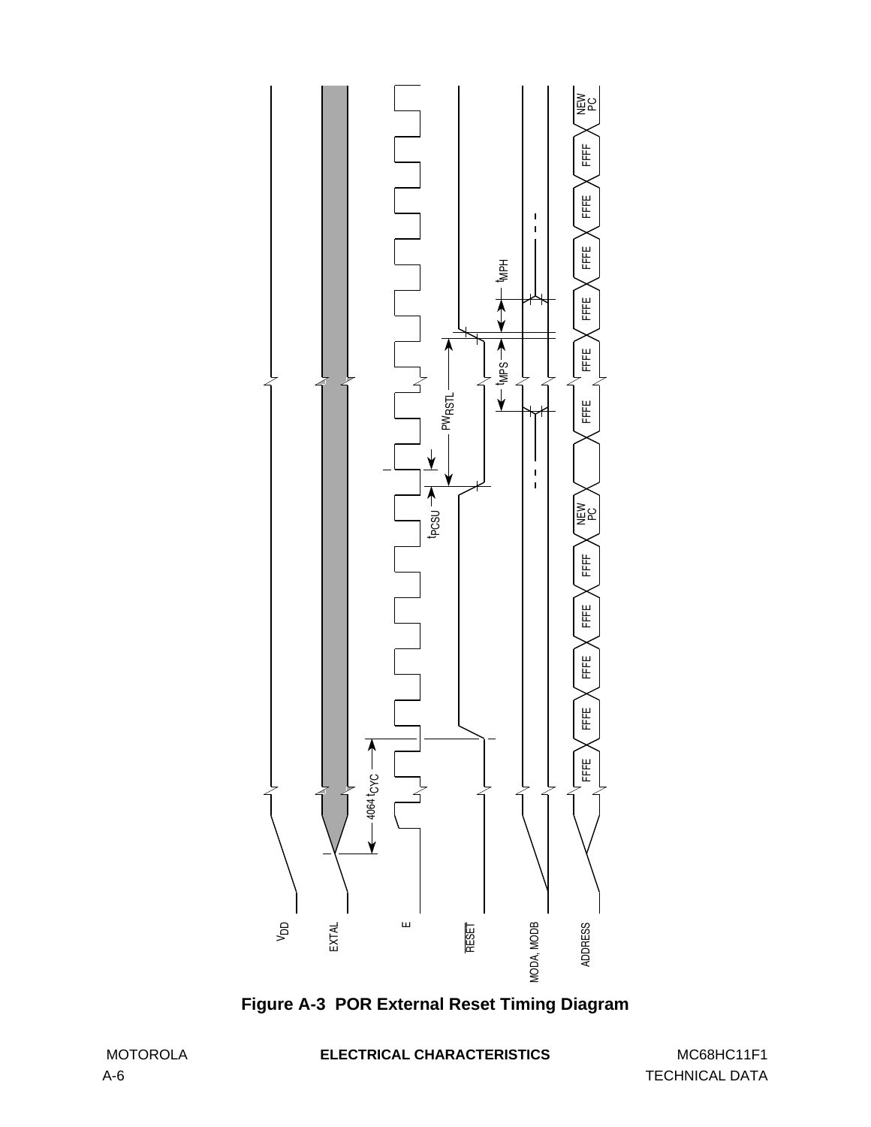

**Figure A-3 POR External Reset Timing Diagram**

MOTOROLA **ELECTRICAL CHARACTERISTICS** MC68HC11F1

A-6 TECHNICAL DATA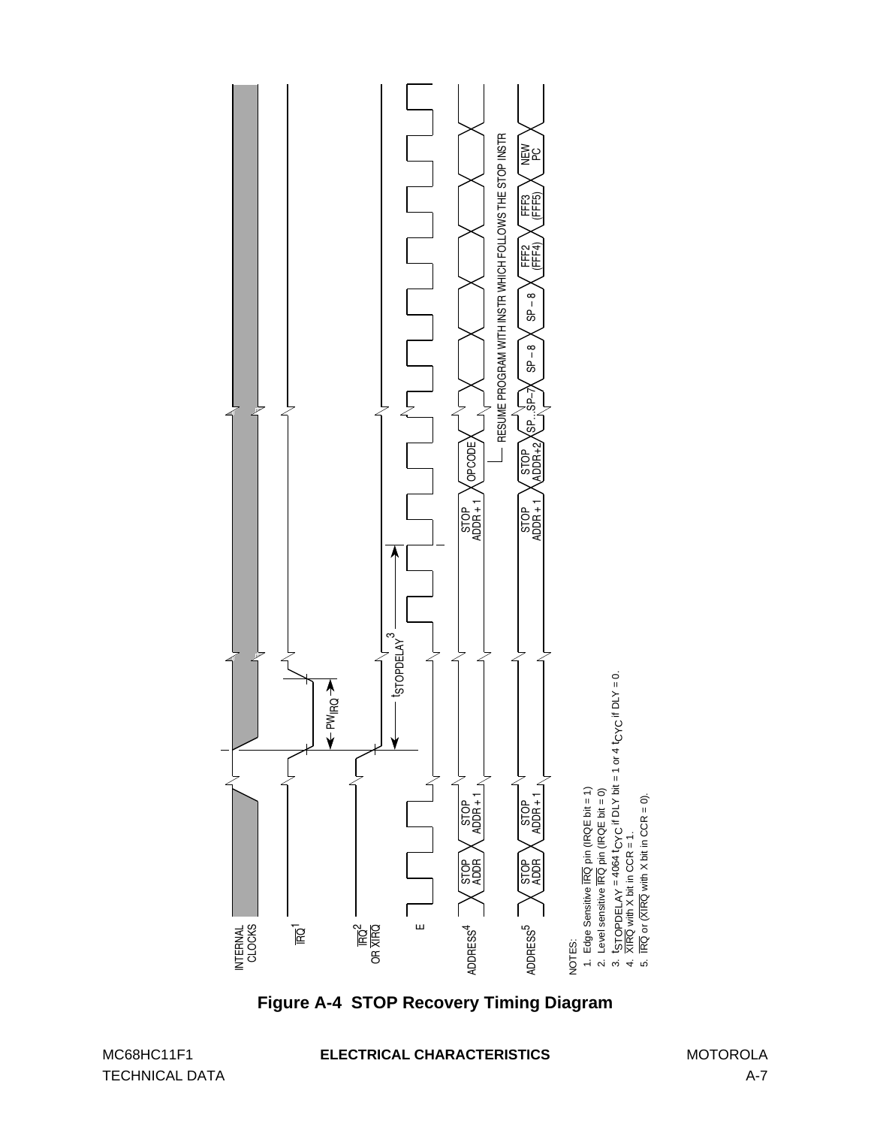

TECHNICAL DATA A-7

#### MC68HC11F1 **ELECTRICAL CHARACTERISTICS** MOTOROLA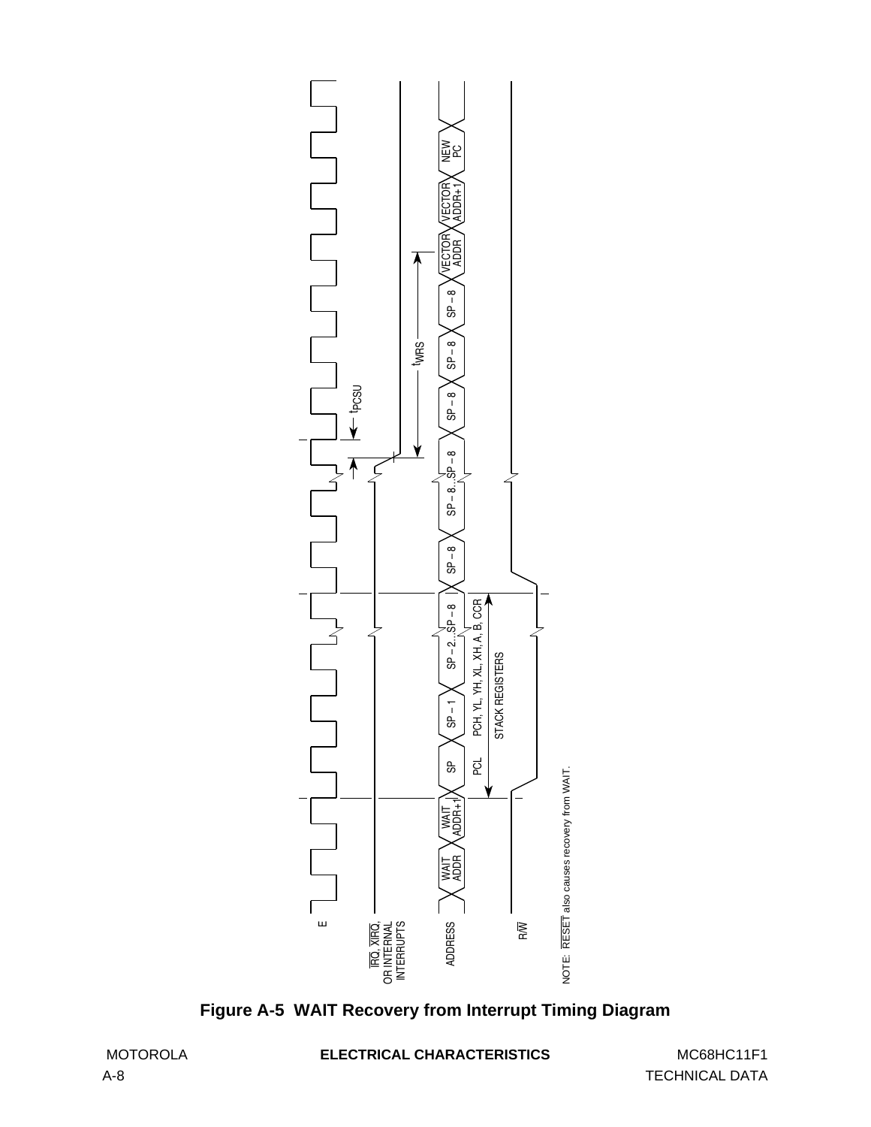

**Figure A-5 WAIT Recovery from Interrupt Timing Diagram**

MOTOROLA **ELECTRICAL CHARACTERISTICS** MC68HC11F1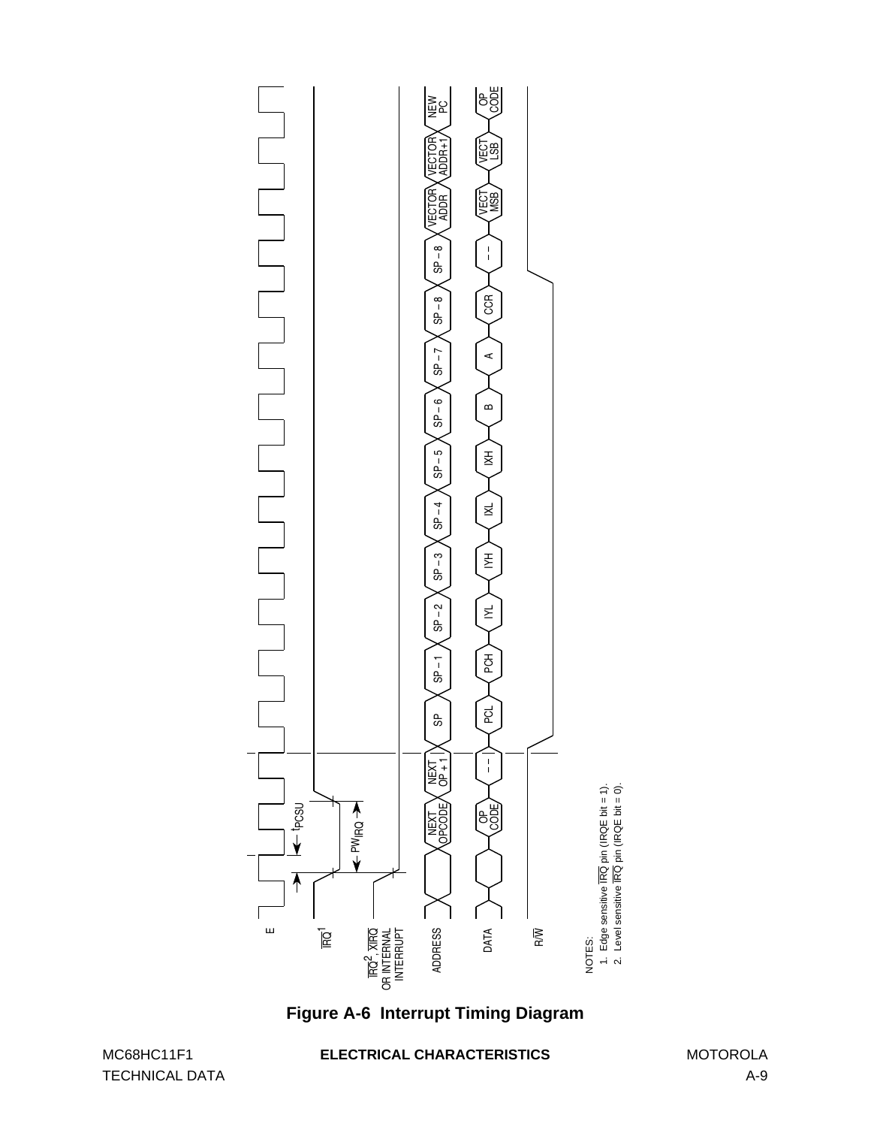

**Figure A-6 Interrupt Timing Diagram**

TECHNICAL DATA A-9

#### MC68HC11F1 **ELECTRICAL CHARACTERISTICS** MOTOROLA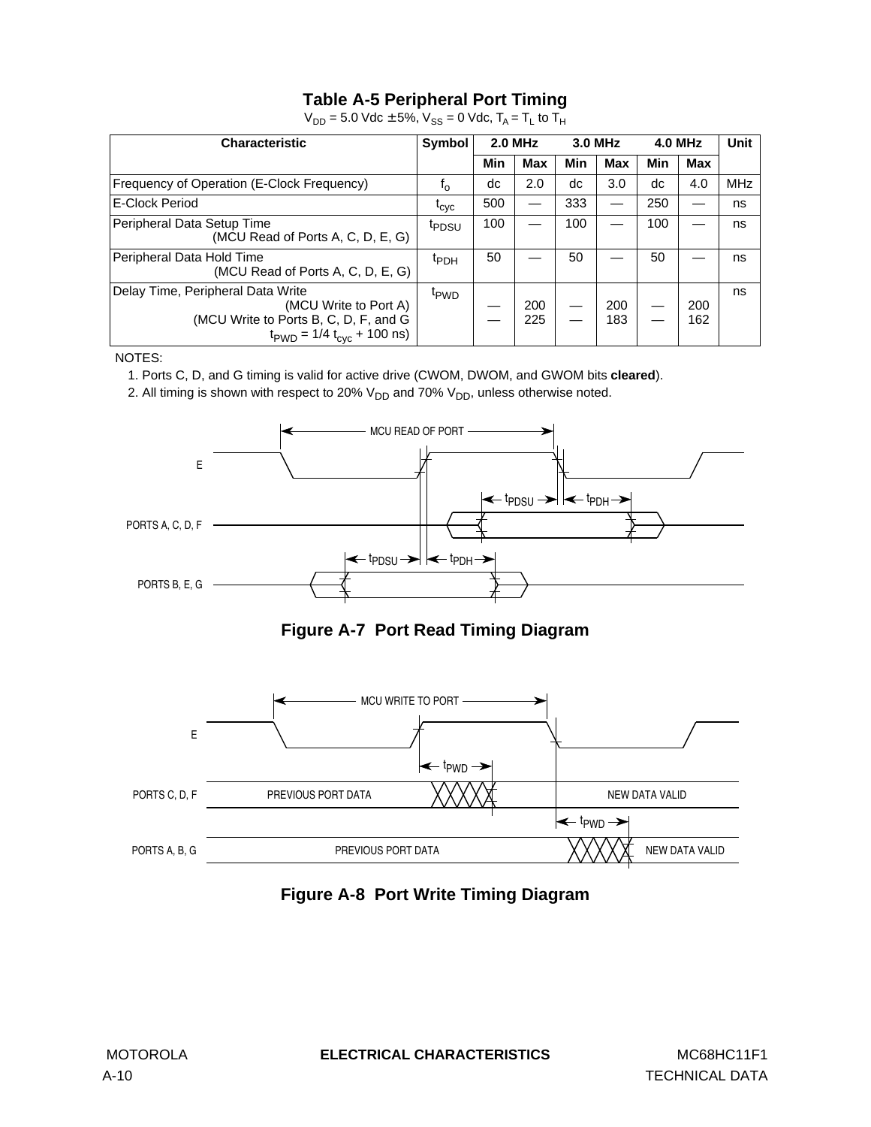## **Table A-5 Peripheral Port Timing**

| <b>Characteristic</b>                                                                                                                                         | Symbol            | <b>2.0 MHz</b> |            | 3.0 MHz |            | <b>4.0 MHz</b> |            | <b>Unit</b> |
|---------------------------------------------------------------------------------------------------------------------------------------------------------------|-------------------|----------------|------------|---------|------------|----------------|------------|-------------|
|                                                                                                                                                               |                   | Min            | <b>Max</b> | Min     | Max        | Min            | Max        |             |
| Frequency of Operation (E-Clock Frequency)                                                                                                                    | $t_{0}$           | dc             | 2.0        | dc      | 3.0        | dc             | 4.0        | <b>MHz</b>  |
| E-Clock Period                                                                                                                                                | $t_{\rm cyc}$     | 500            |            | 333     |            | 250            |            | ns          |
| Peripheral Data Setup Time<br>(MCU Read of Ports A, C, D, E, G)                                                                                               | <sup>t</sup> PDSU | 100            |            | 100     |            | 100            |            | ns          |
| Peripheral Data Hold Time<br>(MCU Read of Ports A, C, D, E, G)                                                                                                | <sup>t</sup> PDH  | 50             |            | 50      |            | 50             |            | ns          |
| Delay Time, Peripheral Data Write<br>(MCU Write to Port A)<br>(MCU Write to Ports B, C, D, F, and G<br>$t_{\text{PWD}} = 1/4 t_{\text{cyc}} + 100 \text{ ns}$ | t <sub>PWD</sub>  |                | 200<br>225 |         | 200<br>183 |                | 200<br>162 | ns          |

 $V_{DD} = 5.0$  Vdc  $\pm$  5%,  $V_{SS} = 0$  Vdc,  $T_A = T_L$  to  $T_H$ 

NOTES:

1. Ports C, D, and G timing is valid for active drive (CWOM, DWOM, and GWOM bits **cleared**).

2. All timing is shown with respect to 20%  $V_{DD}$  and 70%  $V_{DD}$ , unless otherwise noted.







**Figure A-8 Port Write Timing Diagram**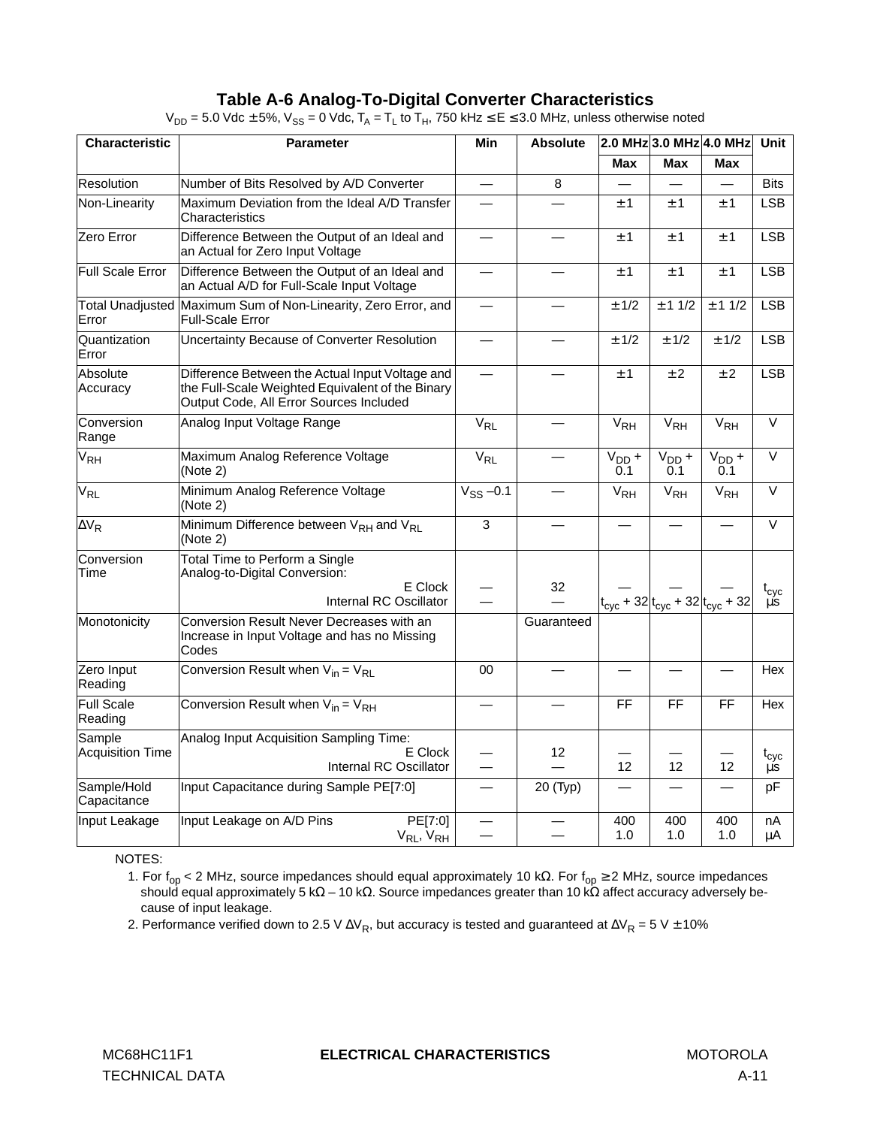#### **Table A-6 Analog-To-Digital Converter Characteristics**

| Characteristic               | <b>Parameter</b>                                                                                                                               | Min<br><b>Absolute</b>   |            | 2.0 MHz 3.0 MHz 4.0 MHz | <b>Unit</b>                                                |                   |                      |
|------------------------------|------------------------------------------------------------------------------------------------------------------------------------------------|--------------------------|------------|-------------------------|------------------------------------------------------------|-------------------|----------------------|
|                              |                                                                                                                                                |                          |            |                         | Max                                                        | Max               |                      |
| Resolution                   | Number of Bits Resolved by A/D Converter                                                                                                       | $\overline{\phantom{0}}$ | 8          |                         |                                                            |                   | <b>Bits</b>          |
| Non-Linearity                | Maximum Deviation from the Ideal A/D Transfer<br>Characteristics                                                                               | $\overline{\phantom{0}}$ |            | ±1                      | ±1                                                         | ±1                | <b>LSB</b>           |
| Zero Error                   | Difference Between the Output of an Ideal and<br>an Actual for Zero Input Voltage                                                              |                          |            | ± 1                     | ±1                                                         | ± 1               | LSB                  |
| Full Scale Error             | Difference Between the Output of an Ideal and<br>an Actual A/D for Full-Scale Input Voltage                                                    |                          |            | ±1                      | ± 1                                                        | ±1                | <b>LSB</b>           |
| Error                        | Total Unadjusted Maximum Sum of Non-Linearity, Zero Error, and<br>Full-Scale Error                                                             |                          |            | ± 1/2                   | ± 11/2                                                     | ± 11/2            | <b>LSB</b>           |
| Quantization<br>Error        | Uncertainty Because of Converter Resolution                                                                                                    |                          |            | ± 1/2                   | ± 1/2                                                      | ± 1/2             | <b>LSB</b>           |
| Absolute<br>Accuracy         | Difference Between the Actual Input Voltage and<br>the Full-Scale Weighted Equivalent of the Binary<br>Output Code, All Error Sources Included |                          |            | ±1                      | ± 2                                                        | ± 2               | <b>LSB</b>           |
| Conversion<br>Range          | Analog Input Voltage Range                                                                                                                     | $V_{RL}$                 |            | $V_{RH}$                | V <sub>RH</sub>                                            | V <sub>RH</sub>   | $\overline{\vee}$    |
| V <sub>RH</sub>              | Maximum Analog Reference Voltage<br>(Note 2)                                                                                                   | $V_{RL}$                 |            | $V_{DD}$ +<br>0.1       | $V_{DD}$ +<br>0.1                                          | $V_{DD}$ +<br>0.1 | $\overline{\vee}$    |
| <b>V<sub>RL</sub></b>        | Minimum Analog Reference Voltage<br>(Note 2)                                                                                                   | $V_{SS}$ -0.1            |            | V <sub>RH</sub>         | V <sub>RH</sub>                                            | $V_{\rm RH}$      | $\overline{\vee}$    |
| $\Delta V_R$                 | Minimum Difference between $V_{RH}$ and $V_{RI}$<br>(Note 2)                                                                                   | $\mathbf{3}$             |            |                         |                                                            |                   | $\vee$               |
| Conversion<br>Time           | Total Time to Perform a Single<br>Analog-to-Digital Conversion:<br>E Clock<br>Internal RC Oscillator                                           |                          | 32         |                         | $t_{\rm cyc}$ + 32 $ t_{\rm cyc}$ + 32 $ t_{\rm cyc}$ + 32 |                   | $t_{\rm cyc}$<br>μs. |
| Monotonicity                 | Conversion Result Never Decreases with an<br>Increase in Input Voltage and has no Missing<br>Codes                                             |                          | Guaranteed |                         |                                                            |                   |                      |
| Zero Input<br>Reading        | Conversion Result when $V_{in} = V_{R1}$                                                                                                       | 00                       |            |                         |                                                            |                   | Hex                  |
| <b>Full Scale</b><br>Reading | Conversion Result when $V_{in} = V_{RH}$                                                                                                       |                          |            | <b>FF</b>               | FF                                                         | <b>FF</b>         | Hex                  |
| Sample<br>Acquisition Time   | Analog Input Acquisition Sampling Time:<br>E Clock<br>Internal RC Oscillator                                                                   |                          | 12         | 12                      | $12 \overline{ }$                                          | 12                | $t_{\rm cyc}$<br>μs  |
| Sample/Hold<br>Capacitance   | Input Capacitance during Sample PE[7:0]                                                                                                        |                          | 20 (Typ)   |                         |                                                            |                   | рF                   |
| Input Leakage                | Input Leakage on A/D Pins<br>PE[7:0]<br>$V_{RL}$ , $V_{RH}$                                                                                    |                          |            | 400<br>1.0              | 400<br>1.0                                                 | 400<br>1.0        | nA<br>μA             |

 $V_{DD} = 5.0$  Vdc  $\pm$  5%,  $V_{SS} = 0$  Vdc,  $T_A = T_L$  to  $T_H$ , 750 kHz  $\le E \le 3.0$  MHz, unless otherwise noted

NOTES:

1. For f<sub>op</sub> < 2 MHz, source impedances should equal approximately 10 kΩ. For f<sub>op</sub> ≥ 2 MHz, source impedances should equal approximately 5 kΩ – 10 kΩ. Source impedances greater than 10 kΩ affect accuracy adversely because of input leakage.

2. Performance verified down to 2.5 V  $\Delta V_R$ , but accuracy is tested and guaranteed at  $\Delta V_R = 5$  V ± 10%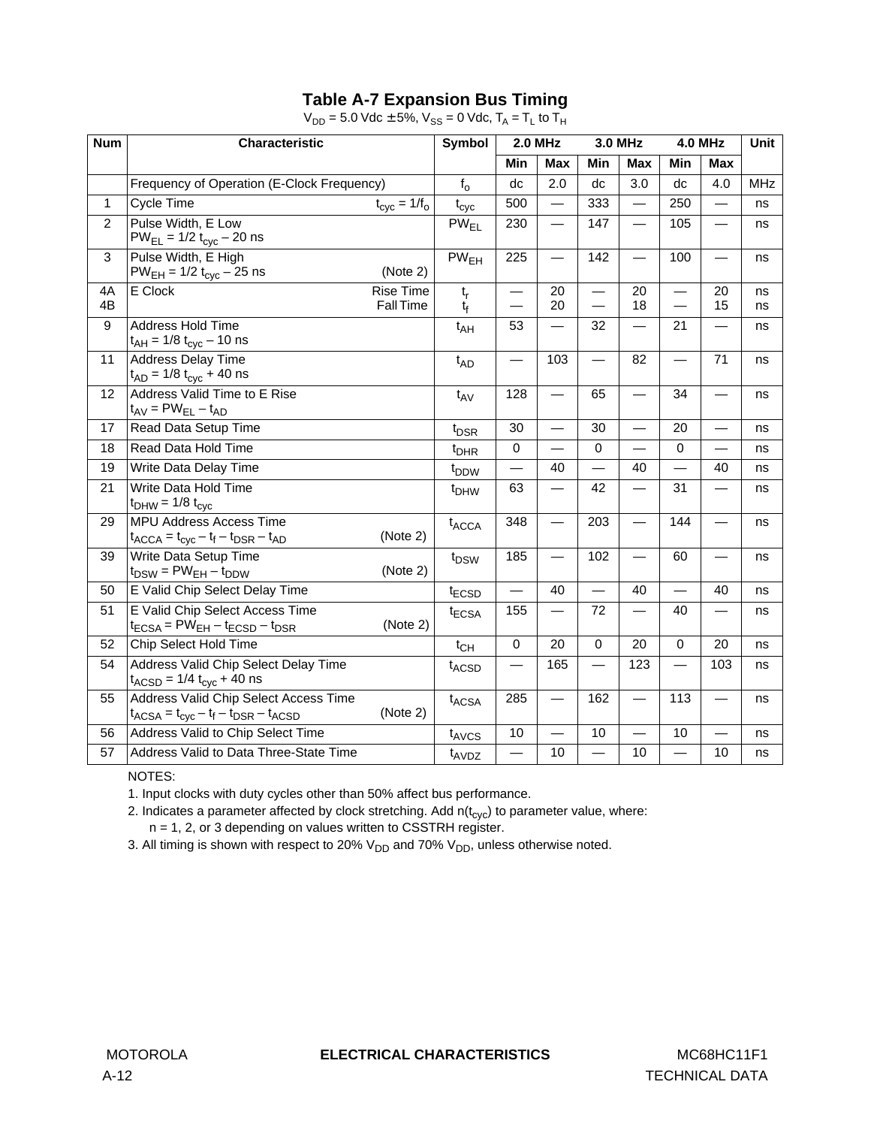# **Table A-7 Expansion Bus Timing**

| <b>Num</b>     | Characteristic                                                                                                                     |                                            |                          | <b>2.0 MHz</b>           |                          | <b>3.0 MHz</b>           |                                                      | <b>4.0 MHz</b>           | Unit       |
|----------------|------------------------------------------------------------------------------------------------------------------------------------|--------------------------------------------|--------------------------|--------------------------|--------------------------|--------------------------|------------------------------------------------------|--------------------------|------------|
|                |                                                                                                                                    |                                            | Min                      | <b>Max</b>               | Min                      | <b>Max</b>               | Min                                                  | <b>Max</b>               |            |
|                | Frequency of Operation (E-Clock Frequency)                                                                                         | $f_{o}$                                    | dc                       | 2.0                      | dc                       | 3.0                      | dc                                                   | 4.0                      | <b>MHz</b> |
| $\mathbf{1}$   | Cycle Time<br>$t_{\text{cyc}} = 1/f_{\text{o}}$                                                                                    | $t_{\rm cyc}$                              | 500                      |                          | 333                      |                          | 250                                                  |                          | ns         |
| $\overline{2}$ | Pulse Width, E Low<br>$PW_{EL} = 1/2 t_{cyc} - 20$ ns                                                                              | $PW_{FI}$                                  | 230                      | $\overline{\phantom{0}}$ | 147                      |                          | 105                                                  |                          | ns         |
| 3              | Pulse Width, E High<br>$PW_{EH} = 1/2 t_{cyc} - 25$ ns<br>(Note 2)                                                                 | PW <sub>EH</sub>                           | 225                      | $\overline{\phantom{0}}$ | 142                      |                          | 100                                                  | $\overline{\phantom{0}}$ | ns         |
| 4A<br>4B       | E Clock<br>Rise Time<br>Fall Time                                                                                                  | $\mathfrak{t}_{\mathsf{r}}$<br>$t_{\rm f}$ | $\overline{\phantom{0}}$ | 20<br>20                 | $\equiv$                 | 20<br>18                 | $\overline{\phantom{0}}$<br>$\overline{\phantom{0}}$ | 20<br>15                 | ns<br>ns   |
| 9              | Address Hold Time<br>$t_{AH}$ = 1/8 $t_{cyc}$ – 10 ns                                                                              | $t_{AH}$                                   | 53                       | —                        | 32                       | $\overline{\phantom{0}}$ | 21                                                   | —                        | ns         |
| 11             | Address Delay Time<br>$t_{AD}$ = 1/8 $t_{cyc}$ + 40 ns                                                                             | $t_{AD}$                                   | $\overline{\phantom{0}}$ | 103                      |                          | 82                       | $\overline{\phantom{0}}$                             | 71                       | ns         |
| 12             | Address Valid Time to E Rise<br>$t_{AV} = PW_{EL} - t_{AD}$                                                                        | $t_{AV}$                                   | 128                      |                          | 65                       |                          | 34                                                   |                          | ns         |
| 17             | Read Data Setup Time                                                                                                               | t <sub>DSR</sub>                           | 30                       |                          | 30                       |                          | 20                                                   | $\overline{\phantom{0}}$ | ns         |
| 18             | Read Data Hold Time                                                                                                                | $t_{DHR}$                                  | $\mathbf 0$              | $\overline{\phantom{0}}$ | $\mathbf 0$              | $\overline{\phantom{0}}$ | $\Omega$                                             | $\overline{\phantom{0}}$ | ns         |
| 19             | Write Data Delay Time                                                                                                              | t <sub>DDW</sub>                           |                          | 40                       |                          | 40                       |                                                      | 40                       | ns         |
| 21             | Write Data Hold Time<br>$t_{DHW}$ = 1/8 $t_{cyc}$                                                                                  | t <sub>DHW</sub>                           | 63                       | $\overline{\phantom{0}}$ | 42                       |                          | 31                                                   | $\overline{\phantom{0}}$ | ns         |
| 29             | <b>MPU Address Access Time</b><br>(Note 2)<br>$t_{\text{ACCA}} = t_{\text{cyc}} - t_{\text{f}} - t_{\text{DSR}} - t_{\text{AD}}$   | $t_{\text{ACCA}}$                          | 348                      |                          | 203                      |                          | 144                                                  | $\overline{\phantom{0}}$ | ns         |
| 39             | Write Data Setup Time<br>(Note 2)<br>$t_{DSW}$ = PW <sub>EH</sub> – $t_{DDW}$                                                      | t <sub>DSW</sub>                           | 185                      |                          | 102                      | $\overline{\phantom{0}}$ | 60                                                   | $\overline{\phantom{0}}$ | ns         |
| 50             | E Valid Chip Select Delay Time                                                                                                     | t <sub>ECSD</sub>                          |                          | 40                       |                          | 40                       |                                                      | 40                       | ns         |
| 51             | E Valid Chip Select Access Time<br>(Note 2)<br>$t_{ECSA}$ = PW <sub>EH</sub> – $t_{ECSD}$ – $t_{DSR}$                              | $t_{\text{ECSA}}$                          | 155                      |                          | 72                       |                          | 40                                                   | $\overline{\phantom{0}}$ | ns         |
| 52             | Chip Select Hold Time                                                                                                              | $t_{CH}$                                   | $\mathbf 0$              | 20                       | $\mathbf 0$              | 20                       | $\Omega$                                             | 20                       | ns         |
| 54             | Address Valid Chip Select Delay Time<br>$t_{ACSD}$ = 1/4 $t_{cyc}$ + 40 ns                                                         | $t_{ACSD}$                                 |                          | 165                      |                          | 123                      |                                                      | 103                      | ns         |
| 55             | Address Valid Chip Select Access Time<br>(Note 2)<br>$t_{ACSA} = t_{\text{cyc}} - t_{\text{f}} - t_{\text{DSR}} - t_{\text{ACSD}}$ | $t_{ACSA}$                                 | 285                      |                          | 162                      |                          | 113                                                  | $\overline{\phantom{0}}$ | ns         |
| 56             | Address Valid to Chip Select Time                                                                                                  | $t_{AVCS}$                                 | 10                       |                          | 10                       |                          | 10                                                   | $\overline{\phantom{0}}$ | ns         |
| 57             | Address Valid to Data Three-State Time                                                                                             | $t_{AVDZ}$                                 | $\overline{\phantom{0}}$ | 10                       | $\overline{\phantom{0}}$ | 10                       | $\overline{\phantom{0}}$                             | 10                       | ns         |

 $V_{DD} = 5.0$  Vdc  $\pm 5%$ ,  $V_{SS} = 0$  Vdc,  $T_A = T_L$  to  $T_H$ 

NOTES:

1. Input clocks with duty cycles other than 50% affect bus performance.

2. Indicates a parameter affected by clock stretching. Add  $n(t_{\text{cyc}})$  to parameter value, where:

n = 1, 2, or 3 depending on values written to CSSTRH register.

3. All timing is shown with respect to 20%  $V_{DD}$  and 70%  $V_{DD}$ , unless otherwise noted.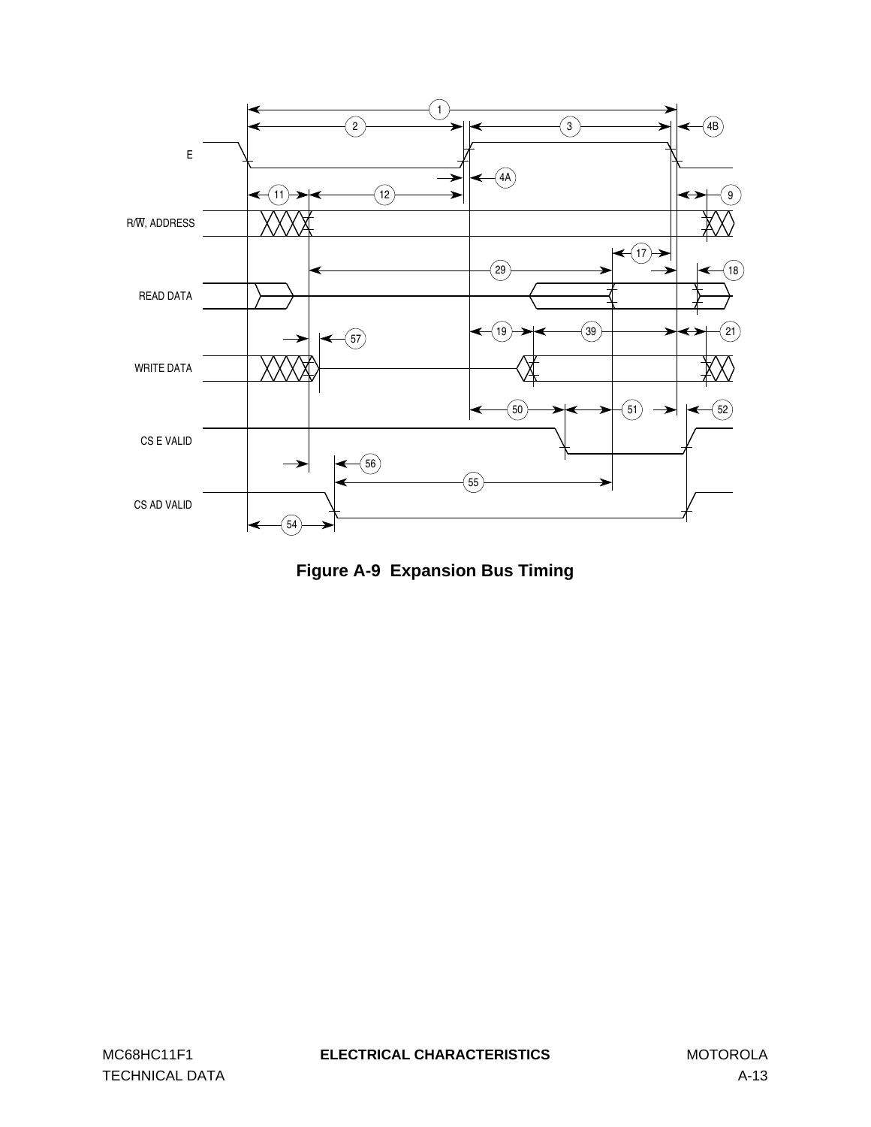

**Figure A-9 Expansion Bus Timing**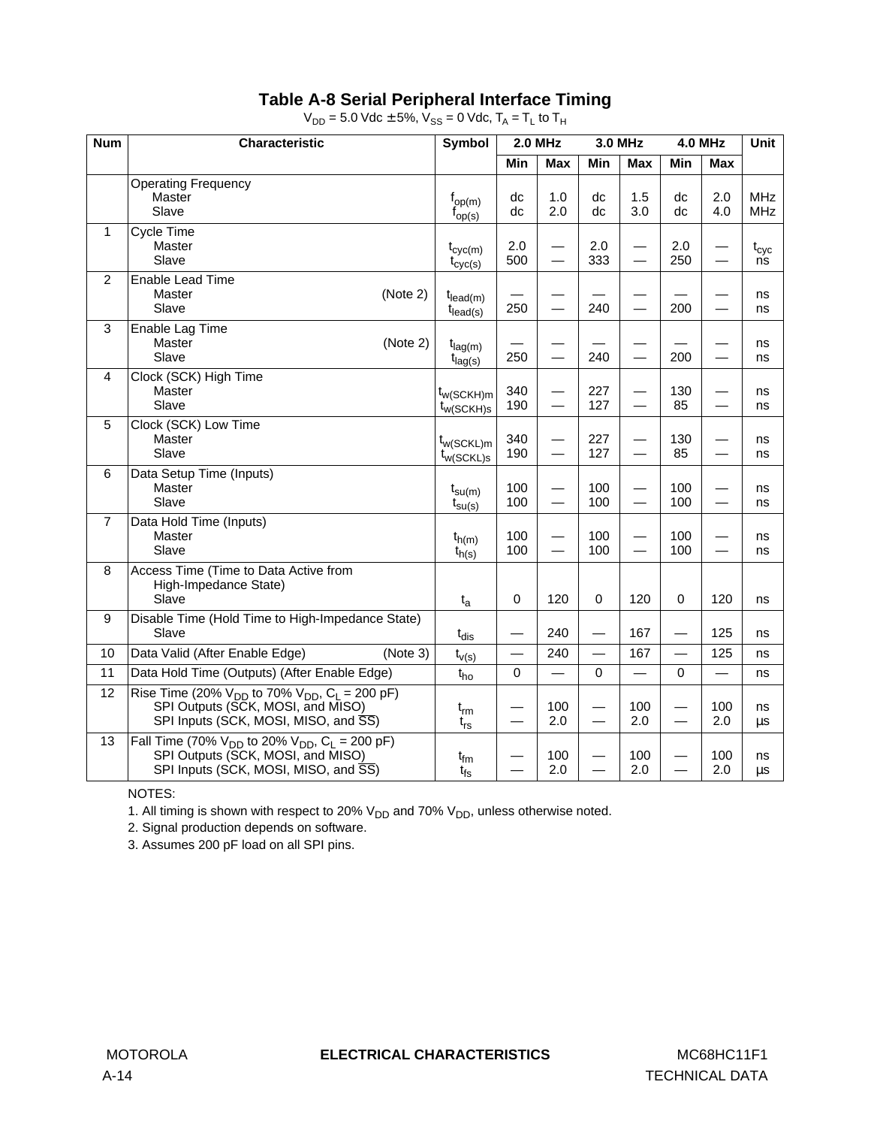# **Table A-8 Serial Peripheral Interface Timing**

 $V_{DD} = 5.0$  Vdc  $\pm$  5%,  $V_{SS} = 0$  Vdc,  $T_A = T_L$  to  $T_H$ 

| <b>Num</b>     | Characteristic                                                                                                                                  | Symbol                                          | <b>2.0 MHz</b><br>3.0 MHz |                               |             | <b>4.0 MHz</b> |                          | Unit                     |                          |
|----------------|-------------------------------------------------------------------------------------------------------------------------------------------------|-------------------------------------------------|---------------------------|-------------------------------|-------------|----------------|--------------------------|--------------------------|--------------------------|
|                |                                                                                                                                                 |                                                 | <b>Min</b>                | <b>Max</b>                    | Min         | Max            | <b>Min</b>               | <b>Max</b>               |                          |
|                | <b>Operating Frequency</b><br><b>Master</b><br>Slave                                                                                            | $f_{\text{op}(m)}$<br>$I_{OP(S)}$               | dc<br>dc                  | 1.0<br>2.0                    | dc<br>dc    | 1.5<br>3.0     | dc<br>dc                 | 2.0<br>4.0               | <b>MHz</b><br><b>MHz</b> |
| 1              | Cycle Time<br>Master<br>Slave                                                                                                                   | $t_{\text{cyc}(m)}$<br>$t_{\text{cyc(s)}}$      | 2.0<br>500                |                               | 2.0<br>333  |                | 2.0<br>250               |                          | $t_{\rm cyc}$<br>ns      |
| $\overline{2}$ | Enable Lead Time<br>(Note 2)<br>Master<br>Slave                                                                                                 | t <sub>lead(m)</sub><br>$t_{\text{lead(s)}}$    | 250                       | $\overline{\phantom{0}}$      | 240         |                | 200                      | $\overline{\phantom{0}}$ | ns<br>ns                 |
| $\overline{3}$ | Enable Lag Time<br>Master<br>(Note 2)<br>Slave                                                                                                  | $t_{lag(m)}$<br>$t_{lag(s)}$                    | 250                       | $\equiv$                      | 240         |                | 200                      | $\overline{\phantom{0}}$ | ns<br>ns                 |
| 4              | Clock (SCK) High Time<br>Master<br>Slave                                                                                                        | t <sub>w(SCKH)m</sub><br>t <sub>w</sub> (SCKH)s | 340<br>190                | $\overline{\phantom{0}}$      | 227<br>127  |                | 130<br>85                | $\overline{\phantom{0}}$ | ns<br>ns                 |
| 5              | Clock (SCK) Low Time<br>Master<br>Slave                                                                                                         | t <sub>w(SCKL)m</sub><br>$t_{w(SCKL)s}$         | 340<br>190                | —<br>$\overline{\phantom{0}}$ | 227<br>127  |                | 130<br>85                |                          | ns<br>ns                 |
| 6              | Data Setup Time (Inputs)<br>Master<br>Slave                                                                                                     | $t_{\text{su}(m)}$<br>$t_{\text{SU}(s)}$        | 100<br>100                | $\overline{\phantom{0}}$      | 100<br>100  |                | 100<br>100               |                          | ns<br>ns                 |
| $\overline{7}$ | Data Hold Time (Inputs)<br>Master<br>Slave                                                                                                      | $t_{h(m)}$<br>$t_{h(s)}$                        | 100<br>100                | —                             | 100<br>100  |                | 100<br>100               | $\overline{\phantom{0}}$ | ns<br>ns                 |
| 8              | Access Time (Time to Data Active from<br>High-Impedance State)<br>Slave                                                                         | $t_{a}$                                         | 0                         | 120                           | $\mathbf 0$ | 120            | 0                        | 120                      | ns                       |
| 9              | Disable Time (Hold Time to High-Impedance State)<br>Slave                                                                                       | $t_{dis}$                                       |                           | 240                           |             | 167            |                          | 125                      | ns                       |
| 10             | Data Valid (After Enable Edge)<br>(Note 3)                                                                                                      | $t_{v(s)}$                                      |                           | 240                           |             | 167            |                          | 125                      | ns                       |
| 11             | Data Hold Time (Outputs) (After Enable Edge)                                                                                                    | $t_{ho}$                                        | 0                         | $\overline{\phantom{0}}$      | $\mathbf 0$ |                | 0                        | $\overline{\phantom{0}}$ | ns                       |
| 12             | Rise Time (20% $V_{DD}$ to 70% $V_{DD}$ , $C_1 = 200$ pF)<br>SPI Outputs (SCK, MOSI, and MISO)<br>SPI Inputs (SCK, MOSI, MISO, and SS)          | $t_{rm}$<br>$t_{rs}$                            | $\overline{\phantom{0}}$  | 100<br>2.0                    |             | 100<br>2.0     | $\overline{\phantom{0}}$ | 100<br>2.0               | ns<br>μs                 |
| 13             | Fall Time (70% $V_{DD}$ to 20% $V_{DD}$ , C <sub>L</sub> = 200 pF)<br>SPI Outputs (SCK, MOSI, and MISO)<br>SPI Inputs (SCK, MOSI, MISO, and SS) | $t_{\text{fm}}$<br>t <sub>fs</sub>              |                           | 100<br>2.0                    |             | 100<br>2.0     |                          | 100<br>2.0               | ns<br>$\mu s$            |

NOTES:

1. All timing is shown with respect to 20%  $\mathrm{V_{DD}}$  and 70%  $\mathrm{V_{DD}}$ , unless otherwise noted.

2. Signal production depends on software.

3. Assumes 200 pF load on all SPI pins.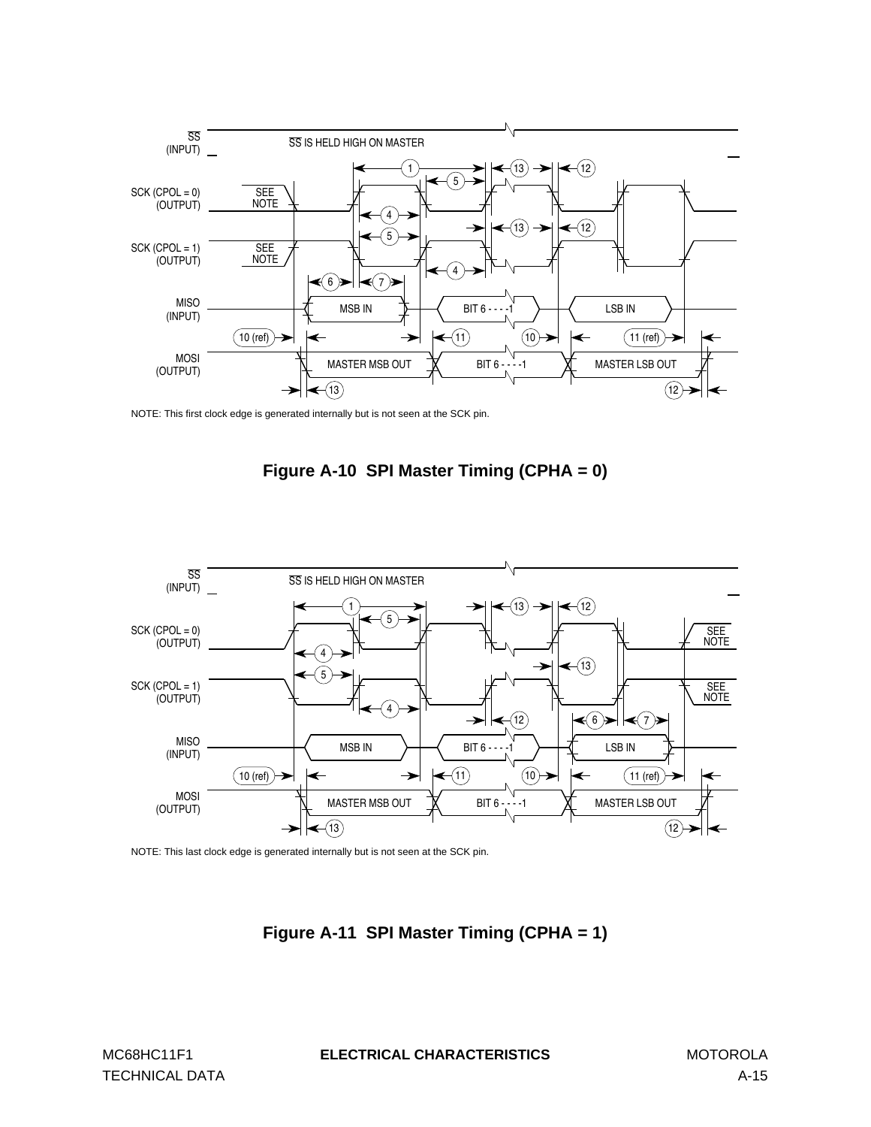

NOTE: This first clock edge is generated internally but is not seen at the SCK pin.





NOTE: This last clock edge is generated internally but is not seen at the SCK pin.

**Figure A-11 SPI Master Timing (CPHA = 1)**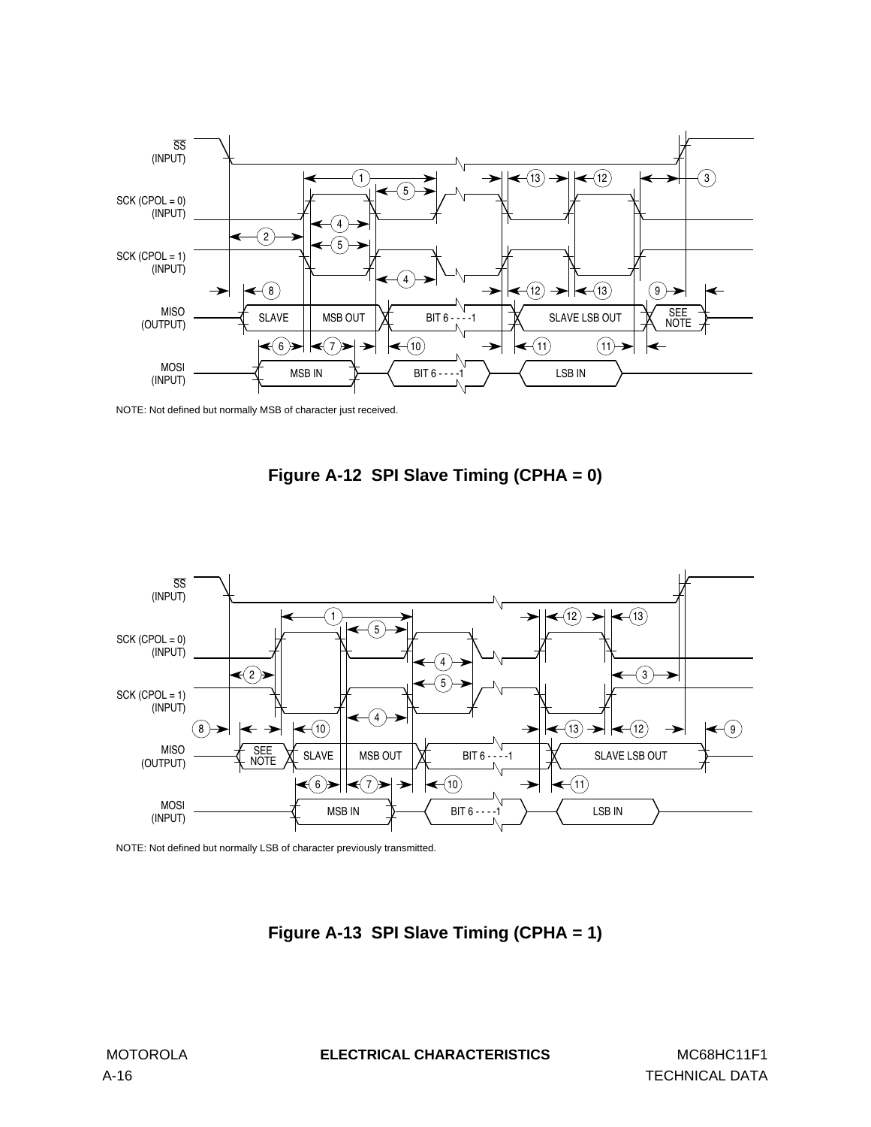

NOTE: Not defined but normally MSB of character just received.





NOTE: Not defined but normally LSB of character previously transmitted.

**Figure A-13 SPI Slave Timing (CPHA = 1)**

MOTOROLA **ELECTRICAL CHARACTERISTICS** MC68HC11F1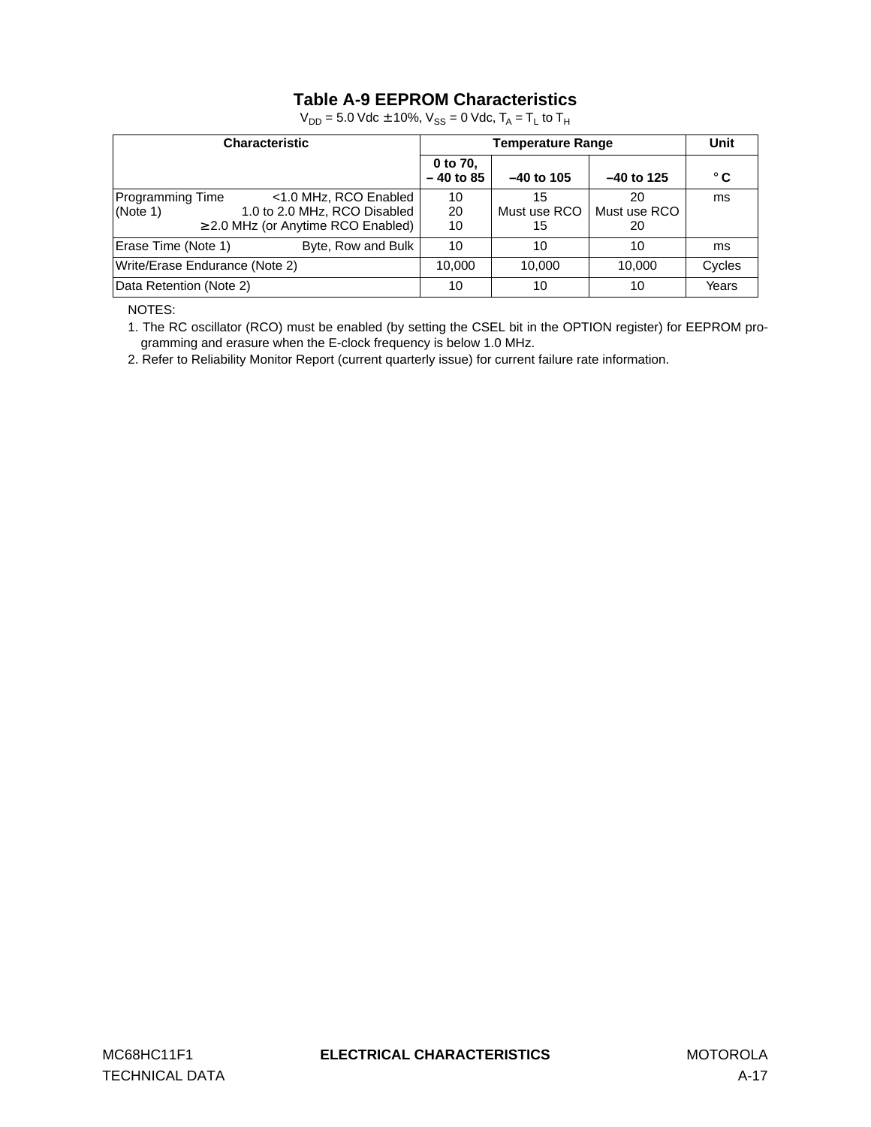# **Table A-9 EEPROM Characteristics**

| <b>Characteristic</b>          |                                                                                                  | Unit                    |                          |                          |              |
|--------------------------------|--------------------------------------------------------------------------------------------------|-------------------------|--------------------------|--------------------------|--------------|
|                                |                                                                                                  | 0 to 70,<br>$-40$ to 85 | $-40$ to 105             | $-40$ to 125             | $^{\circ}$ C |
| Programming Time<br>(Note 1)   | <1.0 MHz, RCO Enabled<br>1.0 to 2.0 MHz, RCO Disabled<br>$\geq$ 2.0 MHz (or Anytime RCO Enabled) | 10<br>20<br>10          | 15<br>Must use RCO<br>15 | 20<br>Must use RCO<br>20 | ms           |
| Erase Time (Note 1)            | Byte, Row and Bulk                                                                               | 10                      | 10                       | 10                       | ms           |
| Write/Erase Endurance (Note 2) |                                                                                                  | 10.000                  | 10.000                   | 10.000                   | Cycles       |
| Data Retention (Note 2)        | 10                                                                                               | 10                      | 10                       | Years                    |              |

 $V_{DD} = 5.0$  Vdc  $\pm$  10%,  $V_{SS} = 0$  Vdc,  $T_A = T_L$  to  $T_H$ 

NOTES:

1. The RC oscillator (RCO) must be enabled (by setting the CSEL bit in the OPTION register) for EEPROM programming and erasure when the E-clock frequency is below 1.0 MHz.

2. Refer to Reliability Monitor Report (current quarterly issue) for current failure rate information.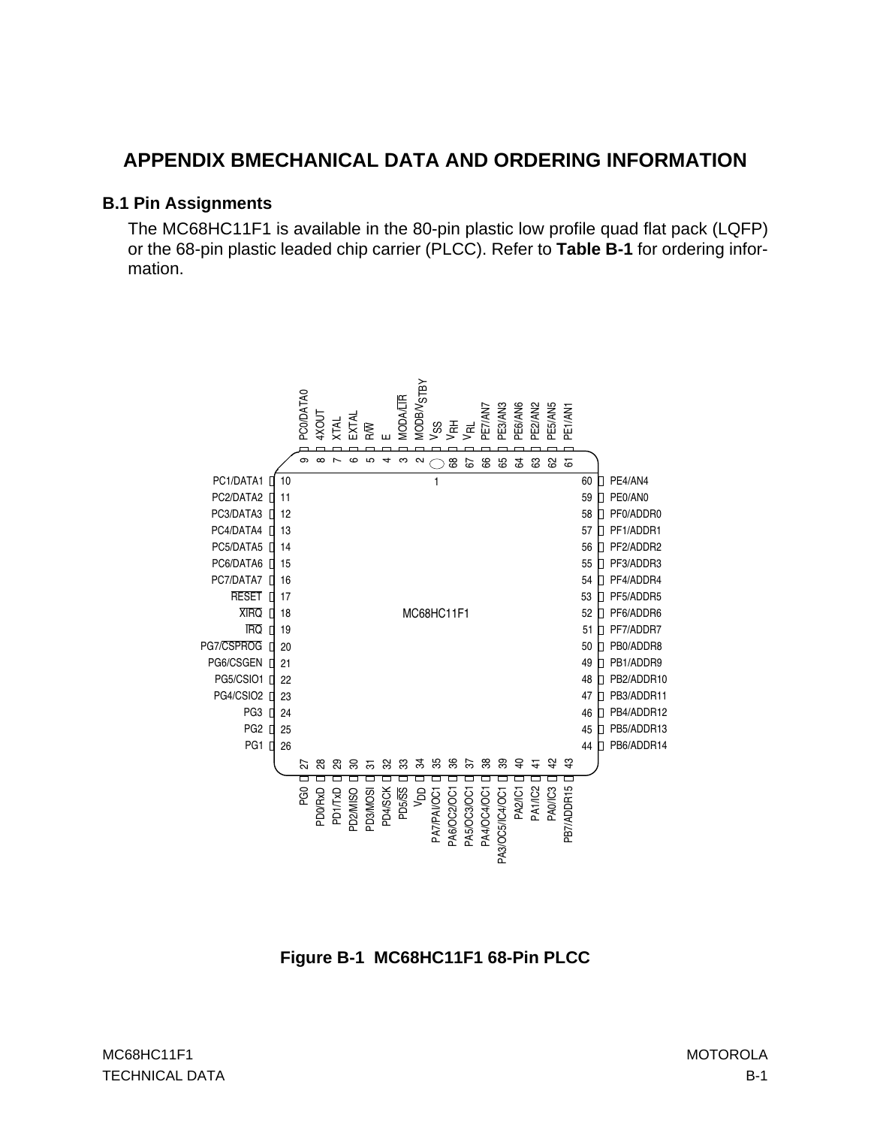# **APPENDIX BMECHANICAL DATA AND ORDERING INFORMATION**

#### **B.1 Pin Assignments**

The MC68HC11F1 is available in the 80-pin plastic low profile quad flat pack (LQFP) or the 68-pin plastic leaded chip carrier (PLCC). Refer to **[Table B-1](#page-154-0)** for ordering information.



**Figure B-1 MC68HC11F1 68-Pin PLCC**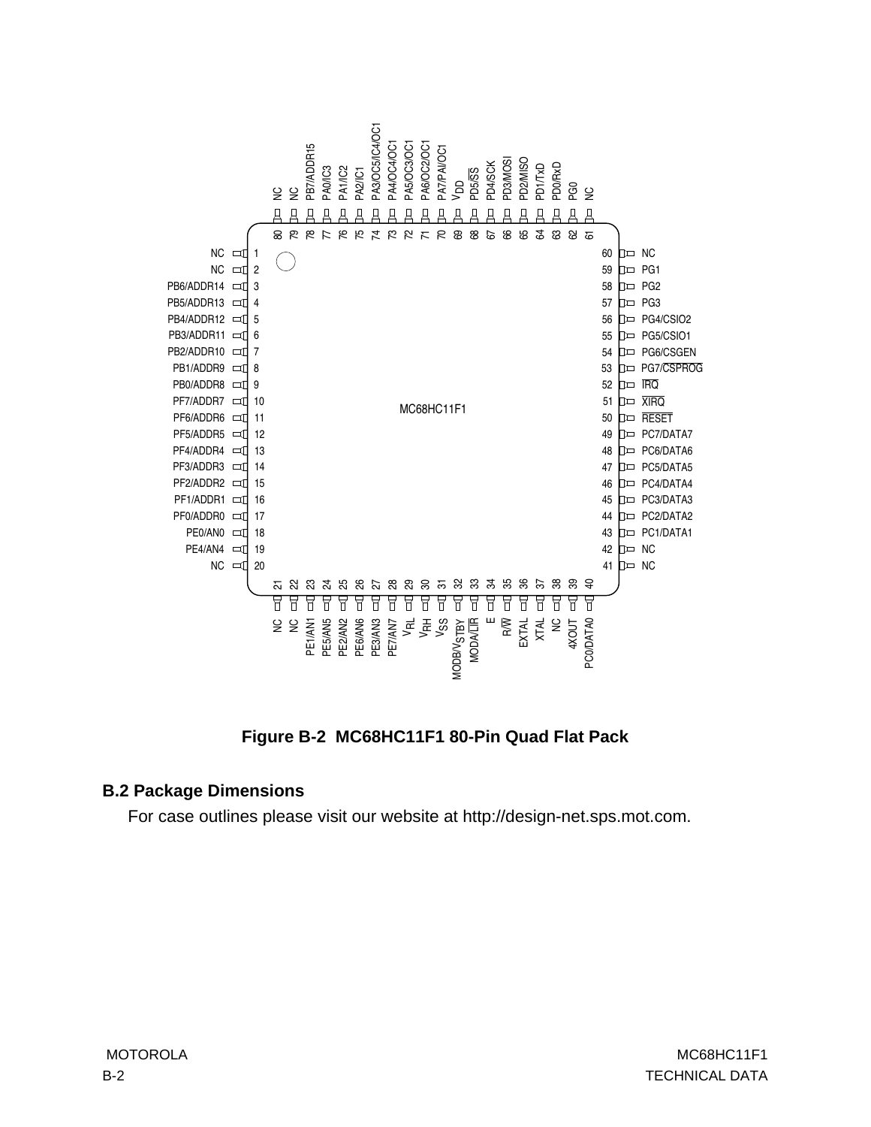

**Figure B-2 MC68HC11F1 80-Pin Quad Flat Pack**

### **B.2 Package Dimensions**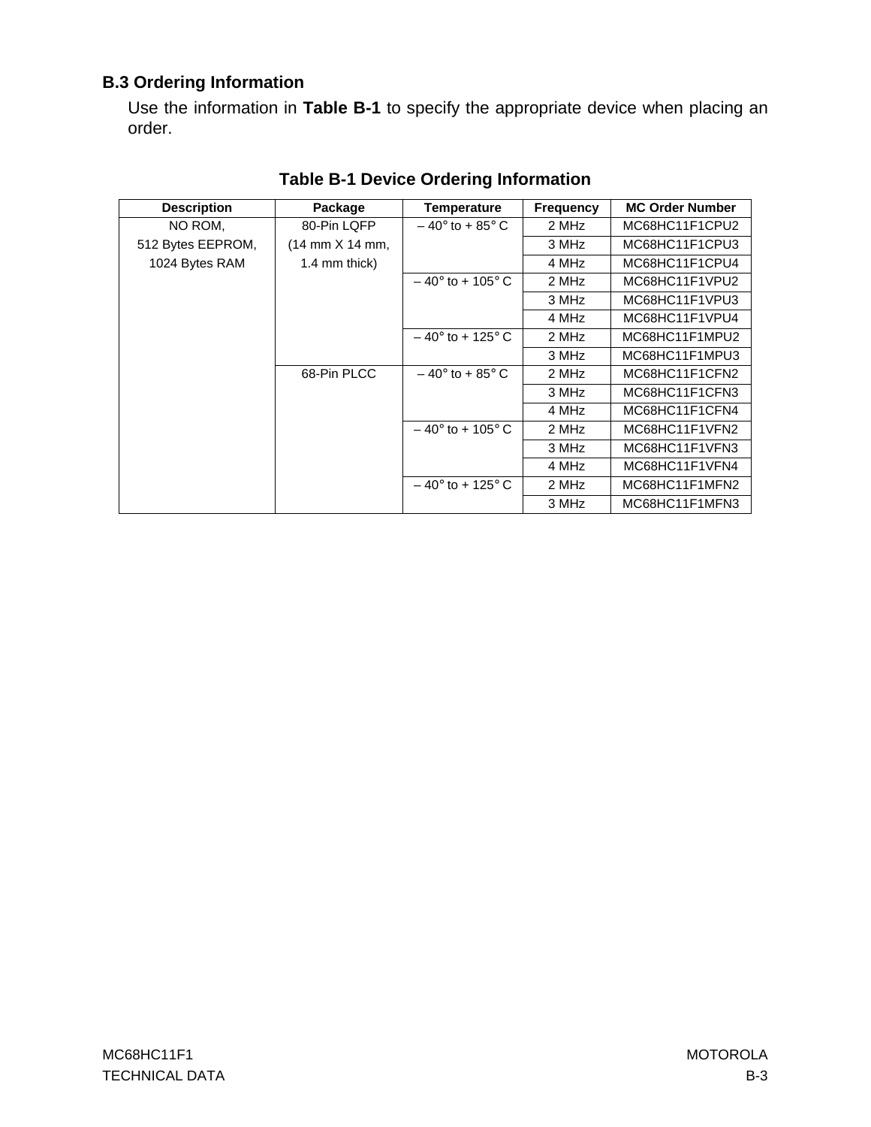# <span id="page-154-0"></span>**B.3 Ordering Information**

Use the information in **Table B-1** to specify the appropriate device when placing an order.

| <b>Description</b> | Package                                | Temperature               | <b>Frequency</b> | <b>MC Order Number</b> |
|--------------------|----------------------------------------|---------------------------|------------------|------------------------|
| NO ROM.            | 80-Pin LQFP                            | $-40^{\circ}$ to + 85° C  | 2 MHz            | MC68HC11F1CPU2         |
| 512 Bytes EEPROM,  | $(14 \text{ mm} \times 14 \text{ mm})$ |                           | 3 MHz            | MC68HC11F1CPU3         |
| 1024 Bytes RAM     | 1.4 mm thick)                          |                           | 4 MHz            | MC68HC11F1CPU4         |
|                    |                                        | $-40^{\circ}$ to + 105° C | 2 MHz            | MC68HC11F1VPU2         |
|                    |                                        |                           | 3 MHz            | MC68HC11F1VPU3         |
|                    |                                        |                           | 4 MHz            | MC68HC11F1VPU4         |
|                    |                                        | $-40^{\circ}$ to + 125° C | 2 MHz            | MC68HC11F1MPU2         |
|                    |                                        |                           | 3 MHz            | MC68HC11F1MPU3         |
|                    | 68-Pin PLCC                            | $-40^{\circ}$ to + 85° C  | 2 MHz            | MC68HC11F1CFN2         |
|                    |                                        |                           | 3 MHz            | MC68HC11F1CFN3         |
|                    |                                        |                           | 4 MHz            | MC68HC11F1CFN4         |
|                    |                                        | $-40^{\circ}$ to + 105° C | 2 MHz            | MC68HC11F1VFN2         |
|                    |                                        |                           | 3 MHz            | MC68HC11F1VFN3         |
|                    |                                        |                           | 4 MHz            | MC68HC11F1VFN4         |
|                    |                                        | $-40^{\circ}$ to + 125° C | 2 MHz            | MC68HC11F1MFN2         |
|                    |                                        |                           | 3 MHz            | MC68HC11F1MFN3         |

# **Table B-1 Device Ordering Information**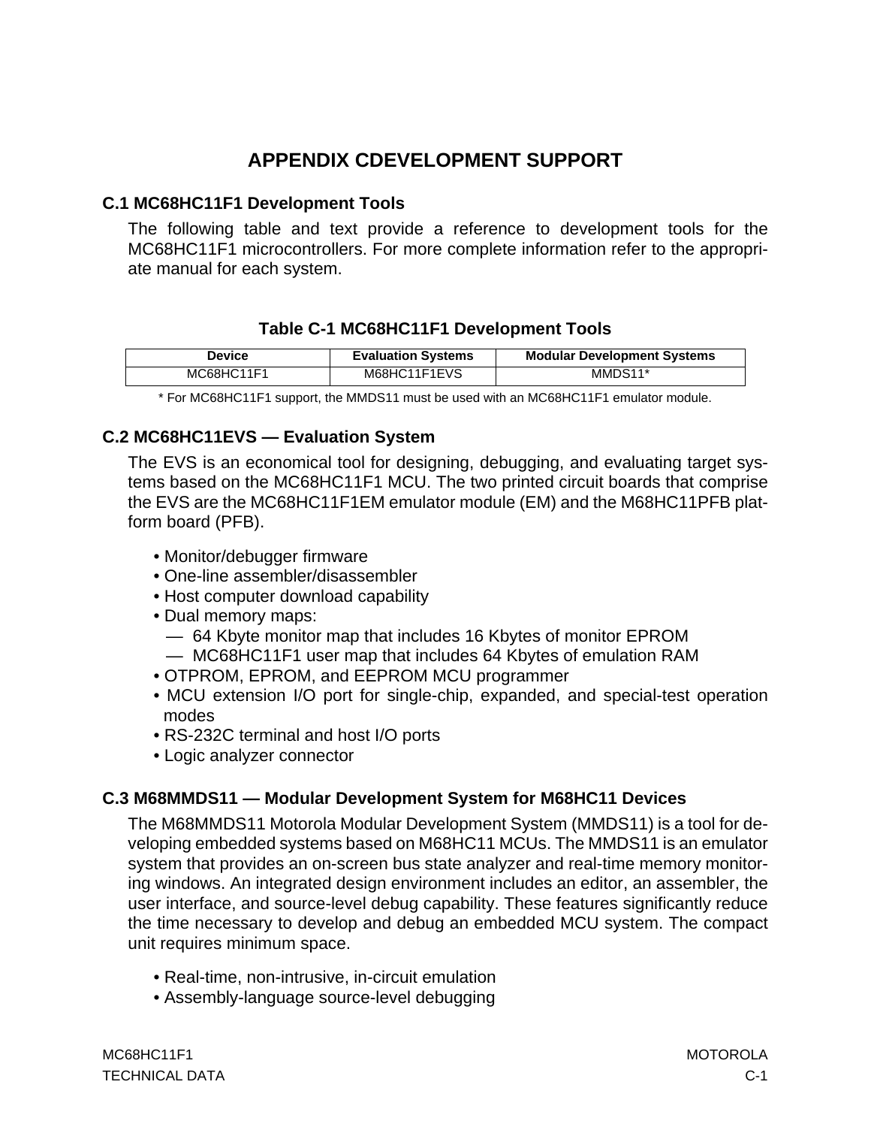# **APPENDIX CDEVELOPMENT SUPPORT**

## **C.1 MC68HC11F1 Development Tools**

The following table and text provide a reference to development tools for the MC68HC11F1 microcontrollers. For more complete information refer to the appropriate manual for each system.

# **Table C-1 MC68HC11F1 Development Tools**

| <b>Device</b> | <b>Evaluation Systems</b> | <b>Modular Development Systems</b> |
|---------------|---------------------------|------------------------------------|
| MC68HC11F1    | M68HC11F1EVS              | MMDS11*                            |

\* For MC68HC11F1 support, the MMDS11 must be used with an MC68HC11F1 emulator module.

# **C.2 MC68HC11EVS — Evaluation System**

The EVS is an economical tool for designing, debugging, and evaluating target systems based on the MC68HC11F1 MCU. The two printed circuit boards that comprise the EVS are the MC68HC11F1EM emulator module (EM) and the M68HC11PFB platform board (PFB).

- Monitor/debugger firmware
- One-line assembler/disassembler
- Host computer download capability
- Dual memory maps:
	- 64 Kbyte monitor map that includes 16 Kbytes of monitor EPROM
	- MC68HC11F1 user map that includes 64 Kbytes of emulation RAM
- OTPROM, EPROM, and EEPROM MCU programmer
- MCU extension I/O port for single-chip, expanded, and special-test operation modes
- RS-232C terminal and host I/O ports
- Logic analyzer connector

# **C.3 M68MMDS11 — Modular Development System for M68HC11 Devices**

The M68MMDS11 Motorola Modular Development System (MMDS11) is a tool for developing embedded systems based on M68HC11 MCUs. The MMDS11 is an emulator system that provides an on-screen bus state analyzer and real-time memory monitoring windows. An integrated design environment includes an editor, an assembler, the user interface, and source-level debug capability. These features significantly reduce the time necessary to develop and debug an embedded MCU system. The compact unit requires minimum space.

- Real-time, non-intrusive, in-circuit emulation
- Assembly-language source-level debugging

MC68HC11F1 MOTOROLA TECHNICAL DATA C-1